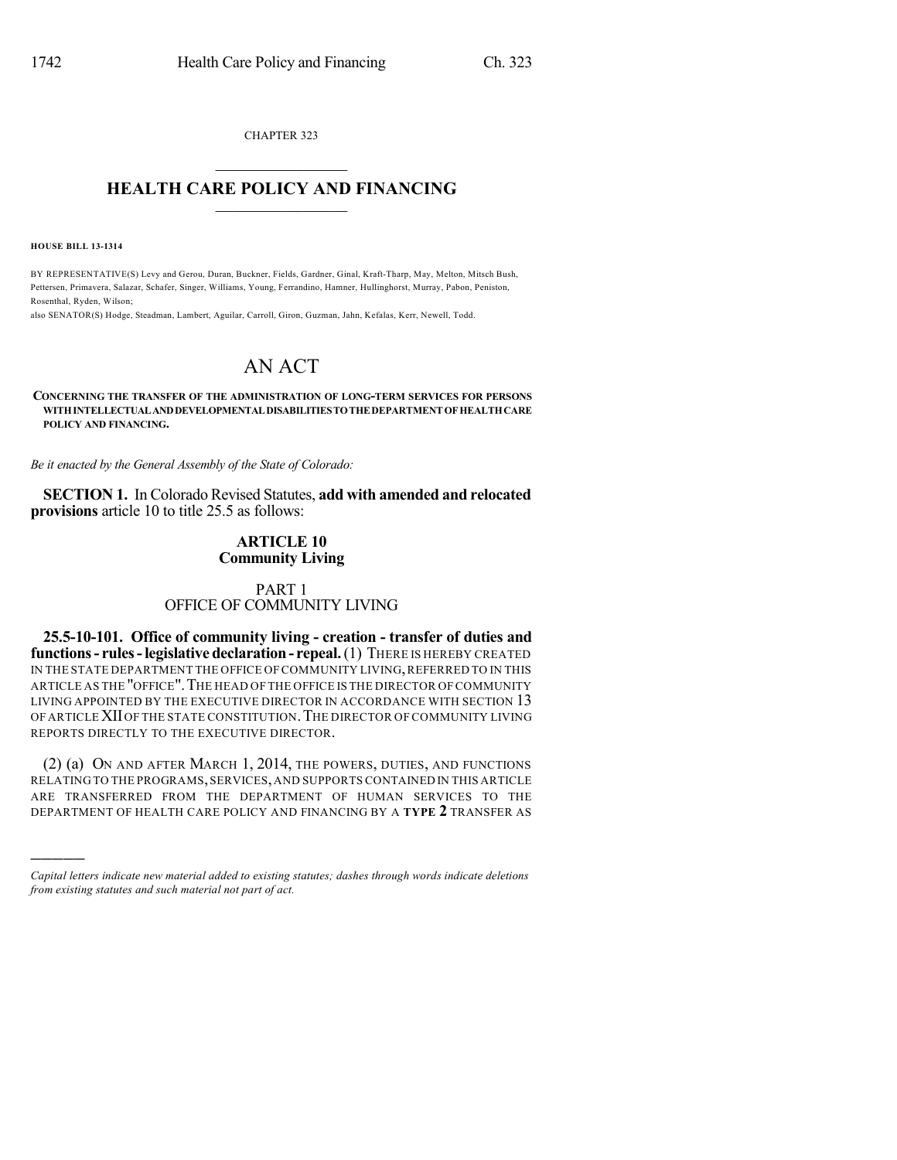CHAPTER 323  $\mathcal{L}_\text{max}$  . The set of the set of the set of the set of the set of the set of the set of the set of the set of the set of the set of the set of the set of the set of the set of the set of the set of the set of the set

# **HEALTH CARE POLICY AND FINANCING**  $\_$   $\_$   $\_$   $\_$   $\_$   $\_$   $\_$   $\_$

**HOUSE BILL 13-1314**

)))))

BY REPRESENTATIVE(S) Levy and Gerou, Duran, Buckner, Fields, Gardner, Ginal, Kraft-Tharp, May, Melton, Mitsch Bush, Pettersen, Primavera, Salazar, Schafer, Singer, Williams, Young, Ferrandino, Hamner, Hullinghorst, Murray, Pabon, Peniston, Rosenthal, Ryden, Wilson;

also SENATOR(S) Hodge, Steadman, Lambert, Aguilar, Carroll, Giron, Guzman, Jahn, Kefalas, Kerr, Newell, Todd.

# AN ACT

#### **CONCERNING THE TRANSFER OF THE ADMINISTRATION OF LONG-TERM SERVICES FOR PERSONS WITHINTELLECTUALANDDEVELOPMENTALDISABILITIESTOTHE DEPARTMENT OF HEALTHCARE POLICY AND FINANCING.**

*Be it enacted by the General Assembly of the State of Colorado:*

**SECTION 1.** In Colorado Revised Statutes, **add with amended and relocated provisions** article 10 to title 25.5 as follows:

### **ARTICLE 10 Community Living**

## PART 1 OFFICE OF COMMUNITY LIVING

**25.5-10-101. Office of community living - creation - transfer of duties and functions- rules-legislative declaration- repeal.**(1) THERE IS HEREBY CREATED IN THE STATE DEPARTMENT THE OFFICE OF COMMUNITY LIVING, REFERRED TO IN THIS ARTICLE AS THE "OFFICE".THE HEAD OF THE OFFICE IS THE DIRECTOR OF COMMUNITY LIVING APPOINTED BY THE EXECUTIVE DIRECTOR IN ACCORDANCE WITH SECTION 13 OF ARTICLEXIIOF THE STATE CONSTITUTION.THE DIRECTOR OF COMMUNITY LIVING REPORTS DIRECTLY TO THE EXECUTIVE DIRECTOR.

(2) (a) ON AND AFTER MARCH 1, 2014, THE POWERS, DUTIES, AND FUNCTIONS RELATING TO THE PROGRAMS,SERVICES,AND SUPPORTS CONTAINED IN THIS ARTICLE ARE TRANSFERRED FROM THE DEPARTMENT OF HUMAN SERVICES TO THE DEPARTMENT OF HEALTH CARE POLICY AND FINANCING BY A **TYPE 2** TRANSFER AS

*Capital letters indicate new material added to existing statutes; dashes through words indicate deletions from existing statutes and such material not part of act.*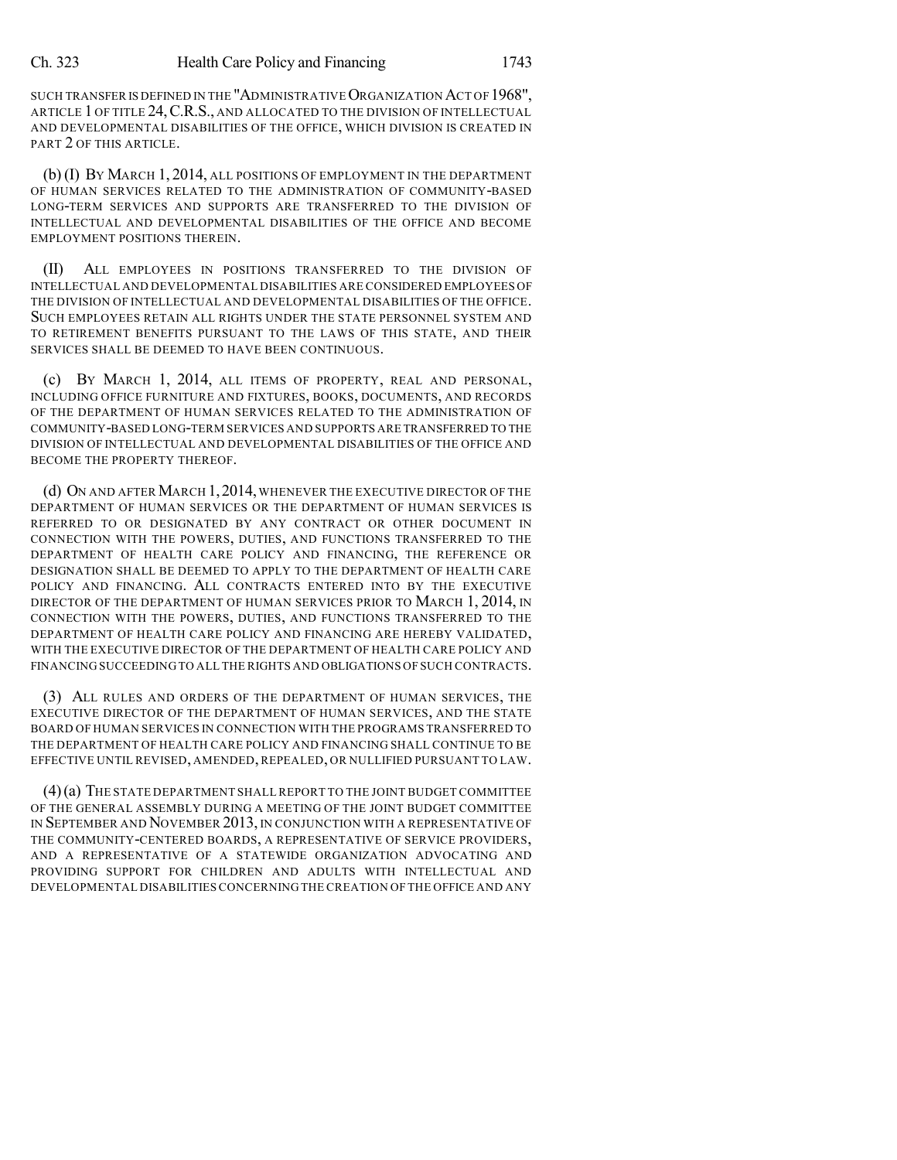SUCH TRANSFER IS DEFINED IN THE "ADMINISTRATIVE ORGANIZATION ACT OF 1968", ARTICLE 1 OF TITLE 24, C.R.S., AND ALLOCATED TO THE DIVISION OF INTELLECTUAL AND DEVELOPMENTAL DISABILITIES OF THE OFFICE, WHICH DIVISION IS CREATED IN PART 2 OF THIS ARTICLE.

(b) (I) BY MARCH 1, 2014, ALL POSITIONS OF EMPLOYMENT IN THE DEPARTMENT OF HUMAN SERVICES RELATED TO THE ADMINISTRATION OF COMMUNITY-BASED LONG-TERM SERVICES AND SUPPORTS ARE TRANSFERRED TO THE DIVISION OF INTELLECTUAL AND DEVELOPMENTAL DISABILITIES OF THE OFFICE AND BECOME EMPLOYMENT POSITIONS THEREIN.

(II) ALL EMPLOYEES IN POSITIONS TRANSFERRED TO THE DIVISION OF INTELLECTUAL AND DEVELOPMENTAL DISABILITIES ARE CONSIDERED EMPLOYEES OF THE DIVISION OF INTELLECTUAL AND DEVELOPMENTAL DISABILITIES OF THE OFFICE. SUCH EMPLOYEES RETAIN ALL RIGHTS UNDER THE STATE PERSONNEL SYSTEM AND TO RETIREMENT BENEFITS PURSUANT TO THE LAWS OF THIS STATE, AND THEIR SERVICES SHALL BE DEEMED TO HAVE BEEN CONTINUOUS.

(c) BY MARCH 1, 2014, ALL ITEMS OF PROPERTY, REAL AND PERSONAL, INCLUDING OFFICE FURNITURE AND FIXTURES, BOOKS, DOCUMENTS, AND RECORDS OF THE DEPARTMENT OF HUMAN SERVICES RELATED TO THE ADMINISTRATION OF COMMUNITY-BASED LONG-TERM SERVICES AND SUPPORTS ARE TRANSFERRED TO THE DIVISION OF INTELLECTUAL AND DEVELOPMENTAL DISABILITIES OF THE OFFICE AND BECOME THE PROPERTY THEREOF.

(d) ON AND AFTER MARCH 1,2014,WHENEVER THE EXECUTIVE DIRECTOR OF THE DEPARTMENT OF HUMAN SERVICES OR THE DEPARTMENT OF HUMAN SERVICES IS REFERRED TO OR DESIGNATED BY ANY CONTRACT OR OTHER DOCUMENT IN CONNECTION WITH THE POWERS, DUTIES, AND FUNCTIONS TRANSFERRED TO THE DEPARTMENT OF HEALTH CARE POLICY AND FINANCING, THE REFERENCE OR DESIGNATION SHALL BE DEEMED TO APPLY TO THE DEPARTMENT OF HEALTH CARE POLICY AND FINANCING. ALL CONTRACTS ENTERED INTO BY THE EXECUTIVE DIRECTOR OF THE DEPARTMENT OF HUMAN SERVICES PRIOR TO MARCH 1, 2014, IN CONNECTION WITH THE POWERS, DUTIES, AND FUNCTIONS TRANSFERRED TO THE DEPARTMENT OF HEALTH CARE POLICY AND FINANCING ARE HEREBY VALIDATED, WITH THE EXECUTIVE DIRECTOR OF THE DEPARTMENT OF HEALTH CARE POLICY AND FINANCING SUCCEEDING TO ALL THE RIGHTS AND OBLIGATIONS OF SUCH CONTRACTS.

(3) ALL RULES AND ORDERS OF THE DEPARTMENT OF HUMAN SERVICES, THE EXECUTIVE DIRECTOR OF THE DEPARTMENT OF HUMAN SERVICES, AND THE STATE BOARD OF HUMAN SERVICES IN CONNECTION WITH THE PROGRAMS TRANSFERRED TO THE DEPARTMENT OF HEALTH CARE POLICY AND FINANCING SHALL CONTINUE TO BE EFFECTIVE UNTIL REVISED, AMENDED, REPEALED, OR NULLIFIED PURSUANT TO LAW.

(4)(a) THE STATE DEPARTMENT SHALL REPORT TO THE JOINT BUDGET COMMITTEE OF THE GENERAL ASSEMBLY DURING A MEETING OF THE JOINT BUDGET COMMITTEE IN SEPTEMBER AND NOVEMBER 2013, IN CONJUNCTION WITH A REPRESENTATIVE OF THE COMMUNITY-CENTERED BOARDS, A REPRESENTATIVE OF SERVICE PROVIDERS, AND A REPRESENTATIVE OF A STATEWIDE ORGANIZATION ADVOCATING AND PROVIDING SUPPORT FOR CHILDREN AND ADULTS WITH INTELLECTUAL AND DEVELOPMENTAL DISABILITIES CONCERNING THE CREATION OF THE OFFICE AND ANY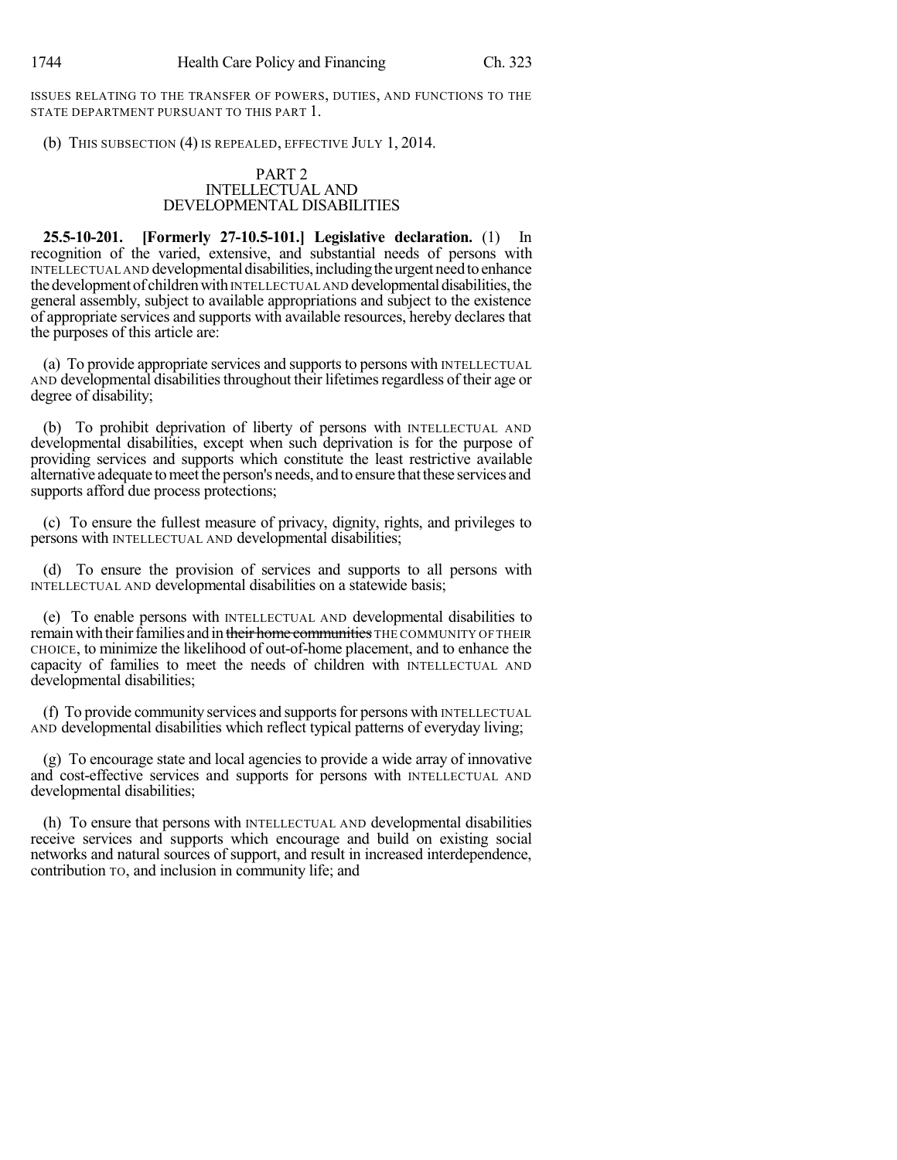ISSUES RELATING TO THE TRANSFER OF POWERS, DUTIES, AND FUNCTIONS TO THE STATE DEPARTMENT PURSUANT TO THIS PART 1.

(b) THIS SUBSECTION (4) IS REPEALED, EFFECTIVE JULY 1, 2014.

### PART 2 INTELLECTUAL AND DEVELOPMENTAL DISABILITIES

**25.5-10-201. [Formerly 27-10.5-101.] Legislative declaration.** (1) In recognition of the varied, extensive, and substantial needs of persons with INTELLECTUAL AND developmental disabilities, including the urgent need to enhance the development of children with INTELLECTUAL AND developmental disabilities, the general assembly, subject to available appropriations and subject to the existence of appropriate services and supports with available resources, hereby declares that the purposes of this article are:

(a) To provide appropriate services and supports to persons with INTELLECTUAL AND developmental disabilities throughout their lifetimes regardless of their age or degree of disability;

(b) To prohibit deprivation of liberty of persons with INTELLECTUAL AND developmental disabilities, except when such deprivation is for the purpose of providing services and supports which constitute the least restrictive available alternative adequate to meet the person's needs, and to ensure that these services and supports afford due process protections;

(c) To ensure the fullest measure of privacy, dignity, rights, and privileges to persons with INTELLECTUAL AND developmental disabilities;

(d) To ensure the provision of services and supports to all persons with INTELLECTUAL AND developmental disabilities on a statewide basis;

(e) To enable persons with INTELLECTUAL AND developmental disabilities to remain with their families and in their home communities THE COMMUNITY OF THEIR CHOICE, to minimize the likelihood of out-of-home placement, and to enhance the capacity of families to meet the needs of children with INTELLECTUAL AND developmental disabilities;

(f) To provide community services and supports for persons with INTELLECTUAL AND developmental disabilities which reflect typical patterns of everyday living;

(g) To encourage state and local agencies to provide a wide array of innovative and cost-effective services and supports for persons with INTELLECTUAL AND developmental disabilities;

(h) To ensure that persons with INTELLECTUAL AND developmental disabilities receive services and supports which encourage and build on existing social networks and natural sources of support, and result in increased interdependence, contribution TO, and inclusion in community life; and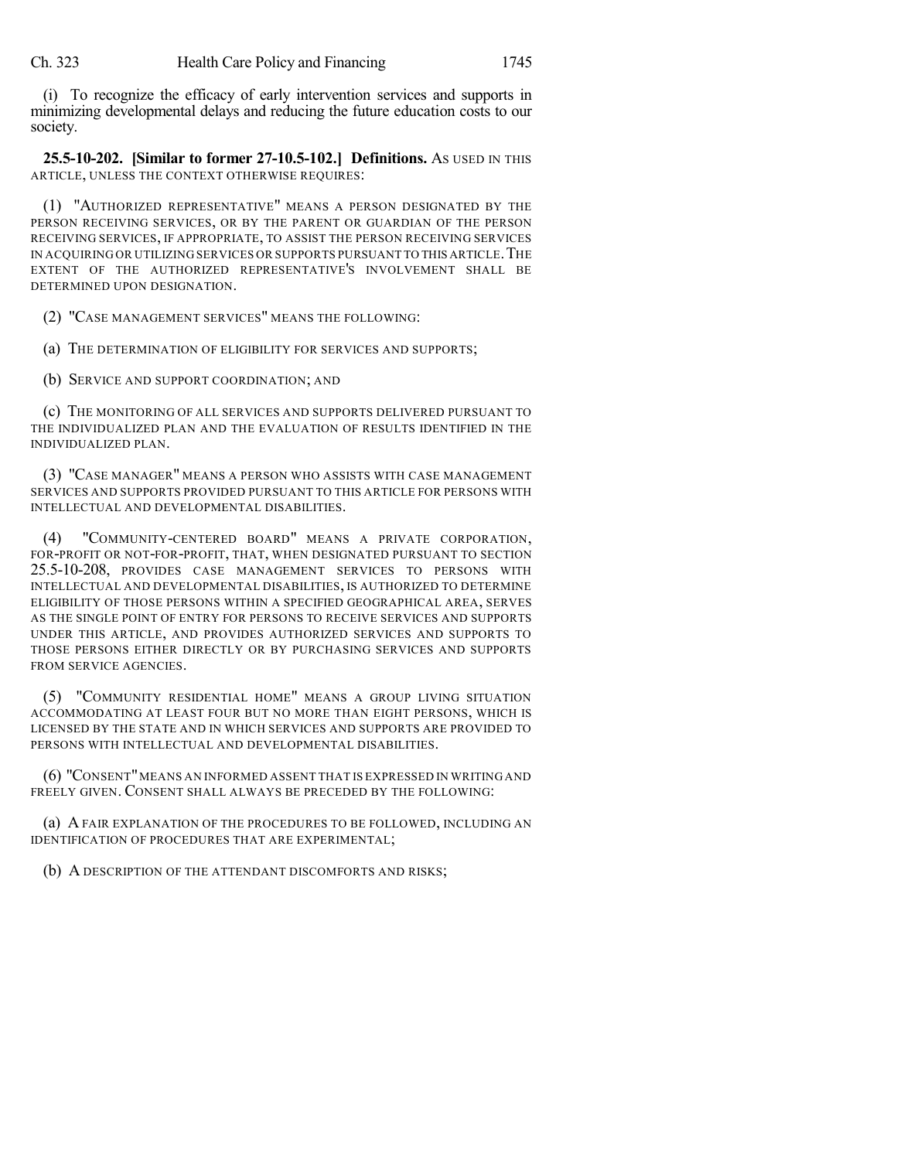(i) To recognize the efficacy of early intervention services and supports in minimizing developmental delays and reducing the future education costs to our society.

**25.5-10-202. [Similar to former 27-10.5-102.] Definitions.** AS USED IN THIS ARTICLE, UNLESS THE CONTEXT OTHERWISE REQUIRES:

(1) "AUTHORIZED REPRESENTATIVE" MEANS A PERSON DESIGNATED BY THE PERSON RECEIVING SERVICES, OR BY THE PARENT OR GUARDIAN OF THE PERSON RECEIVING SERVICES, IF APPROPRIATE, TO ASSIST THE PERSON RECEIVING SERVICES IN ACQUIRING OR UTILIZING SERVICES OR SUPPORTS PURSUANT TO THIS ARTICLE.THE EXTENT OF THE AUTHORIZED REPRESENTATIVE'S INVOLVEMENT SHALL BE DETERMINED UPON DESIGNATION.

(2) "CASE MANAGEMENT SERVICES" MEANS THE FOLLOWING:

(a) THE DETERMINATION OF ELIGIBILITY FOR SERVICES AND SUPPORTS;

(b) SERVICE AND SUPPORT COORDINATION; AND

(c) THE MONITORING OF ALL SERVICES AND SUPPORTS DELIVERED PURSUANT TO THE INDIVIDUALIZED PLAN AND THE EVALUATION OF RESULTS IDENTIFIED IN THE INDIVIDUALIZED PLAN.

(3) "CASE MANAGER" MEANS A PERSON WHO ASSISTS WITH CASE MANAGEMENT SERVICES AND SUPPORTS PROVIDED PURSUANT TO THIS ARTICLE FOR PERSONS WITH INTELLECTUAL AND DEVELOPMENTAL DISABILITIES.

(4) "COMMUNITY-CENTERED BOARD" MEANS A PRIVATE CORPORATION, FOR-PROFIT OR NOT-FOR-PROFIT, THAT, WHEN DESIGNATED PURSUANT TO SECTION 25.5-10-208, PROVIDES CASE MANAGEMENT SERVICES TO PERSONS WITH INTELLECTUAL AND DEVELOPMENTAL DISABILITIES, IS AUTHORIZED TO DETERMINE ELIGIBILITY OF THOSE PERSONS WITHIN A SPECIFIED GEOGRAPHICAL AREA, SERVES AS THE SINGLE POINT OF ENTRY FOR PERSONS TO RECEIVE SERVICES AND SUPPORTS UNDER THIS ARTICLE, AND PROVIDES AUTHORIZED SERVICES AND SUPPORTS TO THOSE PERSONS EITHER DIRECTLY OR BY PURCHASING SERVICES AND SUPPORTS FROM SERVICE AGENCIES.

(5) "COMMUNITY RESIDENTIAL HOME" MEANS A GROUP LIVING SITUATION ACCOMMODATING AT LEAST FOUR BUT NO MORE THAN EIGHT PERSONS, WHICH IS LICENSED BY THE STATE AND IN WHICH SERVICES AND SUPPORTS ARE PROVIDED TO PERSONS WITH INTELLECTUAL AND DEVELOPMENTAL DISABILITIES.

(6) "CONSENT"MEANS AN INFORMED ASSENT THAT IS EXPRESSED IN WRITING AND FREELY GIVEN. CONSENT SHALL ALWAYS BE PRECEDED BY THE FOLLOWING:

(a) A FAIR EXPLANATION OF THE PROCEDURES TO BE FOLLOWED, INCLUDING AN IDENTIFICATION OF PROCEDURES THAT ARE EXPERIMENTAL;

(b) A DESCRIPTION OF THE ATTENDANT DISCOMFORTS AND RISKS;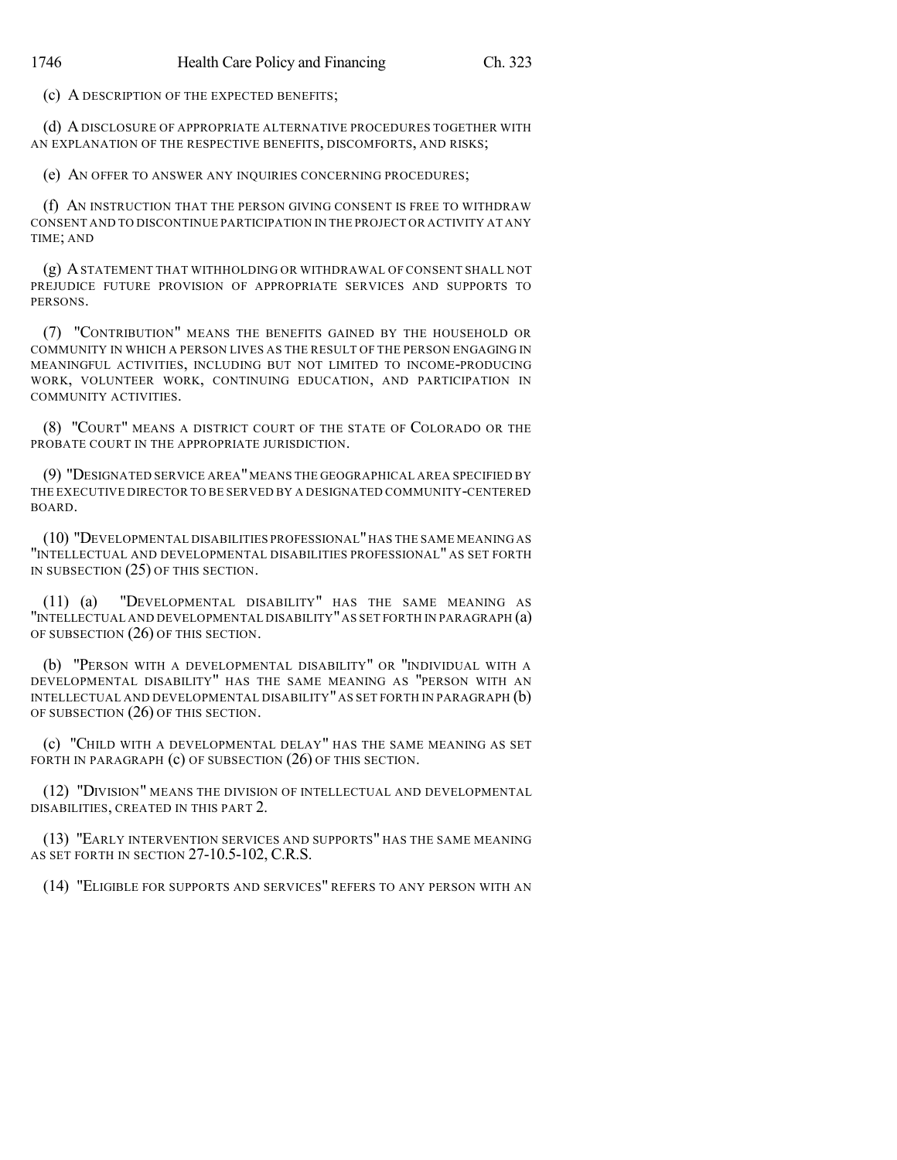(c) A DESCRIPTION OF THE EXPECTED BENEFITS;

(d) ADISCLOSURE OF APPROPRIATE ALTERNATIVE PROCEDURES TOGETHER WITH AN EXPLANATION OF THE RESPECTIVE BENEFITS, DISCOMFORTS, AND RISKS;

(e) AN OFFER TO ANSWER ANY INQUIRIES CONCERNING PROCEDURES;

(f) AN INSTRUCTION THAT THE PERSON GIVING CONSENT IS FREE TO WITHDRAW CONSENT AND TO DISCONTINUE PARTICIPATION IN THE PROJECT OR ACTIVITY AT ANY TIME; AND

(g) ASTATEMENT THAT WITHHOLDING OR WITHDRAWAL OF CONSENT SHALL NOT PREJUDICE FUTURE PROVISION OF APPROPRIATE SERVICES AND SUPPORTS TO PERSONS.

(7) "CONTRIBUTION" MEANS THE BENEFITS GAINED BY THE HOUSEHOLD OR COMMUNITY IN WHICH A PERSON LIVES AS THE RESULT OF THE PERSON ENGAGING IN MEANINGFUL ACTIVITIES, INCLUDING BUT NOT LIMITED TO INCOME-PRODUCING WORK, VOLUNTEER WORK, CONTINUING EDUCATION, AND PARTICIPATION IN COMMUNITY ACTIVITIES.

(8) "COURT" MEANS A DISTRICT COURT OF THE STATE OF COLORADO OR THE PROBATE COURT IN THE APPROPRIATE JURISDICTION.

(9) "DESIGNATED SERVICE AREA"MEANS THE GEOGRAPHICAL AREA SPECIFIED BY THE EXECUTIVE DIRECTOR TO BE SERVED BY A DESIGNATED COMMUNITY-CENTERED BOARD.

(10) "DEVELOPMENTAL DISABILITIES PROFESSIONAL"HAS THE SAME MEANING AS "INTELLECTUAL AND DEVELOPMENTAL DISABILITIES PROFESSIONAL" AS SET FORTH IN SUBSECTION (25) OF THIS SECTION.

(11) (a) "DEVELOPMENTAL DISABILITY" HAS THE SAME MEANING AS "INTELLECTUAL AND DEVELOPMENTAL DISABILITY"AS SET FORTH IN PARAGRAPH (a) OF SUBSECTION (26) OF THIS SECTION.

(b) "PERSON WITH A DEVELOPMENTAL DISABILITY" OR "INDIVIDUAL WITH A DEVELOPMENTAL DISABILITY" HAS THE SAME MEANING AS "PERSON WITH AN INTELLECTUAL AND DEVELOPMENTAL DISABILITY" AS SET FORTH IN PARAGRAPH  $(b)$ OF SUBSECTION (26) OF THIS SECTION.

(c) "CHILD WITH A DEVELOPMENTAL DELAY" HAS THE SAME MEANING AS SET FORTH IN PARAGRAPH (c) OF SUBSECTION (26) OF THIS SECTION.

(12) "DIVISION" MEANS THE DIVISION OF INTELLECTUAL AND DEVELOPMENTAL DISABILITIES, CREATED IN THIS PART 2.

(13) "EARLY INTERVENTION SERVICES AND SUPPORTS" HAS THE SAME MEANING AS SET FORTH IN SECTION 27-10.5-102, C.R.S.

(14) "ELIGIBLE FOR SUPPORTS AND SERVICES" REFERS TO ANY PERSON WITH AN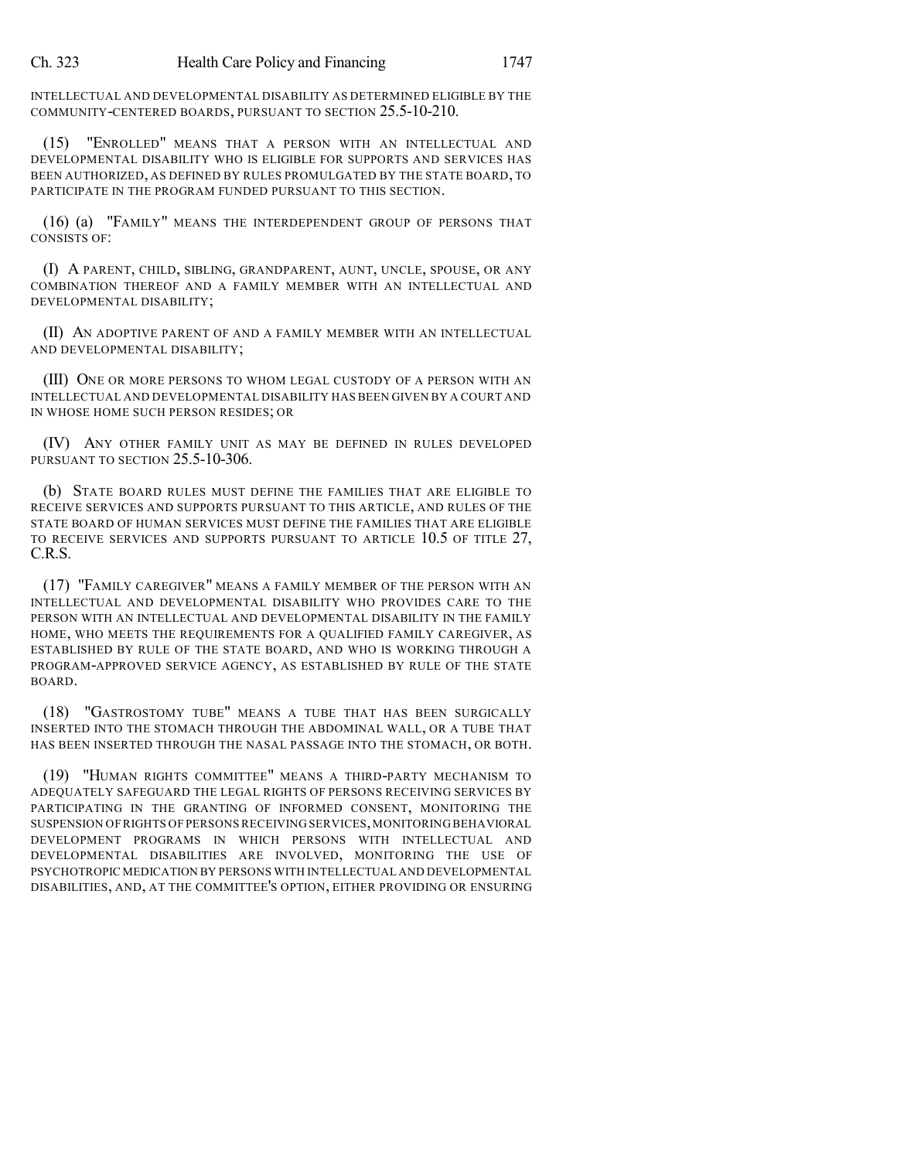INTELLECTUAL AND DEVELOPMENTAL DISABILITY AS DETERMINED ELIGIBLE BY THE COMMUNITY-CENTERED BOARDS, PURSUANT TO SECTION 25.5-10-210.

(15) "ENROLLED" MEANS THAT A PERSON WITH AN INTELLECTUAL AND DEVELOPMENTAL DISABILITY WHO IS ELIGIBLE FOR SUPPORTS AND SERVICES HAS BEEN AUTHORIZED, AS DEFINED BY RULES PROMULGATED BY THE STATE BOARD, TO PARTICIPATE IN THE PROGRAM FUNDED PURSUANT TO THIS SECTION.

(16) (a) "FAMILY" MEANS THE INTERDEPENDENT GROUP OF PERSONS THAT CONSISTS OF:

(I) A PARENT, CHILD, SIBLING, GRANDPARENT, AUNT, UNCLE, SPOUSE, OR ANY COMBINATION THEREOF AND A FAMILY MEMBER WITH AN INTELLECTUAL AND DEVELOPMENTAL DISABILITY;

(II) AN ADOPTIVE PARENT OF AND A FAMILY MEMBER WITH AN INTELLECTUAL AND DEVELOPMENTAL DISABILITY;

(III) ONE OR MORE PERSONS TO WHOM LEGAL CUSTODY OF A PERSON WITH AN INTELLECTUAL AND DEVELOPMENTAL DISABILITY HAS BEEN GIVEN BY A COURT AND IN WHOSE HOME SUCH PERSON RESIDES; OR

(IV) ANY OTHER FAMILY UNIT AS MAY BE DEFINED IN RULES DEVELOPED PURSUANT TO SECTION 25.5-10-306.

(b) STATE BOARD RULES MUST DEFINE THE FAMILIES THAT ARE ELIGIBLE TO RECEIVE SERVICES AND SUPPORTS PURSUANT TO THIS ARTICLE, AND RULES OF THE STATE BOARD OF HUMAN SERVICES MUST DEFINE THE FAMILIES THAT ARE ELIGIBLE TO RECEIVE SERVICES AND SUPPORTS PURSUANT TO ARTICLE 10.5 OF TITLE 27, C.R.S.

(17) "FAMILY CAREGIVER" MEANS A FAMILY MEMBER OF THE PERSON WITH AN INTELLECTUAL AND DEVELOPMENTAL DISABILITY WHO PROVIDES CARE TO THE PERSON WITH AN INTELLECTUAL AND DEVELOPMENTAL DISABILITY IN THE FAMILY HOME, WHO MEETS THE REQUIREMENTS FOR A QUALIFIED FAMILY CAREGIVER, AS ESTABLISHED BY RULE OF THE STATE BOARD, AND WHO IS WORKING THROUGH A PROGRAM-APPROVED SERVICE AGENCY, AS ESTABLISHED BY RULE OF THE STATE BOARD.

(18) "GASTROSTOMY TUBE" MEANS A TUBE THAT HAS BEEN SURGICALLY INSERTED INTO THE STOMACH THROUGH THE ABDOMINAL WALL, OR A TUBE THAT HAS BEEN INSERTED THROUGH THE NASAL PASSAGE INTO THE STOMACH, OR BOTH.

(19) "HUMAN RIGHTS COMMITTEE" MEANS A THIRD-PARTY MECHANISM TO ADEQUATELY SAFEGUARD THE LEGAL RIGHTS OF PERSONS RECEIVING SERVICES BY PARTICIPATING IN THE GRANTING OF INFORMED CONSENT, MONITORING THE SUSPENSION OF RIGHTS OF PERSONS RECEIVING SERVICES,MONITORING BEHAVIORAL DEVELOPMENT PROGRAMS IN WHICH PERSONS WITH INTELLECTUAL AND DEVELOPMENTAL DISABILITIES ARE INVOLVED, MONITORING THE USE OF PSYCHOTROPIC MEDICATION BY PERSONS WITH INTELLECTUAL AND DEVELOPMENTAL DISABILITIES, AND, AT THE COMMITTEE'S OPTION, EITHER PROVIDING OR ENSURING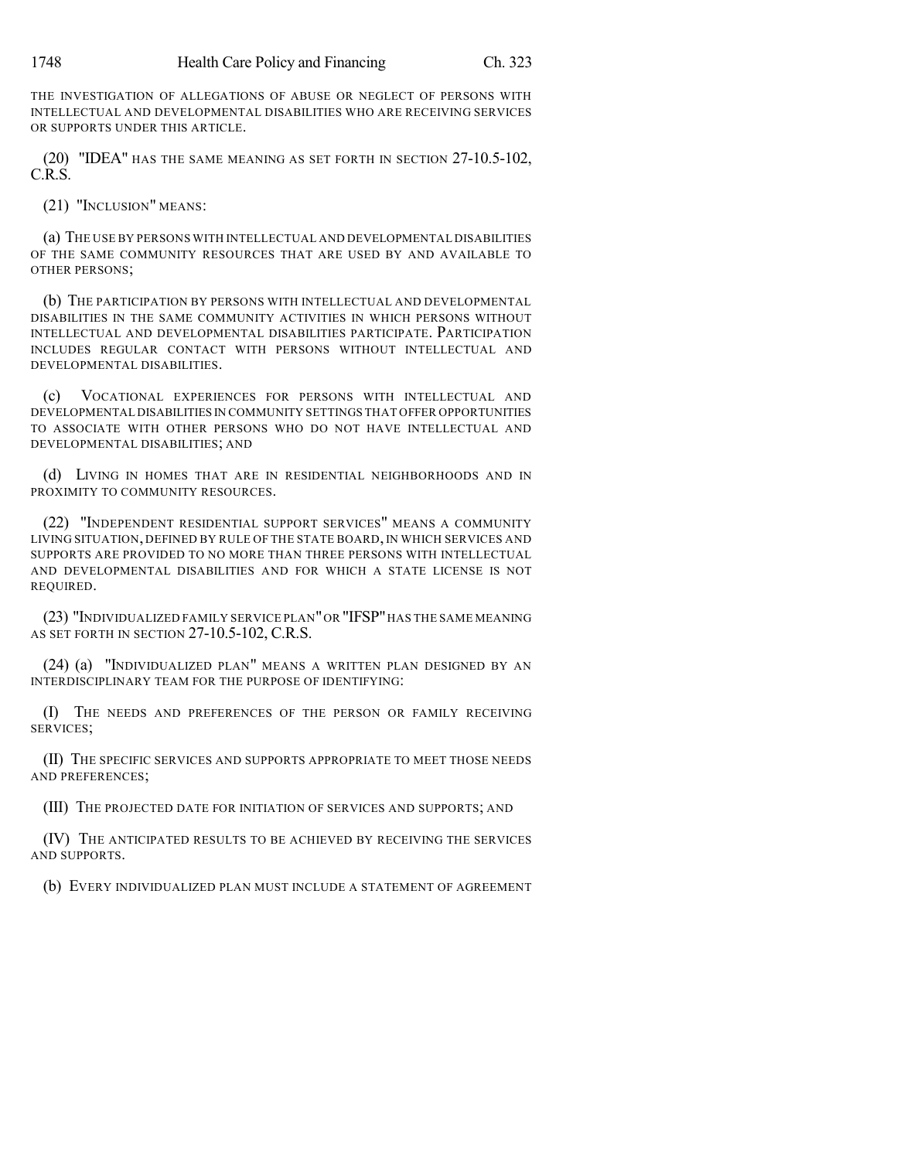THE INVESTIGATION OF ALLEGATIONS OF ABUSE OR NEGLECT OF PERSONS WITH INTELLECTUAL AND DEVELOPMENTAL DISABILITIES WHO ARE RECEIVING SERVICES OR SUPPORTS UNDER THIS ARTICLE.

(20) "IDEA" HAS THE SAME MEANING AS SET FORTH IN SECTION 27-10.5-102, C.R.S.

(21) "INCLUSION" MEANS:

(a) THE USE BY PERSONS WITH INTELLECTUAL AND DEVELOPMENTAL DISABILITIES OF THE SAME COMMUNITY RESOURCES THAT ARE USED BY AND AVAILABLE TO OTHER PERSONS;

(b) THE PARTICIPATION BY PERSONS WITH INTELLECTUAL AND DEVELOPMENTAL DISABILITIES IN THE SAME COMMUNITY ACTIVITIES IN WHICH PERSONS WITHOUT INTELLECTUAL AND DEVELOPMENTAL DISABILITIES PARTICIPATE. PARTICIPATION INCLUDES REGULAR CONTACT WITH PERSONS WITHOUT INTELLECTUAL AND DEVELOPMENTAL DISABILITIES.

(c) VOCATIONAL EXPERIENCES FOR PERSONS WITH INTELLECTUAL AND DEVELOPMENTAL DISABILITIES IN COMMUNITY SETTINGS THAT OFFER OPPORTUNITIES TO ASSOCIATE WITH OTHER PERSONS WHO DO NOT HAVE INTELLECTUAL AND DEVELOPMENTAL DISABILITIES; AND

(d) LIVING IN HOMES THAT ARE IN RESIDENTIAL NEIGHBORHOODS AND IN PROXIMITY TO COMMUNITY RESOURCES.

(22) "INDEPENDENT RESIDENTIAL SUPPORT SERVICES" MEANS A COMMUNITY LIVING SITUATION, DEFINED BY RULE OF THE STATE BOARD, IN WHICH SERVICES AND SUPPORTS ARE PROVIDED TO NO MORE THAN THREE PERSONS WITH INTELLECTUAL AND DEVELOPMENTAL DISABILITIES AND FOR WHICH A STATE LICENSE IS NOT REQUIRED.

(23) "INDIVIDUALIZED FAMILY SERVICE PLAN"OR "IFSP"HAS THE SAME MEANING AS SET FORTH IN SECTION 27-10.5-102, C.R.S.

(24) (a) "INDIVIDUALIZED PLAN" MEANS A WRITTEN PLAN DESIGNED BY AN INTERDISCIPLINARY TEAM FOR THE PURPOSE OF IDENTIFYING:

(I) THE NEEDS AND PREFERENCES OF THE PERSON OR FAMILY RECEIVING SERVICES;

(II) THE SPECIFIC SERVICES AND SUPPORTS APPROPRIATE TO MEET THOSE NEEDS AND PREFERENCES;

(III) THE PROJECTED DATE FOR INITIATION OF SERVICES AND SUPPORTS; AND

(IV) THE ANTICIPATED RESULTS TO BE ACHIEVED BY RECEIVING THE SERVICES AND SUPPORTS.

(b) EVERY INDIVIDUALIZED PLAN MUST INCLUDE A STATEMENT OF AGREEMENT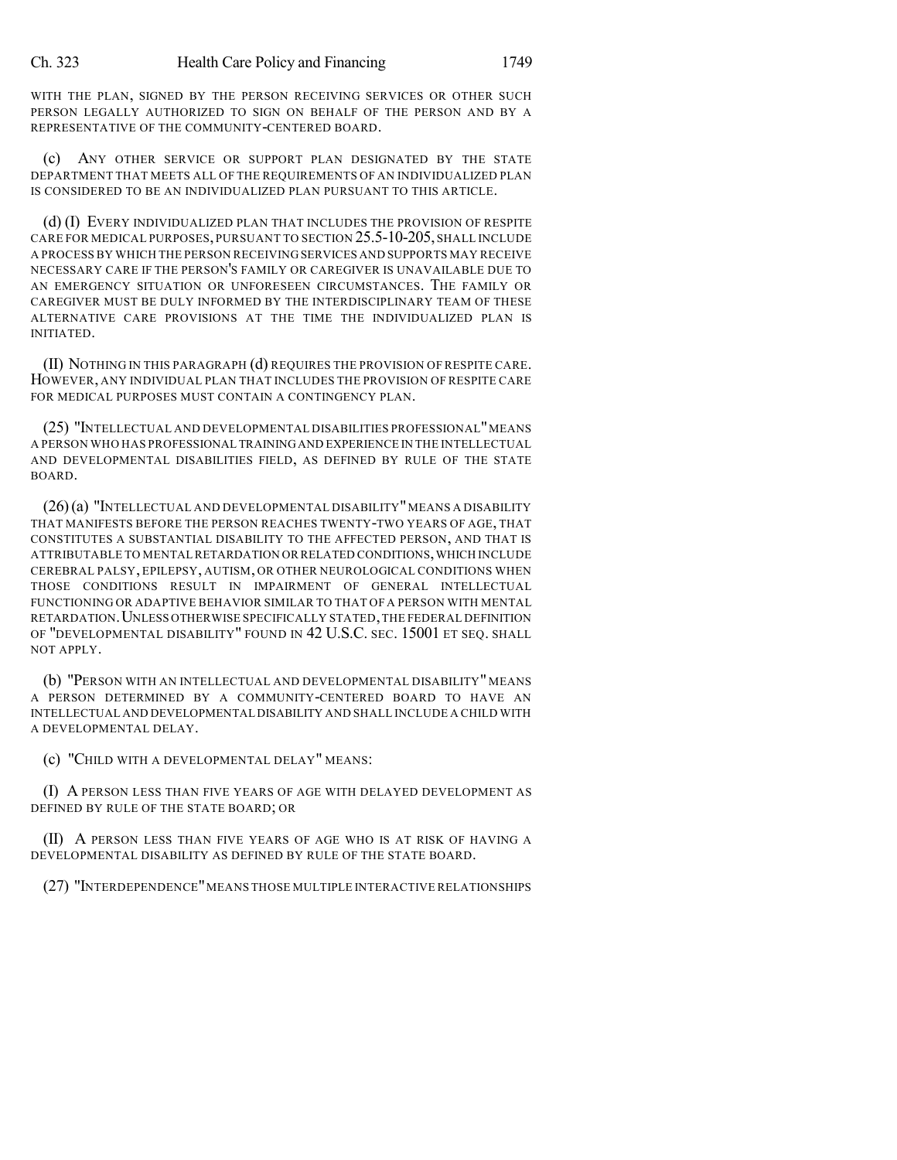WITH THE PLAN, SIGNED BY THE PERSON RECEIVING SERVICES OR OTHER SUCH PERSON LEGALLY AUTHORIZED TO SIGN ON BEHALF OF THE PERSON AND BY A REPRESENTATIVE OF THE COMMUNITY-CENTERED BOARD.

(c) ANY OTHER SERVICE OR SUPPORT PLAN DESIGNATED BY THE STATE DEPARTMENT THAT MEETS ALL OF THE REQUIREMENTS OF AN INDIVIDUALIZED PLAN IS CONSIDERED TO BE AN INDIVIDUALIZED PLAN PURSUANT TO THIS ARTICLE.

(d) (I) EVERY INDIVIDUALIZED PLAN THAT INCLUDES THE PROVISION OF RESPITE CARE FOR MEDICAL PURPOSES, PURSUANT TO SECTION 25.5-10-205, SHALL INCLUDE A PROCESS BY WHICH THE PERSON RECEIVING SERVICES AND SUPPORTS MAY RECEIVE NECESSARY CARE IF THE PERSON'S FAMILY OR CAREGIVER IS UNAVAILABLE DUE TO AN EMERGENCY SITUATION OR UNFORESEEN CIRCUMSTANCES. THE FAMILY OR CAREGIVER MUST BE DULY INFORMED BY THE INTERDISCIPLINARY TEAM OF THESE ALTERNATIVE CARE PROVISIONS AT THE TIME THE INDIVIDUALIZED PLAN IS INITIATED.

(II) NOTHING IN THIS PARAGRAPH (d) REQUIRES THE PROVISION OF RESPITE CARE. HOWEVER, ANY INDIVIDUAL PLAN THAT INCLUDES THE PROVISION OF RESPITE CARE FOR MEDICAL PURPOSES MUST CONTAIN A CONTINGENCY PLAN.

(25) "INTELLECTUAL AND DEVELOPMENTAL DISABILITIES PROFESSIONAL"MEANS A PERSON WHO HAS PROFESSIONAL TRAININGAND EXPERIENCE IN THE INTELLECTUAL AND DEVELOPMENTAL DISABILITIES FIELD, AS DEFINED BY RULE OF THE STATE BOARD.

(26)(a) "INTELLECTUAL AND DEVELOPMENTAL DISABILITY" MEANS A DISABILITY THAT MANIFESTS BEFORE THE PERSON REACHES TWENTY-TWO YEARS OF AGE, THAT CONSTITUTES A SUBSTANTIAL DISABILITY TO THE AFFECTED PERSON, AND THAT IS ATTRIBUTABLE TO MENTAL RETARDATION OR RELATED CONDITIONS,WHICH INCLUDE CEREBRAL PALSY, EPILEPSY, AUTISM, OR OTHER NEUROLOGICAL CONDITIONS WHEN THOSE CONDITIONS RESULT IN IMPAIRMENT OF GENERAL INTELLECTUAL FUNCTIONING OR ADAPTIVE BEHAVIOR SIMILAR TO THAT OF A PERSON WITH MENTAL RETARDATION.UNLESS OTHERWISE SPECIFICALLY STATED,THE FEDERAL DEFINITION OF "DEVELOPMENTAL DISABILITY" FOUND IN 42 U.S.C. SEC. 15001 ET SEQ. SHALL NOT APPLY.

(b) "PERSON WITH AN INTELLECTUAL AND DEVELOPMENTAL DISABILITY" MEANS A PERSON DETERMINED BY A COMMUNITY-CENTERED BOARD TO HAVE AN INTELLECTUAL AND DEVELOPMENTAL DISABILITY AND SHALL INCLUDE A CHILD WITH A DEVELOPMENTAL DELAY.

(c) "CHILD WITH A DEVELOPMENTAL DELAY" MEANS:

(I) A PERSON LESS THAN FIVE YEARS OF AGE WITH DELAYED DEVELOPMENT AS DEFINED BY RULE OF THE STATE BOARD; OR

(II) A PERSON LESS THAN FIVE YEARS OF AGE WHO IS AT RISK OF HAVING A DEVELOPMENTAL DISABILITY AS DEFINED BY RULE OF THE STATE BOARD.

(27) "INTERDEPENDENCE"MEANS THOSE MULTIPLE INTERACTIVE RELATIONSHIPS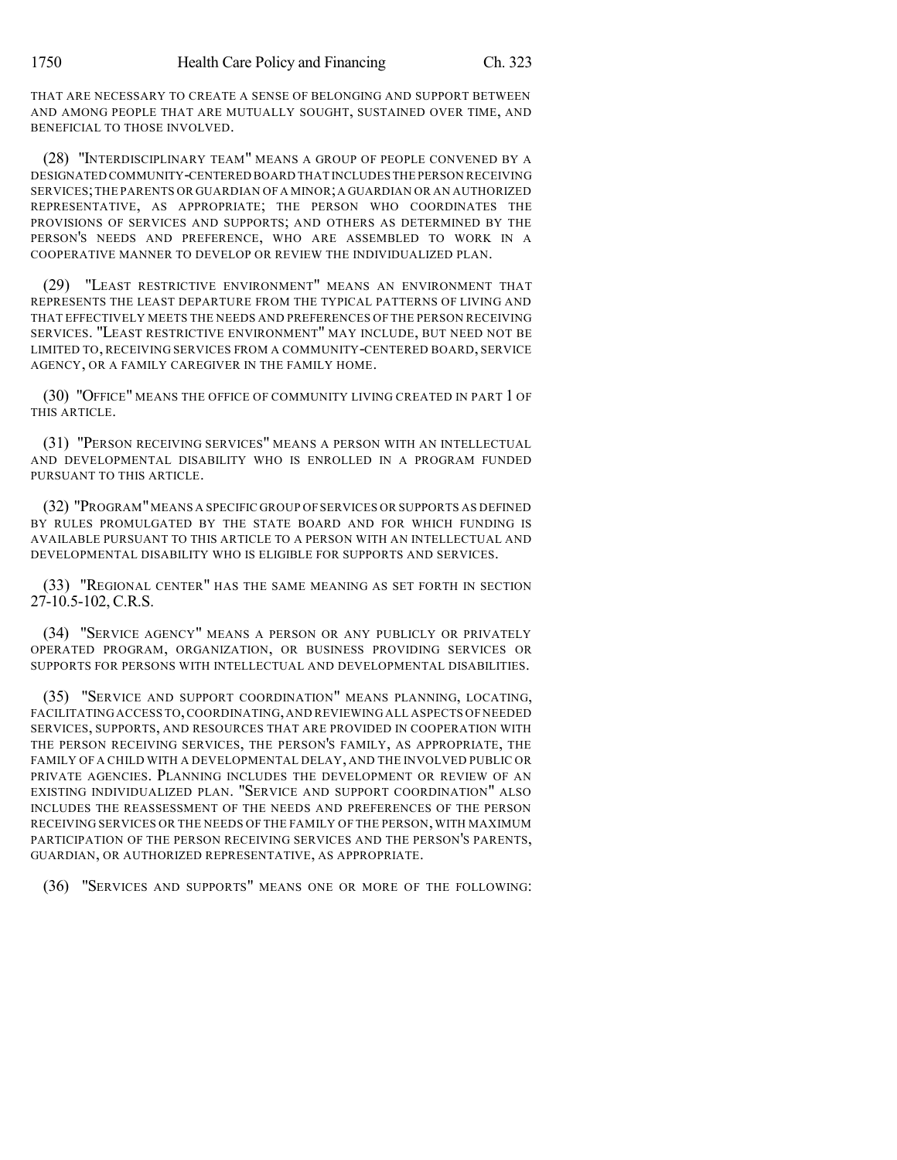THAT ARE NECESSARY TO CREATE A SENSE OF BELONGING AND SUPPORT BETWEEN AND AMONG PEOPLE THAT ARE MUTUALLY SOUGHT, SUSTAINED OVER TIME, AND BENEFICIAL TO THOSE INVOLVED.

(28) "INTERDISCIPLINARY TEAM" MEANS A GROUP OF PEOPLE CONVENED BY A DESIGNATED COMMUNITY-CENTERED BOARD THAT INCLUDES THE PERSON RECEIVING SERVICES;THE PARENTS OR GUARDIAN OF A MINOR;A GUARDIAN OR AN AUTHORIZED REPRESENTATIVE, AS APPROPRIATE; THE PERSON WHO COORDINATES THE PROVISIONS OF SERVICES AND SUPPORTS; AND OTHERS AS DETERMINED BY THE PERSON'S NEEDS AND PREFERENCE, WHO ARE ASSEMBLED TO WORK IN A COOPERATIVE MANNER TO DEVELOP OR REVIEW THE INDIVIDUALIZED PLAN.

(29) "LEAST RESTRICTIVE ENVIRONMENT" MEANS AN ENVIRONMENT THAT REPRESENTS THE LEAST DEPARTURE FROM THE TYPICAL PATTERNS OF LIVING AND THAT EFFECTIVELY MEETS THE NEEDS AND PREFERENCES OF THE PERSON RECEIVING SERVICES. "LEAST RESTRICTIVE ENVIRONMENT" MAY INCLUDE, BUT NEED NOT BE LIMITED TO, RECEIVING SERVICES FROM A COMMUNITY-CENTERED BOARD, SERVICE AGENCY, OR A FAMILY CAREGIVER IN THE FAMILY HOME.

(30) "OFFICE" MEANS THE OFFICE OF COMMUNITY LIVING CREATED IN PART 1 OF THIS ARTICLE.

(31) "PERSON RECEIVING SERVICES" MEANS A PERSON WITH AN INTELLECTUAL AND DEVELOPMENTAL DISABILITY WHO IS ENROLLED IN A PROGRAM FUNDED PURSUANT TO THIS ARTICLE.

(32) "PROGRAM"MEANS A SPECIFIC GROUP OF SERVICES OR SUPPORTS AS DEFINED BY RULES PROMULGATED BY THE STATE BOARD AND FOR WHICH FUNDING IS AVAILABLE PURSUANT TO THIS ARTICLE TO A PERSON WITH AN INTELLECTUAL AND DEVELOPMENTAL DISABILITY WHO IS ELIGIBLE FOR SUPPORTS AND SERVICES.

(33) "REGIONAL CENTER" HAS THE SAME MEANING AS SET FORTH IN SECTION 27-10.5-102, C.R.S.

(34) "SERVICE AGENCY" MEANS A PERSON OR ANY PUBLICLY OR PRIVATELY OPERATED PROGRAM, ORGANIZATION, OR BUSINESS PROVIDING SERVICES OR SUPPORTS FOR PERSONS WITH INTELLECTUAL AND DEVELOPMENTAL DISABILITIES.

(35) "SERVICE AND SUPPORT COORDINATION" MEANS PLANNING, LOCATING, FACILITATING ACCESS TO,COORDINATING,AND REVIEWING ALL ASPECTS OF NEEDED SERVICES, SUPPORTS, AND RESOURCES THAT ARE PROVIDED IN COOPERATION WITH THE PERSON RECEIVING SERVICES, THE PERSON'S FAMILY, AS APPROPRIATE, THE FAMILY OF A CHILD WITH A DEVELOPMENTAL DELAY, AND THE INVOLVED PUBLIC OR PRIVATE AGENCIES. PLANNING INCLUDES THE DEVELOPMENT OR REVIEW OF AN EXISTING INDIVIDUALIZED PLAN. "SERVICE AND SUPPORT COORDINATION" ALSO INCLUDES THE REASSESSMENT OF THE NEEDS AND PREFERENCES OF THE PERSON RECEIVING SERVICES OR THE NEEDS OF THE FAMILY OF THE PERSON, WITH MAXIMUM PARTICIPATION OF THE PERSON RECEIVING SERVICES AND THE PERSON'S PARENTS, GUARDIAN, OR AUTHORIZED REPRESENTATIVE, AS APPROPRIATE.

(36) "SERVICES AND SUPPORTS" MEANS ONE OR MORE OF THE FOLLOWING: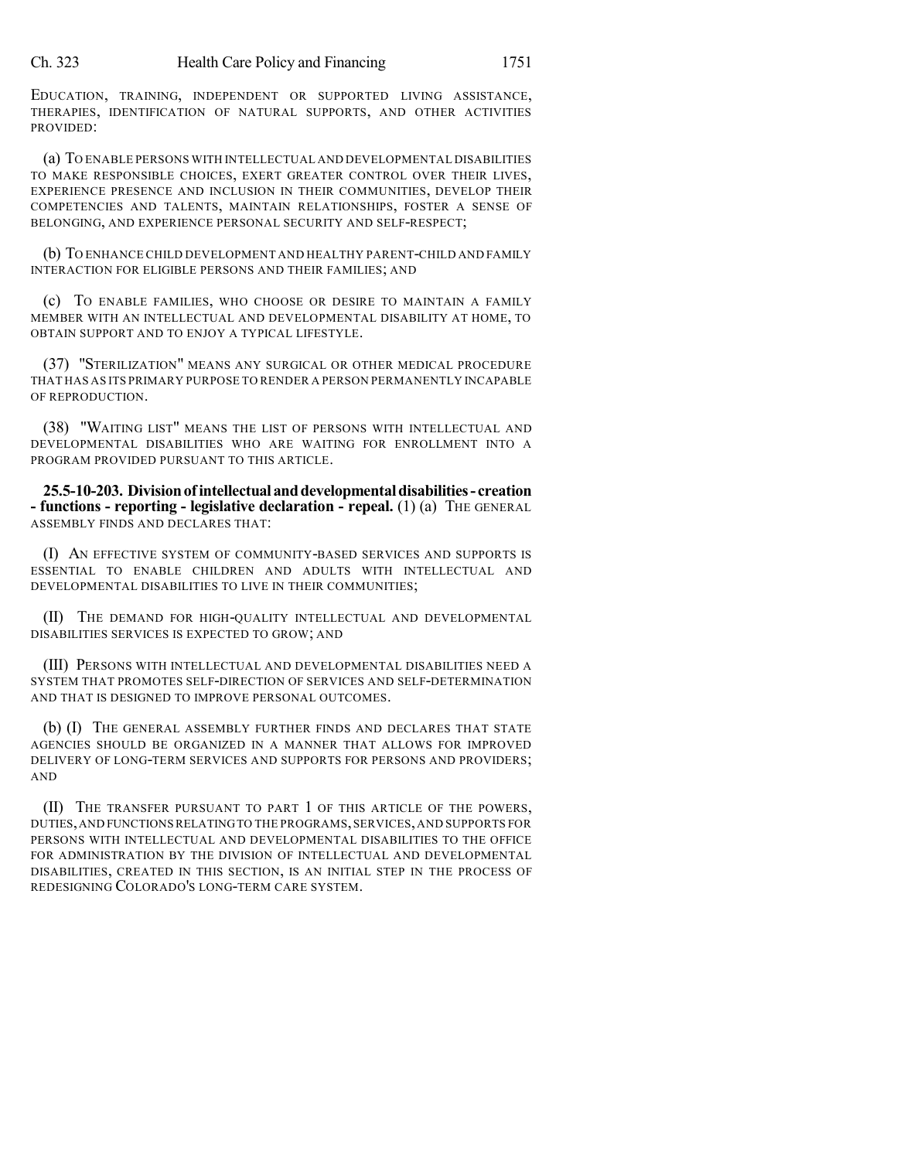EDUCATION, TRAINING, INDEPENDENT OR SUPPORTED LIVING ASSISTANCE, THERAPIES, IDENTIFICATION OF NATURAL SUPPORTS, AND OTHER ACTIVITIES PROVIDED:

(a) TO ENABLE PERSONS WITH INTELLECTUAL AND DEVELOPMENTAL DISABILITIES TO MAKE RESPONSIBLE CHOICES, EXERT GREATER CONTROL OVER THEIR LIVES, EXPERIENCE PRESENCE AND INCLUSION IN THEIR COMMUNITIES, DEVELOP THEIR COMPETENCIES AND TALENTS, MAINTAIN RELATIONSHIPS, FOSTER A SENSE OF BELONGING, AND EXPERIENCE PERSONAL SECURITY AND SELF-RESPECT;

(b) TO ENHANCE CHILD DEVELOPMENT AND HEALTHY PARENT-CHILD AND FAMILY INTERACTION FOR ELIGIBLE PERSONS AND THEIR FAMILIES; AND

(c) TO ENABLE FAMILIES, WHO CHOOSE OR DESIRE TO MAINTAIN A FAMILY MEMBER WITH AN INTELLECTUAL AND DEVELOPMENTAL DISABILITY AT HOME, TO OBTAIN SUPPORT AND TO ENJOY A TYPICAL LIFESTYLE.

(37) "STERILIZATION" MEANS ANY SURGICAL OR OTHER MEDICAL PROCEDURE THAT HAS AS ITS PRIMARY PURPOSE TO RENDER A PERSON PERMANENTLY INCAPABLE OF REPRODUCTION.

(38) "WAITING LIST" MEANS THE LIST OF PERSONS WITH INTELLECTUAL AND DEVELOPMENTAL DISABILITIES WHO ARE WAITING FOR ENROLLMENT INTO A PROGRAM PROVIDED PURSUANT TO THIS ARTICLE.

**25.5-10-203. Divisionof intellectual anddevelopmentaldisabilities- creation - functions - reporting - legislative declaration - repeal.** (1) (a) THE GENERAL ASSEMBLY FINDS AND DECLARES THAT:

(I) AN EFFECTIVE SYSTEM OF COMMUNITY-BASED SERVICES AND SUPPORTS IS ESSENTIAL TO ENABLE CHILDREN AND ADULTS WITH INTELLECTUAL AND DEVELOPMENTAL DISABILITIES TO LIVE IN THEIR COMMUNITIES;

(II) THE DEMAND FOR HIGH-QUALITY INTELLECTUAL AND DEVELOPMENTAL DISABILITIES SERVICES IS EXPECTED TO GROW; AND

(III) PERSONS WITH INTELLECTUAL AND DEVELOPMENTAL DISABILITIES NEED A SYSTEM THAT PROMOTES SELF-DIRECTION OF SERVICES AND SELF-DETERMINATION AND THAT IS DESIGNED TO IMPROVE PERSONAL OUTCOMES.

(b) (I) THE GENERAL ASSEMBLY FURTHER FINDS AND DECLARES THAT STATE AGENCIES SHOULD BE ORGANIZED IN A MANNER THAT ALLOWS FOR IMPROVED DELIVERY OF LONG-TERM SERVICES AND SUPPORTS FOR PERSONS AND PROVIDERS; AND

(II) THE TRANSFER PURSUANT TO PART 1 OF THIS ARTICLE OF THE POWERS, DUTIES,AND FUNCTIONSRELATINGTO THE PROGRAMS,SERVICES,AND SUPPORTS FOR PERSONS WITH INTELLECTUAL AND DEVELOPMENTAL DISABILITIES TO THE OFFICE FOR ADMINISTRATION BY THE DIVISION OF INTELLECTUAL AND DEVELOPMENTAL DISABILITIES, CREATED IN THIS SECTION, IS AN INITIAL STEP IN THE PROCESS OF REDESIGNING COLORADO'S LONG-TERM CARE SYSTEM.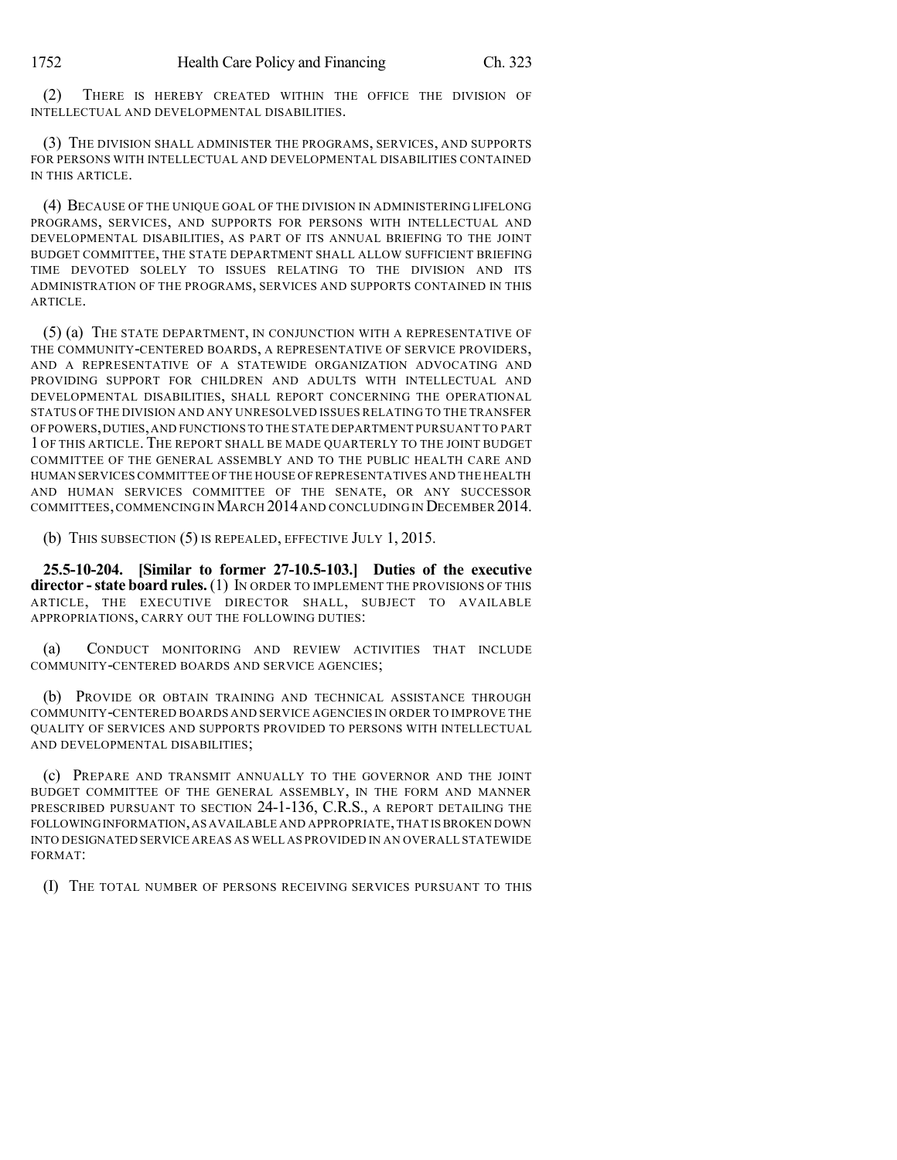(2) THERE IS HEREBY CREATED WITHIN THE OFFICE THE DIVISION OF INTELLECTUAL AND DEVELOPMENTAL DISABILITIES.

(3) THE DIVISION SHALL ADMINISTER THE PROGRAMS, SERVICES, AND SUPPORTS FOR PERSONS WITH INTELLECTUAL AND DEVELOPMENTAL DISABILITIES CONTAINED IN THIS ARTICLE.

(4) BECAUSE OF THE UNIQUE GOAL OF THE DIVISION IN ADMINISTERING LIFELONG PROGRAMS, SERVICES, AND SUPPORTS FOR PERSONS WITH INTELLECTUAL AND DEVELOPMENTAL DISABILITIES, AS PART OF ITS ANNUAL BRIEFING TO THE JOINT BUDGET COMMITTEE, THE STATE DEPARTMENT SHALL ALLOW SUFFICIENT BRIEFING TIME DEVOTED SOLELY TO ISSUES RELATING TO THE DIVISION AND ITS ADMINISTRATION OF THE PROGRAMS, SERVICES AND SUPPORTS CONTAINED IN THIS ARTICLE.

(5) (a) THE STATE DEPARTMENT, IN CONJUNCTION WITH A REPRESENTATIVE OF THE COMMUNITY-CENTERED BOARDS, A REPRESENTATIVE OF SERVICE PROVIDERS, AND A REPRESENTATIVE OF A STATEWIDE ORGANIZATION ADVOCATING AND PROVIDING SUPPORT FOR CHILDREN AND ADULTS WITH INTELLECTUAL AND DEVELOPMENTAL DISABILITIES, SHALL REPORT CONCERNING THE OPERATIONAL STATUS OF THE DIVISION AND ANY UNRESOLVED ISSUES RELATING TO THE TRANSFER OF POWERS,DUTIES,AND FUNCTIONS TO THE STATE DEPARTMENT PURSUANT TO PART 1 OF THIS ARTICLE. THE REPORT SHALL BE MADE QUARTERLY TO THE JOINT BUDGET COMMITTEE OF THE GENERAL ASSEMBLY AND TO THE PUBLIC HEALTH CARE AND HUMAN SERVICES COMMITTEE OF THE HOUSE OF REPRESENTATIVES AND THE HEALTH AND HUMAN SERVICES COMMITTEE OF THE SENATE, OR ANY SUCCESSOR COMMITTEES, COMMENCING IN MARCH 2014 AND CONCLUDING IN DECEMBER 2014.

(b) THIS SUBSECTION (5) IS REPEALED, EFFECTIVE JULY 1, 2015.

**25.5-10-204. [Similar to former 27-10.5-103.] Duties of the executive director -state board rules.** (1) IN ORDER TO IMPLEMENT THE PROVISIONS OF THIS ARTICLE, THE EXECUTIVE DIRECTOR SHALL, SUBJECT TO AVAILABLE APPROPRIATIONS, CARRY OUT THE FOLLOWING DUTIES:

(a) CONDUCT MONITORING AND REVIEW ACTIVITIES THAT INCLUDE COMMUNITY-CENTERED BOARDS AND SERVICE AGENCIES;

(b) PROVIDE OR OBTAIN TRAINING AND TECHNICAL ASSISTANCE THROUGH COMMUNITY-CENTERED BOARDS AND SERVICE AGENCIES IN ORDER TO IMPROVE THE QUALITY OF SERVICES AND SUPPORTS PROVIDED TO PERSONS WITH INTELLECTUAL AND DEVELOPMENTAL DISABILITIES;

(c) PREPARE AND TRANSMIT ANNUALLY TO THE GOVERNOR AND THE JOINT BUDGET COMMITTEE OF THE GENERAL ASSEMBLY, IN THE FORM AND MANNER PRESCRIBED PURSUANT TO SECTION 24-1-136, C.R.S., A REPORT DETAILING THE FOLLOWINGINFORMATION,AS AVAILABLE AND APPROPRIATE,THAT ISBROKEN DOWN INTO DESIGNATED SERVICE AREAS AS WELL AS PROVIDED IN AN OVERALL STATEWIDE FORMAT:

(I) THE TOTAL NUMBER OF PERSONS RECEIVING SERVICES PURSUANT TO THIS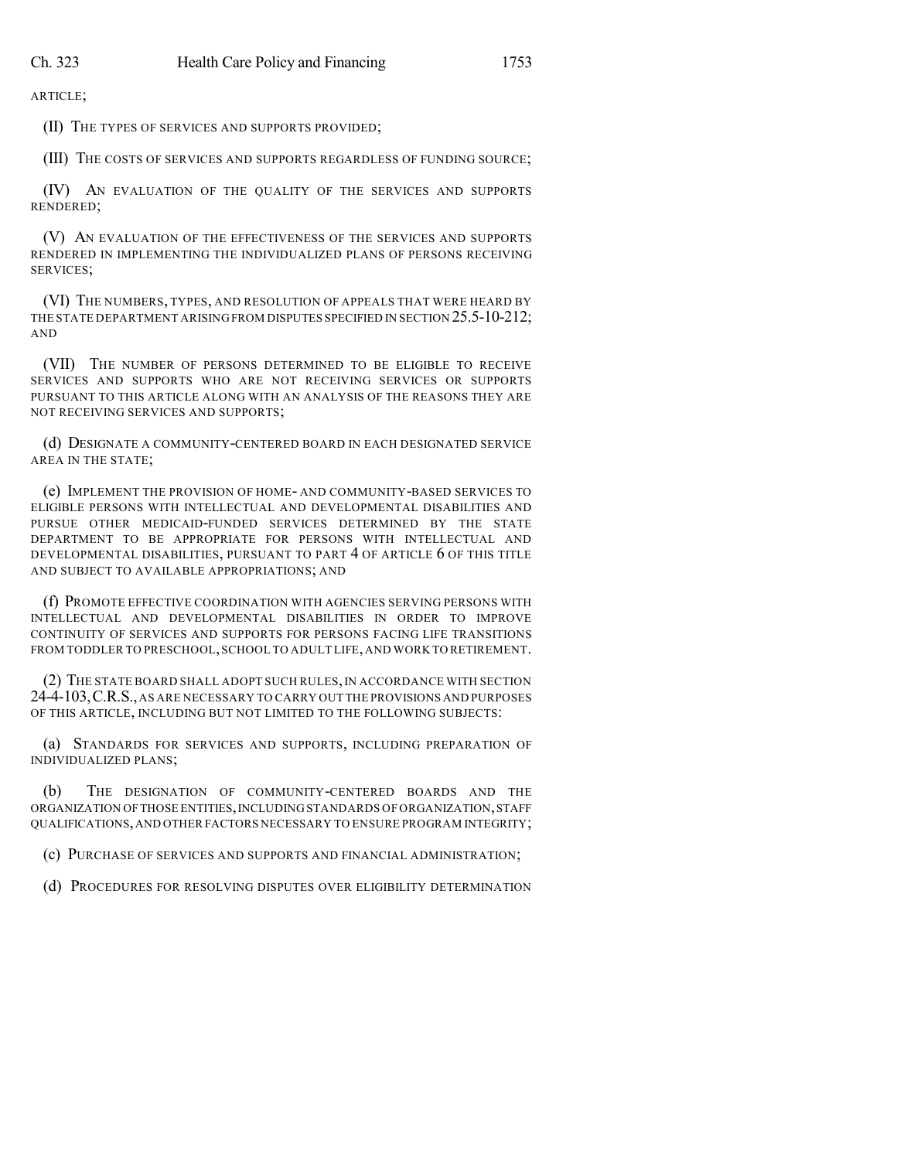ARTICLE;

(II) THE TYPES OF SERVICES AND SUPPORTS PROVIDED;

(III) THE COSTS OF SERVICES AND SUPPORTS REGARDLESS OF FUNDING SOURCE;

(IV) AN EVALUATION OF THE QUALITY OF THE SERVICES AND SUPPORTS RENDERED;

(V) AN EVALUATION OF THE EFFECTIVENESS OF THE SERVICES AND SUPPORTS RENDERED IN IMPLEMENTING THE INDIVIDUALIZED PLANS OF PERSONS RECEIVING SERVICES;

(VI) THE NUMBERS, TYPES, AND RESOLUTION OF APPEALS THAT WERE HEARD BY THE STATE DEPARTMENT ARISING FROM DISPUTES SPECIFIED IN SECTION 25.5-10-212; AND

(VII) THE NUMBER OF PERSONS DETERMINED TO BE ELIGIBLE TO RECEIVE SERVICES AND SUPPORTS WHO ARE NOT RECEIVING SERVICES OR SUPPORTS PURSUANT TO THIS ARTICLE ALONG WITH AN ANALYSIS OF THE REASONS THEY ARE NOT RECEIVING SERVICES AND SUPPORTS;

(d) DESIGNATE A COMMUNITY-CENTERED BOARD IN EACH DESIGNATED SERVICE AREA IN THE STATE;

(e) IMPLEMENT THE PROVISION OF HOME- AND COMMUNITY-BASED SERVICES TO ELIGIBLE PERSONS WITH INTELLECTUAL AND DEVELOPMENTAL DISABILITIES AND PURSUE OTHER MEDICAID-FUNDED SERVICES DETERMINED BY THE STATE DEPARTMENT TO BE APPROPRIATE FOR PERSONS WITH INTELLECTUAL AND DEVELOPMENTAL DISABILITIES, PURSUANT TO PART 4 OF ARTICLE 6 OF THIS TITLE AND SUBJECT TO AVAILABLE APPROPRIATIONS; AND

(f) PROMOTE EFFECTIVE COORDINATION WITH AGENCIES SERVING PERSONS WITH INTELLECTUAL AND DEVELOPMENTAL DISABILITIES IN ORDER TO IMPROVE CONTINUITY OF SERVICES AND SUPPORTS FOR PERSONS FACING LIFE TRANSITIONS FROM TODDLER TO PRESCHOOL,SCHOOL TO ADULT LIFE,AND WORK TO RETIREMENT.

(2) THE STATE BOARD SHALL ADOPT SUCH RULES,IN ACCORDANCE WITH SECTION 24-4-103,C.R.S.,AS ARE NECESSARY TO CARRY OUT THE PROVISIONS AND PURPOSES OF THIS ARTICLE, INCLUDING BUT NOT LIMITED TO THE FOLLOWING SUBJECTS:

(a) STANDARDS FOR SERVICES AND SUPPORTS, INCLUDING PREPARATION OF INDIVIDUALIZED PLANS;

(b) THE DESIGNATION OF COMMUNITY-CENTERED BOARDS AND THE ORGANIZATION OF THOSE ENTITIES, INCLUDING STANDARDS OF ORGANIZATION, STAFF QUALIFICATIONS,AND OTHER FACTORS NECESSARY TO ENSURE PROGRAM INTEGRITY;

(c) PURCHASE OF SERVICES AND SUPPORTS AND FINANCIAL ADMINISTRATION;

(d) PROCEDURES FOR RESOLVING DISPUTES OVER ELIGIBILITY DETERMINATION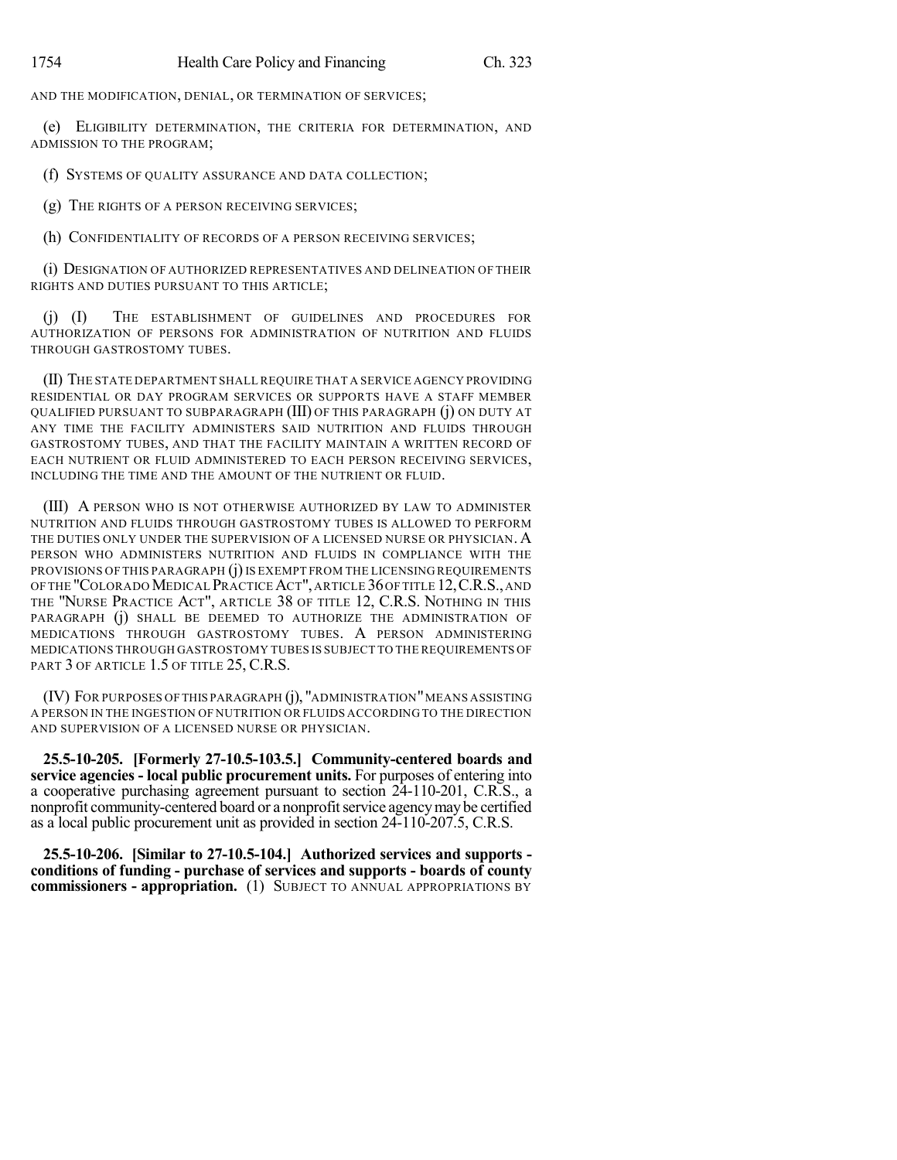AND THE MODIFICATION, DENIAL, OR TERMINATION OF SERVICES;

(e) ELIGIBILITY DETERMINATION, THE CRITERIA FOR DETERMINATION, AND ADMISSION TO THE PROGRAM;

(f) SYSTEMS OF QUALITY ASSURANCE AND DATA COLLECTION;

(g) THE RIGHTS OF A PERSON RECEIVING SERVICES;

(h) CONFIDENTIALITY OF RECORDS OF A PERSON RECEIVING SERVICES;

(i) DESIGNATION OF AUTHORIZED REPRESENTATIVES AND DELINEATION OF THEIR RIGHTS AND DUTIES PURSUANT TO THIS ARTICLE;

(j) (I) THE ESTABLISHMENT OF GUIDELINES AND PROCEDURES FOR AUTHORIZATION OF PERSONS FOR ADMINISTRATION OF NUTRITION AND FLUIDS THROUGH GASTROSTOMY TUBES.

(II) THE STATE DEPARTMENT SHALL REQUIRE THAT A SERVICE AGENCY PROVIDING RESIDENTIAL OR DAY PROGRAM SERVICES OR SUPPORTS HAVE A STAFF MEMBER QUALIFIED PURSUANT TO SUBPARAGRAPH (III) OF THIS PARAGRAPH (j) ON DUTY AT ANY TIME THE FACILITY ADMINISTERS SAID NUTRITION AND FLUIDS THROUGH GASTROSTOMY TUBES, AND THAT THE FACILITY MAINTAIN A WRITTEN RECORD OF EACH NUTRIENT OR FLUID ADMINISTERED TO EACH PERSON RECEIVING SERVICES, INCLUDING THE TIME AND THE AMOUNT OF THE NUTRIENT OR FLUID.

(III) A PERSON WHO IS NOT OTHERWISE AUTHORIZED BY LAW TO ADMINISTER NUTRITION AND FLUIDS THROUGH GASTROSTOMY TUBES IS ALLOWED TO PERFORM THE DUTIES ONLY UNDER THE SUPERVISION OF A LICENSED NURSE OR PHYSICIAN. A PERSON WHO ADMINISTERS NUTRITION AND FLUIDS IN COMPLIANCE WITH THE PROVISIONS OF THIS PARAGRAPH (j) IS EXEMPT FROM THE LICENSING REQUIREMENTS OF THE "COLORADO MEDICAL PRACTICE ACT", ARTICLE 36 OF TITLE 12, C.R.S., AND THE "NURSE PRACTICE ACT", ARTICLE 38 OF TITLE 12, C.R.S. NOTHING IN THIS PARAGRAPH (j) SHALL BE DEEMED TO AUTHORIZE THE ADMINISTRATION OF MEDICATIONS THROUGH GASTROSTOMY TUBES. A PERSON ADMINISTERING MEDICATIONS THROUGH GASTROSTOMY TUBES IS SUBJECT TO THE REQUIREMENTS OF PART 3 OF ARTICLE 1.5 OF TITLE 25, C.R.S.

(IV) FOR PURPOSES OF THIS PARAGRAPH (j), "ADMINISTRATION"MEANS ASSISTING A PERSON IN THE INGESTION OF NUTRITION OR FLUIDS ACCORDING TO THE DIRECTION AND SUPERVISION OF A LICENSED NURSE OR PHYSICIAN.

**25.5-10-205. [Formerly 27-10.5-103.5.] Community-centered boards and service agencies - local public procurement units.** For purposes of entering into a cooperative purchasing agreement pursuant to section 24-110-201, C.R.S., a nonprofit community-centered board or a nonprofit service agency may be certified as a local public procurement unit as provided in section 24-110-207.5, C.R.S.

**25.5-10-206. [Similar to 27-10.5-104.] Authorized services and supports conditions of funding - purchase of services and supports - boards of county commissioners - appropriation.** (1) SUBJECT TO ANNUAL APPROPRIATIONS BY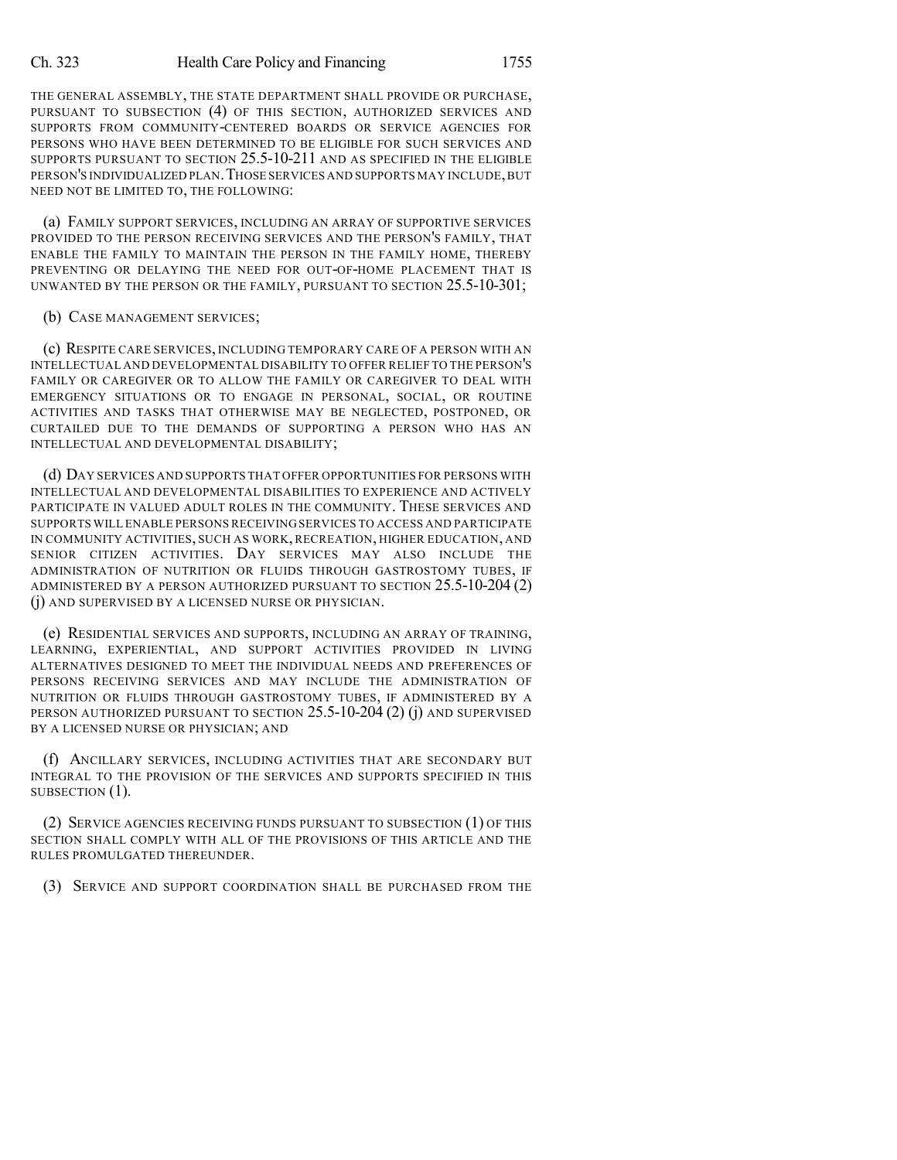THE GENERAL ASSEMBLY, THE STATE DEPARTMENT SHALL PROVIDE OR PURCHASE, PURSUANT TO SUBSECTION (4) OF THIS SECTION, AUTHORIZED SERVICES AND SUPPORTS FROM COMMUNITY-CENTERED BOARDS OR SERVICE AGENCIES FOR PERSONS WHO HAVE BEEN DETERMINED TO BE ELIGIBLE FOR SUCH SERVICES AND SUPPORTS PURSUANT TO SECTION 25.5-10-211 AND AS SPECIFIED IN THE ELIGIBLE PERSON'S INDIVIDUALIZED PLAN.THOSE SERVICES AND SUPPORTS MAY INCLUDE,BUT NEED NOT BE LIMITED TO, THE FOLLOWING:

(a) FAMILY SUPPORT SERVICES, INCLUDING AN ARRAY OF SUPPORTIVE SERVICES PROVIDED TO THE PERSON RECEIVING SERVICES AND THE PERSON'S FAMILY, THAT ENABLE THE FAMILY TO MAINTAIN THE PERSON IN THE FAMILY HOME, THEREBY PREVENTING OR DELAYING THE NEED FOR OUT-OF-HOME PLACEMENT THAT IS UNWANTED BY THE PERSON OR THE FAMILY, PURSUANT TO SECTION 25.5-10-301;

#### (b) CASE MANAGEMENT SERVICES;

(c) RESPITE CARE SERVICES, INCLUDING TEMPORARY CARE OF A PERSON WITH AN INTELLECTUAL AND DEVELOPMENTAL DISABILITY TO OFFER RELIEF TO THE PERSON'S FAMILY OR CAREGIVER OR TO ALLOW THE FAMILY OR CAREGIVER TO DEAL WITH EMERGENCY SITUATIONS OR TO ENGAGE IN PERSONAL, SOCIAL, OR ROUTINE ACTIVITIES AND TASKS THAT OTHERWISE MAY BE NEGLECTED, POSTPONED, OR CURTAILED DUE TO THE DEMANDS OF SUPPORTING A PERSON WHO HAS AN INTELLECTUAL AND DEVELOPMENTAL DISABILITY;

(d) DAY SERVICES AND SUPPORTS THAT OFFER OPPORTUNITIES FOR PERSONS WITH INTELLECTUAL AND DEVELOPMENTAL DISABILITIES TO EXPERIENCE AND ACTIVELY PARTICIPATE IN VALUED ADULT ROLES IN THE COMMUNITY. THESE SERVICES AND SUPPORTS WILL ENABLE PERSONS RECEIVING SERVICES TO ACCESS AND PARTICIPATE IN COMMUNITY ACTIVITIES, SUCH AS WORK, RECREATION, HIGHER EDUCATION, AND SENIOR CITIZEN ACTIVITIES. DAY SERVICES MAY ALSO INCLUDE THE ADMINISTRATION OF NUTRITION OR FLUIDS THROUGH GASTROSTOMY TUBES, IF ADMINISTERED BY A PERSON AUTHORIZED PURSUANT TO SECTION 25.5-10-204 (2) (j) AND SUPERVISED BY A LICENSED NURSE OR PHYSICIAN.

(e) RESIDENTIAL SERVICES AND SUPPORTS, INCLUDING AN ARRAY OF TRAINING, LEARNING, EXPERIENTIAL, AND SUPPORT ACTIVITIES PROVIDED IN LIVING ALTERNATIVES DESIGNED TO MEET THE INDIVIDUAL NEEDS AND PREFERENCES OF PERSONS RECEIVING SERVICES AND MAY INCLUDE THE ADMINISTRATION OF NUTRITION OR FLUIDS THROUGH GASTROSTOMY TUBES, IF ADMINISTERED BY A PERSON AUTHORIZED PURSUANT TO SECTION 25.5-10-204 (2) (j) AND SUPERVISED BY A LICENSED NURSE OR PHYSICIAN; AND

(f) ANCILLARY SERVICES, INCLUDING ACTIVITIES THAT ARE SECONDARY BUT INTEGRAL TO THE PROVISION OF THE SERVICES AND SUPPORTS SPECIFIED IN THIS SUBSECTION  $(1)$ .

(2) SERVICE AGENCIES RECEIVING FUNDS PURSUANT TO SUBSECTION (1) OF THIS SECTION SHALL COMPLY WITH ALL OF THE PROVISIONS OF THIS ARTICLE AND THE RULES PROMULGATED THEREUNDER.

(3) SERVICE AND SUPPORT COORDINATION SHALL BE PURCHASED FROM THE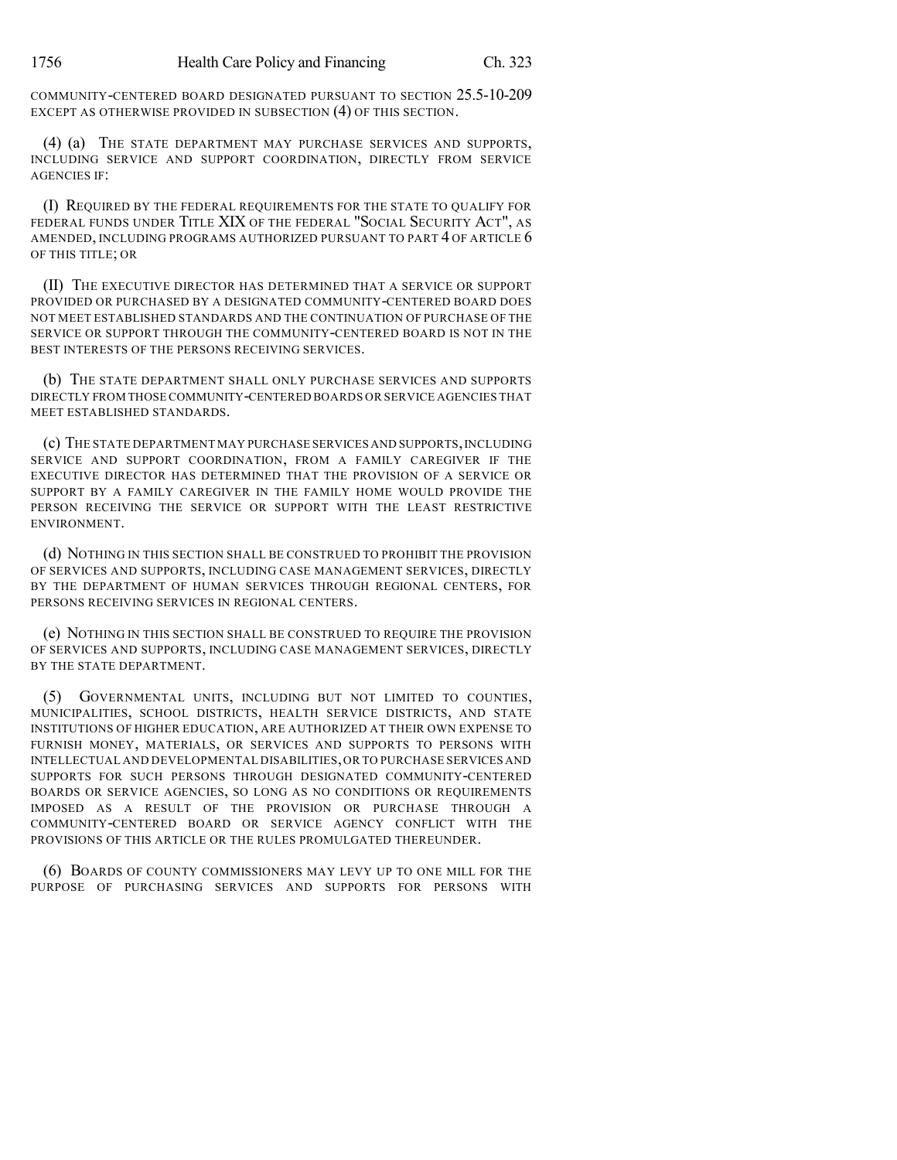COMMUNITY-CENTERED BOARD DESIGNATED PURSUANT TO SECTION 25.5-10-209 EXCEPT AS OTHERWISE PROVIDED IN SUBSECTION (4) OF THIS SECTION.

(4) (a) THE STATE DEPARTMENT MAY PURCHASE SERVICES AND SUPPORTS, INCLUDING SERVICE AND SUPPORT COORDINATION, DIRECTLY FROM SERVICE AGENCIES IF:

(I) REQUIRED BY THE FEDERAL REQUIREMENTS FOR THE STATE TO QUALIFY FOR FEDERAL FUNDS UNDER TITLE XIX OF THE FEDERAL "SOCIAL SECURITY ACT", AS AMENDED, INCLUDING PROGRAMS AUTHORIZED PURSUANT TO PART 4 OF ARTICLE 6 OF THIS TITLE; OR

(II) THE EXECUTIVE DIRECTOR HAS DETERMINED THAT A SERVICE OR SUPPORT PROVIDED OR PURCHASED BY A DESIGNATED COMMUNITY-CENTERED BOARD DOES NOT MEET ESTABLISHED STANDARDS AND THE CONTINUATION OF PURCHASE OF THE SERVICE OR SUPPORT THROUGH THE COMMUNITY-CENTERED BOARD IS NOT IN THE BEST INTERESTS OF THE PERSONS RECEIVING SERVICES.

(b) THE STATE DEPARTMENT SHALL ONLY PURCHASE SERVICES AND SUPPORTS DIRECTLY FROM THOSE COMMUNITY-CENTERED BOARDS OR SERVICE AGENCIES THAT MEET ESTABLISHED STANDARDS.

(c) THE STATE DEPARTMENT MAY PURCHASE SERVICES AND SUPPORTS,INCLUDING SERVICE AND SUPPORT COORDINATION, FROM A FAMILY CAREGIVER IF THE EXECUTIVE DIRECTOR HAS DETERMINED THAT THE PROVISION OF A SERVICE OR SUPPORT BY A FAMILY CAREGIVER IN THE FAMILY HOME WOULD PROVIDE THE PERSON RECEIVING THE SERVICE OR SUPPORT WITH THE LEAST RESTRICTIVE ENVIRONMENT.

(d) NOTHING IN THIS SECTION SHALL BE CONSTRUED TO PROHIBIT THE PROVISION OF SERVICES AND SUPPORTS, INCLUDING CASE MANAGEMENT SERVICES, DIRECTLY BY THE DEPARTMENT OF HUMAN SERVICES THROUGH REGIONAL CENTERS, FOR PERSONS RECEIVING SERVICES IN REGIONAL CENTERS.

(e) NOTHING IN THIS SECTION SHALL BE CONSTRUED TO REQUIRE THE PROVISION OF SERVICES AND SUPPORTS, INCLUDING CASE MANAGEMENT SERVICES, DIRECTLY BY THE STATE DEPARTMENT.

(5) GOVERNMENTAL UNITS, INCLUDING BUT NOT LIMITED TO COUNTIES, MUNICIPALITIES, SCHOOL DISTRICTS, HEALTH SERVICE DISTRICTS, AND STATE INSTITUTIONS OF HIGHER EDUCATION, ARE AUTHORIZED AT THEIR OWN EXPENSE TO FURNISH MONEY, MATERIALS, OR SERVICES AND SUPPORTS TO PERSONS WITH INTELLECTUAL AND DEVELOPMENTAL DISABILITIES,OR TO PURCHASE SERVICES AND SUPPORTS FOR SUCH PERSONS THROUGH DESIGNATED COMMUNITY-CENTERED BOARDS OR SERVICE AGENCIES, SO LONG AS NO CONDITIONS OR REQUIREMENTS IMPOSED AS A RESULT OF THE PROVISION OR PURCHASE THROUGH A COMMUNITY-CENTERED BOARD OR SERVICE AGENCY CONFLICT WITH THE PROVISIONS OF THIS ARTICLE OR THE RULES PROMULGATED THEREUNDER.

(6) BOARDS OF COUNTY COMMISSIONERS MAY LEVY UP TO ONE MILL FOR THE PURPOSE OF PURCHASING SERVICES AND SUPPORTS FOR PERSONS WITH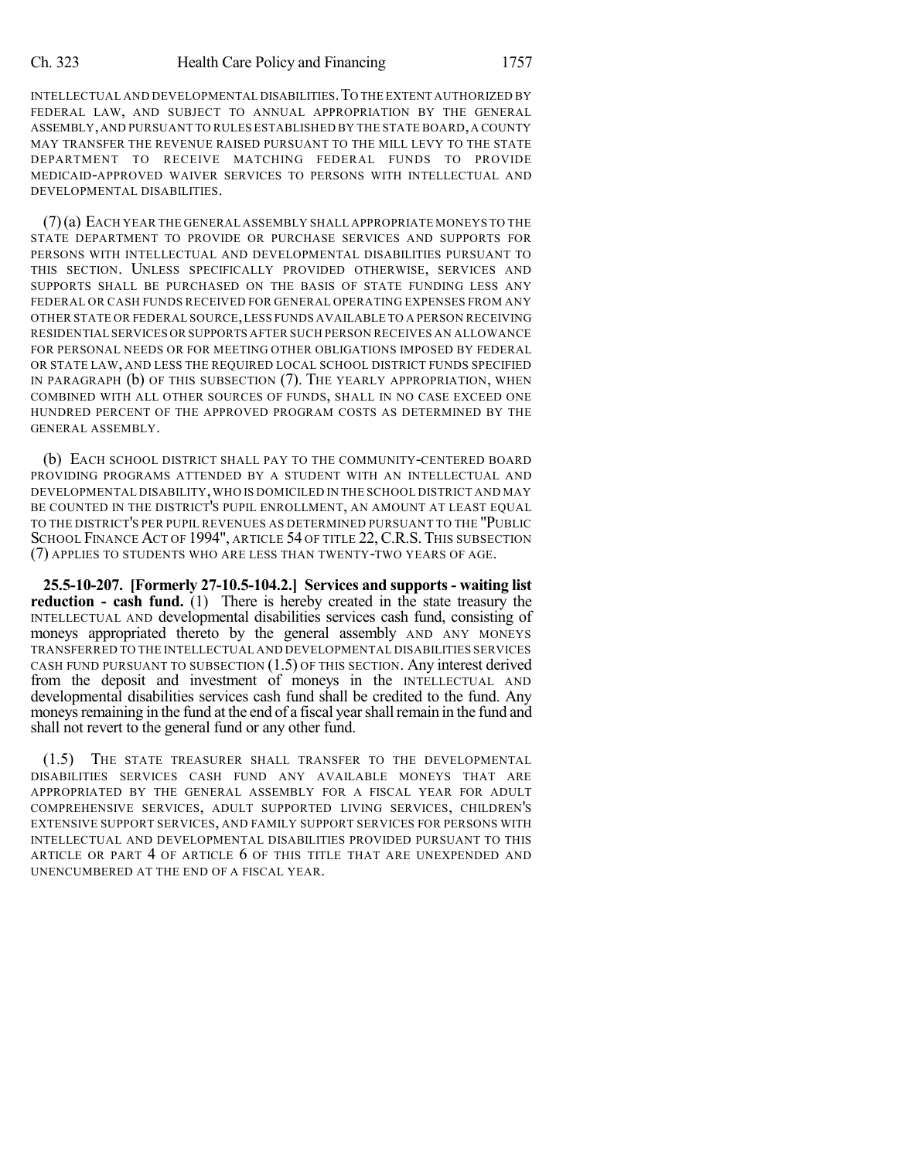INTELLECTUAL AND DEVELOPMENTAL DISABILITIES.TO THE EXTENT AUTHORIZED BY FEDERAL LAW, AND SUBJECT TO ANNUAL APPROPRIATION BY THE GENERAL ASSEMBLY,AND PURSUANT TO RULES ESTABLISHED BY THE STATE BOARD,A COUNTY MAY TRANSFER THE REVENUE RAISED PURSUANT TO THE MILL LEVY TO THE STATE DEPARTMENT TO RECEIVE MATCHING FEDERAL FUNDS TO PROVIDE MEDICAID-APPROVED WAIVER SERVICES TO PERSONS WITH INTELLECTUAL AND DEVELOPMENTAL DISABILITIES.

(7)(a) EACH YEAR THE GENERAL ASSEMBLY SHALL APPROPRIATE MONEYS TO THE STATE DEPARTMENT TO PROVIDE OR PURCHASE SERVICES AND SUPPORTS FOR PERSONS WITH INTELLECTUAL AND DEVELOPMENTAL DISABILITIES PURSUANT TO THIS SECTION. UNLESS SPECIFICALLY PROVIDED OTHERWISE, SERVICES AND SUPPORTS SHALL BE PURCHASED ON THE BASIS OF STATE FUNDING LESS ANY FEDERAL OR CASH FUNDS RECEIVED FOR GENERAL OPERATING EXPENSES FROM ANY OTHER STATE OR FEDERAL SOURCE,LESS FUNDS AVAILABLE TO A PERSON RECEIVING RESIDENTIAL SERVICES OR SUPPORTS AFTER SUCH PERSON RECEIVES AN ALLOWANCE FOR PERSONAL NEEDS OR FOR MEETING OTHER OBLIGATIONS IMPOSED BY FEDERAL OR STATE LAW, AND LESS THE REQUIRED LOCAL SCHOOL DISTRICT FUNDS SPECIFIED IN PARAGRAPH (b) OF THIS SUBSECTION (7). THE YEARLY APPROPRIATION, WHEN COMBINED WITH ALL OTHER SOURCES OF FUNDS, SHALL IN NO CASE EXCEED ONE HUNDRED PERCENT OF THE APPROVED PROGRAM COSTS AS DETERMINED BY THE GENERAL ASSEMBLY.

(b) EACH SCHOOL DISTRICT SHALL PAY TO THE COMMUNITY-CENTERED BOARD PROVIDING PROGRAMS ATTENDED BY A STUDENT WITH AN INTELLECTUAL AND DEVELOPMENTAL DISABILITY,WHO IS DOMICILED IN THE SCHOOL DISTRICT AND MAY BE COUNTED IN THE DISTRICT'S PUPIL ENROLLMENT, AN AMOUNT AT LEAST EQUAL TO THE DISTRICT'S PER PUPIL REVENUES AS DETERMINED PURSUANT TO THE "PUBLIC SCHOOL FINANCE ACT OF 1994", ARTICLE 54 OF TITLE 22, C.R.S. THIS SUBSECTION (7) APPLIES TO STUDENTS WHO ARE LESS THAN TWENTY-TWO YEARS OF AGE.

**25.5-10-207. [Formerly 27-10.5-104.2.] Services and supports - waiting list reduction - cash fund.** (1) There is hereby created in the state treasury the INTELLECTUAL AND developmental disabilities services cash fund, consisting of moneys appropriated thereto by the general assembly AND ANY MONEYS TRANSFERRED TO THE INTELLECTUAL AND DEVELOPMENTAL DISABILITIES SERVICES CASH FUND PURSUANT TO SUBSECTION  $(1.5)$  OF THIS SECTION. Any interest derived from the deposit and investment of moneys in the INTELLECTUAL AND developmental disabilities services cash fund shall be credited to the fund. Any moneys remaining in the fund at the end of a fiscal year shall remain in the fund and shall not revert to the general fund or any other fund.

(1.5) THE STATE TREASURER SHALL TRANSFER TO THE DEVELOPMENTAL DISABILITIES SERVICES CASH FUND ANY AVAILABLE MONEYS THAT ARE APPROPRIATED BY THE GENERAL ASSEMBLY FOR A FISCAL YEAR FOR ADULT COMPREHENSIVE SERVICES, ADULT SUPPORTED LIVING SERVICES, CHILDREN'S EXTENSIVE SUPPORT SERVICES, AND FAMILY SUPPORT SERVICES FOR PERSONS WITH INTELLECTUAL AND DEVELOPMENTAL DISABILITIES PROVIDED PURSUANT TO THIS ARTICLE OR PART 4 OF ARTICLE 6 OF THIS TITLE THAT ARE UNEXPENDED AND UNENCUMBERED AT THE END OF A FISCAL YEAR.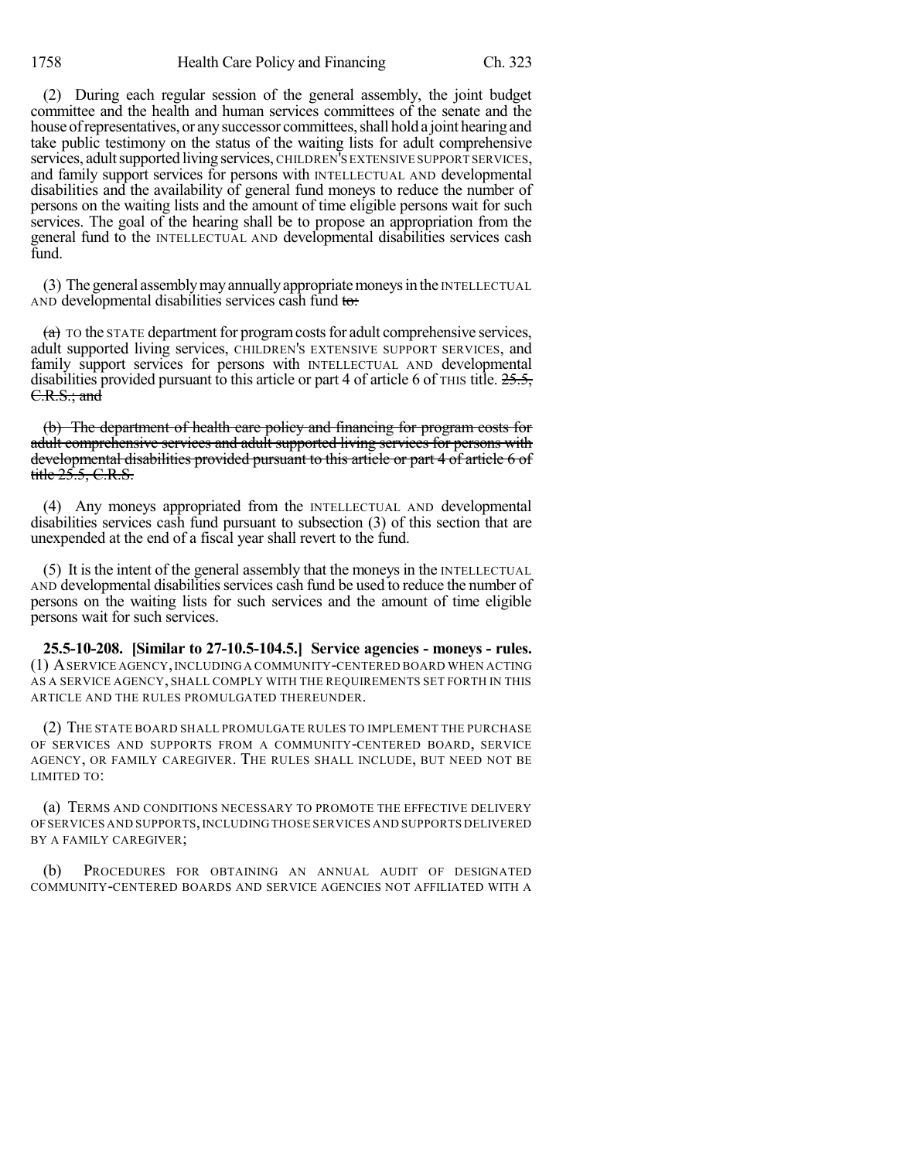(2) During each regular session of the general assembly, the joint budget committee and the health and human services committees of the senate and the house of representatives, or any successor committees, shall hold a joint hearing and take public testimony on the status of the waiting lists for adult comprehensive services, adult supported living services, CHILDREN'S EXTENSIVE SUPPORT SERVICES, and family support services for persons with INTELLECTUAL AND developmental disabilities and the availability of general fund moneys to reduce the number of persons on the waiting lists and the amount of time eligible persons wait for such services. The goal of the hearing shall be to propose an appropriation from the general fund to the INTELLECTUAL AND developmental disabilities services cash fund.

(3) The general assemblymayannuallyappropriatemoneysin the INTELLECTUAL AND developmental disabilities services cash fund to:

 $(a)$  To the STATE department for program costs for adult comprehensive services, adult supported living services, CHILDREN'S EXTENSIVE SUPPORT SERVICES, and family support services for persons with INTELLECTUAL AND developmental disabilities provided pursuant to this article or part 4 of article 6 of  $\text{THIS}$  title.  $25.5$ , C.R.S.; and

(b) The department of health care policy and financing for program costs for adult comprehensive services and adult supported living services for persons with developmental disabilities provided pursuant to this article or part 4 of article 6 of title  $25.5$ , C.R.S.

(4) Any moneys appropriated from the INTELLECTUAL AND developmental disabilities services cash fund pursuant to subsection (3) of this section that are unexpended at the end of a fiscal year shall revert to the fund.

(5) It is the intent of the general assembly that the moneys in the INTELLECTUAL AND developmental disabilities services cash fund be used to reduce the number of persons on the waiting lists for such services and the amount of time eligible persons wait for such services.

**25.5-10-208. [Similar to 27-10.5-104.5.] Service agencies - moneys - rules.** (1) ASERVICE AGENCY,INCLUDING A COMMUNITY-CENTERED BOARD WHEN ACTING AS A SERVICE AGENCY, SHALL COMPLY WITH THE REQUIREMENTS SET FORTH IN THIS ARTICLE AND THE RULES PROMULGATED THEREUNDER.

(2) THE STATE BOARD SHALL PROMULGATE RULES TO IMPLEMENT THE PURCHASE OF SERVICES AND SUPPORTS FROM A COMMUNITY-CENTERED BOARD, SERVICE AGENCY, OR FAMILY CAREGIVER. THE RULES SHALL INCLUDE, BUT NEED NOT BE LIMITED TO:

(a) TERMS AND CONDITIONS NECESSARY TO PROMOTE THE EFFECTIVE DELIVERY OFSERVICES AND SUPPORTS,INCLUDING THOSE SERVICES AND SUPPORTS DELIVERED BY A FAMILY CAREGIVER;

(b) PROCEDURES FOR OBTAINING AN ANNUAL AUDIT OF DESIGNATED COMMUNITY-CENTERED BOARDS AND SERVICE AGENCIES NOT AFFILIATED WITH A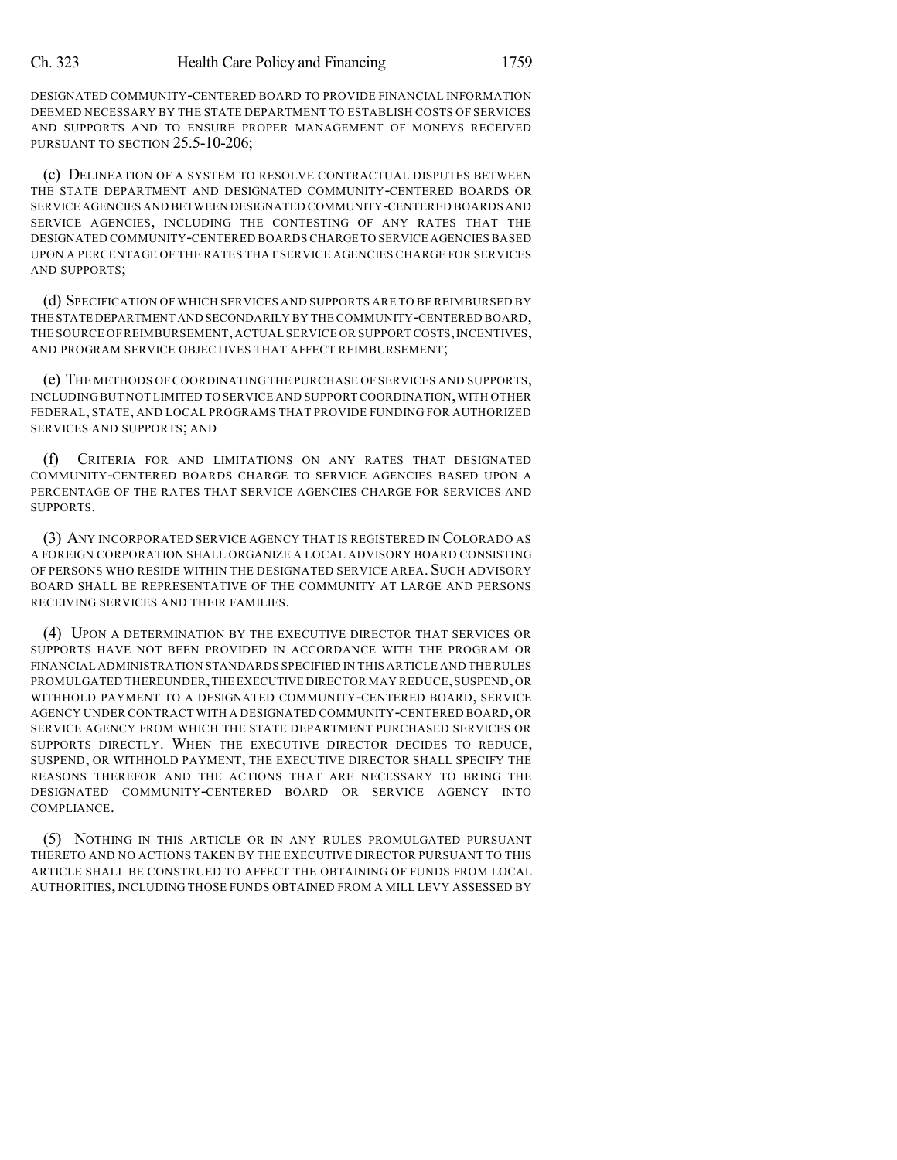DESIGNATED COMMUNITY-CENTERED BOARD TO PROVIDE FINANCIAL INFORMATION DEEMED NECESSARY BY THE STATE DEPARTMENT TO ESTABLISH COSTS OF SERVICES AND SUPPORTS AND TO ENSURE PROPER MANAGEMENT OF MONEYS RECEIVED PURSUANT TO SECTION 25.5-10-206;

(c) DELINEATION OF A SYSTEM TO RESOLVE CONTRACTUAL DISPUTES BETWEEN THE STATE DEPARTMENT AND DESIGNATED COMMUNITY-CENTERED BOARDS OR SERVICE AGENCIES AND BETWEEN DESIGNATED COMMUNITY-CENTERED BOARDS AND SERVICE AGENCIES, INCLUDING THE CONTESTING OF ANY RATES THAT THE DESIGNATED COMMUNITY-CENTERED BOARDS CHARGE TO SERVICE AGENCIES BASED UPON A PERCENTAGE OF THE RATES THAT SERVICE AGENCIES CHARGE FOR SERVICES AND SUPPORTS;

(d) SPECIFICATION OF WHICH SERVICES AND SUPPORTS ARE TO BE REIMBURSED BY THE STATE DEPARTMENT AND SECONDARILY BY THE COMMUNITY-CENTERED BOARD, THE SOURCE OF REIMBURSEMENT, ACTUAL SERVICE OR SUPPORT COSTS, INCENTIVES, AND PROGRAM SERVICE OBJECTIVES THAT AFFECT REIMBURSEMENT;

(e) THE METHODS OF COORDINATING THE PURCHASE OF SERVICES AND SUPPORTS, INCLUDING BUT NOT LIMITED TO SERVICE AND SUPPORT COORDINATION,WITH OTHER FEDERAL, STATE, AND LOCAL PROGRAMS THAT PROVIDE FUNDING FOR AUTHORIZED SERVICES AND SUPPORTS; AND

CRITERIA FOR AND LIMITATIONS ON ANY RATES THAT DESIGNATED COMMUNITY-CENTERED BOARDS CHARGE TO SERVICE AGENCIES BASED UPON A PERCENTAGE OF THE RATES THAT SERVICE AGENCIES CHARGE FOR SERVICES AND SUPPORTS.

(3) ANY INCORPORATED SERVICE AGENCY THAT IS REGISTERED IN COLORADO AS A FOREIGN CORPORATION SHALL ORGANIZE A LOCAL ADVISORY BOARD CONSISTING OF PERSONS WHO RESIDE WITHIN THE DESIGNATED SERVICE AREA. SUCH ADVISORY BOARD SHALL BE REPRESENTATIVE OF THE COMMUNITY AT LARGE AND PERSONS RECEIVING SERVICES AND THEIR FAMILIES.

(4) UPON A DETERMINATION BY THE EXECUTIVE DIRECTOR THAT SERVICES OR SUPPORTS HAVE NOT BEEN PROVIDED IN ACCORDANCE WITH THE PROGRAM OR FINANCIAL ADMINISTRATION STANDARDS SPECIFIED IN THIS ARTICLE AND THE RULES PROMULGATED THEREUNDER,THE EXECUTIVE DIRECTOR MAY REDUCE,SUSPEND,OR WITHHOLD PAYMENT TO A DESIGNATED COMMUNITY-CENTERED BOARD, SERVICE AGENCY UNDER CONTRACT WITH A DESIGNATED COMMUNITY-CENTERED BOARD,OR SERVICE AGENCY FROM WHICH THE STATE DEPARTMENT PURCHASED SERVICES OR SUPPORTS DIRECTLY. WHEN THE EXECUTIVE DIRECTOR DECIDES TO REDUCE, SUSPEND, OR WITHHOLD PAYMENT, THE EXECUTIVE DIRECTOR SHALL SPECIFY THE REASONS THEREFOR AND THE ACTIONS THAT ARE NECESSARY TO BRING THE DESIGNATED COMMUNITY-CENTERED BOARD OR SERVICE AGENCY INTO COMPLIANCE.

(5) NOTHING IN THIS ARTICLE OR IN ANY RULES PROMULGATED PURSUANT THERETO AND NO ACTIONS TAKEN BY THE EXECUTIVE DIRECTOR PURSUANT TO THIS ARTICLE SHALL BE CONSTRUED TO AFFECT THE OBTAINING OF FUNDS FROM LOCAL AUTHORITIES, INCLUDING THOSE FUNDS OBTAINED FROM A MILL LEVY ASSESSED BY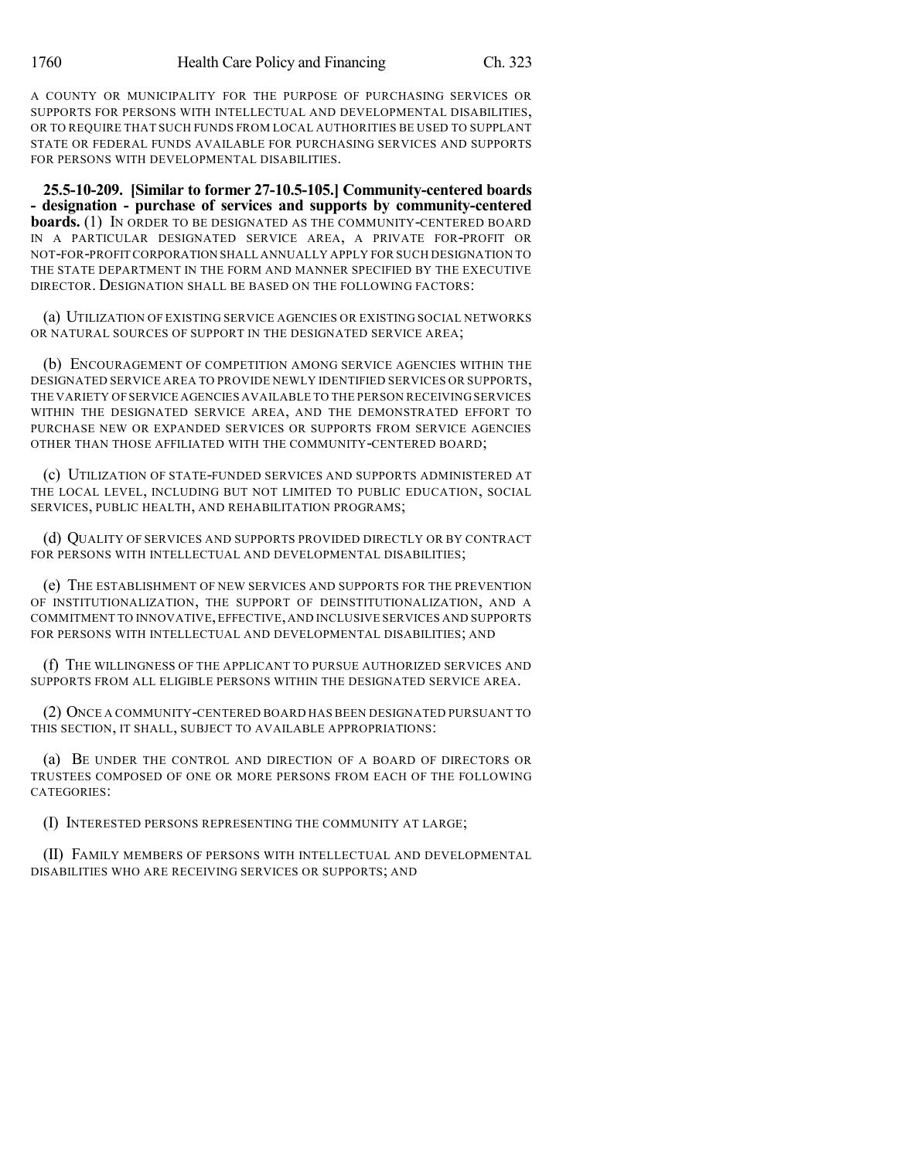A COUNTY OR MUNICIPALITY FOR THE PURPOSE OF PURCHASING SERVICES OR SUPPORTS FOR PERSONS WITH INTELLECTUAL AND DEVELOPMENTAL DISABILITIES, OR TO REQUIRE THAT SUCH FUNDS FROM LOCAL AUTHORITIES BE USED TO SUPPLANT STATE OR FEDERAL FUNDS AVAILABLE FOR PURCHASING SERVICES AND SUPPORTS FOR PERSONS WITH DEVELOPMENTAL DISABILITIES.

**25.5-10-209. [Similar to former 27-10.5-105.] Community-centered boards - designation - purchase of services and supports by community-centered boards.** (1) IN ORDER TO BE DESIGNATED AS THE COMMUNITY-CENTERED BOARD IN A PARTICULAR DESIGNATED SERVICE AREA, A PRIVATE FOR-PROFIT OR NOT-FOR-PROFIT CORPORATION SHALL ANNUALLY APPLY FOR SUCH DESIGNATION TO THE STATE DEPARTMENT IN THE FORM AND MANNER SPECIFIED BY THE EXECUTIVE DIRECTOR. DESIGNATION SHALL BE BASED ON THE FOLLOWING FACTORS:

(a) UTILIZATION OF EXISTING SERVICE AGENCIES OR EXISTING SOCIAL NETWORKS OR NATURAL SOURCES OF SUPPORT IN THE DESIGNATED SERVICE AREA;

(b) ENCOURAGEMENT OF COMPETITION AMONG SERVICE AGENCIES WITHIN THE DESIGNATED SERVICE AREA TO PROVIDE NEWLY IDENTIFIED SERVICES OR SUPPORTS, THE VARIETY OFSERVICE AGENCIES AVAILABLE TO THE PERSON RECEIVING SERVICES WITHIN THE DESIGNATED SERVICE AREA, AND THE DEMONSTRATED EFFORT TO PURCHASE NEW OR EXPANDED SERVICES OR SUPPORTS FROM SERVICE AGENCIES OTHER THAN THOSE AFFILIATED WITH THE COMMUNITY-CENTERED BOARD;

(c) UTILIZATION OF STATE-FUNDED SERVICES AND SUPPORTS ADMINISTERED AT THE LOCAL LEVEL, INCLUDING BUT NOT LIMITED TO PUBLIC EDUCATION, SOCIAL SERVICES, PUBLIC HEALTH, AND REHABILITATION PROGRAMS;

(d) QUALITY OF SERVICES AND SUPPORTS PROVIDED DIRECTLY OR BY CONTRACT FOR PERSONS WITH INTELLECTUAL AND DEVELOPMENTAL DISABILITIES;

(e) THE ESTABLISHMENT OF NEW SERVICES AND SUPPORTS FOR THE PREVENTION OF INSTITUTIONALIZATION, THE SUPPORT OF DEINSTITUTIONALIZATION, AND A COMMITMENT TO INNOVATIVE,EFFECTIVE,AND INCLUSIVE SERVICES AND SUPPORTS FOR PERSONS WITH INTELLECTUAL AND DEVELOPMENTAL DISABILITIES; AND

(f) THE WILLINGNESS OF THE APPLICANT TO PURSUE AUTHORIZED SERVICES AND SUPPORTS FROM ALL ELIGIBLE PERSONS WITHIN THE DESIGNATED SERVICE AREA.

(2) ONCE A COMMUNITY-CENTERED BOARD HAS BEEN DESIGNATED PURSUANT TO THIS SECTION, IT SHALL, SUBJECT TO AVAILABLE APPROPRIATIONS:

(a) BE UNDER THE CONTROL AND DIRECTION OF A BOARD OF DIRECTORS OR TRUSTEES COMPOSED OF ONE OR MORE PERSONS FROM EACH OF THE FOLLOWING CATEGORIES:

(I) INTERESTED PERSONS REPRESENTING THE COMMUNITY AT LARGE;

(II) FAMILY MEMBERS OF PERSONS WITH INTELLECTUAL AND DEVELOPMENTAL DISABILITIES WHO ARE RECEIVING SERVICES OR SUPPORTS; AND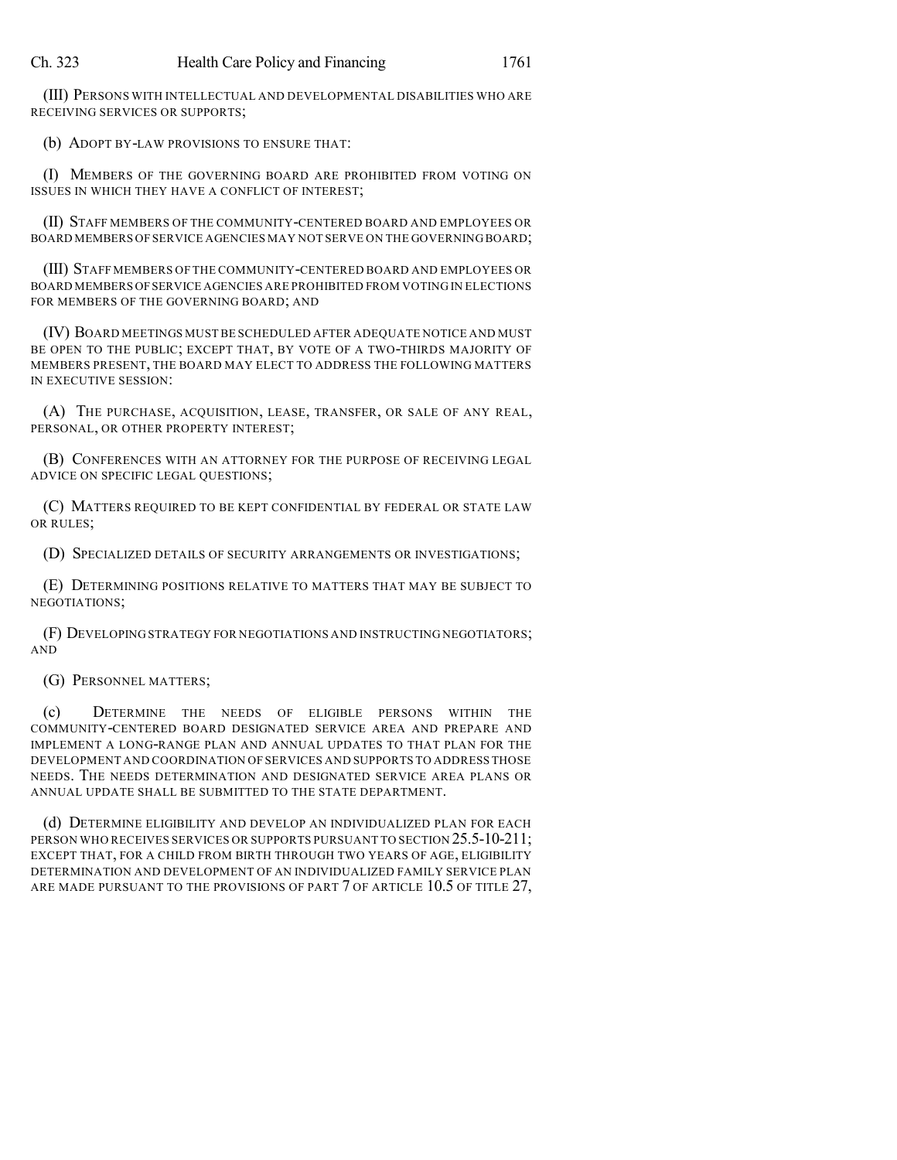(III) PERSONS WITH INTELLECTUAL AND DEVELOPMENTAL DISABILITIES WHO ARE RECEIVING SERVICES OR SUPPORTS;

(b) ADOPT BY-LAW PROVISIONS TO ENSURE THAT:

(I) MEMBERS OF THE GOVERNING BOARD ARE PROHIBITED FROM VOTING ON ISSUES IN WHICH THEY HAVE A CONFLICT OF INTEREST;

(II) STAFF MEMBERS OF THE COMMUNITY-CENTERED BOARD AND EMPLOYEES OR BOARD MEMBERS OF SERVICE AGENCIES MAY NOT SERVE ON THE GOVERNING BOARD;

(III) STAFF MEMBERS OF THE COMMUNITY-CENTERED BOARD AND EMPLOYEES OR BOARD MEMBERS OFSERVICE AGENCIES ARE PROHIBITED FROM VOTING IN ELECTIONS FOR MEMBERS OF THE GOVERNING BOARD; AND

(IV) BOARD MEETINGS MUST BE SCHEDULED AFTER ADEQUATE NOTICE AND MUST BE OPEN TO THE PUBLIC; EXCEPT THAT, BY VOTE OF A TWO-THIRDS MAJORITY OF MEMBERS PRESENT, THE BOARD MAY ELECT TO ADDRESS THE FOLLOWING MATTERS IN EXECUTIVE SESSION:

(A) THE PURCHASE, ACQUISITION, LEASE, TRANSFER, OR SALE OF ANY REAL, PERSONAL, OR OTHER PROPERTY INTEREST;

(B) CONFERENCES WITH AN ATTORNEY FOR THE PURPOSE OF RECEIVING LEGAL ADVICE ON SPECIFIC LEGAL QUESTIONS;

(C) MATTERS REQUIRED TO BE KEPT CONFIDENTIAL BY FEDERAL OR STATE LAW OR RULES;

(D) SPECIALIZED DETAILS OF SECURITY ARRANGEMENTS OR INVESTIGATIONS;

(E) DETERMINING POSITIONS RELATIVE TO MATTERS THAT MAY BE SUBJECT TO NEGOTIATIONS;

(F) DEVELOPING STRATEGY FOR NEGOTIATIONS AND INSTRUCTING NEGOTIATORS; AND

(G) PERSONNEL MATTERS;

(c) DETERMINE THE NEEDS OF ELIGIBLE PERSONS WITHIN THE COMMUNITY-CENTERED BOARD DESIGNATED SERVICE AREA AND PREPARE AND IMPLEMENT A LONG-RANGE PLAN AND ANNUAL UPDATES TO THAT PLAN FOR THE DEVELOPMENT AND COORDINATION OF SERVICES AND SUPPORTS TO ADDRESS THOSE NEEDS. THE NEEDS DETERMINATION AND DESIGNATED SERVICE AREA PLANS OR ANNUAL UPDATE SHALL BE SUBMITTED TO THE STATE DEPARTMENT.

(d) DETERMINE ELIGIBILITY AND DEVELOP AN INDIVIDUALIZED PLAN FOR EACH PERSON WHO RECEIVES SERVICES OR SUPPORTS PURSUANT TO SECTION 25.5-10-211; EXCEPT THAT, FOR A CHILD FROM BIRTH THROUGH TWO YEARS OF AGE, ELIGIBILITY DETERMINATION AND DEVELOPMENT OF AN INDIVIDUALIZED FAMILY SERVICE PLAN ARE MADE PURSUANT TO THE PROVISIONS OF PART 7 OF ARTICLE 10.5 OF TITLE 27,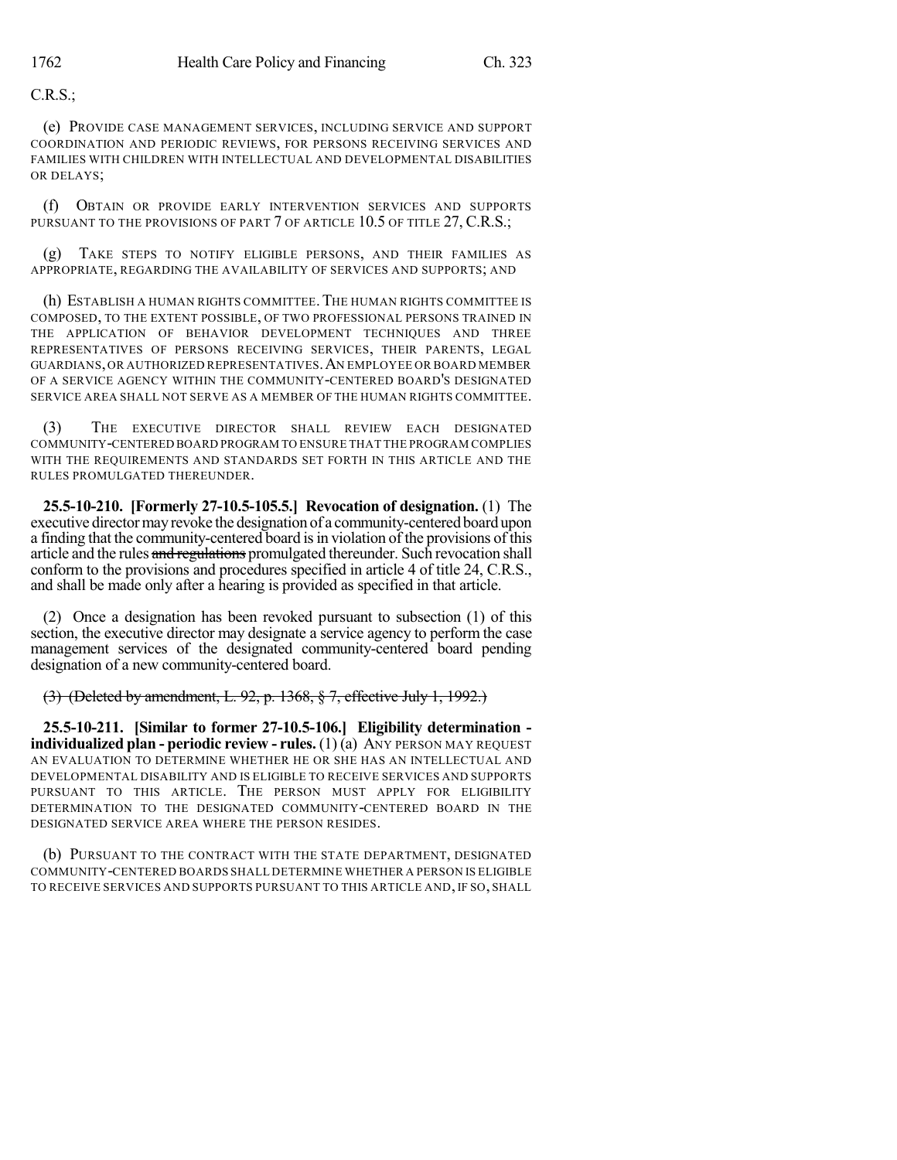C.R.S.;

(e) PROVIDE CASE MANAGEMENT SERVICES, INCLUDING SERVICE AND SUPPORT COORDINATION AND PERIODIC REVIEWS, FOR PERSONS RECEIVING SERVICES AND FAMILIES WITH CHILDREN WITH INTELLECTUAL AND DEVELOPMENTAL DISABILITIES OR DELAYS;

(f) OBTAIN OR PROVIDE EARLY INTERVENTION SERVICES AND SUPPORTS PURSUANT TO THE PROVISIONS OF PART 7 OF ARTICLE 10.5 OF TITLE 27, C.R.S.;

(g) TAKE STEPS TO NOTIFY ELIGIBLE PERSONS, AND THEIR FAMILIES AS APPROPRIATE, REGARDING THE AVAILABILITY OF SERVICES AND SUPPORTS; AND

(h) ESTABLISH A HUMAN RIGHTS COMMITTEE.THE HUMAN RIGHTS COMMITTEE IS COMPOSED, TO THE EXTENT POSSIBLE, OF TWO PROFESSIONAL PERSONS TRAINED IN THE APPLICATION OF BEHAVIOR DEVELOPMENT TECHNIQUES AND THREE REPRESENTATIVES OF PERSONS RECEIVING SERVICES, THEIR PARENTS, LEGAL GUARDIANS,OR AUTHORIZED REPRESENTATIVES.AN EMPLOYEE OR BOARD MEMBER OF A SERVICE AGENCY WITHIN THE COMMUNITY-CENTERED BOARD'S DESIGNATED SERVICE AREA SHALL NOT SERVE AS A MEMBER OF THE HUMAN RIGHTS COMMITTEE.

(3) THE EXECUTIVE DIRECTOR SHALL REVIEW EACH DESIGNATED COMMUNITY-CENTERED BOARD PROGRAM TO ENSURE THAT THE PROGRAM COMPLIES WITH THE REQUIREMENTS AND STANDARDS SET FORTH IN THIS ARTICLE AND THE RULES PROMULGATED THEREUNDER.

**25.5-10-210. [Formerly 27-10.5-105.5.] Revocation of designation.** (1) The executive director may revoke the designation of a community-centered board upon a finding that the community-centered board is in violation of the provisions of this article and the rules and regulations promulgated thereunder. Such revocation shall conform to the provisions and procedures specified in article 4 of title 24, C.R.S., and shall be made only after a hearing is provided as specified in that article.

(2) Once a designation has been revoked pursuant to subsection (1) of this section, the executive director may designate a service agency to perform the case management services of the designated community-centered board pending designation of a new community-centered board.

(3) (Deleted by amendment, L. 92, p. 1368, § 7, effective July 1, 1992.)

**25.5-10-211. [Similar to former 27-10.5-106.] Eligibility determination individualized plan - periodic review - rules.** (1) (a) ANY PERSON MAY REQUEST AN EVALUATION TO DETERMINE WHETHER HE OR SHE HAS AN INTELLECTUAL AND DEVELOPMENTAL DISABILITY AND IS ELIGIBLE TO RECEIVE SERVICES AND SUPPORTS PURSUANT TO THIS ARTICLE. THE PERSON MUST APPLY FOR ELIGIBILITY DETERMINATION TO THE DESIGNATED COMMUNITY-CENTERED BOARD IN THE DESIGNATED SERVICE AREA WHERE THE PERSON RESIDES.

(b) PURSUANT TO THE CONTRACT WITH THE STATE DEPARTMENT, DESIGNATED COMMUNITY-CENTERED BOARDS SHALL DETERMINE WHETHER A PERSON IS ELIGIBLE TO RECEIVE SERVICES AND SUPPORTS PURSUANT TO THIS ARTICLE AND, IF SO, SHALL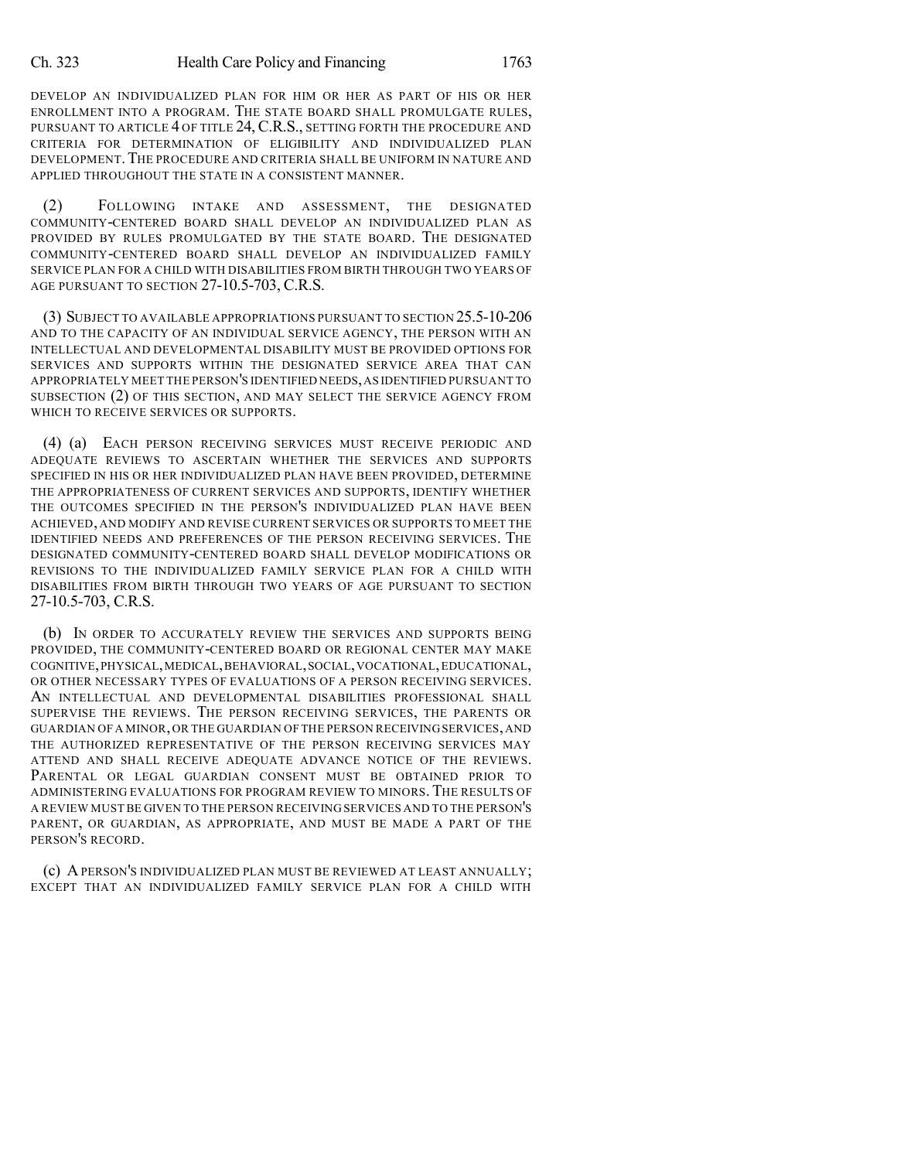DEVELOP AN INDIVIDUALIZED PLAN FOR HIM OR HER AS PART OF HIS OR HER ENROLLMENT INTO A PROGRAM. THE STATE BOARD SHALL PROMULGATE RULES, PURSUANT TO ARTICLE 4 OF TITLE 24, C.R.S., SETTING FORTH THE PROCEDURE AND CRITERIA FOR DETERMINATION OF ELIGIBILITY AND INDIVIDUALIZED PLAN DEVELOPMENT. THE PROCEDURE AND CRITERIA SHALL BE UNIFORM IN NATURE AND APPLIED THROUGHOUT THE STATE IN A CONSISTENT MANNER.

(2) FOLLOWING INTAKE AND ASSESSMENT, THE DESIGNATED COMMUNITY-CENTERED BOARD SHALL DEVELOP AN INDIVIDUALIZED PLAN AS PROVIDED BY RULES PROMULGATED BY THE STATE BOARD. THE DESIGNATED COMMUNITY-CENTERED BOARD SHALL DEVELOP AN INDIVIDUALIZED FAMILY SERVICE PLAN FOR A CHILD WITH DISABILITIES FROM BIRTH THROUGH TWO YEARS OF AGE PURSUANT TO SECTION 27-10.5-703, C.R.S.

(3) SUBJECT TO AVAILABLE APPROPRIATIONS PURSUANT TO SECTION 25.5-10-206 AND TO THE CAPACITY OF AN INDIVIDUAL SERVICE AGENCY, THE PERSON WITH AN INTELLECTUAL AND DEVELOPMENTAL DISABILITY MUST BE PROVIDED OPTIONS FOR SERVICES AND SUPPORTS WITHIN THE DESIGNATED SERVICE AREA THAT CAN APPROPRIATELY MEET THE PERSON'S IDENTIFIED NEEDS,AS IDENTIFIED PURSUANT TO SUBSECTION (2) OF THIS SECTION, AND MAY SELECT THE SERVICE AGENCY FROM WHICH TO RECEIVE SERVICES OR SUPPORTS.

(4) (a) EACH PERSON RECEIVING SERVICES MUST RECEIVE PERIODIC AND ADEQUATE REVIEWS TO ASCERTAIN WHETHER THE SERVICES AND SUPPORTS SPECIFIED IN HIS OR HER INDIVIDUALIZED PLAN HAVE BEEN PROVIDED, DETERMINE THE APPROPRIATENESS OF CURRENT SERVICES AND SUPPORTS, IDENTIFY WHETHER THE OUTCOMES SPECIFIED IN THE PERSON'S INDIVIDUALIZED PLAN HAVE BEEN ACHIEVED, AND MODIFY AND REVISE CURRENT SERVICES OR SUPPORTS TO MEET THE IDENTIFIED NEEDS AND PREFERENCES OF THE PERSON RECEIVING SERVICES. THE DESIGNATED COMMUNITY-CENTERED BOARD SHALL DEVELOP MODIFICATIONS OR REVISIONS TO THE INDIVIDUALIZED FAMILY SERVICE PLAN FOR A CHILD WITH DISABILITIES FROM BIRTH THROUGH TWO YEARS OF AGE PURSUANT TO SECTION 27-10.5-703, C.R.S.

(b) IN ORDER TO ACCURATELY REVIEW THE SERVICES AND SUPPORTS BEING PROVIDED, THE COMMUNITY-CENTERED BOARD OR REGIONAL CENTER MAY MAKE COGNITIVE,PHYSICAL,MEDICAL,BEHAVIORAL,SOCIAL,VOCATIONAL,EDUCATIONAL, OR OTHER NECESSARY TYPES OF EVALUATIONS OF A PERSON RECEIVING SERVICES. AN INTELLECTUAL AND DEVELOPMENTAL DISABILITIES PROFESSIONAL SHALL SUPERVISE THE REVIEWS. THE PERSON RECEIVING SERVICES, THE PARENTS OR GUARDIAN OF A MINOR,OR THE GUARDIAN OF THE PERSON RECEIVINGSERVICES,AND THE AUTHORIZED REPRESENTATIVE OF THE PERSON RECEIVING SERVICES MAY ATTEND AND SHALL RECEIVE ADEQUATE ADVANCE NOTICE OF THE REVIEWS. PARENTAL OR LEGAL GUARDIAN CONSENT MUST BE OBTAINED PRIOR TO ADMINISTERING EVALUATIONS FOR PROGRAM REVIEW TO MINORS. THE RESULTS OF A REVIEW MUST BE GIVEN TO THE PERSON RECEIVING SERVICES AND TO THE PERSON'S PARENT, OR GUARDIAN, AS APPROPRIATE, AND MUST BE MADE A PART OF THE PERSON'S RECORD.

(c) APERSON'S INDIVIDUALIZED PLAN MUST BE REVIEWED AT LEAST ANNUALLY; EXCEPT THAT AN INDIVIDUALIZED FAMILY SERVICE PLAN FOR A CHILD WITH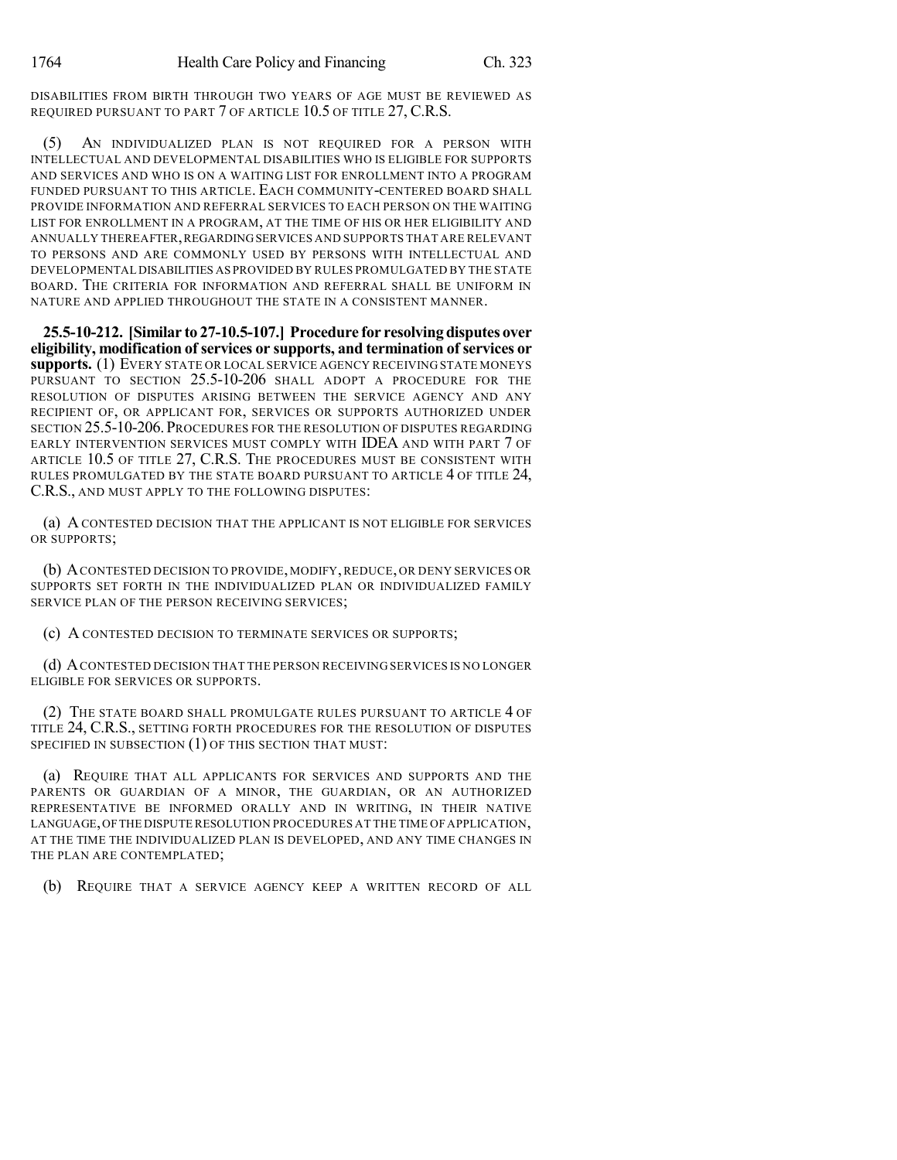DISABILITIES FROM BIRTH THROUGH TWO YEARS OF AGE MUST BE REVIEWED AS REQUIRED PURSUANT TO PART 7 OF ARTICLE 10.5 OF TITLE 27, C.R.S.

(5) AN INDIVIDUALIZED PLAN IS NOT REQUIRED FOR A PERSON WITH INTELLECTUAL AND DEVELOPMENTAL DISABILITIES WHO IS ELIGIBLE FOR SUPPORTS AND SERVICES AND WHO IS ON A WAITING LIST FOR ENROLLMENT INTO A PROGRAM FUNDED PURSUANT TO THIS ARTICLE. EACH COMMUNITY-CENTERED BOARD SHALL PROVIDE INFORMATION AND REFERRAL SERVICES TO EACH PERSON ON THE WAITING LIST FOR ENROLLMENT IN A PROGRAM, AT THE TIME OF HIS OR HER ELIGIBILITY AND ANNUALLY THEREAFTER,REGARDINGSERVICES AND SUPPORTS THAT ARE RELEVANT TO PERSONS AND ARE COMMONLY USED BY PERSONS WITH INTELLECTUAL AND DEVELOPMENTAL DISABILITIES AS PROVIDED BY RULES PROMULGATED BY THE STATE BOARD. THE CRITERIA FOR INFORMATION AND REFERRAL SHALL BE UNIFORM IN NATURE AND APPLIED THROUGHOUT THE STATE IN A CONSISTENT MANNER.

**25.5-10-212. [Similar to 27-10.5-107.] Procedure for resolving disputes over eligibility, modification of services or supports, and termination of services or supports.** (1) EVERY STATE OR LOCAL SERVICE AGENCY RECEIVING STATE MONEYS PURSUANT TO SECTION 25.5-10-206 SHALL ADOPT A PROCEDURE FOR THE RESOLUTION OF DISPUTES ARISING BETWEEN THE SERVICE AGENCY AND ANY RECIPIENT OF, OR APPLICANT FOR, SERVICES OR SUPPORTS AUTHORIZED UNDER SECTION 25.5-10-206. PROCEDURES FOR THE RESOLUTION OF DISPUTES REGARDING EARLY INTERVENTION SERVICES MUST COMPLY WITH IDEA AND WITH PART 7 OF ARTICLE 10.5 OF TITLE 27, C.R.S. THE PROCEDURES MUST BE CONSISTENT WITH RULES PROMULGATED BY THE STATE BOARD PURSUANT TO ARTICLE 4 OF TITLE 24, C.R.S., AND MUST APPLY TO THE FOLLOWING DISPUTES:

(a) A CONTESTED DECISION THAT THE APPLICANT IS NOT ELIGIBLE FOR SERVICES OR SUPPORTS;

(b) ACONTESTED DECISION TO PROVIDE, MODIFY,REDUCE, OR DENY SERVICES OR SUPPORTS SET FORTH IN THE INDIVIDUALIZED PLAN OR INDIVIDUALIZED FAMILY SERVICE PLAN OF THE PERSON RECEIVING SERVICES;

(c) A CONTESTED DECISION TO TERMINATE SERVICES OR SUPPORTS;

(d) ACONTESTED DECISION THAT THE PERSON RECEIVING SERVICES IS NO LONGER ELIGIBLE FOR SERVICES OR SUPPORTS.

(2) THE STATE BOARD SHALL PROMULGATE RULES PURSUANT TO ARTICLE 4 OF TITLE 24, C.R.S., SETTING FORTH PROCEDURES FOR THE RESOLUTION OF DISPUTES SPECIFIED IN SUBSECTION (1) OF THIS SECTION THAT MUST:

(a) REQUIRE THAT ALL APPLICANTS FOR SERVICES AND SUPPORTS AND THE PARENTS OR GUARDIAN OF A MINOR, THE GUARDIAN, OR AN AUTHORIZED REPRESENTATIVE BE INFORMED ORALLY AND IN WRITING, IN THEIR NATIVE LANGUAGE,OFTHE DISPUTE RESOLUTION PROCEDURES AT THE TIME OF APPLICATION, AT THE TIME THE INDIVIDUALIZED PLAN IS DEVELOPED, AND ANY TIME CHANGES IN THE PLAN ARE CONTEMPLATED;

(b) REQUIRE THAT A SERVICE AGENCY KEEP A WRITTEN RECORD OF ALL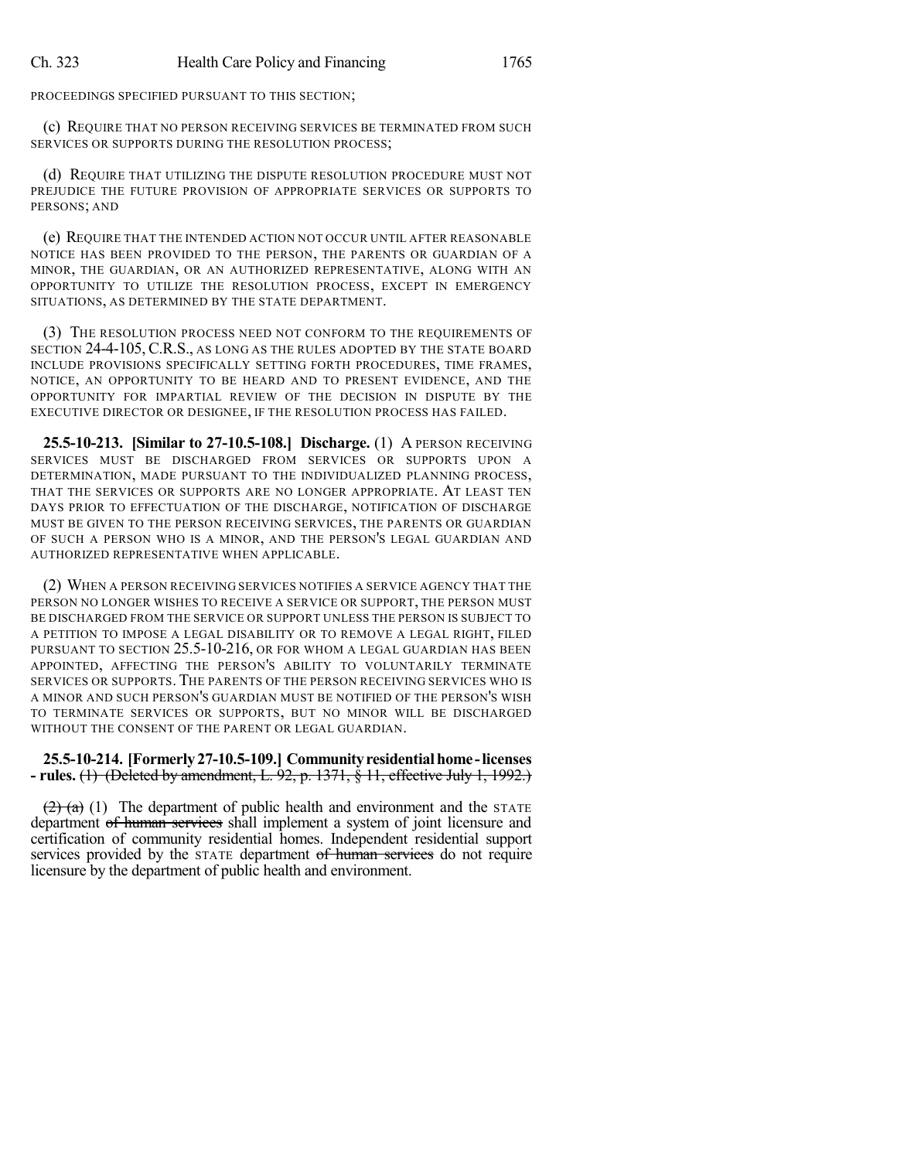PROCEEDINGS SPECIFIED PURSUANT TO THIS SECTION;

(c) REQUIRE THAT NO PERSON RECEIVING SERVICES BE TERMINATED FROM SUCH SERVICES OR SUPPORTS DURING THE RESOLUTION PROCESS;

(d) REQUIRE THAT UTILIZING THE DISPUTE RESOLUTION PROCEDURE MUST NOT PREJUDICE THE FUTURE PROVISION OF APPROPRIATE SERVICES OR SUPPORTS TO PERSONS; AND

(e) REQUIRE THAT THE INTENDED ACTION NOT OCCUR UNTIL AFTER REASONABLE NOTICE HAS BEEN PROVIDED TO THE PERSON, THE PARENTS OR GUARDIAN OF A MINOR, THE GUARDIAN, OR AN AUTHORIZED REPRESENTATIVE, ALONG WITH AN OPPORTUNITY TO UTILIZE THE RESOLUTION PROCESS, EXCEPT IN EMERGENCY SITUATIONS, AS DETERMINED BY THE STATE DEPARTMENT.

(3) THE RESOLUTION PROCESS NEED NOT CONFORM TO THE REQUIREMENTS OF SECTION 24-4-105, C.R.S., AS LONG AS THE RULES ADOPTED BY THE STATE BOARD INCLUDE PROVISIONS SPECIFICALLY SETTING FORTH PROCEDURES, TIME FRAMES, NOTICE, AN OPPORTUNITY TO BE HEARD AND TO PRESENT EVIDENCE, AND THE OPPORTUNITY FOR IMPARTIAL REVIEW OF THE DECISION IN DISPUTE BY THE EXECUTIVE DIRECTOR OR DESIGNEE, IF THE RESOLUTION PROCESS HAS FAILED.

**25.5-10-213. [Similar to 27-10.5-108.] Discharge.** (1) A PERSON RECEIVING SERVICES MUST BE DISCHARGED FROM SERVICES OR SUPPORTS UPON A DETERMINATION, MADE PURSUANT TO THE INDIVIDUALIZED PLANNING PROCESS, THAT THE SERVICES OR SUPPORTS ARE NO LONGER APPROPRIATE. AT LEAST TEN DAYS PRIOR TO EFFECTUATION OF THE DISCHARGE, NOTIFICATION OF DISCHARGE MUST BE GIVEN TO THE PERSON RECEIVING SERVICES, THE PARENTS OR GUARDIAN OF SUCH A PERSON WHO IS A MINOR, AND THE PERSON'S LEGAL GUARDIAN AND AUTHORIZED REPRESENTATIVE WHEN APPLICABLE.

(2) WHEN A PERSON RECEIVING SERVICES NOTIFIES A SERVICE AGENCY THAT THE PERSON NO LONGER WISHES TO RECEIVE A SERVICE OR SUPPORT, THE PERSON MUST BE DISCHARGED FROM THE SERVICE OR SUPPORT UNLESS THE PERSON IS SUBJECT TO A PETITION TO IMPOSE A LEGAL DISABILITY OR TO REMOVE A LEGAL RIGHT, FILED PURSUANT TO SECTION 25.5-10-216, OR FOR WHOM A LEGAL GUARDIAN HAS BEEN APPOINTED, AFFECTING THE PERSON'S ABILITY TO VOLUNTARILY TERMINATE SERVICES OR SUPPORTS. THE PARENTS OF THE PERSON RECEIVING SERVICES WHO IS A MINOR AND SUCH PERSON'S GUARDIAN MUST BE NOTIFIED OF THE PERSON'S WISH TO TERMINATE SERVICES OR SUPPORTS, BUT NO MINOR WILL BE DISCHARGED WITHOUT THE CONSENT OF THE PARENT OR LEGAL GUARDIAN.

# **25.5-10-214. [Formerly27-10.5-109.] Communityresidentialhome -licenses - rules.** (1) (Deleted by amendment, L. 92, p. 1371, § 11, effective July 1, 1992.)

 $(2)$  (a) (1) The department of public health and environment and the STATE department of human services shall implement a system of joint licensure and certification of community residential homes. Independent residential support services provided by the STATE department of human services do not require licensure by the department of public health and environment.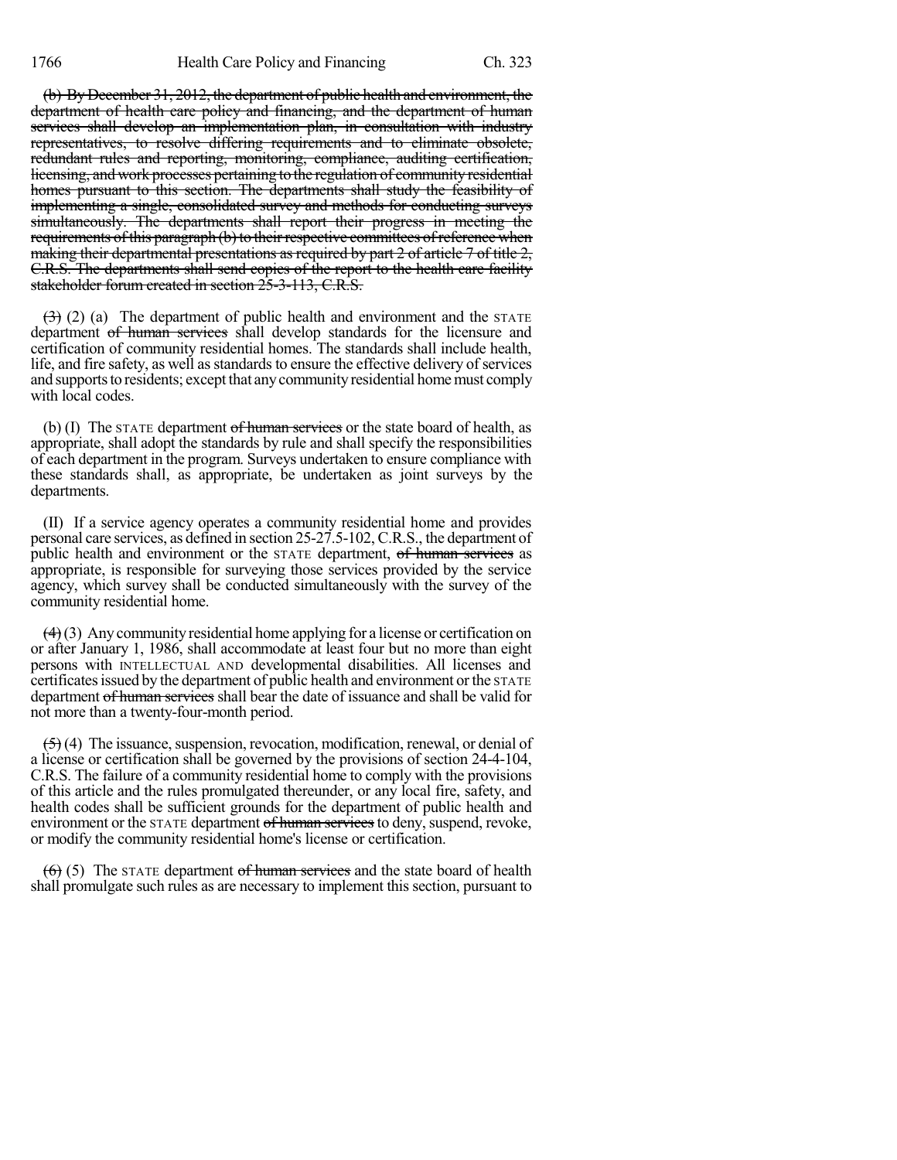(b) By December 31, 2012, the department of public health and environment, the department of health care policy and financing, and the department of human services shall develop an implementation plan, in consultation with industry representatives, to resolve differing requirements and to eliminate obsolete, redundant rules and reporting, monitoring, compliance, auditing certification, licensing, and work processes pertaining to the regulation of community residential homes pursuant to this section. The departments shall study the feasibility of implementing a single, consolidated survey and methods for conducting surveys simultaneously. The departments shall report their progress in meeting the requirements of this paragraph (b) to their respective committees of reference when making their departmental presentations as required by part 2 of article 7 of title 2, C.R.S. The departments shall send copies of the report to the health care facility stakeholder forum created in section 25-3-113, C.R.S.

 $(3)$  (2) (a) The department of public health and environment and the STATE department of human services shall develop standards for the licensure and certification of community residential homes. The standards shall include health, life, and fire safety, as well as standards to ensure the effective delivery of services and supports to residents; except that any community residential home must comply with local codes.

(b) (I) The STATE department of human services or the state board of health, as appropriate, shall adopt the standards by rule and shall specify the responsibilities of each department in the program. Surveys undertaken to ensure compliance with these standards shall, as appropriate, be undertaken as joint surveys by the departments.

(II) If a service agency operates a community residential home and provides personal care services, as defined in section 25-27.5-102, C.R.S., the department of public health and environment or the STATE department, of human services as appropriate, is responsible for surveying those services provided by the service agency, which survey shall be conducted simultaneously with the survey of the community residential home.

 $(4)$ (3) Any community residential home applying for a license or certification on or after January 1, 1986, shall accommodate at least four but no more than eight persons with INTELLECTUAL AND developmental disabilities. All licenses and certificates issued by the department of public health and environment or the STATE department of human services shall bear the date of issuance and shall be valid for not more than a twenty-four-month period.

 $(5)$  (4) The issuance, suspension, revocation, modification, renewal, or denial of a license or certification shall be governed by the provisions of section 24-4-104, C.R.S. The failure of a community residential home to comply with the provisions of this article and the rules promulgated thereunder, or any local fire, safety, and health codes shall be sufficient grounds for the department of public health and environment or the STATE department of human services to deny, suspend, revoke, or modify the community residential home's license or certification.

 $(6)$  (5) The STATE department of human services and the state board of health shall promulgate such rules as are necessary to implement this section, pursuant to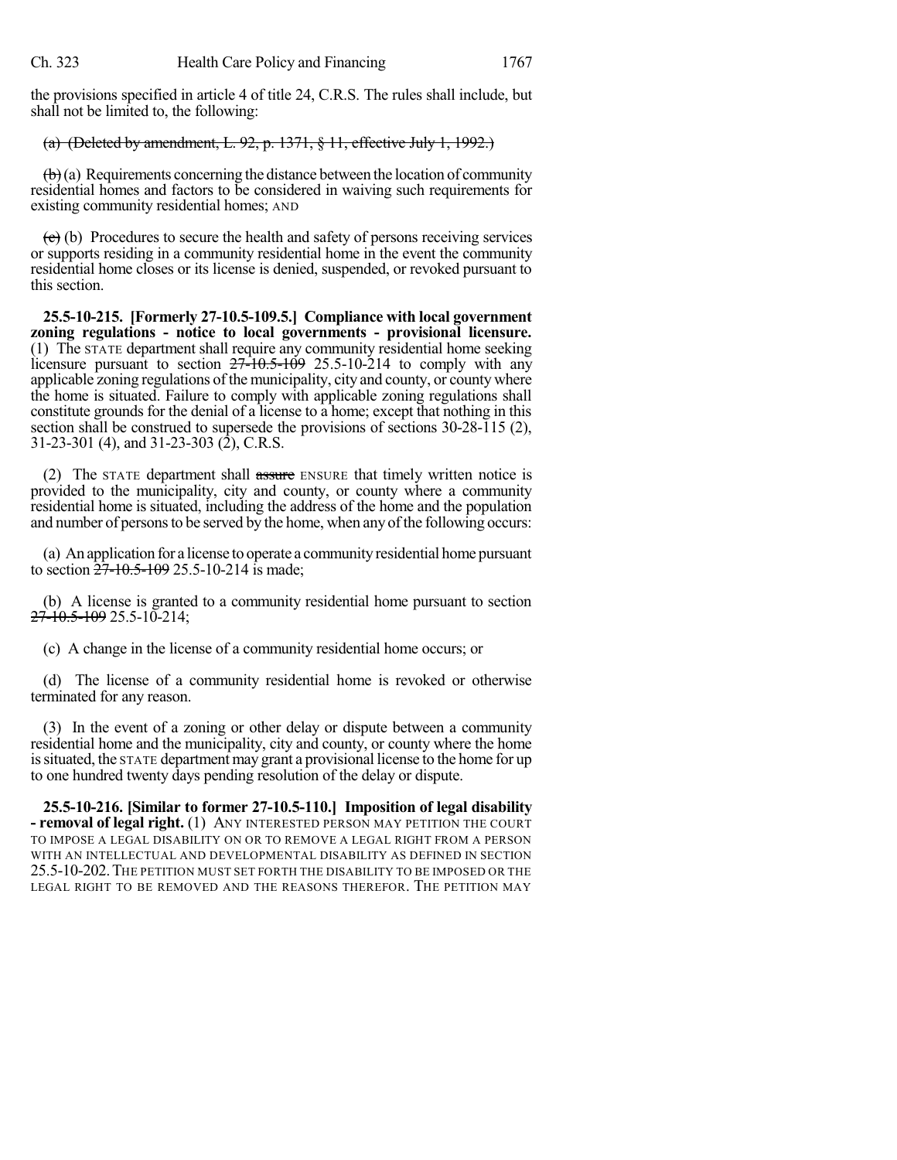the provisions specified in article 4 of title 24, C.R.S. The rules shall include, but shall not be limited to, the following:

## (a) (Deleted by amendment, L. 92, p. 1371, § 11, effective July 1, 1992.)

 $(b)$  (a) Requirements concerning the distance between the location of community residential homes and factors to be considered in waiving such requirements for existing community residential homes; AND

 $\left(\frac{\partial}{\partial t}\right)$  Procedures to secure the health and safety of persons receiving services or supports residing in a community residential home in the event the community residential home closes or its license is denied, suspended, or revoked pursuant to this section.

**25.5-10-215. [Formerly 27-10.5-109.5.] Compliance with local government zoning regulations - notice to local governments - provisional licensure.** (1) The STATE department shall require any community residential home seeking licensure pursuant to section  $27\overline{-10.5}$ -109 25.5-10-214 to comply with any applicable zoning regulations of the municipality, city and county, or county where the home is situated. Failure to comply with applicable zoning regulations shall constitute grounds for the denial of a license to a home; except that nothing in this section shall be construed to supersede the provisions of sections 30-28-115 (2), 31-23-301 (4), and 31-23-303 (2), C.R.S.

(2) The STATE department shall assure ENSURE that timely written notice is provided to the municipality, city and county, or county where a community residential home is situated, including the address of the home and the population and number of persons to be served by the home, when any of the following occurs:

(a) An application for a license to operate a communityresidential home pursuant to section  $27-10.5-109$  25.5-10-214 is made;

(b) A license is granted to a community residential home pursuant to section 27-10.5-109 25.5-10-214;

(c) A change in the license of a community residential home occurs; or

(d) The license of a community residential home is revoked or otherwise terminated for any reason.

(3) In the event of a zoning or other delay or dispute between a community residential home and the municipality, city and county, or county where the home issituated, the STATE department may grant a provisional license to the home for up to one hundred twenty days pending resolution of the delay or dispute.

**25.5-10-216. [Similar to former 27-10.5-110.] Imposition of legal disability - removal of legal right.** (1) ANY INTERESTED PERSON MAY PETITION THE COURT TO IMPOSE A LEGAL DISABILITY ON OR TO REMOVE A LEGAL RIGHT FROM A PERSON WITH AN INTELLECTUAL AND DEVELOPMENTAL DISABILITY AS DEFINED IN SECTION 25.5-10-202.THE PETITION MUST SET FORTH THE DISABILITY TO BE IMPOSED OR THE LEGAL RIGHT TO BE REMOVED AND THE REASONS THEREFOR. THE PETITION MAY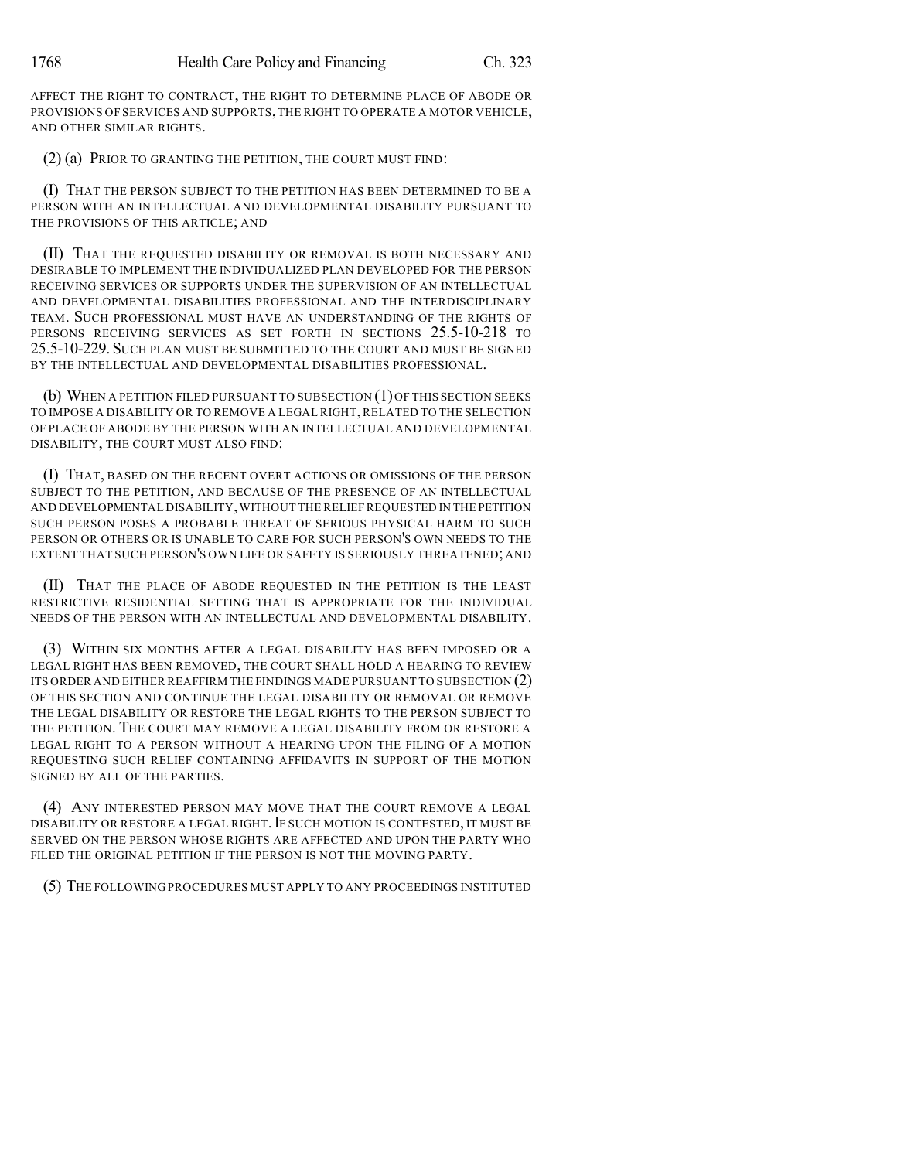AFFECT THE RIGHT TO CONTRACT, THE RIGHT TO DETERMINE PLACE OF ABODE OR PROVISIONS OF SERVICES AND SUPPORTS,THE RIGHT TO OPERATE A MOTOR VEHICLE, AND OTHER SIMILAR RIGHTS.

(2) (a) PRIOR TO GRANTING THE PETITION, THE COURT MUST FIND:

(I) THAT THE PERSON SUBJECT TO THE PETITION HAS BEEN DETERMINED TO BE A PERSON WITH AN INTELLECTUAL AND DEVELOPMENTAL DISABILITY PURSUANT TO THE PROVISIONS OF THIS ARTICLE; AND

(II) THAT THE REQUESTED DISABILITY OR REMOVAL IS BOTH NECESSARY AND DESIRABLE TO IMPLEMENT THE INDIVIDUALIZED PLAN DEVELOPED FOR THE PERSON RECEIVING SERVICES OR SUPPORTS UNDER THE SUPERVISION OF AN INTELLECTUAL AND DEVELOPMENTAL DISABILITIES PROFESSIONAL AND THE INTERDISCIPLINARY TEAM. SUCH PROFESSIONAL MUST HAVE AN UNDERSTANDING OF THE RIGHTS OF PERSONS RECEIVING SERVICES AS SET FORTH IN SECTIONS 25.5-10-218 TO 25.5-10-229. SUCH PLAN MUST BE SUBMITTED TO THE COURT AND MUST BE SIGNED BY THE INTELLECTUAL AND DEVELOPMENTAL DISABILITIES PROFESSIONAL.

(b) WHEN A PETITION FILED PURSUANT TO SUBSECTION (1)OF THIS SECTION SEEKS TO IMPOSE A DISABILITY OR TO REMOVE A LEGAL RIGHT, RELATED TO THE SELECTION OF PLACE OF ABODE BY THE PERSON WITH AN INTELLECTUAL AND DEVELOPMENTAL DISABILITY, THE COURT MUST ALSO FIND:

(I) THAT, BASED ON THE RECENT OVERT ACTIONS OR OMISSIONS OF THE PERSON SUBJECT TO THE PETITION, AND BECAUSE OF THE PRESENCE OF AN INTELLECTUAL AND DEVELOPMENTAL DISABILITY,WITHOUT THE RELIEF REQUESTED IN THE PETITION SUCH PERSON POSES A PROBABLE THREAT OF SERIOUS PHYSICAL HARM TO SUCH PERSON OR OTHERS OR IS UNABLE TO CARE FOR SUCH PERSON'S OWN NEEDS TO THE EXTENT THAT SUCH PERSON'S OWN LIFE OR SAFETY IS SERIOUSLY THREATENED; AND

(II) THAT THE PLACE OF ABODE REQUESTED IN THE PETITION IS THE LEAST RESTRICTIVE RESIDENTIAL SETTING THAT IS APPROPRIATE FOR THE INDIVIDUAL NEEDS OF THE PERSON WITH AN INTELLECTUAL AND DEVELOPMENTAL DISABILITY.

(3) WITHIN SIX MONTHS AFTER A LEGAL DISABILITY HAS BEEN IMPOSED OR A LEGAL RIGHT HAS BEEN REMOVED, THE COURT SHALL HOLD A HEARING TO REVIEW ITS ORDER AND EITHER REAFFIRM THE FINDINGS MADE PURSUANT TO SUBSECTION (2) OF THIS SECTION AND CONTINUE THE LEGAL DISABILITY OR REMOVAL OR REMOVE THE LEGAL DISABILITY OR RESTORE THE LEGAL RIGHTS TO THE PERSON SUBJECT TO THE PETITION. THE COURT MAY REMOVE A LEGAL DISABILITY FROM OR RESTORE A LEGAL RIGHT TO A PERSON WITHOUT A HEARING UPON THE FILING OF A MOTION REQUESTING SUCH RELIEF CONTAINING AFFIDAVITS IN SUPPORT OF THE MOTION SIGNED BY ALL OF THE PARTIES.

(4) ANY INTERESTED PERSON MAY MOVE THAT THE COURT REMOVE A LEGAL DISABILITY OR RESTORE A LEGAL RIGHT. IF SUCH MOTION IS CONTESTED, IT MUST BE SERVED ON THE PERSON WHOSE RIGHTS ARE AFFECTED AND UPON THE PARTY WHO FILED THE ORIGINAL PETITION IF THE PERSON IS NOT THE MOVING PARTY.

(5) THE FOLLOWING PROCEDURES MUST APPLY TO ANY PROCEEDINGS INSTITUTED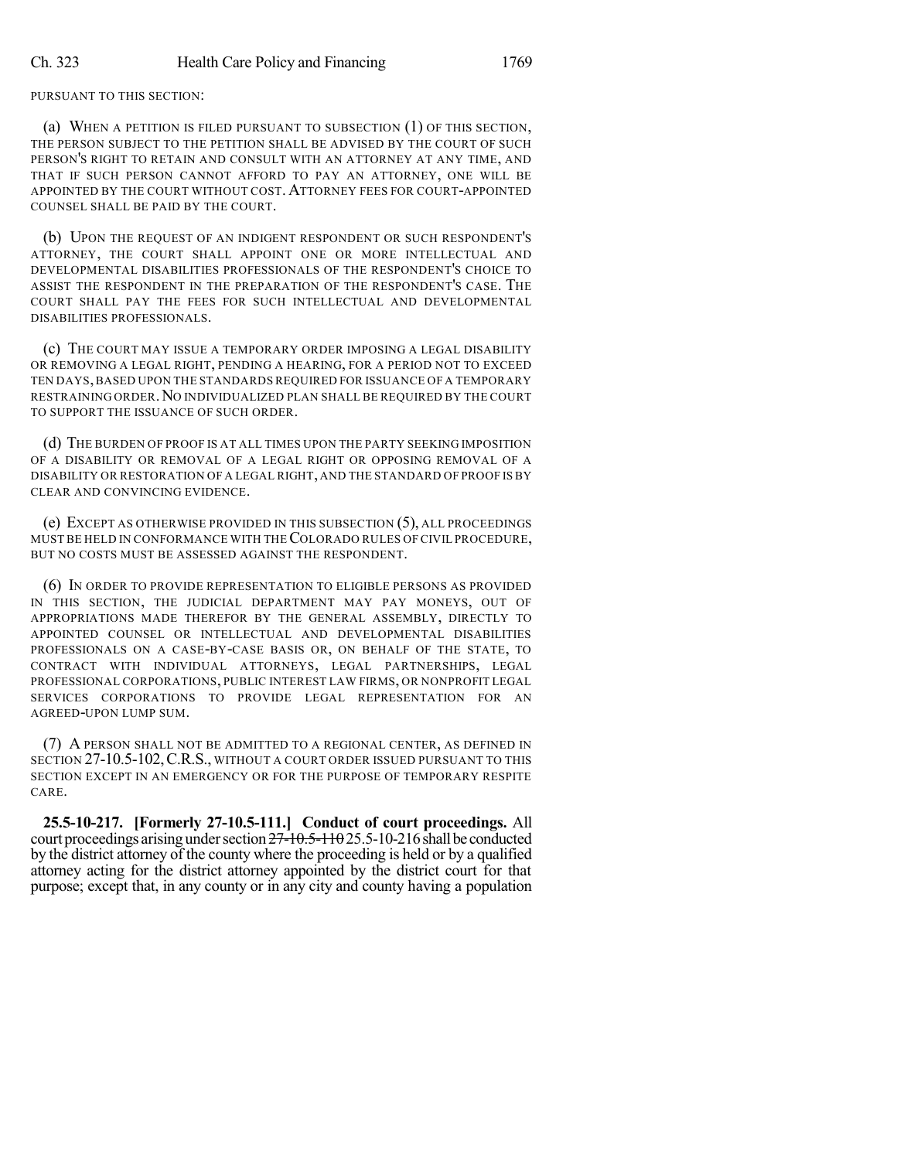PURSUANT TO THIS SECTION:

(a) WHEN A PETITION IS FILED PURSUANT TO SUBSECTION (1) OF THIS SECTION, THE PERSON SUBJECT TO THE PETITION SHALL BE ADVISED BY THE COURT OF SUCH PERSON'S RIGHT TO RETAIN AND CONSULT WITH AN ATTORNEY AT ANY TIME, AND THAT IF SUCH PERSON CANNOT AFFORD TO PAY AN ATTORNEY, ONE WILL BE APPOINTED BY THE COURT WITHOUT COST. ATTORNEY FEES FOR COURT-APPOINTED COUNSEL SHALL BE PAID BY THE COURT.

(b) UPON THE REQUEST OF AN INDIGENT RESPONDENT OR SUCH RESPONDENT'S ATTORNEY, THE COURT SHALL APPOINT ONE OR MORE INTELLECTUAL AND DEVELOPMENTAL DISABILITIES PROFESSIONALS OF THE RESPONDENT'S CHOICE TO ASSIST THE RESPONDENT IN THE PREPARATION OF THE RESPONDENT'S CASE. THE COURT SHALL PAY THE FEES FOR SUCH INTELLECTUAL AND DEVELOPMENTAL DISABILITIES PROFESSIONALS.

(c) THE COURT MAY ISSUE A TEMPORARY ORDER IMPOSING A LEGAL DISABILITY OR REMOVING A LEGAL RIGHT, PENDING A HEARING, FOR A PERIOD NOT TO EXCEED TEN DAYS, BASED UPON THE STANDARDS REQUIRED FOR ISSUANCE OF A TEMPORARY RESTRAINING ORDER. NO INDIVIDUALIZED PLAN SHALL BE REQUIRED BY THE COURT TO SUPPORT THE ISSUANCE OF SUCH ORDER.

(d) THE BURDEN OF PROOF IS AT ALL TIMES UPON THE PARTY SEEKING IMPOSITION OF A DISABILITY OR REMOVAL OF A LEGAL RIGHT OR OPPOSING REMOVAL OF A DISABILITY OR RESTORATION OF A LEGAL RIGHT, AND THE STANDARD OF PROOF IS BY CLEAR AND CONVINCING EVIDENCE.

(e) EXCEPT AS OTHERWISE PROVIDED IN THIS SUBSECTION (5), ALL PROCEEDINGS MUST BE HELD IN CONFORMANCE WITH THECOLORADO RULES OF CIVIL PROCEDURE, BUT NO COSTS MUST BE ASSESSED AGAINST THE RESPONDENT.

(6) IN ORDER TO PROVIDE REPRESENTATION TO ELIGIBLE PERSONS AS PROVIDED IN THIS SECTION, THE JUDICIAL DEPARTMENT MAY PAY MONEYS, OUT OF APPROPRIATIONS MADE THEREFOR BY THE GENERAL ASSEMBLY, DIRECTLY TO APPOINTED COUNSEL OR INTELLECTUAL AND DEVELOPMENTAL DISABILITIES PROFESSIONALS ON A CASE-BY-CASE BASIS OR, ON BEHALF OF THE STATE, TO CONTRACT WITH INDIVIDUAL ATTORNEYS, LEGAL PARTNERSHIPS, LEGAL PROFESSIONAL CORPORATIONS, PUBLIC INTEREST LAW FIRMS, OR NONPROFIT LEGAL SERVICES CORPORATIONS TO PROVIDE LEGAL REPRESENTATION FOR AN AGREED-UPON LUMP SUM.

(7) A PERSON SHALL NOT BE ADMITTED TO A REGIONAL CENTER, AS DEFINED IN SECTION 27-10.5-102, C.R.S., WITHOUT A COURT ORDER ISSUED PURSUANT TO THIS SECTION EXCEPT IN AN EMERGENCY OR FOR THE PURPOSE OF TEMPORARY RESPITE CARE.

**25.5-10-217. [Formerly 27-10.5-111.] Conduct of court proceedings.** All court proceedings arising under section  $27\text{-}10.5\text{-}110.25.5\text{-}10\text{-}216$  shall be conducted by the district attorney of the county where the proceeding is held or by a qualified attorney acting for the district attorney appointed by the district court for that purpose; except that, in any county or in any city and county having a population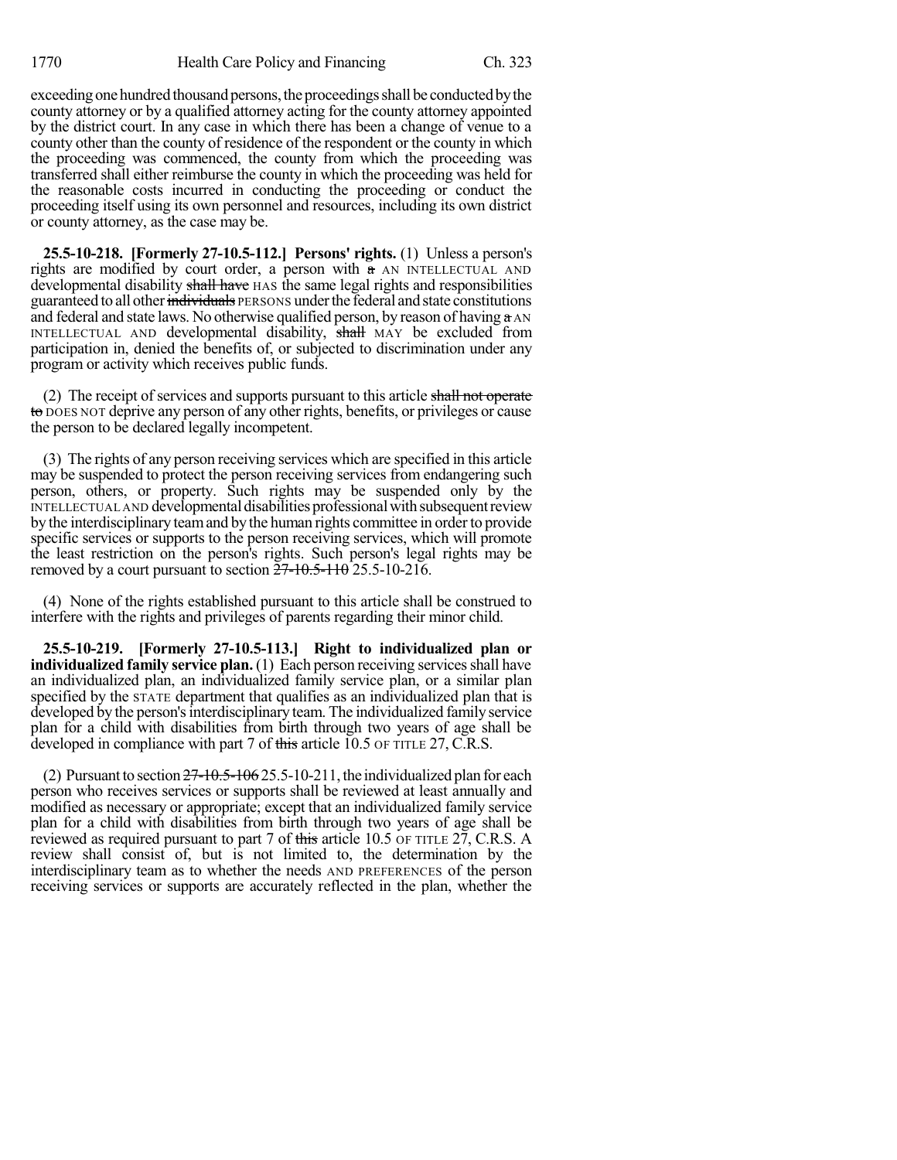exceeding one hundred thousand persons, the proceedings shall be conducted by the county attorney or by a qualified attorney acting for the county attorney appointed by the district court. In any case in which there has been a change of venue to a county other than the county of residence of the respondent or the county in which the proceeding was commenced, the county from which the proceeding was transferred shall either reimburse the county in which the proceeding was held for the reasonable costs incurred in conducting the proceeding or conduct the proceeding itself using its own personnel and resources, including its own district or county attorney, as the case may be.

**25.5-10-218. [Formerly 27-10.5-112.] Persons' rights.** (1) Unless a person's rights are modified by court order, a person with a AN INTELLECTUAL AND developmental disability shall have HAS the same legal rights and responsibilities guaranteed to all other individuals PERSONS under the federal and state constitutions and federal and state laws. No otherwise qualified person, by reason of having  $\alpha$  AN INTELLECTUAL AND developmental disability, shall MAY be excluded from participation in, denied the benefits of, or subjected to discrimination under any program or activity which receives public funds.

(2) The receipt of services and supports pursuant to this article shall not operate to DOES NOT deprive any person of any other rights, benefits, or privileges or cause the person to be declared legally incompetent.

(3) The rights of any person receiving services which are specified in this article may be suspended to protect the person receiving services from endangering such person, others, or property. Such rights may be suspended only by the INTELLECTUAL AND developmental disabilities professional with subsequent review by the interdisciplinary team and by the human rights committee in order to provide specific services or supports to the person receiving services, which will promote the least restriction on the person's rights. Such person's legal rights may be removed by a court pursuant to section  $\frac{57-10.5-110}{25.5-10-216}$ .

(4) None of the rights established pursuant to this article shall be construed to interfere with the rights and privileges of parents regarding their minor child.

**25.5-10-219. [Formerly 27-10.5-113.] Right to individualized plan or individualized family service plan.** (1) Each person receiving services shall have an individualized plan, an individualized family service plan, or a similar plan specified by the STATE department that qualifies as an individualized plan that is developed by the person's interdisciplinary team. The individualized family service plan for a child with disabilities from birth through two years of age shall be developed in compliance with part 7 of this article 10.5 OF TITLE 27, C.R.S.

(2) Pursuant to section  $27-10.5-106$  25.5-10-211, the individualized plan for each person who receives services or supports shall be reviewed at least annually and modified as necessary or appropriate; except that an individualized family service plan for a child with disabilities from birth through two years of age shall be reviewed as required pursuant to part 7 of this article 10.5 OF TITLE 27, C.R.S. A review shall consist of, but is not limited to, the determination by the interdisciplinary team as to whether the needs AND PREFERENCES of the person receiving services or supports are accurately reflected in the plan, whether the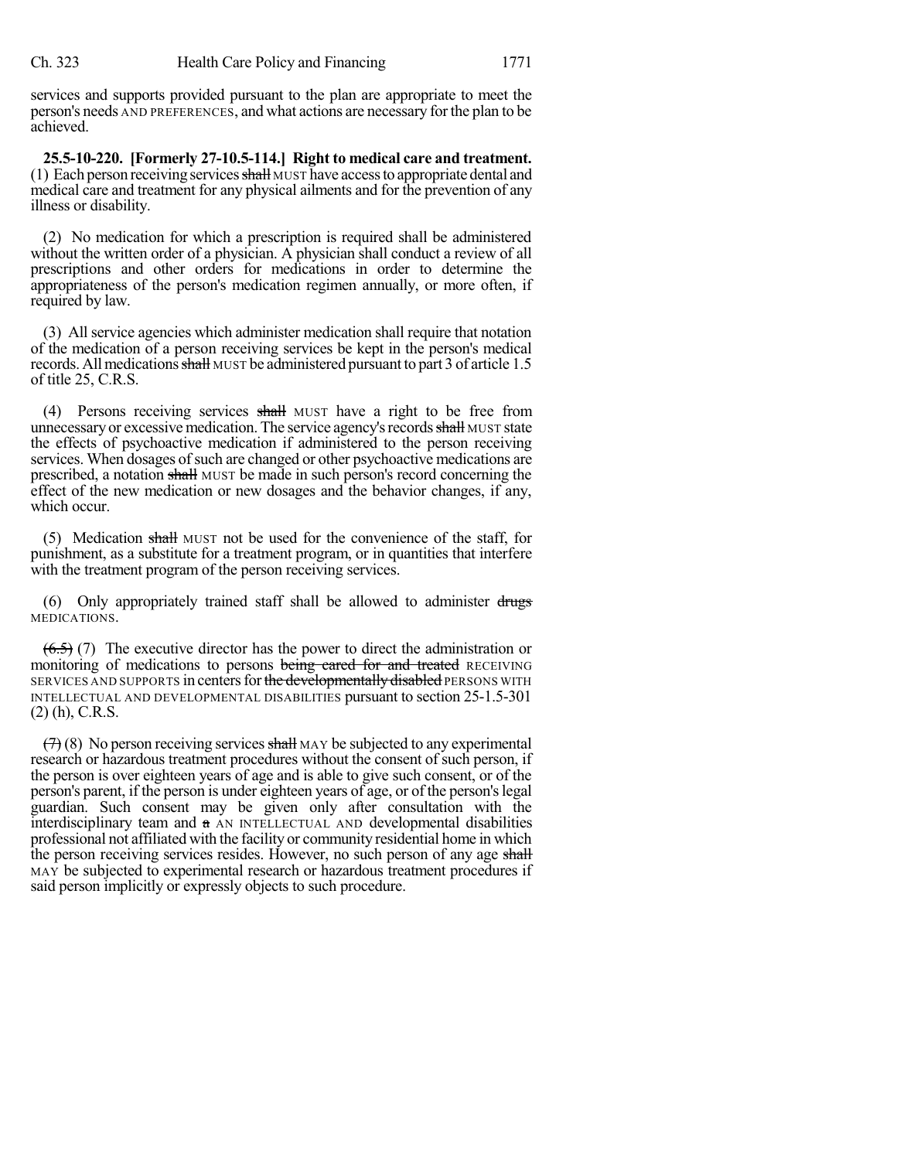services and supports provided pursuant to the plan are appropriate to meet the person's needs AND PREFERENCES, and what actions are necessary for the plan to be achieved.

**25.5-10-220. [Formerly 27-10.5-114.] Right to medical care and treatment.** (1) Each person receiving services  $\frac{1}{\sqrt{2}}$  MUST have access to appropriate dental and medical care and treatment for any physical ailments and for the prevention of any illness or disability.

(2) No medication for which a prescription is required shall be administered without the written order of a physician. A physician shall conduct a review of all prescriptions and other orders for medications in order to determine the appropriateness of the person's medication regimen annually, or more often, if required by law.

(3) All service agencies which administer medication shall require that notation of the medication of a person receiving services be kept in the person's medical records. All medications shall MUST be administered pursuant to part 3 of article 1.5 of title 25, C.R.S.

(4) Persons receiving services shall MUST have a right to be free from unnecessary or excessive medication. The service agency's records shall MUST state the effects of psychoactive medication if administered to the person receiving services. When dosages of such are changed or other psychoactive medications are prescribed, a notation shall MUST be made in such person's record concerning the effect of the new medication or new dosages and the behavior changes, if any, which occur.

(5) Medication shall MUST not be used for the convenience of the staff, for punishment, as a substitute for a treatment program, or in quantities that interfere with the treatment program of the person receiving services.

(6) Only appropriately trained staff shall be allowed to administer  $d_{\text{rugs}}$ MEDICATIONS.

 $(6.5)$  (7) The executive director has the power to direct the administration or monitoring of medications to persons being cared for and treated RECEIVING SERVICES AND SUPPORTS in centers for the developmentally disabled PERSONS WITH INTELLECTUAL AND DEVELOPMENTAL DISABILITIES pursuant to section 25-1.5-301 (2) (h), C.R.S.

 $(7)$  (8) No person receiving services shall MAY be subjected to any experimental research or hazardous treatment procedures without the consent of such person, if the person is over eighteen years of age and is able to give such consent, or of the person's parent, if the person is under eighteen years of age, or of the person'slegal guardian. Such consent may be given only after consultation with the interdisciplinary team and  $\alpha$  AN INTELLECTUAL AND developmental disabilities professional not affiliated with the facility or community residential home in which the person receiving services resides. However, no such person of any age shall MAY be subjected to experimental research or hazardous treatment procedures if said person implicitly or expressly objects to such procedure.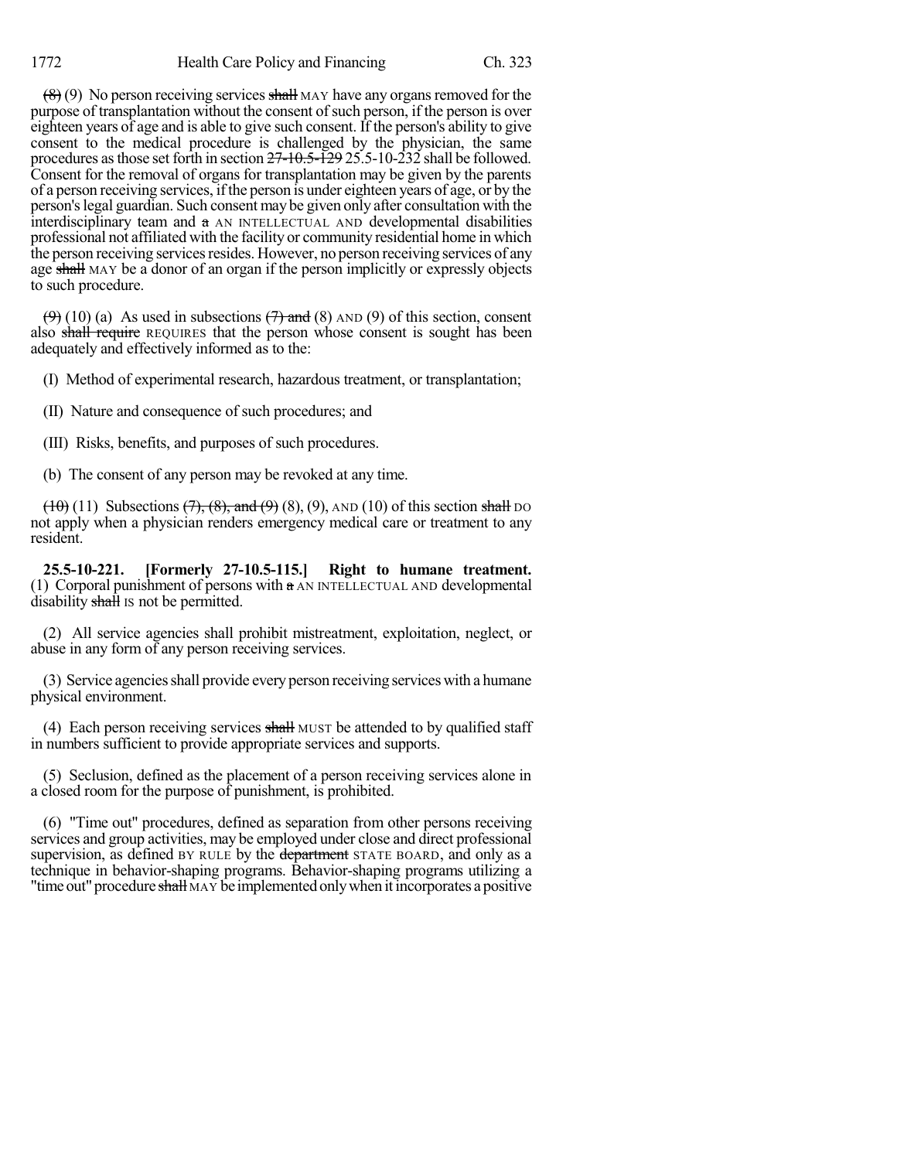$(8)(9)$  No person receiving services shall MAY have any organs removed for the purpose of transplantation without the consent of such person, if the person is over eighteen years of age and is able to give such consent. If the person's ability to give consent to the medical procedure is challenged by the physician, the same procedures asthose set forth in section 27-10.5-129 25.5-10-232 shall be followed. Consent for the removal of organs for transplantation may be given by the parents of a person receiving services, ifthe person is under eighteen years of age, or by the person'slegal guardian. Such consent may be given only after consultation with the interdisciplinary team and a AN INTELLECTUAL AND developmental disabilities professional not affiliated with the facility or community residential home in which the person receiving services resides. However, no person receiving services of any age shall MAY be a donor of an organ if the person implicitly or expressly objects to such procedure.

 $(9)$  (10) (a) As used in subsections  $(7)$  and (8) AND (9) of this section, consent also shall require REQUIRES that the person whose consent is sought has been adequately and effectively informed as to the:

(I) Method of experimental research, hazardous treatment, or transplantation;

(II) Nature and consequence of such procedures; and

(III) Risks, benefits, and purposes of such procedures.

(b) The consent of any person may be revoked at any time.

 $(10)$  (11) Subsections  $(7)$ ,  $(8)$ , and  $(9)$   $(8)$ ,  $(9)$ ,  $AND$  (10) of this section shall DO not apply when a physician renders emergency medical care or treatment to any resident.

**25.5-10-221. [Formerly 27-10.5-115.] Right to humane treatment.** (1) Corporal punishment of persons with a AN INTELLECTUAL AND developmental disability shall is not be permitted.

(2) All service agencies shall prohibit mistreatment, exploitation, neglect, or abuse in any form of any person receiving services.

(3) Service agenciesshall provide every person receiving serviceswith a humane physical environment.

(4) Each person receiving services shall MUST be attended to by qualified staff in numbers sufficient to provide appropriate services and supports.

(5) Seclusion, defined as the placement of a person receiving services alone in a closed room for the purpose of punishment, is prohibited.

(6) "Time out" procedures, defined as separation from other persons receiving services and group activities, may be employed under close and direct professional supervision, as defined BY RULE by the department STATE BOARD, and only as a technique in behavior-shaping programs. Behavior-shaping programs utilizing a "time out" procedure shall MAY be implemented only when it incorporates a positive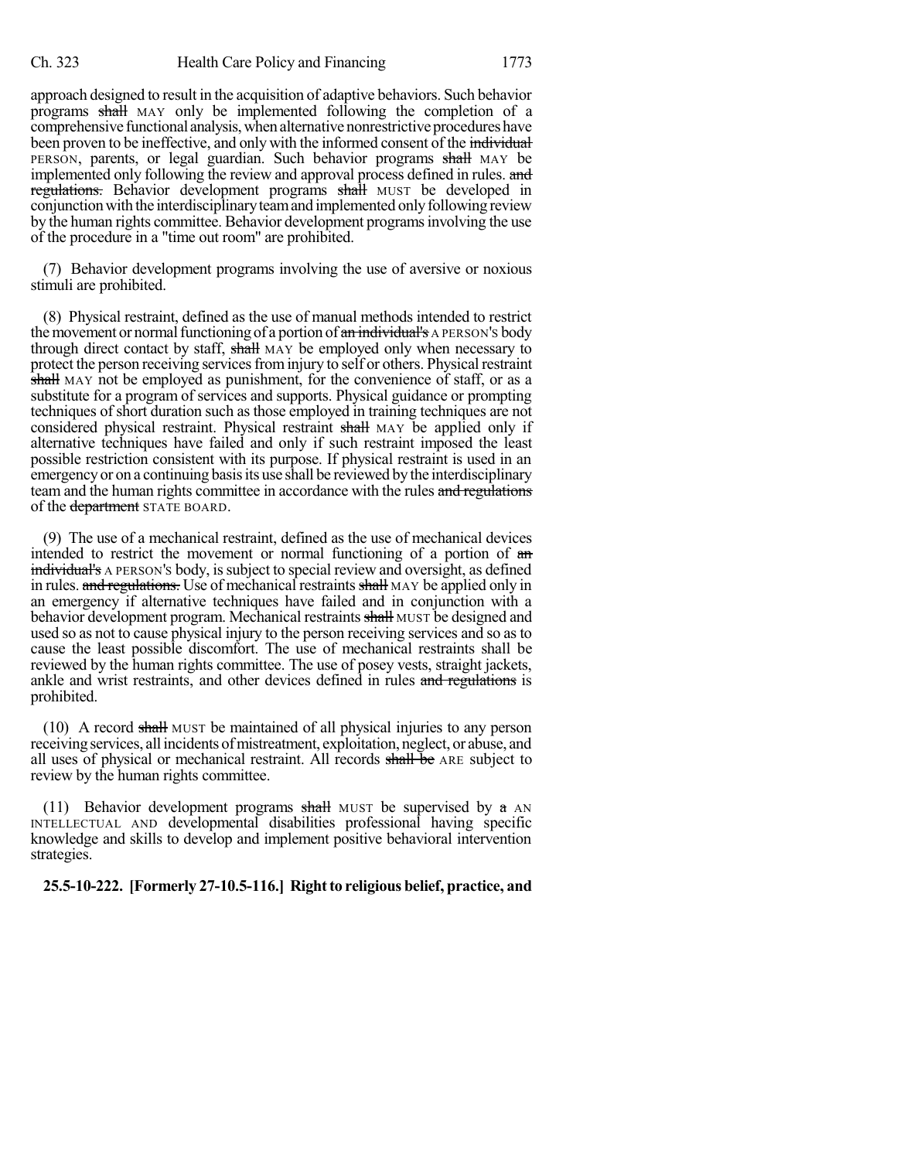approach designed to result in the acquisition of adaptive behaviors. Such behavior programs shall MAY only be implemented following the completion of a comprehensive functional analysis, when alternative nonrestrictive procedures have been proven to be ineffective, and only with the informed consent of the individual PERSON, parents, or legal guardian. Such behavior programs shall MAY be implemented only following the review and approval process defined in rules. and regulations. Behavior development programs shall MUST be developed in conjunction with the interdisciplinary team and implemented only following review by the human rights committee. Behavior development programsinvolving the use of the procedure in a "time out room" are prohibited.

(7) Behavior development programs involving the use of aversive or noxious stimuli are prohibited.

(8) Physical restraint, defined as the use of manual methods intended to restrict the movement or normal functioning of a portion of an individual's A PERSON's body through direct contact by staff, shall MAY be employed only when necessary to protect the person receiving services from injury to self or others. Physical restraint shall MAY not be employed as punishment, for the convenience of staff, or as a substitute for a program of services and supports. Physical guidance or prompting techniques of short duration such as those employed in training techniques are not considered physical restraint. Physical restraint shall MAY be applied only if alternative techniques have failed and only if such restraint imposed the least possible restriction consistent with its purpose. If physical restraint is used in an emergency or on a continuing basis its use shall be reviewed by the interdisciplinary team and the human rights committee in accordance with the rules and regulations of the department STATE BOARD.

(9) The use of a mechanical restraint, defined as the use of mechanical devices intended to restrict the movement or normal functioning of a portion of an individual's A PERSON's body, is subject to special review and oversight, as defined in rules. and regulations. Use of mechanical restraints shall MAY be applied only in an emergency if alternative techniques have failed and in conjunction with a behavior development program. Mechanical restraints shall MUST be designed and used so as not to cause physical injury to the person receiving services and so asto cause the least possible discomfort. The use of mechanical restraints shall be reviewed by the human rights committee. The use of posey vests, straight jackets, ankle and wrist restraints, and other devices defined in rules and regulations is prohibited.

(10) A record shall MUST be maintained of all physical injuries to any person receiving services, allincidents ofmistreatment, exploitation, neglect, or abuse, and all uses of physical or mechanical restraint. All records shall be ARE subject to review by the human rights committee.

(11) Behavior development programs shall MUST be supervised by  $\alpha$  AN INTELLECTUAL AND developmental disabilities professional having specific knowledge and skills to develop and implement positive behavioral intervention strategies.

**25.5-10-222. [Formerly 27-10.5-116.] Rightto religious belief, practice, and**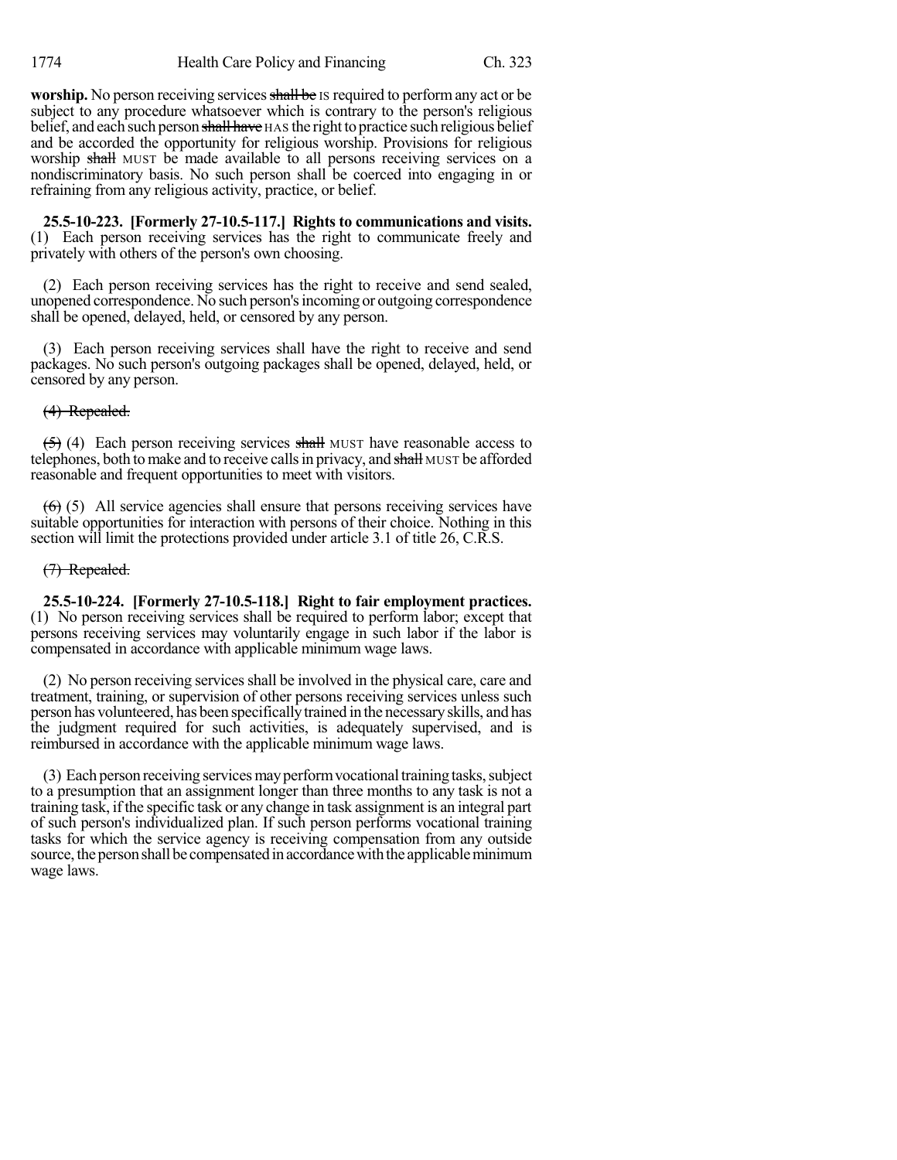**worship.** No person receiving services shall be IS required to perform any act or be subject to any procedure whatsoever which is contrary to the person's religious belief, and each such person shall have HAS the right to practice such religious belief and be accorded the opportunity for religious worship. Provisions for religious worship shall MUST be made available to all persons receiving services on a nondiscriminatory basis. No such person shall be coerced into engaging in or refraining from any religious activity, practice, or belief.

**25.5-10-223. [Formerly 27-10.5-117.] Rights to communications and visits.** (1) Each person receiving services has the right to communicate freely and privately with others of the person's own choosing.

(2) Each person receiving services has the right to receive and send sealed, unopened correspondence. No such person'sincoming or outgoing correspondence shall be opened, delayed, held, or censored by any person.

(3) Each person receiving services shall have the right to receive and send packages. No such person's outgoing packages shall be opened, delayed, held, or censored by any person.

(4) Repealed.

 $(5)$  (4) Each person receiving services shall MUST have reasonable access to telephones, both to make and to receive calls in privacy, and shall MUST be afforded reasonable and frequent opportunities to meet with visitors.

 $(6)$  (5) All service agencies shall ensure that persons receiving services have suitable opportunities for interaction with persons of their choice. Nothing in this section will limit the protections provided under article 3.1 of title 26, C.R.S.

# (7) Repealed.

**25.5-10-224. [Formerly 27-10.5-118.] Right to fair employment practices.** (1) No person receiving services shall be required to perform labor; except that persons receiving services may voluntarily engage in such labor if the labor is compensated in accordance with applicable minimum wage laws.

(2) No person receiving servicesshall be involved in the physical care, care and treatment, training, or supervision of other persons receiving services unless such person has volunteered, has been specificallytrained in the necessaryskills, and has the judgment required for such activities, is adequately supervised, and is reimbursed in accordance with the applicable minimum wage laws.

(3) Each person receiving services may perform vocational training tasks, subject to a presumption that an assignment longer than three months to any task is not a training task, ifthe specific task or any change in task assignment is an integral part of such person's individualized plan. If such person performs vocational training tasks for which the service agency is receiving compensation from any outside source, the person shall be compensated in accordance with the applicable minimum wage laws.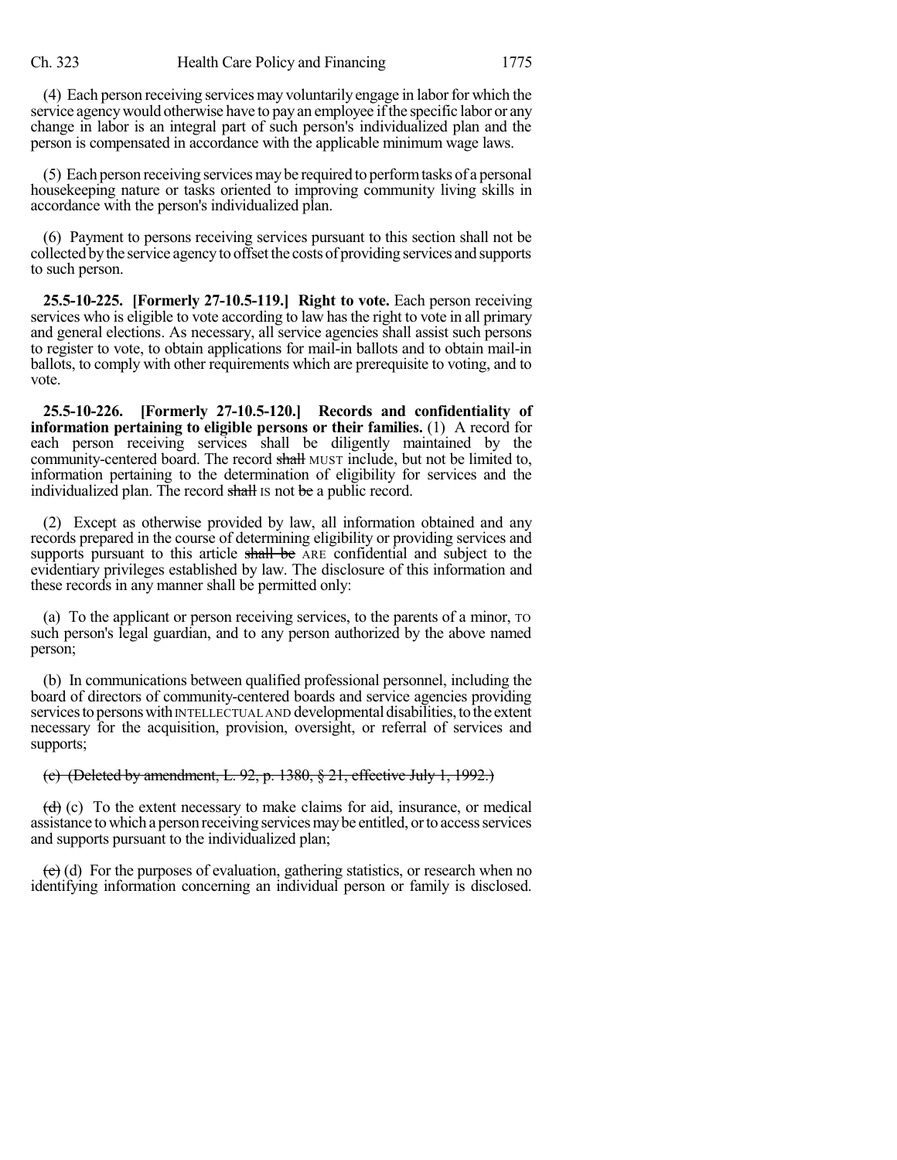(4) Each person receiving services may voluntarily engage in labor for which the service agency would otherwise have to pay an employee if the specific labor or any change in labor is an integral part of such person's individualized plan and the person is compensated in accordance with the applicable minimum wage laws.

(5) Each person receiving servicesmaybe required to performtasks of a personal housekeeping nature or tasks oriented to improving community living skills in accordance with the person's individualized plan.

(6) Payment to persons receiving services pursuant to this section shall not be collected bythe service agencyto offset the costs of providing services and supports to such person.

**25.5-10-225. [Formerly 27-10.5-119.] Right to vote.** Each person receiving services who is eligible to vote according to law hasthe right to vote in all primary and general elections. As necessary, all service agencies shall assist such persons to register to vote, to obtain applications for mail-in ballots and to obtain mail-in ballots, to comply with other requirements which are prerequisite to voting, and to vote.

**25.5-10-226. [Formerly 27-10.5-120.] Records and confidentiality of information pertaining to eligible persons or their families.** (1) A record for each person receiving services shall be diligently maintained by the community-centered board. The record shall MUST include, but not be limited to, information pertaining to the determination of eligibility for services and the individualized plan. The record shall is not be a public record.

(2) Except as otherwise provided by law, all information obtained and any records prepared in the course of determining eligibility or providing services and supports pursuant to this article shall be ARE confidential and subject to the evidentiary privileges established by law. The disclosure of this information and these records in any manner shall be permitted only:

(a) To the applicant or person receiving services, to the parents of a minor, TO such person's legal guardian, and to any person authorized by the above named person;

(b) In communications between qualified professional personnel, including the board of directors of community-centered boards and service agencies providing services to persons with INTELLECTUAL AND developmental disabilities, to the extent necessary for the acquisition, provision, oversight, or referral of services and supports;

#### (c) (Deleted by amendment, L. 92, p. 1380, § 21, effective July 1, 1992.)

 $(d)$  (c) To the extent necessary to make claims for aid, insurance, or medical assistance to which a person receiving services may be entitled, or to access services and supports pursuant to the individualized plan;

 $(e)$  (d) For the purposes of evaluation, gathering statistics, or research when no identifying information concerning an individual person or family is disclosed.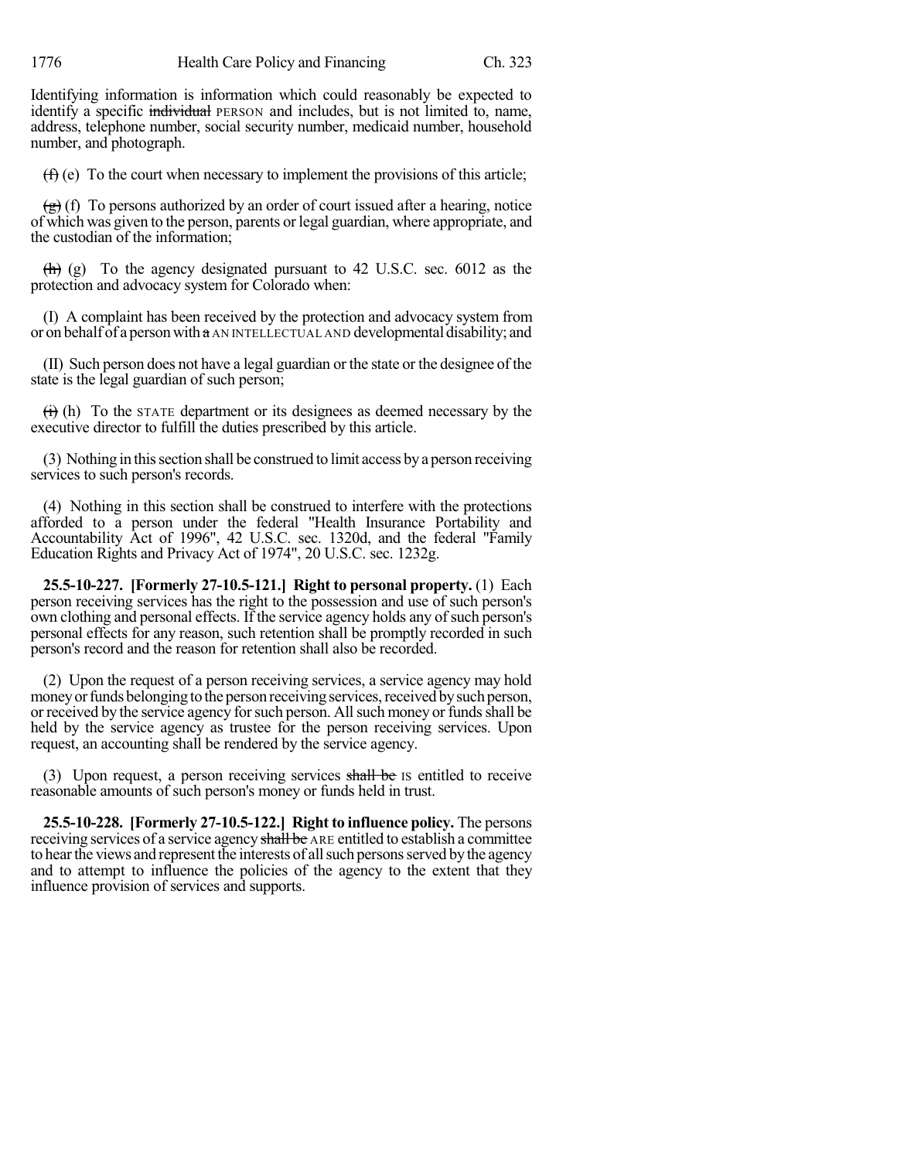Identifying information is information which could reasonably be expected to identify a specific individual PERSON and includes, but is not limited to, name, address, telephone number, social security number, medicaid number, household number, and photograph.

 $(f)$  (e) To the court when necessary to implement the provisions of this article;

 $(g)$  (f) To persons authorized by an order of court issued after a hearing, notice of which was given to the person, parents or legal guardian, where appropriate, and the custodian of the information;

 $\langle h \rangle$  (g) To the agency designated pursuant to 42 U.S.C. sec. 6012 as the protection and advocacy system for Colorado when:

(I) A complaint has been received by the protection and advocacy system from or on behalf of a person with  $\alpha$  AN INTELLECTUAL AND developmental disability; and

(II) Such person does not have a legal guardian or the state or the designee of the state is the legal guardian of such person;

 $\overrightarrow{(t)}$  (h) To the STATE department or its designees as deemed necessary by the executive director to fulfill the duties prescribed by this article.

(3) Nothing in thissection shall be construed to limit access bya person receiving services to such person's records.

(4) Nothing in this section shall be construed to interfere with the protections afforded to a person under the federal "Health Insurance Portability and Accountability Act of 1996", 42 U.S.C. sec. 1320d, and the federal "Family Education Rights and Privacy Act of 1974", 20 U.S.C. sec. 1232g.

**25.5-10-227. [Formerly 27-10.5-121.] Right to personal property.** (1) Each person receiving services has the right to the possession and use of such person's own clothing and personal effects. If the service agency holds any of such person's personal effects for any reason, such retention shall be promptly recorded in such person's record and the reason for retention shall also be recorded.

(2) Upon the request of a person receiving services, a service agency may hold money or funds belonging to the person receiving services, received by such person, or received by the service agency for such person. All such money or funds shall be held by the service agency as trustee for the person receiving services. Upon request, an accounting shall be rendered by the service agency.

(3) Upon request, a person receiving services shall be Is entitled to receive reasonable amounts of such person's money or funds held in trust.

**25.5-10-228. [Formerly 27-10.5-122.] Right to influence policy.** The persons receiving services of a service agency shall be ARE entitled to establish a committee to hear the views and represent the interests of all such persons served by the agency and to attempt to influence the policies of the agency to the extent that they influence provision of services and supports.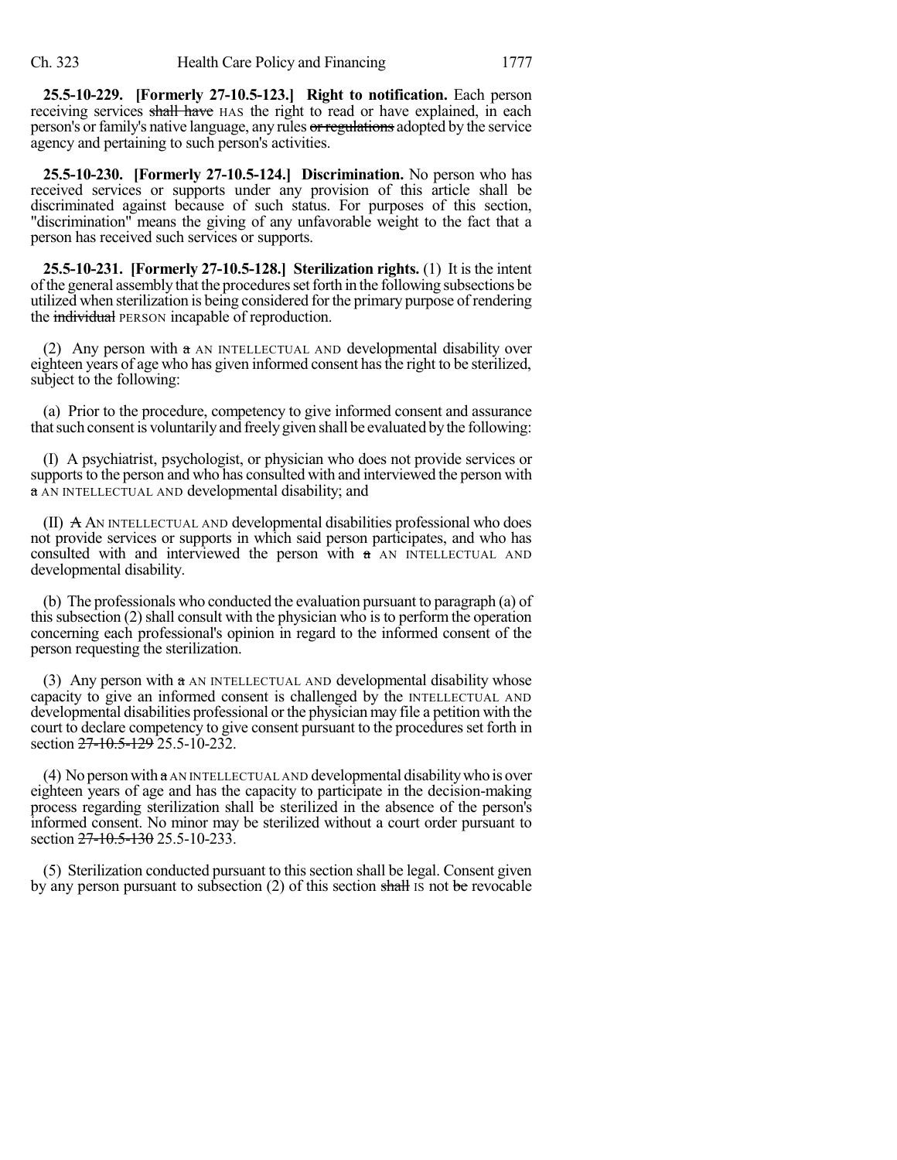**25.5-10-229. [Formerly 27-10.5-123.] Right to notification.** Each person receiving services shall have HAS the right to read or have explained, in each person's or family's native language, any rules or regulations adopted by the service agency and pertaining to such person's activities.

**25.5-10-230. [Formerly 27-10.5-124.] Discrimination.** No person who has received services or supports under any provision of this article shall be discriminated against because of such status. For purposes of this section, "discrimination" means the giving of any unfavorable weight to the fact that a person has received such services or supports.

**25.5-10-231. [Formerly 27-10.5-128.] Sterilization rights.** (1) It is the intent ofthe general assembly that the proceduressetforth in the following subsections be utilized when sterilization is being considered forthe primary purpose of rendering the individual PERSON incapable of reproduction.

(2) Any person with a AN INTELLECTUAL AND developmental disability over eighteen years of age who has given informed consent hasthe right to be sterilized, subject to the following:

(a) Prior to the procedure, competency to give informed consent and assurance that such consent is voluntarily and freely given shall be evaluated by the following:

(I) A psychiatrist, psychologist, or physician who does not provide services or supports to the person and who has consulted with and interviewed the person with a AN INTELLECTUAL AND developmental disability; and

(II) A AN INTELLECTUAL AND developmental disabilities professional who does not provide services or supports in which said person participates, and who has consulted with and interviewed the person with  $\alpha$  AN INTELLECTUAL AND developmental disability.

(b) The professionals who conducted the evaluation pursuant to paragraph (a) of this subsection  $(2)$  shall consult with the physician who is to perform the operation concerning each professional's opinion in regard to the informed consent of the person requesting the sterilization.

(3) Any person with  $a$  AN INTELLECTUAL AND developmental disability whose capacity to give an informed consent is challenged by the INTELLECTUAL AND developmental disabilities professional or the physician may file a petition with the court to declare competency to give consent pursuant to the procedures set forth in section 27-10.5-129 25.5-10-232.

(4) No person with  $\alpha$  AN INTELLECTUAL AND developmental disability who is over eighteen years of age and has the capacity to participate in the decision-making process regarding sterilization shall be sterilized in the absence of the person's informed consent. No minor may be sterilized without a court order pursuant to section 27-10.5-130 25.5-10-233.

(5) Sterilization conducted pursuant to this section shall be legal. Consent given by any person pursuant to subsection  $(2)$  of this section shall is not be revocable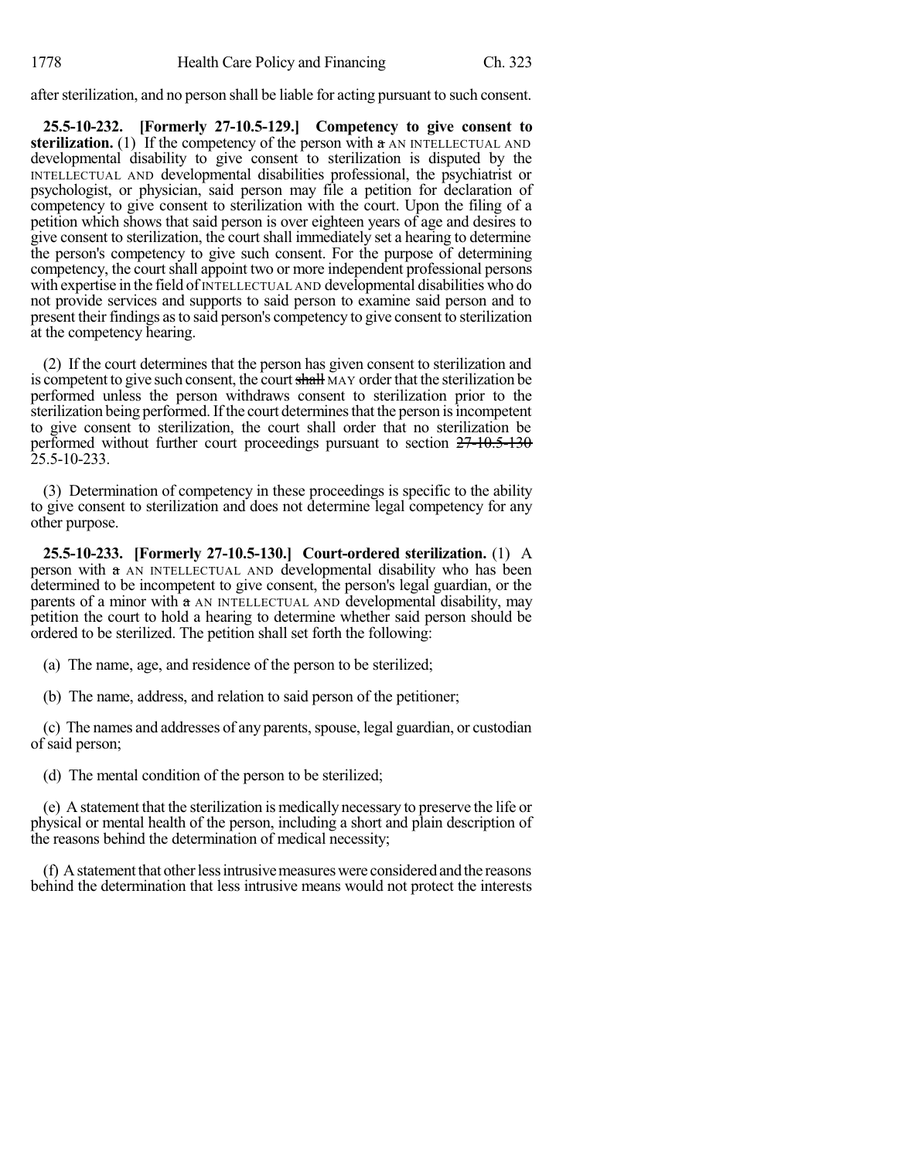after sterilization, and no person shall be liable for acting pursuant to such consent.

**25.5-10-232. [Formerly 27-10.5-129.] Competency to give consent to sterilization.** (1) If the competency of the person with  $a$  AN INTELLECTUAL AND developmental disability to give consent to sterilization is disputed by the INTELLECTUAL AND developmental disabilities professional, the psychiatrist or psychologist, or physician, said person may file a petition for declaration of competency to give consent to sterilization with the court. Upon the filing of a petition which shows that said person is over eighteen years of age and desires to give consent to sterilization, the court shall immediately set a hearing to determine the person's competency to give such consent. For the purpose of determining competency, the court shall appoint two or more independent professional persons with expertise in the field of INTELLECTUAL AND developmental disabilities who do not provide services and supports to said person to examine said person and to present their findings asto said person's competency to give consent to sterilization at the competency hearing.

(2) If the court determines that the person has given consent to sterilization and is competent to give such consent, the court shall MAY order that the sterilization be performed unless the person withdraws consent to sterilization prior to the sterilization being performed. If the court determines that the person is incompetent to give consent to sterilization, the court shall order that no sterilization be performed without further court proceedings pursuant to section  $27 - 10.5 - 130$ 25.5-10-233.

(3) Determination of competency in these proceedings is specific to the ability to give consent to sterilization and does not determine legal competency for any other purpose.

**25.5-10-233. [Formerly 27-10.5-130.] Court-ordered sterilization.** (1) A person with  $\alpha$  AN INTELLECTUAL AND developmental disability who has been determined to be incompetent to give consent, the person's legal guardian, or the parents of a minor with  $\alpha$  AN INTELLECTUAL AND developmental disability, may petition the court to hold a hearing to determine whether said person should be ordered to be sterilized. The petition shall set forth the following:

(a) The name, age, and residence of the person to be sterilized;

(b) The name, address, and relation to said person of the petitioner;

(c) The names and addresses of any parents, spouse, legal guardian, or custodian of said person;

(d) The mental condition of the person to be sterilized;

(e) A statement that the sterilization is medically necessary to preserve the life or physical or mental health of the person, including a short and plain description of the reasons behind the determination of medical necessity;

(f) A statement that other less intrusive measures were considered and the reasons behind the determination that less intrusive means would not protect the interests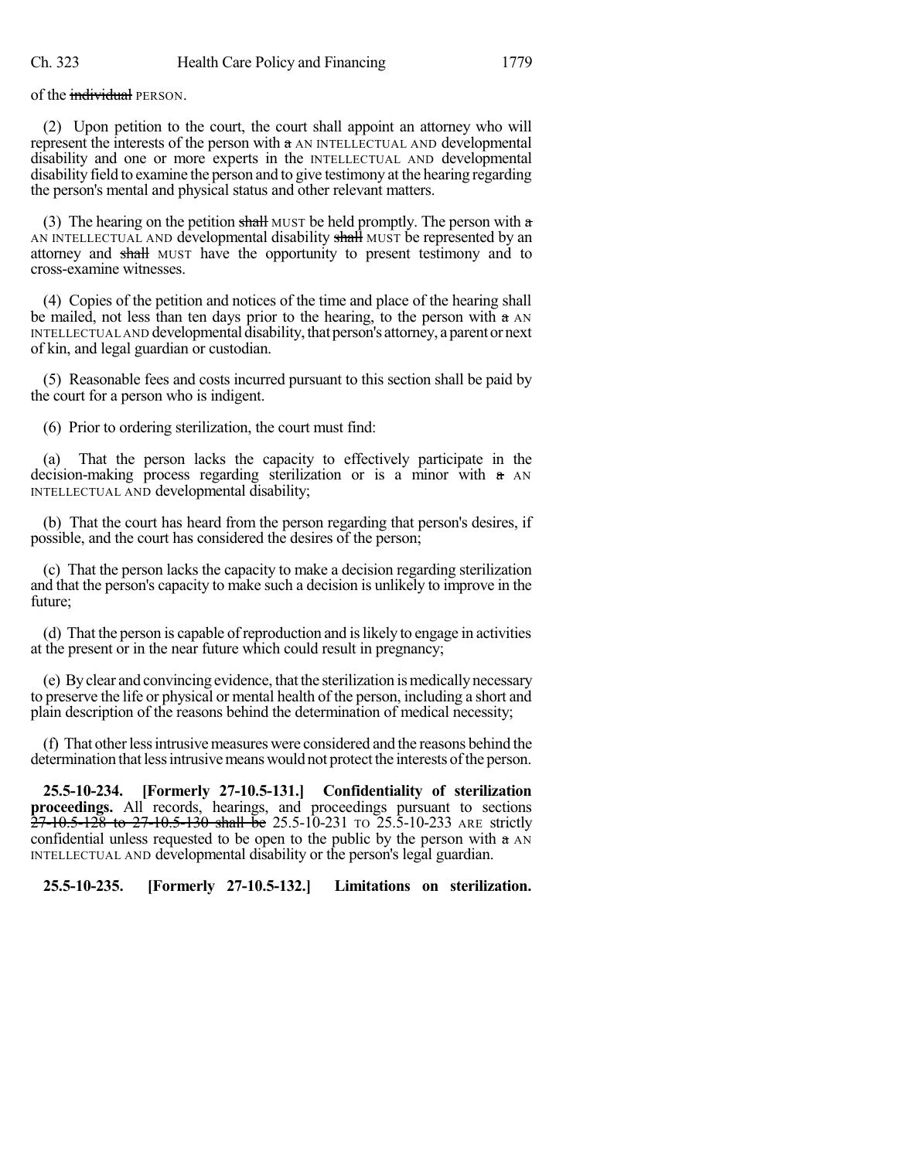of the *individual* PERSON.

(2) Upon petition to the court, the court shall appoint an attorney who will represent the interests of the person with a AN INTELLECTUAL AND developmental disability and one or more experts in the INTELLECTUAL AND developmental disability field to examine the person and to give testimony at the hearing regarding the person's mental and physical status and other relevant matters.

(3) The hearing on the petition shall MUST be held promptly. The person with a AN INTELLECTUAL AND developmental disability shall MUST be represented by an attorney and shall MUST have the opportunity to present testimony and to cross-examine witnesses.

(4) Copies of the petition and notices of the time and place of the hearing shall be mailed, not less than ten days prior to the hearing, to the person with  $\alpha$  AN INTELLECTUAL AND developmental disability, that person's attorney, a parent or next of kin, and legal guardian or custodian.

(5) Reasonable fees and costs incurred pursuant to this section shall be paid by the court for a person who is indigent.

(6) Prior to ordering sterilization, the court must find:

That the person lacks the capacity to effectively participate in the decision-making process regarding sterilization or is a minor with a AN INTELLECTUAL AND developmental disability;

(b) That the court has heard from the person regarding that person's desires, if possible, and the court has considered the desires of the person;

(c) That the person lacks the capacity to make a decision regarding sterilization and that the person's capacity to make such a decision is unlikely to improve in the future;

(d) That the person is capable ofreproduction and islikely to engage in activities at the present or in the near future which could result in pregnancy;

(e) Byclear and convincing evidence, thatthe sterilization ismedicallynecessary to preserve the life or physical or mental health of the person, including a short and plain description of the reasons behind the determination of medical necessity;

(f) That other less intrusive measures were considered and the reasons behind the determination that less intrusive means would not protect the interests of the person.

**25.5-10-234. [Formerly 27-10.5-131.] Confidentiality of sterilization proceedings.** All records, hearings, and proceedings pursuant to sections  $27-10.5-128$  to  $27-10.5-130$  shall be 25.5-10-231 TO 25.5-10-233 ARE strictly confidential unless requested to be open to the public by the person with a AN INTELLECTUAL AND developmental disability or the person's legal guardian.

**25.5-10-235. [Formerly 27-10.5-132.] Limitations on sterilization.**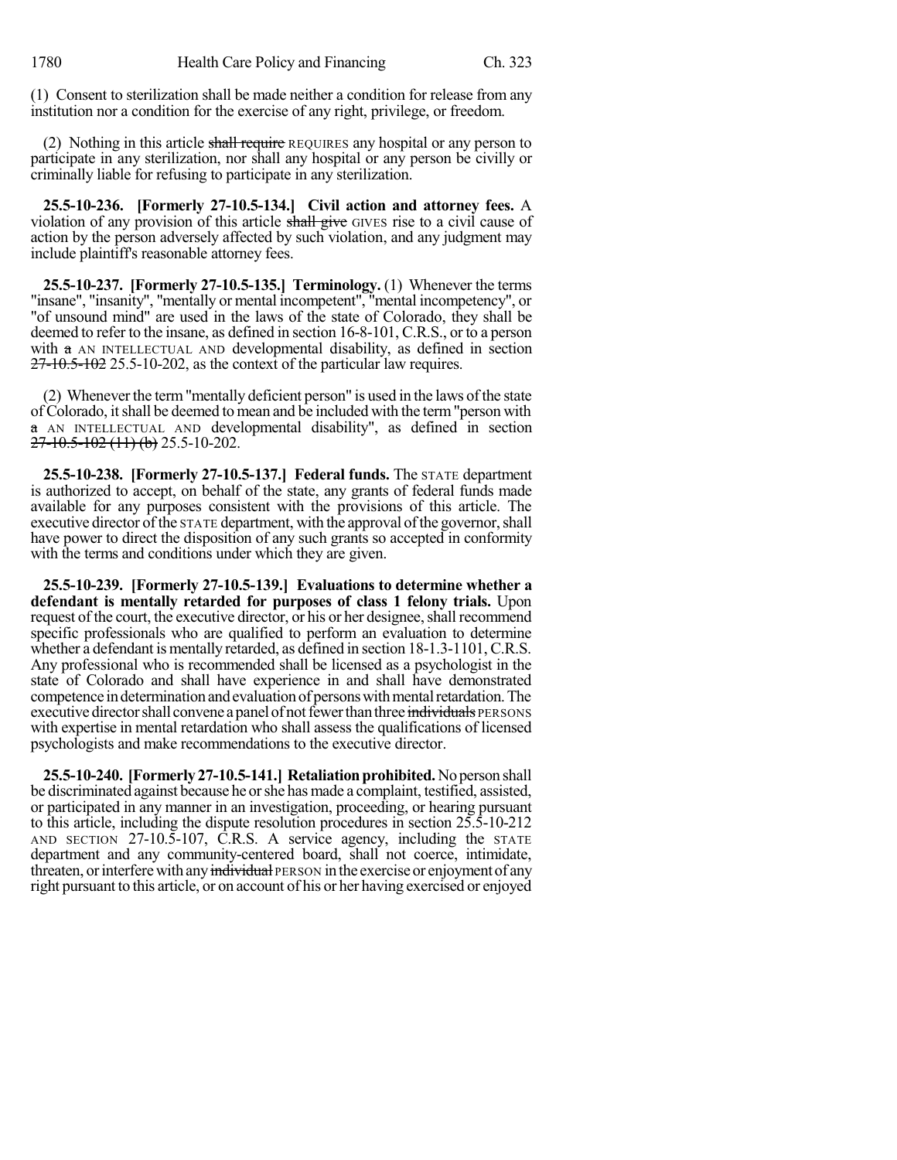(1) Consent to sterilization shall be made neither a condition for release from any institution nor a condition for the exercise of any right, privilege, or freedom.

(2) Nothing in this article shall require REQUIRES any hospital or any person to participate in any sterilization, nor shall any hospital or any person be civilly or criminally liable for refusing to participate in any sterilization.

**25.5-10-236. [Formerly 27-10.5-134.] Civil action and attorney fees.** A violation of any provision of this article shall give GIVES rise to a civil cause of action by the person adversely affected by such violation, and any judgment may include plaintiff's reasonable attorney fees.

**25.5-10-237. [Formerly 27-10.5-135.] Terminology.** (1) Whenever the terms "insane", "insanity", "mentally or mental incompetent", "mental incompetency", or "of unsound mind" are used in the laws of the state of Colorado, they shall be deemed to refer to the insane, as defined in section 16-8-101, C.R.S., or to a person with a AN INTELLECTUAL AND developmental disability, as defined in section 27-10.5-102 25.5-10-202, as the context of the particular law requires.

(2) Whenever the term "mentally deficient person" is used in the laws of the state of Colorado, itshall be deemed to mean and be included with the term"person with a AN INTELLECTUAL AND developmental disability", as defined in section 27-10.5-102 (11) (b) 25.5-10-202.

**25.5-10-238. [Formerly 27-10.5-137.] Federal funds.** The STATE department is authorized to accept, on behalf of the state, any grants of federal funds made available for any purposes consistent with the provisions of this article. The executive director of the STATE department, with the approval of the governor, shall have power to direct the disposition of any such grants so accepted in conformity with the terms and conditions under which they are given.

**25.5-10-239. [Formerly 27-10.5-139.] Evaluations to determine whether a defendant is mentally retarded for purposes of class 1 felony trials.** Upon request of the court, the executive director, or his or her designee, shall recommend specific professionals who are qualified to perform an evaluation to determine whether a defendant is mentally retarded, as defined in section 18-1.3-1101, C.R.S. Any professional who is recommended shall be licensed as a psychologist in the state of Colorado and shall have experience in and shall have demonstrated competence in determination and evaluation of persons with mental retardation. The executive director shall convene a panel of not fewer than three individuals PERSONS with expertise in mental retardation who shall assess the qualifications of licensed psychologists and make recommendations to the executive director.

**25.5-10-240. [Formerly 27-10.5-141.] Retaliationprohibited.**Noperson shall be discriminated against because he orshe has made a complaint, testified, assisted, or participated in any manner in an investigation, proceeding, or hearing pursuant to this article, including the dispute resolution procedures in section 25.5-10-212 AND SECTION 27-10.5-107, C.R.S. A service agency, including the STATE department and any community-centered board, shall not coerce, intimidate, threaten, or interfere with any individual PERSON in the exercise or enjoyment of any right pursuant to this article, or on account of his or her having exercised or enjoyed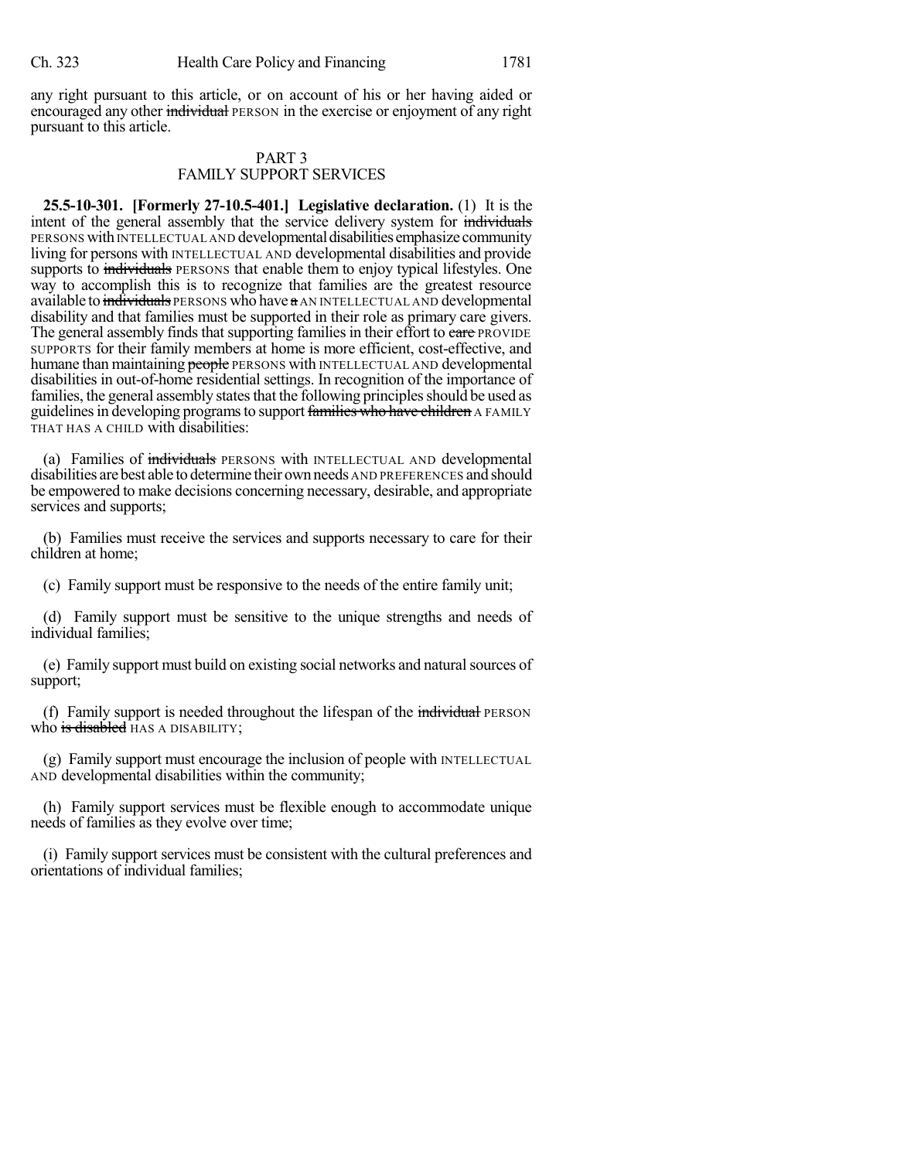any right pursuant to this article, or on account of his or her having aided or encouraged any other individual PERSON in the exercise or enjoyment of any right pursuant to this article.

## PART 3 FAMILY SUPPORT SERVICES

**25.5-10-301. [Formerly 27-10.5-401.] Legislative declaration.** (1) It is the intent of the general assembly that the service delivery system for individuals PERSONS with INTELLECTUAL AND developmental disabilities emphasize community living for persons with INTELLECTUAL AND developmental disabilities and provide supports to individuals PERSONS that enable them to enjoy typical lifestyles. One way to accomplish this is to recognize that families are the greatest resource available to individuals PERSONS who have a AN INTELLECTUAL AND developmental disability and that families must be supported in their role as primary care givers. The general assembly finds that supporting families in their effort to care PROVIDE SUPPORTS for their family members at home is more efficient, cost-effective, and humane than maintaining people PERSONS with INTELLECTUAL AND developmental disabilities in out-of-home residential settings. In recognition of the importance of families, the general assembly states that the following principles should be used as guidelines in developing programs to support families who have children A FAMILY THAT HAS A CHILD with disabilities:

(a) Families of individuals PERSONS with INTELLECTUAL AND developmental disabilities arebest able to determine their own needs AND PREFERENCES and should be empowered to make decisions concerning necessary, desirable, and appropriate services and supports;

(b) Families must receive the services and supports necessary to care for their children at home;

(c) Family support must be responsive to the needs of the entire family unit;

(d) Family support must be sensitive to the unique strengths and needs of individual families;

(e) Family support must build on existing social networks and naturalsources of support;

(f) Family support is needed throughout the lifespan of the individual PERSON who is disabled HAS A DISABILITY;

(g) Family support must encourage the inclusion of people with INTELLECTUAL AND developmental disabilities within the community;

(h) Family support services must be flexible enough to accommodate unique needs of families as they evolve over time;

(i) Family support services must be consistent with the cultural preferences and orientations of individual families;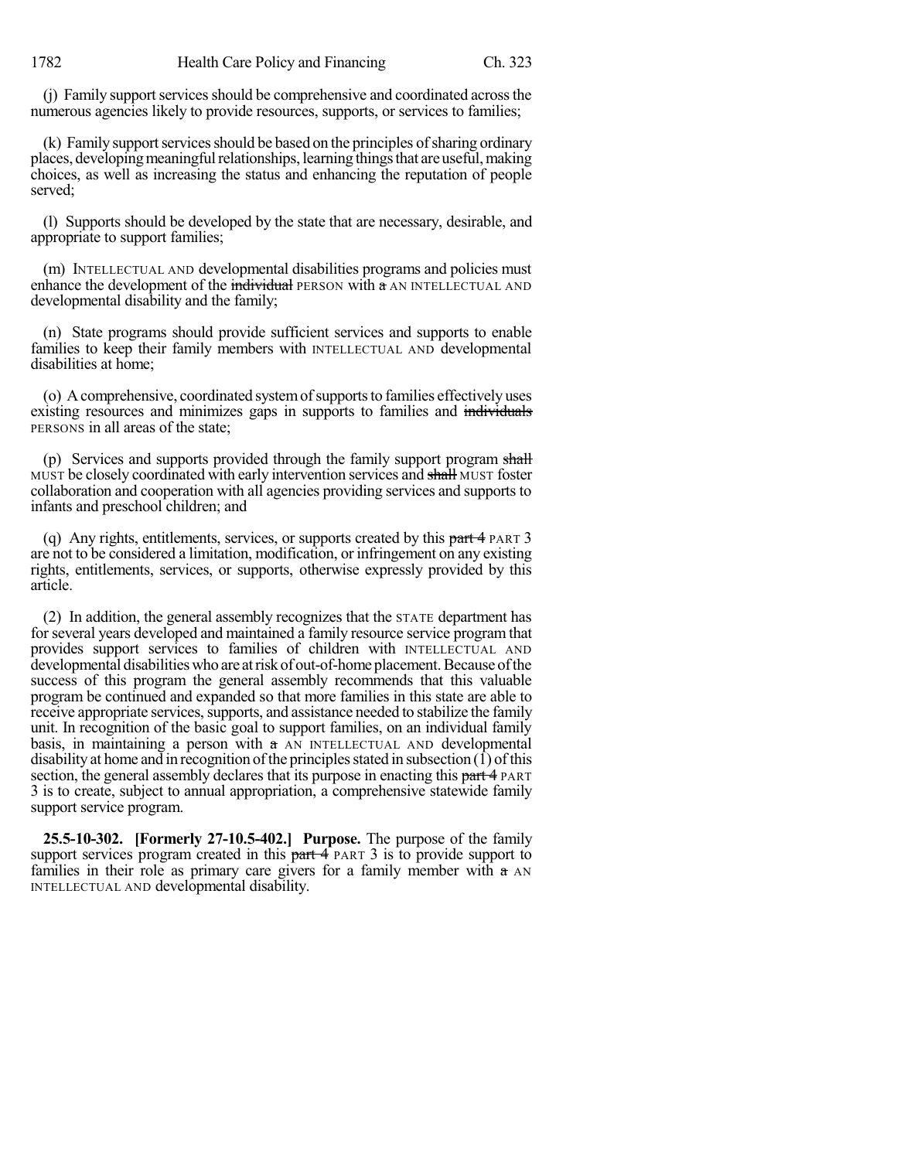(i) Family support services should be comprehensive and coordinated across the numerous agencies likely to provide resources, supports, or services to families;

(k) Family support services should be based on the principles of sharing ordinary places, developing meaningful relationships, learning things that are useful, making choices, as well as increasing the status and enhancing the reputation of people served;

(l) Supports should be developed by the state that are necessary, desirable, and appropriate to support families;

(m) INTELLECTUAL AND developmental disabilities programs and policies must enhance the development of the  $\frac{1}{2}$  individual PERSON with a AN INTELLECTUAL AND developmental disability and the family;

(n) State programs should provide sufficient services and supports to enable families to keep their family members with INTELLECTUAL AND developmental disabilities at home;

(o) Acomprehensive, coordinated systemofsupportsto families effectively uses existing resources and minimizes gaps in supports to families and individuals PERSONS in all areas of the state;

(p) Services and supports provided through the family support program shall MUST be closely coordinated with early intervention services and shall MUST foster collaboration and cooperation with all agencies providing services and supports to infants and preschool children; and

(q) Any rights, entitlements, services, or supports created by this part 4 PART 3 are not to be considered a limitation, modification, or infringement on any existing rights, entitlements, services, or supports, otherwise expressly provided by this article.

(2) In addition, the general assembly recognizes that the STATE department has for several years developed and maintained a family resource service program that provides support services to families of children with INTELLECTUAL AND developmental disabilities who are at risk of out-of-home placement. Because of the success of this program the general assembly recommends that this valuable program be continued and expanded so that more families in this state are able to receive appropriate services, supports, and assistance needed to stabilize the family unit. In recognition of the basic goal to support families, on an individual family basis, in maintaining a person with a AN INTELLECTUAL AND developmental disability at home and in recognition of the principles stated in subsection  $(1)$  of this section, the general assembly declares that its purpose in enacting this part 4 PART 3 is to create, subject to annual appropriation, a comprehensive statewide family support service program.

**25.5-10-302. [Formerly 27-10.5-402.] Purpose.** The purpose of the family support services program created in this  $part 4$  PART 3 is to provide support to families in their role as primary care givers for a family member with  $a$  AN INTELLECTUAL AND developmental disability.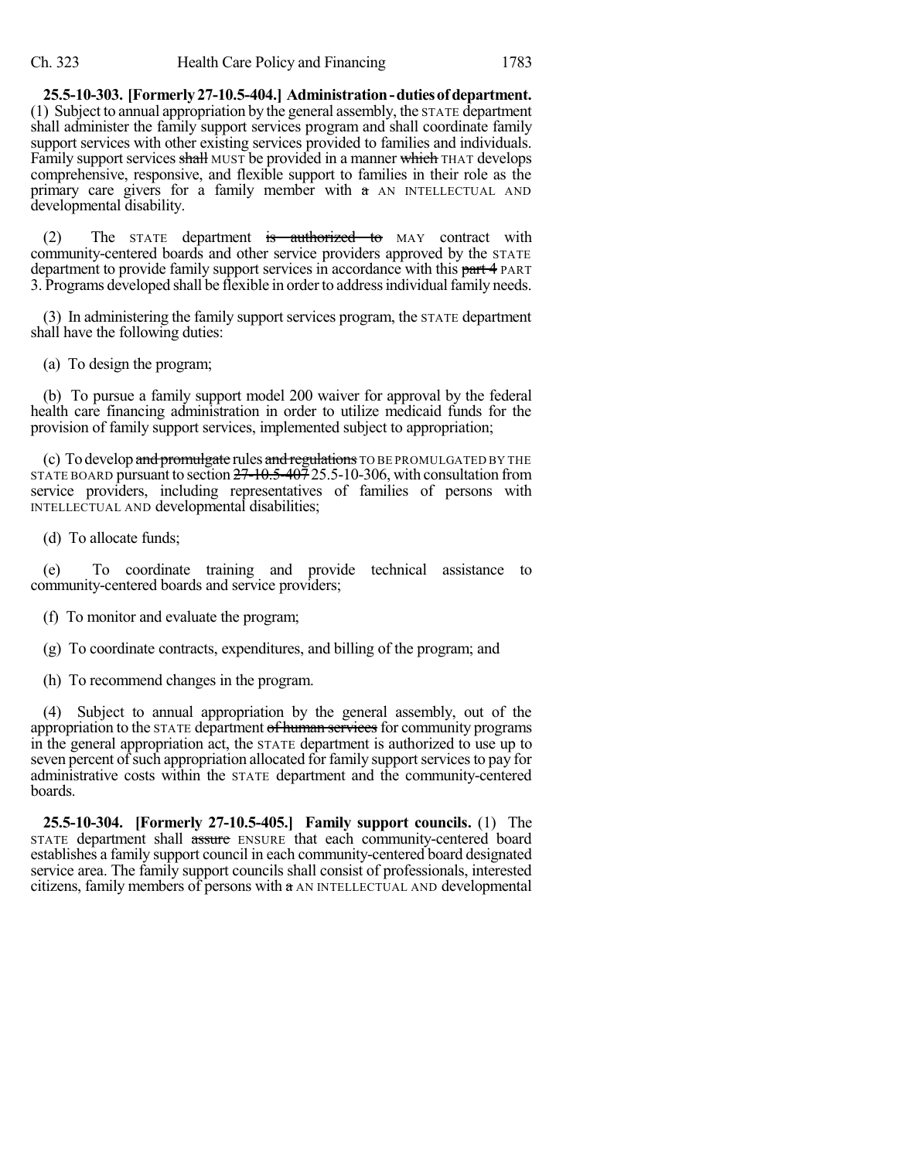**25.5-10-303. [Formerly27-10.5-404.] Administration-dutiesofdepartment.** (1) Subject to annual appropriation by the general assembly, the STATE department shall administer the family support services program and shall coordinate family support services with other existing services provided to families and individuals. Family support services shall MUST be provided in a manner which THAT develops comprehensive, responsive, and flexible support to families in their role as the primary care givers for a family member with a AN INTELLECTUAL AND developmental disability.

(2) The STATE department is authorized to MAY contract with community-centered boards and other service providers approved by the STATE department to provide family support services in accordance with this part 4 PART 3. Programs developed shall be flexible in order to address individual family needs.

(3) In administering the family support services program, the STATE department shall have the following duties:

(a) To design the program;

(b) To pursue a family support model 200 waiver for approval by the federal health care financing administration in order to utilize medicaid funds for the provision of family support services, implemented subject to appropriation;

(c) To develop and promulgate rules and regulations TO BE PROMULGATED BY THE STATE BOARD pursuant to section  $27 - 10.5 - 407$  25.5-10-306, with consultation from service providers, including representatives of families of persons with INTELLECTUAL AND developmental disabilities;

(d) To allocate funds;

(e) To coordinate training and provide technical assistance to community-centered boards and service providers;

(f) To monitor and evaluate the program;

(g) To coordinate contracts, expenditures, and billing of the program; and

(h) To recommend changes in the program.

(4) Subject to annual appropriation by the general assembly, out of the appropriation to the STATE department of human services for community programs in the general appropriation act, the STATE department is authorized to use up to seven percent of such appropriation allocated for family support services to pay for administrative costs within the STATE department and the community-centered boards.

**25.5-10-304. [Formerly 27-10.5-405.] Family support councils.** (1) The STATE department shall assure ENSURE that each community-centered board establishes a family support council in each community-centered board designated service area. The family support councils shall consist of professionals, interested citizens, family members of persons with a AN INTELLECTUAL AND developmental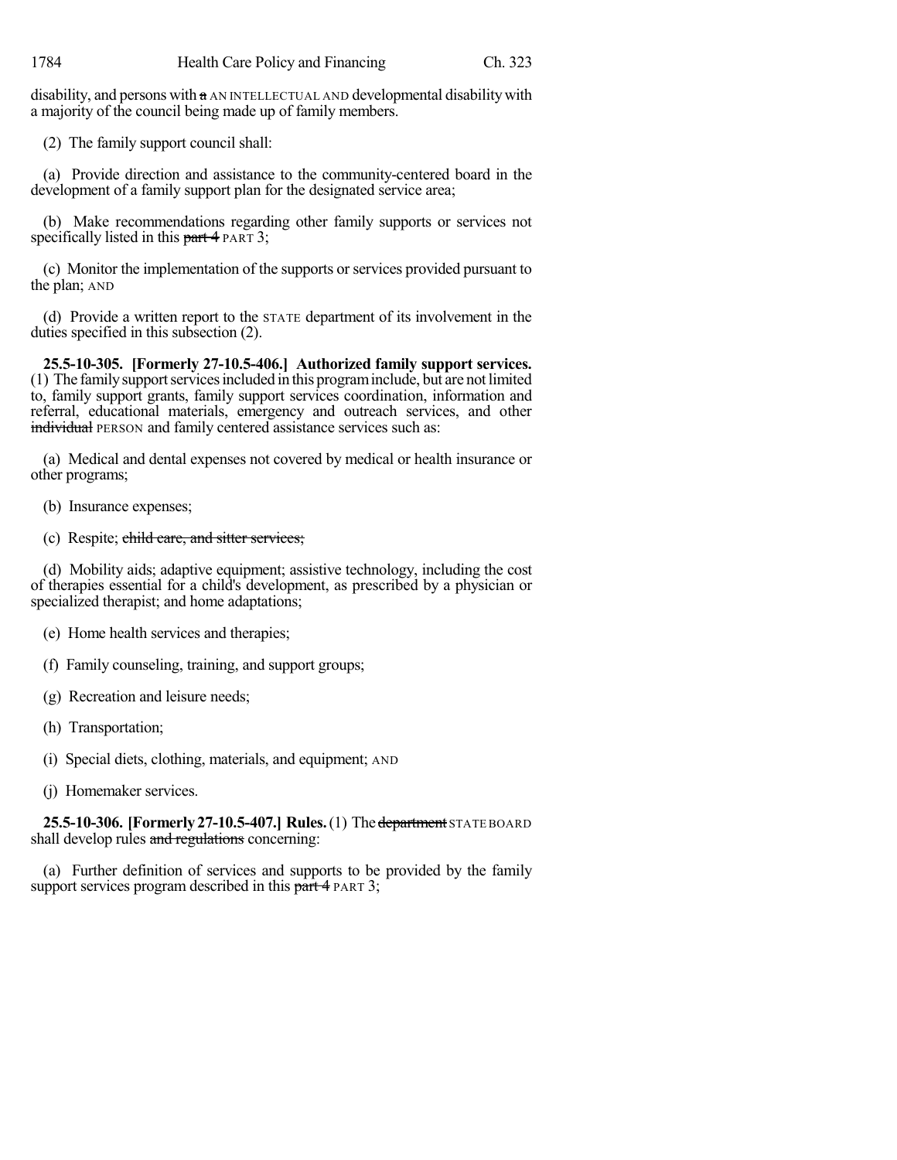disability, and persons with a AN INTELLECTUAL AND developmental disabilitywith a majority of the council being made up of family members.

(2) The family support council shall:

(a) Provide direction and assistance to the community-centered board in the development of a family support plan for the designated service area;

(b) Make recommendations regarding other family supports or services not specifically listed in this part 4 PART 3;

(c) Monitor the implementation of the supports orservices provided pursuant to the plan; AND

(d) Provide a written report to the STATE department of its involvement in the duties specified in this subsection (2).

**25.5-10-305. [Formerly 27-10.5-406.] Authorized family support services.** (1) The familysupportservicesincluded in this programinclude, but are notlimited to, family support grants, family support services coordination, information and referral, educational materials, emergency and outreach services, and other individual PERSON and family centered assistance services such as:

(a) Medical and dental expenses not covered by medical or health insurance or other programs;

- (b) Insurance expenses;
- (c) Respite; child care, and sitter services;

(d) Mobility aids; adaptive equipment; assistive technology, including the cost of therapies essential for a child's development, as prescribed by a physician or specialized therapist; and home adaptations;

- (e) Home health services and therapies;
- (f) Family counseling, training, and support groups;
- (g) Recreation and leisure needs;
- (h) Transportation;
- (i) Special diets, clothing, materials, and equipment; AND
- (j) Homemaker services.

**25.5-10-306. [Formerly27-10.5-407.] Rules.**(1) Thedepartment STATE BOARD shall develop rules and regulations concerning:

(a) Further definition of services and supports to be provided by the family support services program described in this part 4 PART 3;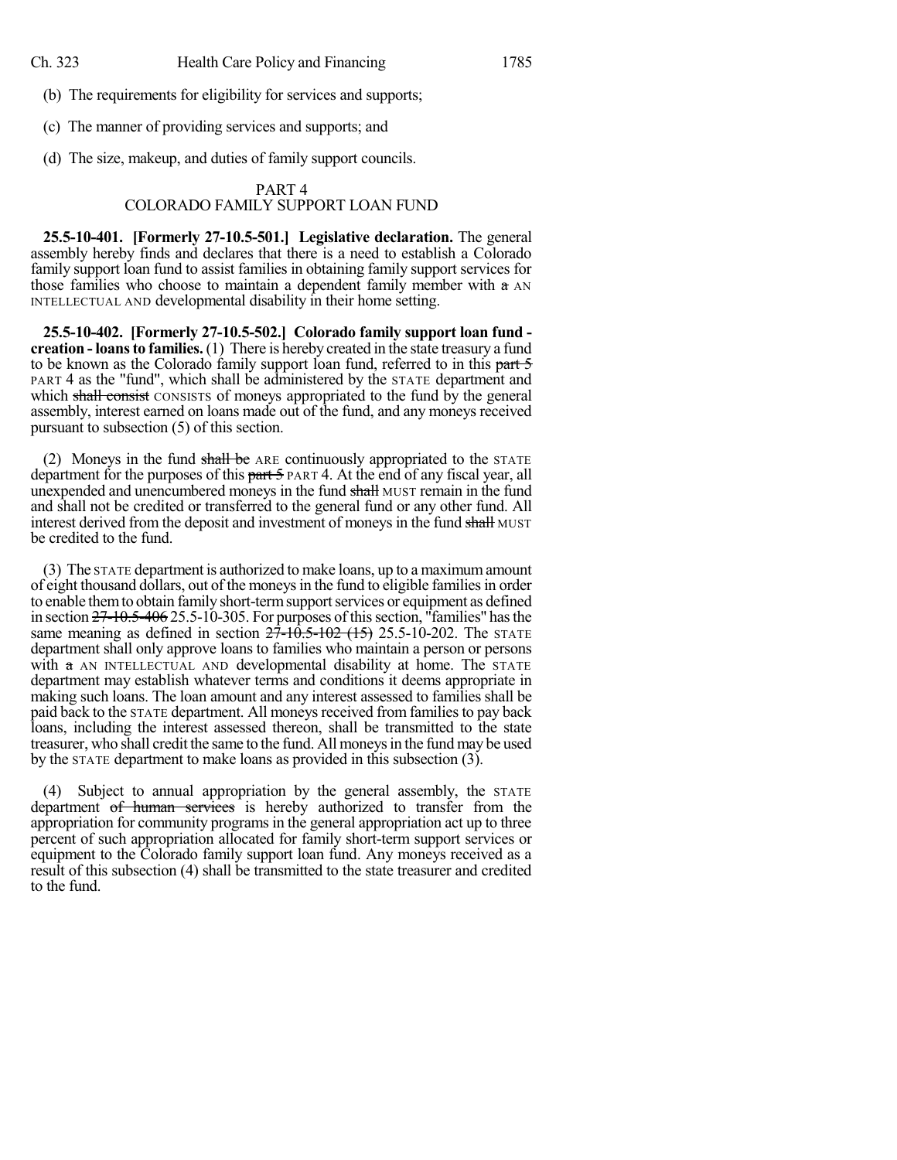(b) The requirements for eligibility for services and supports;

(c) The manner of providing services and supports; and

(d) The size, makeup, and duties of family support councils.

## PART 4 COLORADO FAMILY SUPPORT LOAN FUND

**25.5-10-401. [Formerly 27-10.5-501.] Legislative declaration.** The general assembly hereby finds and declares that there is a need to establish a Colorado family support loan fund to assist families in obtaining family support services for those families who choose to maintain a dependent family member with a AN INTELLECTUAL AND developmental disability in their home setting.

**25.5-10-402. [Formerly 27-10.5-502.] Colorado family support loan fund creation - loansto families.** (1) There is hereby created in the state treasury a fund to be known as the Colorado family support loan fund, referred to in this part 5 PART 4 as the "fund", which shall be administered by the STATE department and which shall consist CONSISTS of moneys appropriated to the fund by the general assembly, interest earned on loans made out of the fund, and any moneys received pursuant to subsection (5) of this section.

(2) Moneys in the fund shall be ARE continuously appropriated to the STATE department for the purposes of this part 5 PART 4. At the end of any fiscal year, all unexpended and unencumbered moneys in the fund shall MUST remain in the fund and shall not be credited or transferred to the general fund or any other fund. All interest derived from the deposit and investment of moneys in the fund shall MUST be credited to the fund.

(3) The STATE department is authorized to make loans, up to a maximumamount of eight thousand dollars, out of the moneysin the fund to eligible familiesin order to enable them to obtain family short-term support services or equipment as defined in section 27-10.5-406 25.5-10-305. For purposes of this section, "families" has the same meaning as defined in section  $27 - 10.5 - 102$  (15) 25.5-10-202. The STATE department shall only approve loans to families who maintain a person or persons with a AN INTELLECTUAL AND developmental disability at home. The STATE department may establish whatever terms and conditions it deems appropriate in making such loans. The loan amount and any interest assessed to families shall be paid back to the STATE department. All moneys received from families to pay back loans, including the interest assessed thereon, shall be transmitted to the state treasurer, who shall credit the same to the fund. All moneysin the fund may be used by the STATE department to make loans as provided in this subsection (3).

(4) Subject to annual appropriation by the general assembly, the STATE department of human services is hereby authorized to transfer from the appropriation for community programs in the general appropriation act up to three percent of such appropriation allocated for family short-term support services or equipment to the Colorado family support loan fund. Any moneys received as a result of this subsection (4) shall be transmitted to the state treasurer and credited to the fund.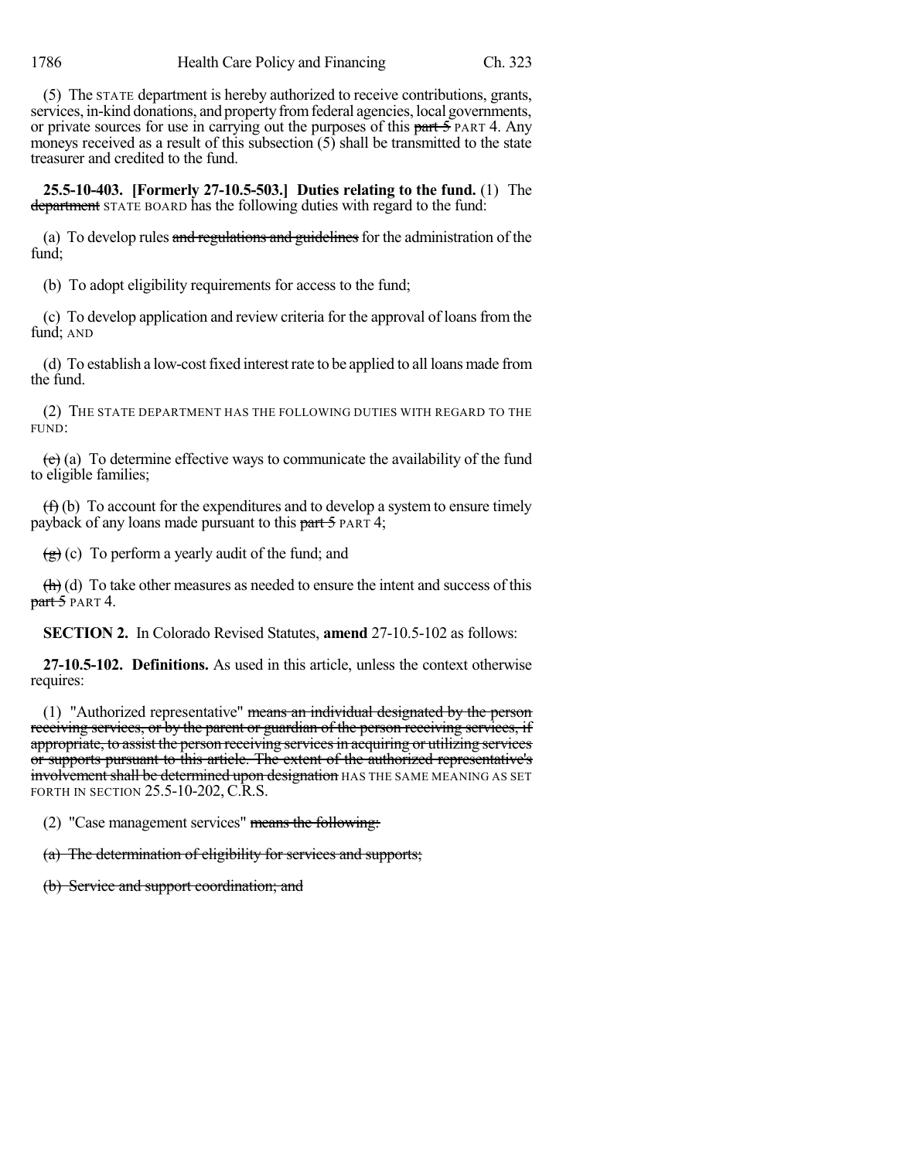(5) The STATE department is hereby authorized to receive contributions, grants, services, in-kind donations, and property from federal agencies, local governments, or private sources for use in carrying out the purposes of this part 5 PART 4. Any moneys received as a result of this subsection (5) shall be transmitted to the state treasurer and credited to the fund.

**25.5-10-403. [Formerly 27-10.5-503.] Duties relating to the fund.** (1) The department STATE BOARD has the following duties with regard to the fund:

(a) To develop rules and regulations and guidelines for the administration of the fund;

(b) To adopt eligibility requirements for access to the fund;

(c) To develop application and review criteria for the approval of loansfrom the fund; AND

(d) To establish a low-costfixed interestrate to be applied to all loans made from the fund.

(2) THE STATE DEPARTMENT HAS THE FOLLOWING DUTIES WITH REGARD TO THE FUND:

 $(e)$  (a) To determine effective ways to communicate the availability of the fund to eligible families;

 $(f)$  (b) To account for the expenditures and to develop a system to ensure timely payback of any loans made pursuant to this part  $\frac{1}{2}$  PART 4;

 $(g)$  (c) To perform a yearly audit of the fund; and

 $\left(\frac{h}{h}\right)$  (d) To take other measures as needed to ensure the intent and success of this  $part 5$  PART 4.

**SECTION 2.** In Colorado Revised Statutes, **amend** 27-10.5-102 as follows:

**27-10.5-102. Definitions.** As used in this article, unless the context otherwise requires:

(1) "Authorized representative" means an individual designated by the person receiving services, or by the parent or guardian of the person receiving services, if appropriate, to assist the person receiving services in acquiring or utilizing services or supports pursuant to this article. The extent of the authorized representative's **involvement shall be determined upon designation** HAS THE SAME MEANING AS SET FORTH IN SECTION 25.5-10-202, C.R.S.

(2) "Case management services" means the following:

(a) The determination of eligibility for services and supports;

(b) Service and support coordination; and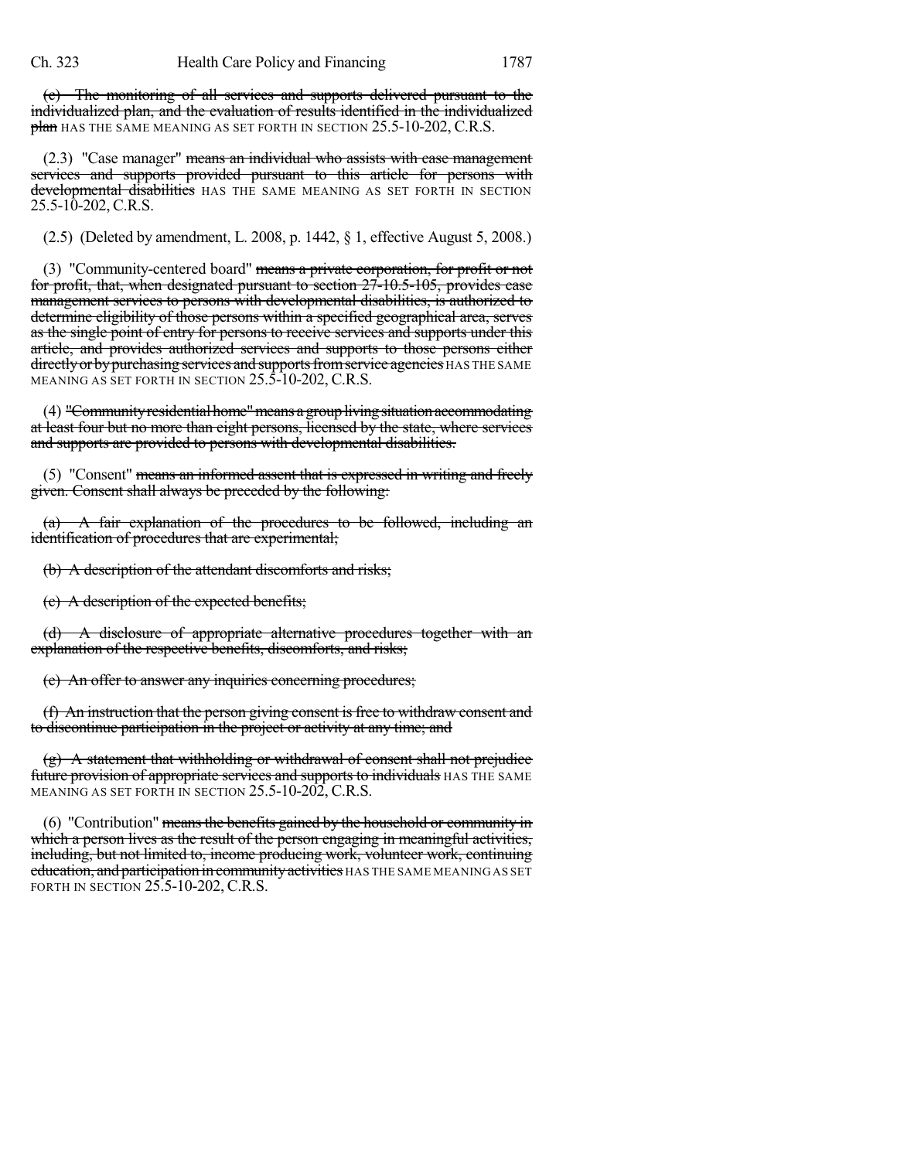(c) The monitoring of all services and supports delivered pursuant to the individualized plan, and the evaluation of results identified in the individualized plan HAS THE SAME MEANING AS SET FORTH IN SECTION 25.5-10-202, C.R.S.

(2.3) "Case manager" means an individual who assists with case management services and supports provided pursuant to this article for persons with developmental disabilities HAS THE SAME MEANING AS SET FORTH IN SECTION 25.5-10-202, C.R.S.

(2.5) (Deleted by amendment, L. 2008, p. 1442, § 1, effective August 5, 2008.)

(3) "Community-centered board" means a private corporation, for profit or not for profit, that, when designated pursuant to section 27-10.5-105, provides case management services to persons with developmental disabilities, is authorized to determine eligibility of those persons within a specified geographical area, serves as the single point of entry for persons to receive services and supports under this article, and provides authorized services and supports to those persons either directly or by purchasing services and supports from service agencies HAS THE SAME MEANING AS SET FORTH IN SECTION 25.5-10-202, C.R.S.

(4) "Community residential home" means a group living situation accommodating at least four but no more than eight persons, licensed by the state, where services and supports are provided to persons with developmental disabilities.

(5) "Consent" means an informed assent that is expressed in writing and freely given. Consent shall always be preceded by the following:

A fair explanation of the procedures to be followed, including an identification of procedures that are experimental;

(b) A description of the attendant discomforts and risks;

(c) A description of the expected benefits;

(d) A disclosure of appropriate alternative procedures together with an explanation of the respective benefits, discomforts, and risks;

(e) An offer to answer any inquiries concerning procedures;

 $(f)$  An instruction that the person giving consent is free to withdraw consent and to discontinue participation in the project or activity at any time; and

(g) A statement that withholding or withdrawal of consent shall not prejudice future provision of appropriate services and supports to individuals HAS THE SAME MEANING AS SET FORTH IN SECTION 25.5-10-202, C.R.S.

(6) "Contribution" means the benefits gained by the household or community in which a person lives as the result of the person engaging in meaningful activities, including, but not limited to, income producing work, volunteer work, continuing education, and participation in community activities HAS THE SAME MEANING AS SET FORTH IN SECTION 25.5-10-202, C.R.S.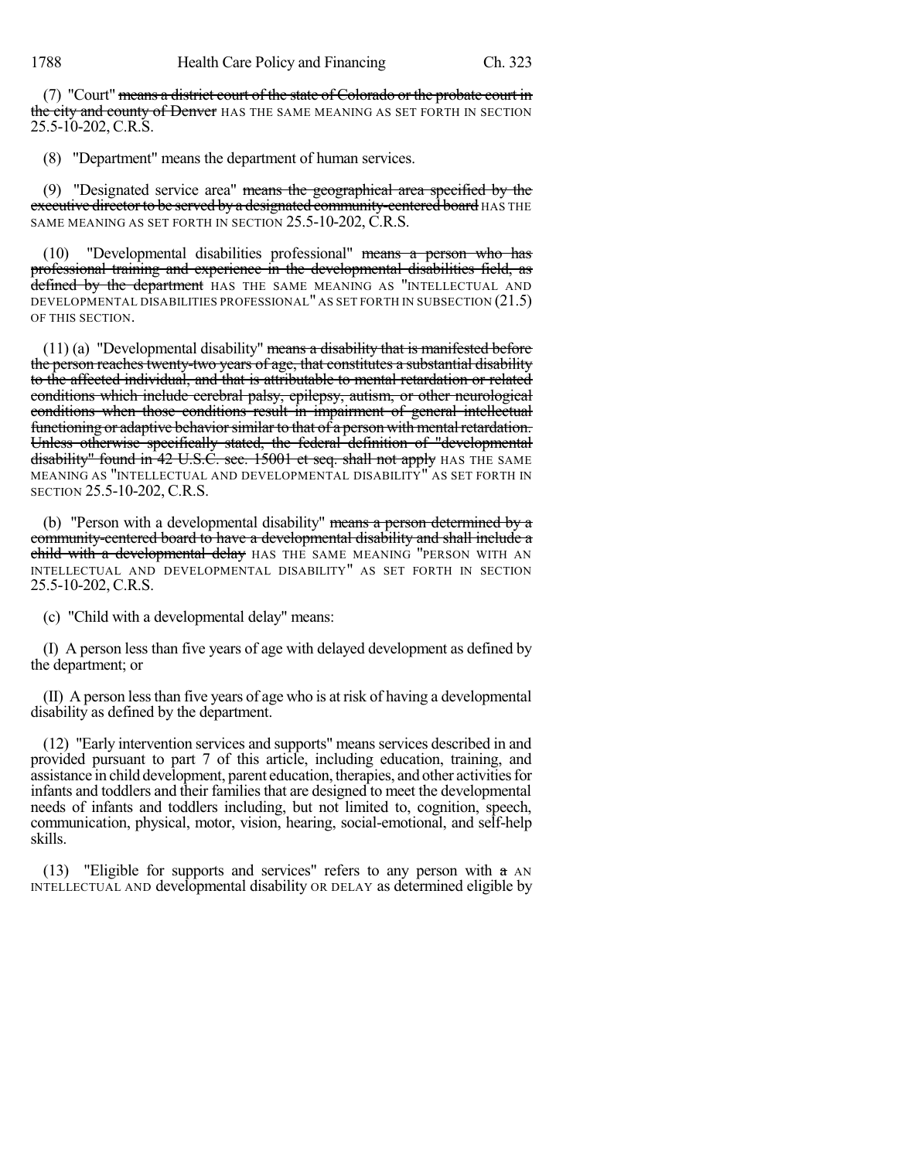(7) "Court" means a district court of the state of Colorado or the probate court in the city and county of Denver HAS THE SAME MEANING AS SET FORTH IN SECTION 25.5-10-202, C.R.S.

(8) "Department" means the department of human services.

(9) "Designated service area" means the geographical area specified by the executive director to be served by a designated community-centered board HAS THE SAME MEANING AS SET FORTH IN SECTION 25.5-10-202, C.R.S.

(10) "Developmental disabilities professional" means a person who has professional training and experience in the developmental disabilities field, as defined by the department HAS THE SAME MEANING AS "INTELLECTUAL AND DEVELOPMENTAL DISABILITIES PROFESSIONAL" AS SET FORTH IN SUBSECTION (21.5) OF THIS SECTION.

 $(11)$  (a) "Developmental disability" means a disability that is manifested before the person reaches twenty-two years of age, that constitutes a substantial disability to the affected individual, and that is attributable to mental retardation or related conditions which include cerebral palsy, epilepsy, autism, or other neurological conditions when those conditions result in impairment of general intellectual functioning or adaptive behavior similar to that of a person with mental retardation. Unless otherwise specifically stated, the federal definition of "developmental disability" found in 42 U.S.C. sec. 15001 et seq. shall not apply HAS THE SAME MEANING AS "INTELLECTUAL AND DEVELOPMENTAL DISABILITY" AS SET FORTH IN SECTION 25.5-10-202, C.R.S.

(b) "Person with a developmental disability" means a person-determined by a community-centered board to have a developmental disability and shall include a child with a developmental delay HAS THE SAME MEANING "PERSON WITH AN INTELLECTUAL AND DEVELOPMENTAL DISABILITY" AS SET FORTH IN SECTION 25.5-10-202, C.R.S.

(c) "Child with a developmental delay" means:

(I) A person less than five years of age with delayed development as defined by the department; or

(II) A person lessthan five years of age who is at risk of having a developmental disability as defined by the department.

(12) "Early intervention services and supports" means services described in and provided pursuant to part 7 of this article, including education, training, and assistance in child development, parent education, therapies, and other activitiesfor infants and toddlers and their familiesthat are designed to meet the developmental needs of infants and toddlers including, but not limited to, cognition, speech, communication, physical, motor, vision, hearing, social-emotional, and self-help skills.

(13) "Eligible for supports and services" refers to any person with  $\alpha$  AN INTELLECTUAL AND developmental disability OR DELAY as determined eligible by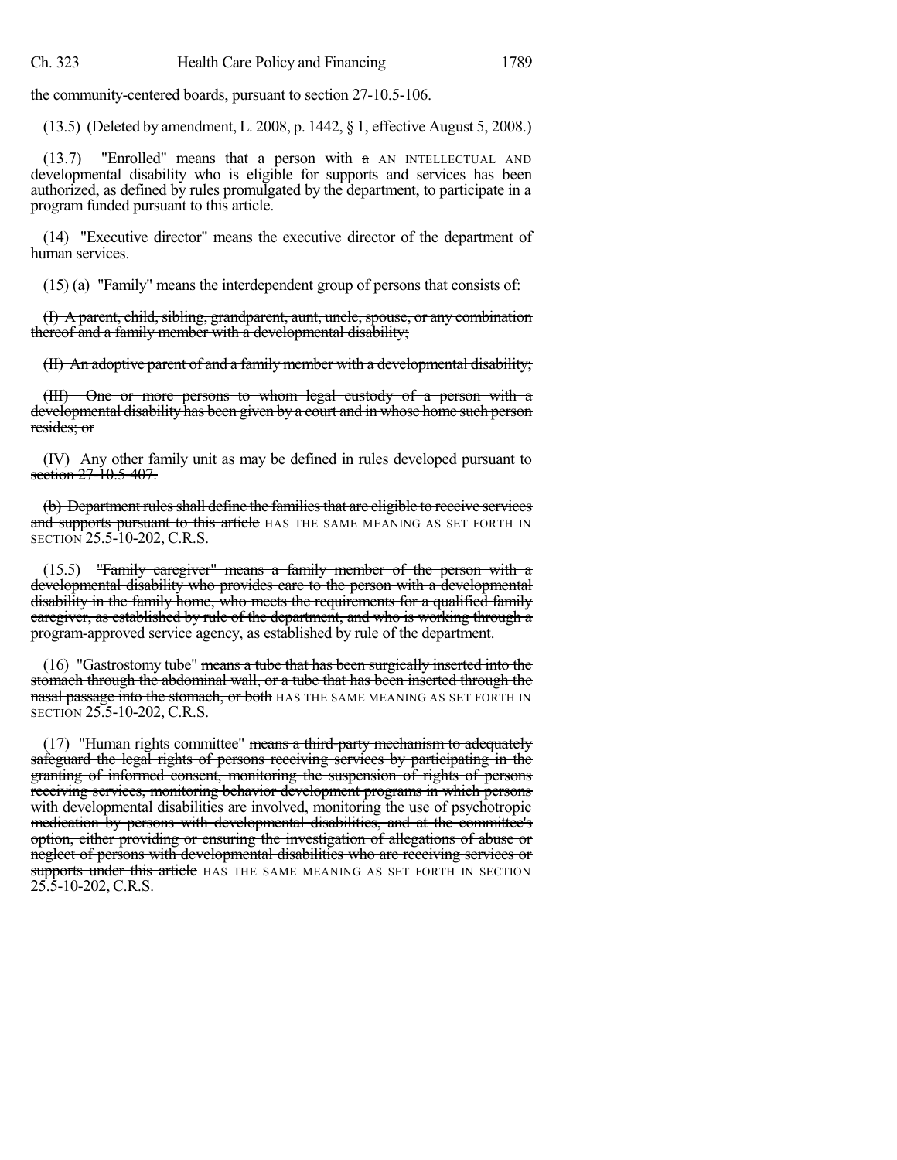the community-centered boards, pursuant to section 27-10.5-106.

(13.5) (Deleted by amendment, L. 2008, p. 1442, § 1, effective August 5, 2008.)

(13.7) "Enrolled" means that a person with  $\alpha$  AN INTELLECTUAL AND developmental disability who is eligible for supports and services has been authorized, as defined by rules promulgated by the department, to participate in a program funded pursuant to this article.

(14) "Executive director" means the executive director of the department of human services.

 $(15)$  (a) "Family" means the interdependent group of persons that consists of:

(I) A parent, child, sibling, grandparent, aunt, uncle, spouse, or any combination thereof and a family member with a developmental disability;

(II) An adoptive parent of and a family member with a developmental disability;

(III) One or more persons to whom legal custody of a person with a developmental disability has been given by a court and in whose home such person resides; or

(IV) Any other family unit as may be defined in rules developed pursuant to section 27-10.5-407.

(b) Department rules shall define the families that are eligible to receive services and supports pursuant to this article HAS THE SAME MEANING AS SET FORTH IN SECTION 25.5-10-202, C.R.S.

(15.5) "Family caregiver" means a family member of the person with a developmental disability who provides care to the person with a developmental disability in the family home, who meets the requirements for a qualified family caregiver, as established by rule of the department, and who is working through a program-approved service agency, as established by rule of the department.

(16) "Gastrostomy tube" means a tube that has been surgically inserted into the stomach through the abdominal wall, or a tube that has been inserted through the nasal passage into the stomach, or both HAS THE SAME MEANING AS SET FORTH IN SECTION 25.5-10-202, C.R.S.

 $(17)$  "Human rights committee" means a third-party mechanism to adequately safeguard the legal rights of persons receiving services by participating in the granting of informed consent, monitoring the suspension of rights of persons receiving services, monitoring behavior development programs in which persons with developmental disabilities are involved, monitoring the use of psychotropic medication by persons with developmental disabilities, and at the committee's option, either providing or ensuring the investigation of allegations of abuse or neglect of persons with developmental disabilities who are receiving services or supports under this article HAS THE SAME MEANING AS SET FORTH IN SECTION 25.5-10-202, C.R.S.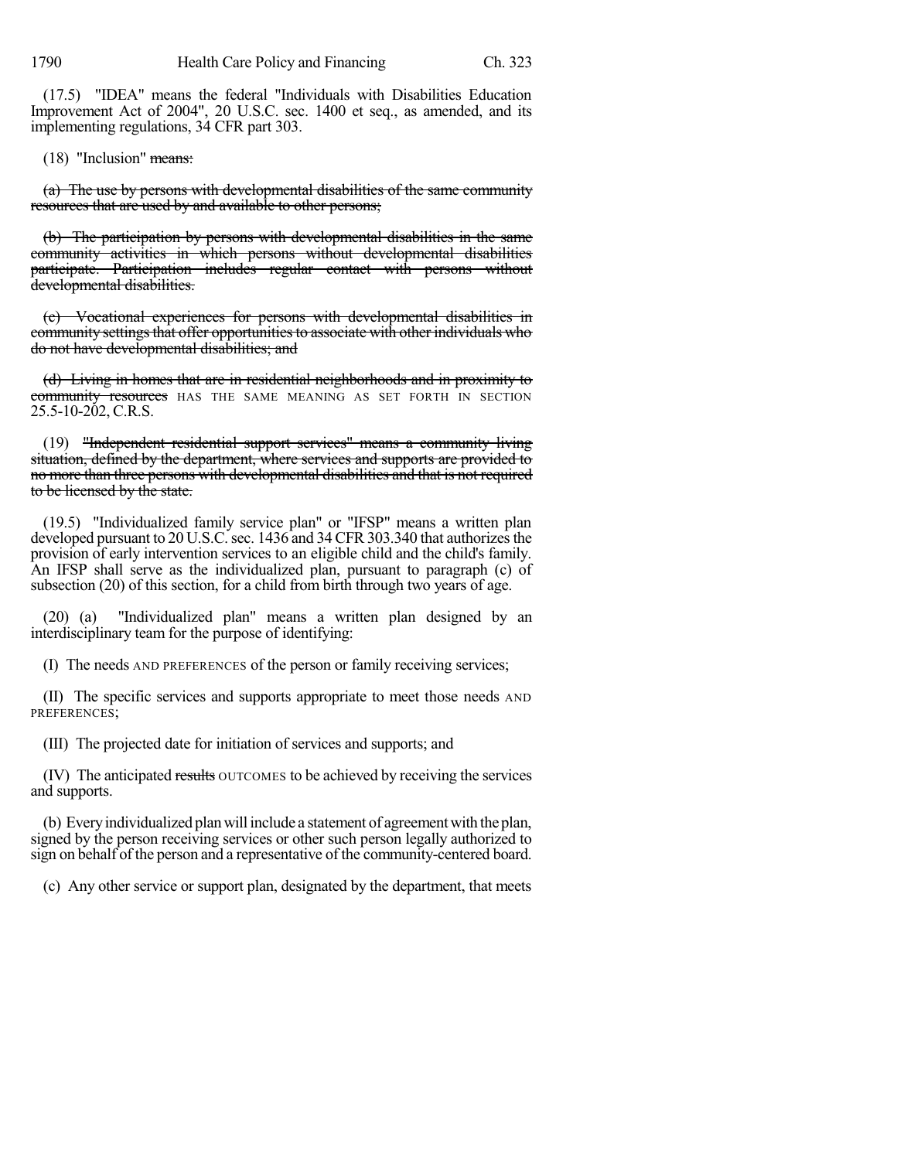(17.5) "IDEA" means the federal "Individuals with Disabilities Education Improvement Act of 2004", 20 U.S.C. sec. 1400 et seq., as amended, and its implementing regulations, 34 CFR part 303.

(18) "Inclusion" means:

(a) The use by persons with developmental disabilities of the same community resources that are used by and available to other persons;

(b) The participation by persons with developmental disabilities in the same community activities in which persons without developmental disabilities participate. Participation includes regular contact with persons without developmental disabilities.

(c) Vocational experiences for persons with developmental disabilities in community settings that offer opportunities to associate with other individuals who do not have developmental disabilities; and

(d) Living in homes that are in residential neighborhoods and in proximity to community resources HAS THE SAME MEANING AS SET FORTH IN SECTION 25.5-10-202, C.R.S.

(19) "Independent residential support services" means a community living situation, defined by the department, where services and supports are provided to no more than three persons with developmental disabilities and that is not required to be licensed by the state.

(19.5) "Individualized family service plan" or "IFSP" means a written plan developed pursuant to 20 U.S.C. sec. 1436 and 34 CFR 303.340 that authorizes the provision of early intervention services to an eligible child and the child's family. An IFSP shall serve as the individualized plan, pursuant to paragraph (c) of subsection (20) of this section, for a child from birth through two years of age.

(20) (a) "Individualized plan" means a written plan designed by an interdisciplinary team for the purpose of identifying:

(I) The needs AND PREFERENCES of the person or family receiving services;

(II) The specific services and supports appropriate to meet those needs AND PREFERENCES:

(III) The projected date for initiation of services and supports; and

(IV) The anticipated results OUTCOMES to be achieved by receiving the services and supports.

(b) Every individualized plan will include a statement of agreement with the plan, signed by the person receiving services or other such person legally authorized to sign on behalf of the person and a representative of the community-centered board.

(c) Any other service or support plan, designated by the department, that meets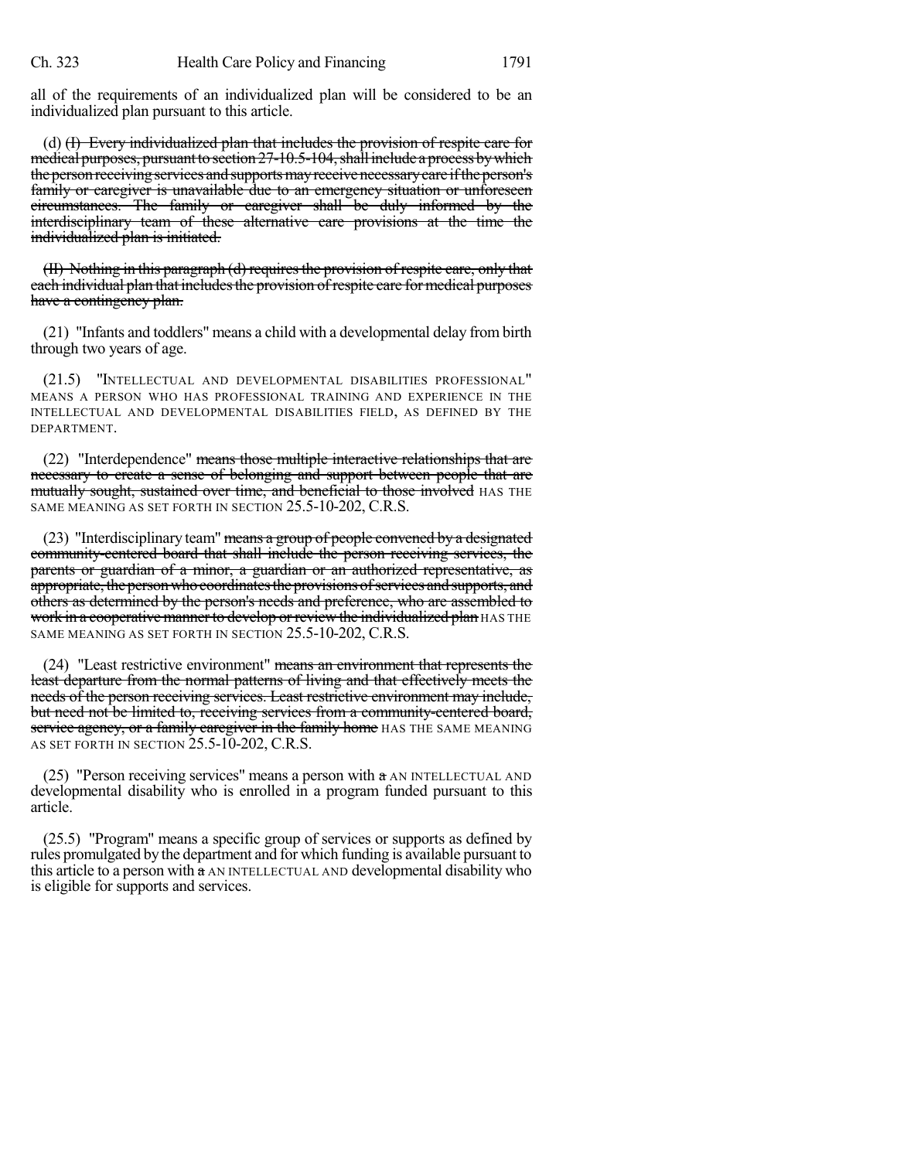all of the requirements of an individualized plan will be considered to be an individualized plan pursuant to this article.

(d) (I) Every individualized plan that includes the provision of respite care for medical purposes, pursuant to section  $27-10.5-104$ , shall include a process by which the person receiving services and supports may receive necessary care if the person's family or caregiver is unavailable due to an emergency situation or unforeseen circumstances. The family or caregiver shall be duly informed by the interdisciplinary team of these alternative care provisions at the time the individualized plan is initiated.

(II) Nothing in this paragraph (d) requiresthe provision of respite care, only that each individual plan that includesthe provision ofrespite care for medical purposes have a contingency plan.

(21) "Infants and toddlers" means a child with a developmental delay from birth through two years of age.

(21.5) "INTELLECTUAL AND DEVELOPMENTAL DISABILITIES PROFESSIONAL" MEANS A PERSON WHO HAS PROFESSIONAL TRAINING AND EXPERIENCE IN THE INTELLECTUAL AND DEVELOPMENTAL DISABILITIES FIELD, AS DEFINED BY THE DEPARTMENT.

(22) "Interdependence" means those multiple interactive relationships that are necessary to create a sense of belonging and support between people that are mutually sought, sustained over time, and beneficial to those involved HAS THE SAME MEANING AS SET FORTH IN SECTION 25.5-10-202, C.R.S.

(23) "Interdisciplinary team" means a group of people convened by a designated community-centered board that shall include the person receiving services, the parents or guardian of a minor, a guardian or an authorized representative, as appropriate, the person who coordinates the provisions of services and supports, and others as determined by the person's needs and preference, who are assembled to work in a cooperative manner to develop or review the individualized plan HAS THE SAME MEANING AS SET FORTH IN SECTION 25.5-10-202, C.R.S.

(24) "Least restrictive environment" means an environment that represents the least departure from the normal patterns of living and that effectively meets the needs of the person receiving services. Least restrictive environment may include, but need not be limited to, receiving services from a community-centered board, service agency, or a family caregiver in the family home HAS THE SAME MEANING AS SET FORTH IN SECTION 25.5-10-202, C.R.S.

(25) "Person receiving services" means a person with a AN INTELLECTUAL AND developmental disability who is enrolled in a program funded pursuant to this article.

(25.5) "Program" means a specific group of services or supports as defined by rules promulgated by the department and for which funding is available pursuant to this article to a person with a AN INTELLECTUAL AND developmental disability who is eligible for supports and services.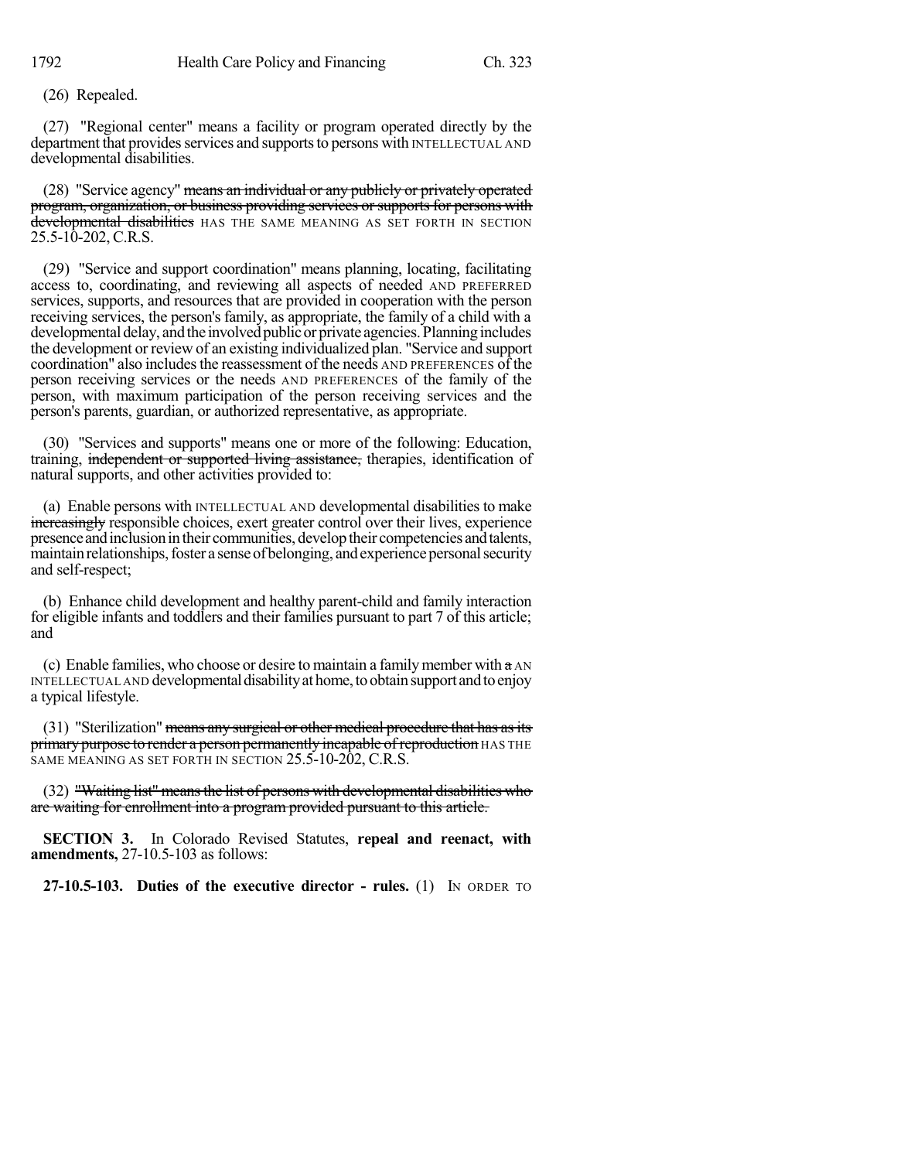(26) Repealed.

(27) "Regional center" means a facility or program operated directly by the department that provides services and supports to persons with INTELLECTUAL AND developmental disabilities.

(28) "Service agency" means an individual or any publicly or privately operated program, organization, or business providing services or supports for persons with developmental disabilities HAS THE SAME MEANING AS SET FORTH IN SECTION 25.5-10-202, C.R.S.

(29) "Service and support coordination" means planning, locating, facilitating access to, coordinating, and reviewing all aspects of needed AND PREFERRED services, supports, and resources that are provided in cooperation with the person receiving services, the person's family, as appropriate, the family of a child with a developmental delay, and the involved public or private agencies. Planning includes the development or review of an existing individualized plan. "Service and support coordination" also includes the reassessment of the needs AND PREFERENCES of the person receiving services or the needs AND PREFERENCES of the family of the person, with maximum participation of the person receiving services and the person's parents, guardian, or authorized representative, as appropriate.

(30) "Services and supports" means one or more of the following: Education, training, independent or supported living assistance, therapies, identification of natural supports, and other activities provided to:

(a) Enable persons with INTELLECTUAL AND developmental disabilities to make increasingly responsible choices, exert greater control over their lives, experience presence and inclusion in their communities, develop their competencies and talents, maintain relationships, foster a sense of belonging, and experience personal security and self-respect;

(b) Enhance child development and healthy parent-child and family interaction for eligible infants and toddlers and their families pursuant to part 7 of this article; and

(c) Enable families, who choose or desire to maintain a family member with  $\alpha$  AN INTELLECTUAL AND developmental disability at home, to obtain support and to enjoy a typical lifestyle.

(31) "Sterilization" means any surgical or other medical procedure that has as its primary purpose to render a person permanently incapable of reproduction HAS THE SAME MEANING AS SET FORTH IN SECTION 25.5-10-202, C.R.S.

(32) "Waiting list" meansthe list of persons with developmental disabilities who are waiting for enrollment into a program provided pursuant to this article.

**SECTION 3.** In Colorado Revised Statutes, **repeal and reenact, with amendments,** 27-10.5-103 as follows:

**27-10.5-103. Duties of the executive director - rules.** (1) IN ORDER TO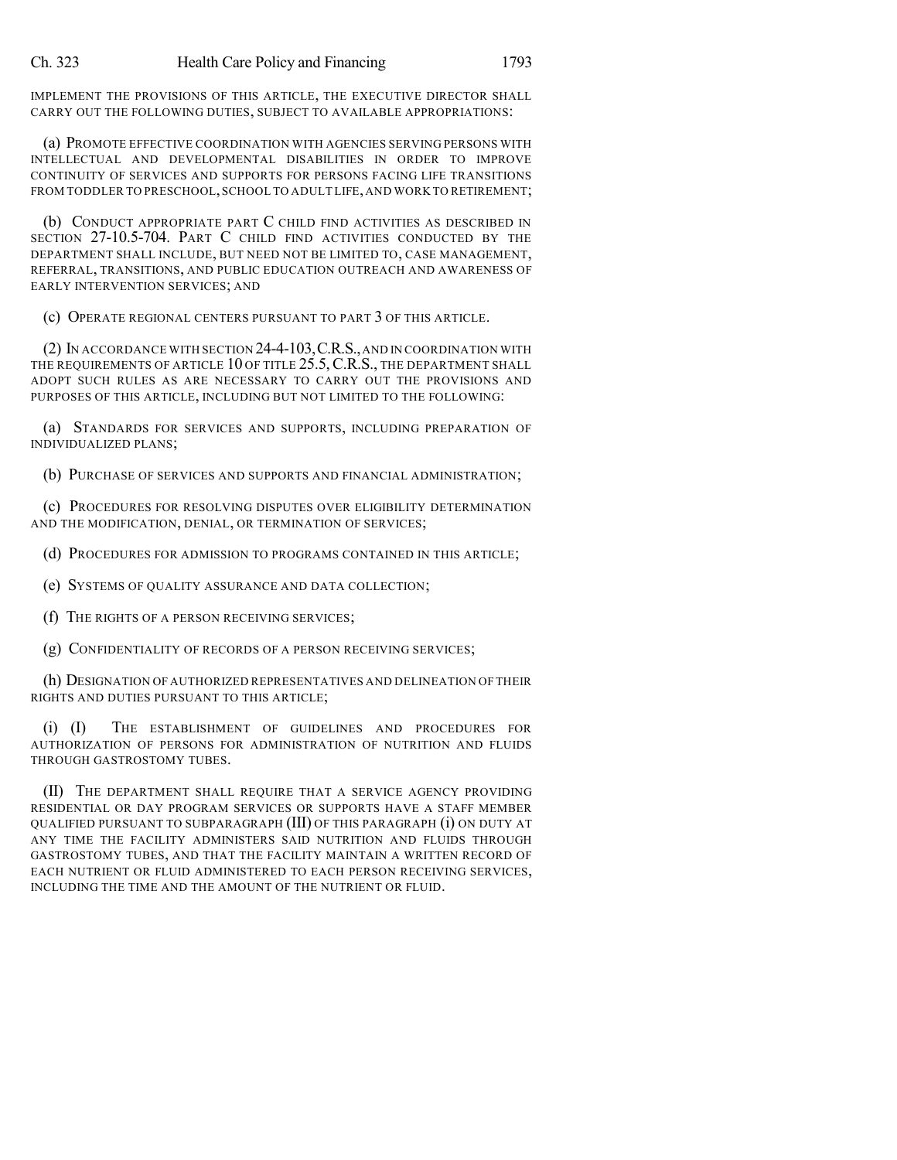IMPLEMENT THE PROVISIONS OF THIS ARTICLE, THE EXECUTIVE DIRECTOR SHALL CARRY OUT THE FOLLOWING DUTIES, SUBJECT TO AVAILABLE APPROPRIATIONS:

(a) PROMOTE EFFECTIVE COORDINATION WITH AGENCIES SERVING PERSONS WITH INTELLECTUAL AND DEVELOPMENTAL DISABILITIES IN ORDER TO IMPROVE CONTINUITY OF SERVICES AND SUPPORTS FOR PERSONS FACING LIFE TRANSITIONS FROM TODDLER TO PRESCHOOL, SCHOOL TO ADULT LIFE, AND WORK TO RETIREMENT;

(b) CONDUCT APPROPRIATE PART C CHILD FIND ACTIVITIES AS DESCRIBED IN SECTION 27-10.5-704. PART C CHILD FIND ACTIVITIES CONDUCTED BY THE DEPARTMENT SHALL INCLUDE, BUT NEED NOT BE LIMITED TO, CASE MANAGEMENT, REFERRAL, TRANSITIONS, AND PUBLIC EDUCATION OUTREACH AND AWARENESS OF EARLY INTERVENTION SERVICES; AND

(c) OPERATE REGIONAL CENTERS PURSUANT TO PART 3 OF THIS ARTICLE.

(2) IN ACCORDANCE WITH SECTION 24-4-103,C.R.S.,AND IN COORDINATION WITH THE REQUIREMENTS OF ARTICLE 10 OF TITLE 25.5, C.R.S., THE DEPARTMENT SHALL ADOPT SUCH RULES AS ARE NECESSARY TO CARRY OUT THE PROVISIONS AND PURPOSES OF THIS ARTICLE, INCLUDING BUT NOT LIMITED TO THE FOLLOWING:

(a) STANDARDS FOR SERVICES AND SUPPORTS, INCLUDING PREPARATION OF INDIVIDUALIZED PLANS;

(b) PURCHASE OF SERVICES AND SUPPORTS AND FINANCIAL ADMINISTRATION;

(c) PROCEDURES FOR RESOLVING DISPUTES OVER ELIGIBILITY DETERMINATION AND THE MODIFICATION, DENIAL, OR TERMINATION OF SERVICES;

(d) PROCEDURES FOR ADMISSION TO PROGRAMS CONTAINED IN THIS ARTICLE;

(e) SYSTEMS OF QUALITY ASSURANCE AND DATA COLLECTION;

(f) THE RIGHTS OF A PERSON RECEIVING SERVICES;

(g) CONFIDENTIALITY OF RECORDS OF A PERSON RECEIVING SERVICES;

(h) DESIGNATION OF AUTHORIZED REPRESENTATIVES AND DELINEATION OF THEIR RIGHTS AND DUTIES PURSUANT TO THIS ARTICLE;

(i) (I) THE ESTABLISHMENT OF GUIDELINES AND PROCEDURES FOR AUTHORIZATION OF PERSONS FOR ADMINISTRATION OF NUTRITION AND FLUIDS THROUGH GASTROSTOMY TUBES.

(II) THE DEPARTMENT SHALL REQUIRE THAT A SERVICE AGENCY PROVIDING RESIDENTIAL OR DAY PROGRAM SERVICES OR SUPPORTS HAVE A STAFF MEMBER QUALIFIED PURSUANT TO SUBPARAGRAPH (III) OF THIS PARAGRAPH (i) ON DUTY AT ANY TIME THE FACILITY ADMINISTERS SAID NUTRITION AND FLUIDS THROUGH GASTROSTOMY TUBES, AND THAT THE FACILITY MAINTAIN A WRITTEN RECORD OF EACH NUTRIENT OR FLUID ADMINISTERED TO EACH PERSON RECEIVING SERVICES, INCLUDING THE TIME AND THE AMOUNT OF THE NUTRIENT OR FLUID.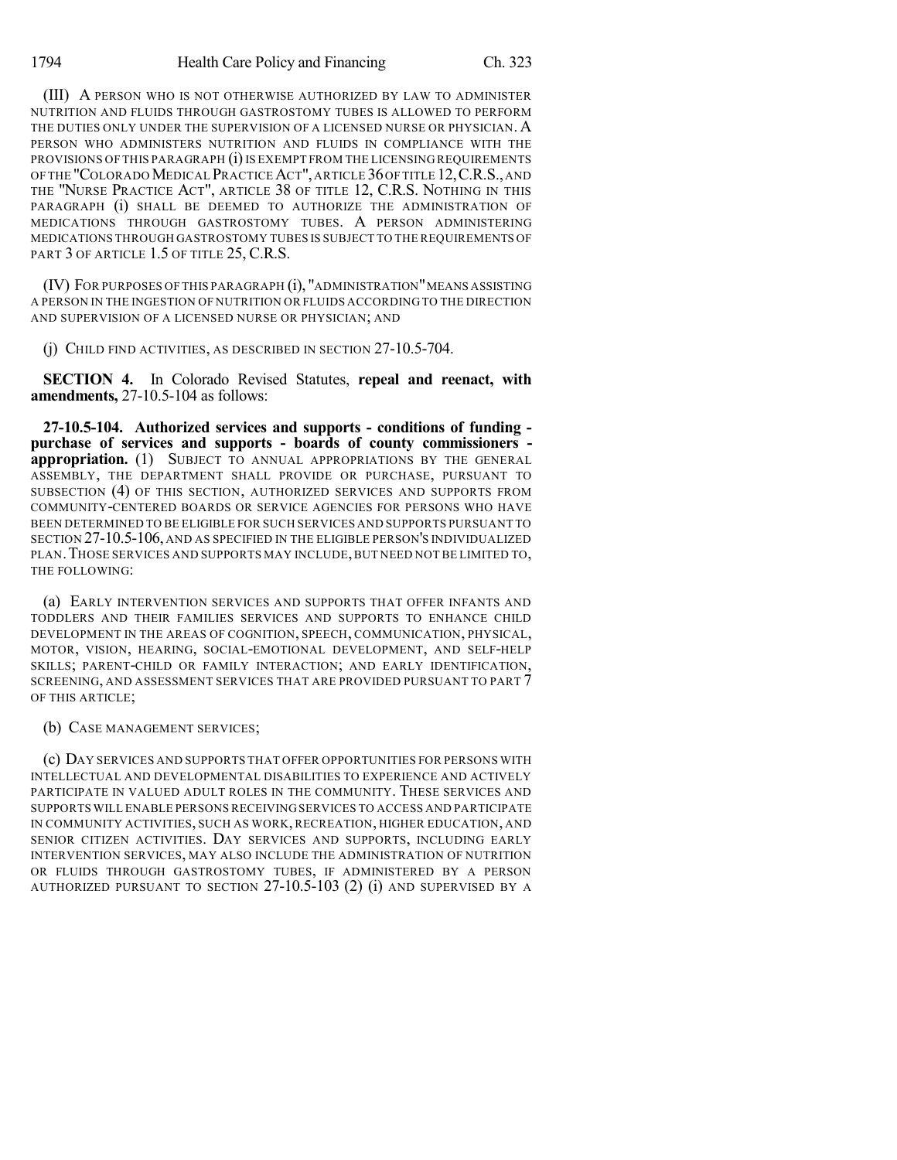(III) A PERSON WHO IS NOT OTHERWISE AUTHORIZED BY LAW TO ADMINISTER NUTRITION AND FLUIDS THROUGH GASTROSTOMY TUBES IS ALLOWED TO PERFORM THE DUTIES ONLY UNDER THE SUPERVISION OF A LICENSED NURSE OR PHYSICIAN. A PERSON WHO ADMINISTERS NUTRITION AND FLUIDS IN COMPLIANCE WITH THE PROVISIONS OF THIS PARAGRAPH (i) IS EXEMPT FROM THE LICENSING REQUIREMENTS OF THE "COLORADO MEDICAL PRACTICE ACT", ARTICLE 36 OF TITLE 12, C.R.S., AND THE "NURSE PRACTICE ACT", ARTICLE 38 OF TITLE 12, C.R.S. NOTHING IN THIS PARAGRAPH (i) SHALL BE DEEMED TO AUTHORIZE THE ADMINISTRATION OF MEDICATIONS THROUGH GASTROSTOMY TUBES. A PERSON ADMINISTERING MEDICATIONS THROUGH GASTROSTOMY TUBES IS SUBJECT TO THE REQUIREMENTS OF PART 3 OF ARTICLE 1.5 OF TITLE 25, C.R.S.

(IV) FOR PURPOSES OF THIS PARAGRAPH (i), "ADMINISTRATION"MEANS ASSISTING A PERSON IN THE INGESTION OF NUTRITION OR FLUIDS ACCORDING TO THE DIRECTION AND SUPERVISION OF A LICENSED NURSE OR PHYSICIAN; AND

(j) CHILD FIND ACTIVITIES, AS DESCRIBED IN SECTION 27-10.5-704.

**SECTION 4.** In Colorado Revised Statutes, **repeal and reenact, with amendments,** 27-10.5-104 as follows:

**27-10.5-104. Authorized services and supports - conditions of funding purchase of services and supports - boards of county commissioners appropriation.** (1) SUBJECT TO ANNUAL APPROPRIATIONS BY THE GENERAL ASSEMBLY, THE DEPARTMENT SHALL PROVIDE OR PURCHASE, PURSUANT TO SUBSECTION (4) OF THIS SECTION, AUTHORIZED SERVICES AND SUPPORTS FROM COMMUNITY-CENTERED BOARDS OR SERVICE AGENCIES FOR PERSONS WHO HAVE BEEN DETERMINED TO BE ELIGIBLE FOR SUCH SERVICES AND SUPPORTS PURSUANT TO SECTION 27-10.5-106, AND AS SPECIFIED IN THE ELIGIBLE PERSON'S INDIVIDUALIZED PLAN. THOSE SERVICES AND SUPPORTS MAY INCLUDE, BUT NEED NOT BE LIMITED TO, THE FOLLOWING:

(a) EARLY INTERVENTION SERVICES AND SUPPORTS THAT OFFER INFANTS AND TODDLERS AND THEIR FAMILIES SERVICES AND SUPPORTS TO ENHANCE CHILD DEVELOPMENT IN THE AREAS OF COGNITION, SPEECH, COMMUNICATION, PHYSICAL, MOTOR, VISION, HEARING, SOCIAL-EMOTIONAL DEVELOPMENT, AND SELF-HELP SKILLS; PARENT-CHILD OR FAMILY INTERACTION; AND EARLY IDENTIFICATION, SCREENING, AND ASSESSMENT SERVICES THAT ARE PROVIDED PURSUANT TO PART 7 OF THIS ARTICLE;

## (b) CASE MANAGEMENT SERVICES;

(c) DAY SERVICES AND SUPPORTS THAT OFFER OPPORTUNITIES FOR PERSONS WITH INTELLECTUAL AND DEVELOPMENTAL DISABILITIES TO EXPERIENCE AND ACTIVELY PARTICIPATE IN VALUED ADULT ROLES IN THE COMMUNITY. THESE SERVICES AND SUPPORTS WILL ENABLE PERSONS RECEIVING SERVICES TO ACCESS AND PARTICIPATE IN COMMUNITY ACTIVITIES, SUCH AS WORK, RECREATION, HIGHER EDUCATION, AND SENIOR CITIZEN ACTIVITIES. DAY SERVICES AND SUPPORTS, INCLUDING EARLY INTERVENTION SERVICES, MAY ALSO INCLUDE THE ADMINISTRATION OF NUTRITION OR FLUIDS THROUGH GASTROSTOMY TUBES, IF ADMINISTERED BY A PERSON AUTHORIZED PURSUANT TO SECTION 27-10.5-103 (2) (i) AND SUPERVISED BY A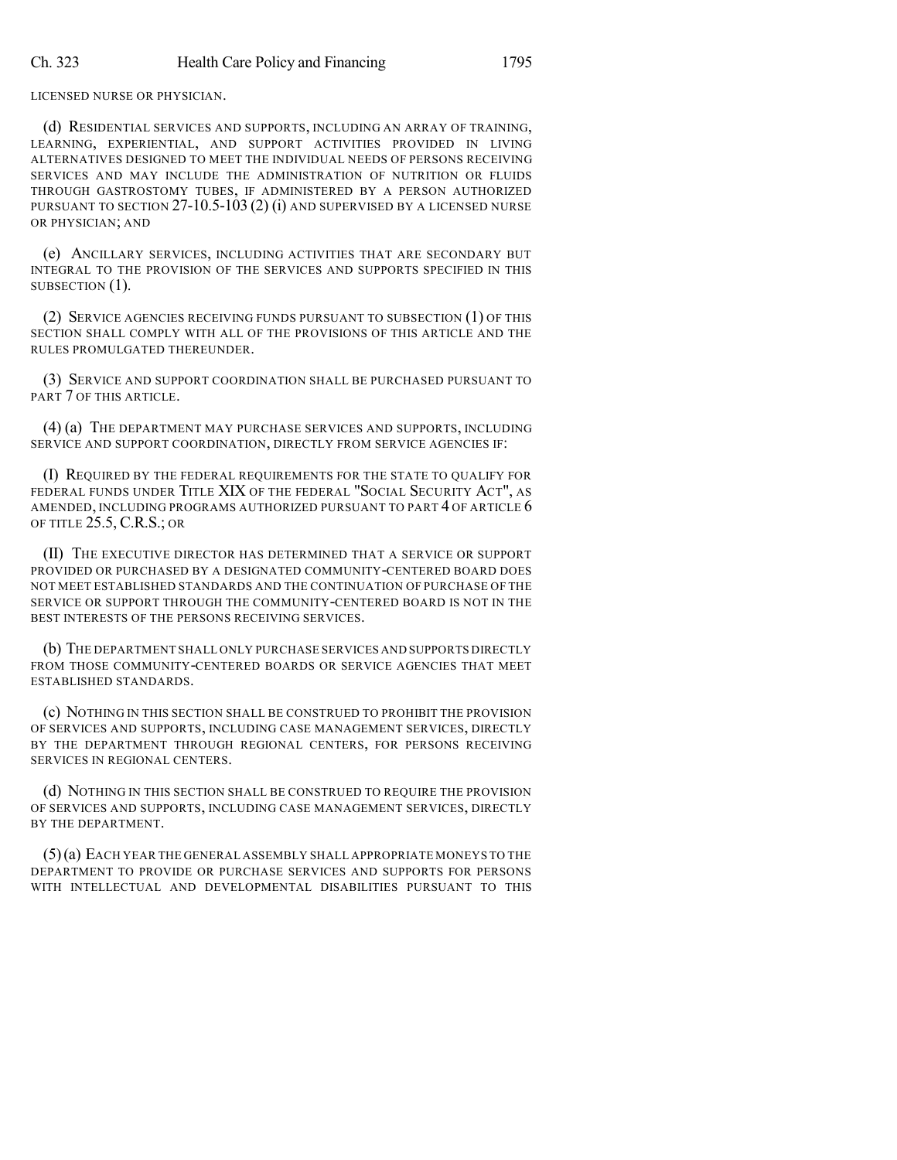LICENSED NURSE OR PHYSICIAN.

(d) RESIDENTIAL SERVICES AND SUPPORTS, INCLUDING AN ARRAY OF TRAINING, LEARNING, EXPERIENTIAL, AND SUPPORT ACTIVITIES PROVIDED IN LIVING ALTERNATIVES DESIGNED TO MEET THE INDIVIDUAL NEEDS OF PERSONS RECEIVING SERVICES AND MAY INCLUDE THE ADMINISTRATION OF NUTRITION OR FLUIDS THROUGH GASTROSTOMY TUBES, IF ADMINISTERED BY A PERSON AUTHORIZED PURSUANT TO SECTION 27-10.5-103 (2) (i) AND SUPERVISED BY A LICENSED NURSE OR PHYSICIAN; AND

(e) ANCILLARY SERVICES, INCLUDING ACTIVITIES THAT ARE SECONDARY BUT INTEGRAL TO THE PROVISION OF THE SERVICES AND SUPPORTS SPECIFIED IN THIS SUBSECTION  $(1)$ .

(2) SERVICE AGENCIES RECEIVING FUNDS PURSUANT TO SUBSECTION (1) OF THIS SECTION SHALL COMPLY WITH ALL OF THE PROVISIONS OF THIS ARTICLE AND THE RULES PROMULGATED THEREUNDER.

(3) SERVICE AND SUPPORT COORDINATION SHALL BE PURCHASED PURSUANT TO PART 7 OF THIS ARTICLE.

(4) (a) THE DEPARTMENT MAY PURCHASE SERVICES AND SUPPORTS, INCLUDING SERVICE AND SUPPORT COORDINATION, DIRECTLY FROM SERVICE AGENCIES IF:

(I) REQUIRED BY THE FEDERAL REQUIREMENTS FOR THE STATE TO QUALIFY FOR FEDERAL FUNDS UNDER TITLE XIX OF THE FEDERAL "SOCIAL SECURITY ACT", AS AMENDED, INCLUDING PROGRAMS AUTHORIZED PURSUANT TO PART 4 OF ARTICLE 6 OF TITLE 25.5, C.R.S.; OR

(II) THE EXECUTIVE DIRECTOR HAS DETERMINED THAT A SERVICE OR SUPPORT PROVIDED OR PURCHASED BY A DESIGNATED COMMUNITY-CENTERED BOARD DOES NOT MEET ESTABLISHED STANDARDS AND THE CONTINUATION OF PURCHASE OF THE SERVICE OR SUPPORT THROUGH THE COMMUNITY-CENTERED BOARD IS NOT IN THE BEST INTERESTS OF THE PERSONS RECEIVING SERVICES.

(b) THE DEPARTMENT SHALL ONLY PURCHASE SERVICES AND SUPPORTS DIRECTLY FROM THOSE COMMUNITY-CENTERED BOARDS OR SERVICE AGENCIES THAT MEET ESTABLISHED STANDARDS.

(c) NOTHING IN THIS SECTION SHALL BE CONSTRUED TO PROHIBIT THE PROVISION OF SERVICES AND SUPPORTS, INCLUDING CASE MANAGEMENT SERVICES, DIRECTLY BY THE DEPARTMENT THROUGH REGIONAL CENTERS, FOR PERSONS RECEIVING SERVICES IN REGIONAL CENTERS.

(d) NOTHING IN THIS SECTION SHALL BE CONSTRUED TO REQUIRE THE PROVISION OF SERVICES AND SUPPORTS, INCLUDING CASE MANAGEMENT SERVICES, DIRECTLY BY THE DEPARTMENT.

(5)(a) EACH YEAR THE GENERAL ASSEMBLY SHALL APPROPRIATE MONEYS TO THE DEPARTMENT TO PROVIDE OR PURCHASE SERVICES AND SUPPORTS FOR PERSONS WITH INTELLECTUAL AND DEVELOPMENTAL DISABILITIES PURSUANT TO THIS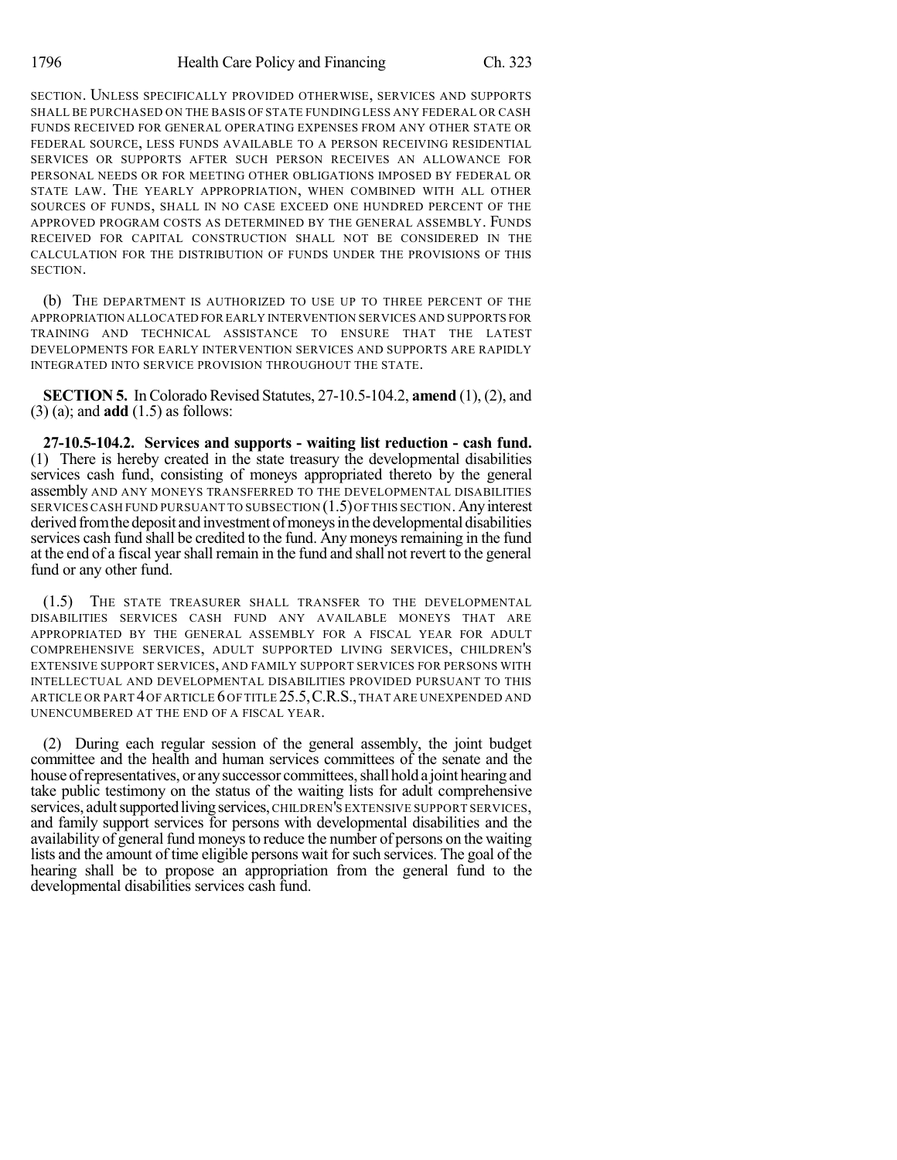SECTION. UNLESS SPECIFICALLY PROVIDED OTHERWISE, SERVICES AND SUPPORTS SHALL BE PURCHASED ON THE BASIS OF STATE FUNDING LESS ANY FEDERAL OR CASH FUNDS RECEIVED FOR GENERAL OPERATING EXPENSES FROM ANY OTHER STATE OR FEDERAL SOURCE, LESS FUNDS AVAILABLE TO A PERSON RECEIVING RESIDENTIAL SERVICES OR SUPPORTS AFTER SUCH PERSON RECEIVES AN ALLOWANCE FOR PERSONAL NEEDS OR FOR MEETING OTHER OBLIGATIONS IMPOSED BY FEDERAL OR STATE LAW. THE YEARLY APPROPRIATION, WHEN COMBINED WITH ALL OTHER SOURCES OF FUNDS, SHALL IN NO CASE EXCEED ONE HUNDRED PERCENT OF THE APPROVED PROGRAM COSTS AS DETERMINED BY THE GENERAL ASSEMBLY. FUNDS RECEIVED FOR CAPITAL CONSTRUCTION SHALL NOT BE CONSIDERED IN THE CALCULATION FOR THE DISTRIBUTION OF FUNDS UNDER THE PROVISIONS OF THIS SECTION.

(b) THE DEPARTMENT IS AUTHORIZED TO USE UP TO THREE PERCENT OF THE APPROPRIATION ALLOCATED FOR EARLY INTERVENTION SERVICES AND SUPPORTS FOR TRAINING AND TECHNICAL ASSISTANCE TO ENSURE THAT THE LATEST DEVELOPMENTS FOR EARLY INTERVENTION SERVICES AND SUPPORTS ARE RAPIDLY INTEGRATED INTO SERVICE PROVISION THROUGHOUT THE STATE.

**SECTION 5.** In Colorado Revised Statutes, 27-10.5-104.2, **amend** (1), (2), and (3) (a); and **add** (1.5) as follows:

**27-10.5-104.2. Services and supports - waiting list reduction - cash fund.** (1) There is hereby created in the state treasury the developmental disabilities services cash fund, consisting of moneys appropriated thereto by the general assembly AND ANY MONEYS TRANSFERRED TO THE DEVELOPMENTAL DISABILITIES SERVICES CASH FUND PURSUANT TO SUBSECTION (1.5) OF THIS SECTION. Any interest derived from the deposit and investment of moneys in the developmental disabilities services cash fund shall be credited to the fund. Any moneys remaining in the fund at the end of a fiscal yearshall remain in the fund and shall not revert to the general fund or any other fund.

(1.5) THE STATE TREASURER SHALL TRANSFER TO THE DEVELOPMENTAL DISABILITIES SERVICES CASH FUND ANY AVAILABLE MONEYS THAT ARE APPROPRIATED BY THE GENERAL ASSEMBLY FOR A FISCAL YEAR FOR ADULT COMPREHENSIVE SERVICES, ADULT SUPPORTED LIVING SERVICES, CHILDREN'S EXTENSIVE SUPPORT SERVICES, AND FAMILY SUPPORT SERVICES FOR PERSONS WITH INTELLECTUAL AND DEVELOPMENTAL DISABILITIES PROVIDED PURSUANT TO THIS ARTICLE OR PART 4OF ARTICLE 6OF TITLE 25.5,C.R.S.,THAT ARE UNEXPENDED AND UNENCUMBERED AT THE END OF A FISCAL YEAR.

(2) During each regular session of the general assembly, the joint budget committee and the health and human services committees of the senate and the house of representatives, or any successor committees, shall hold a joint hearing and take public testimony on the status of the waiting lists for adult comprehensive services, adult supported living services, CHILDREN'S EXTENSIVE SUPPORT SERVICES, and family support services for persons with developmental disabilities and the availability of general fund moneys to reduce the number of persons on the waiting lists and the amount of time eligible persons wait for such services. The goal of the hearing shall be to propose an appropriation from the general fund to the developmental disabilities services cash fund.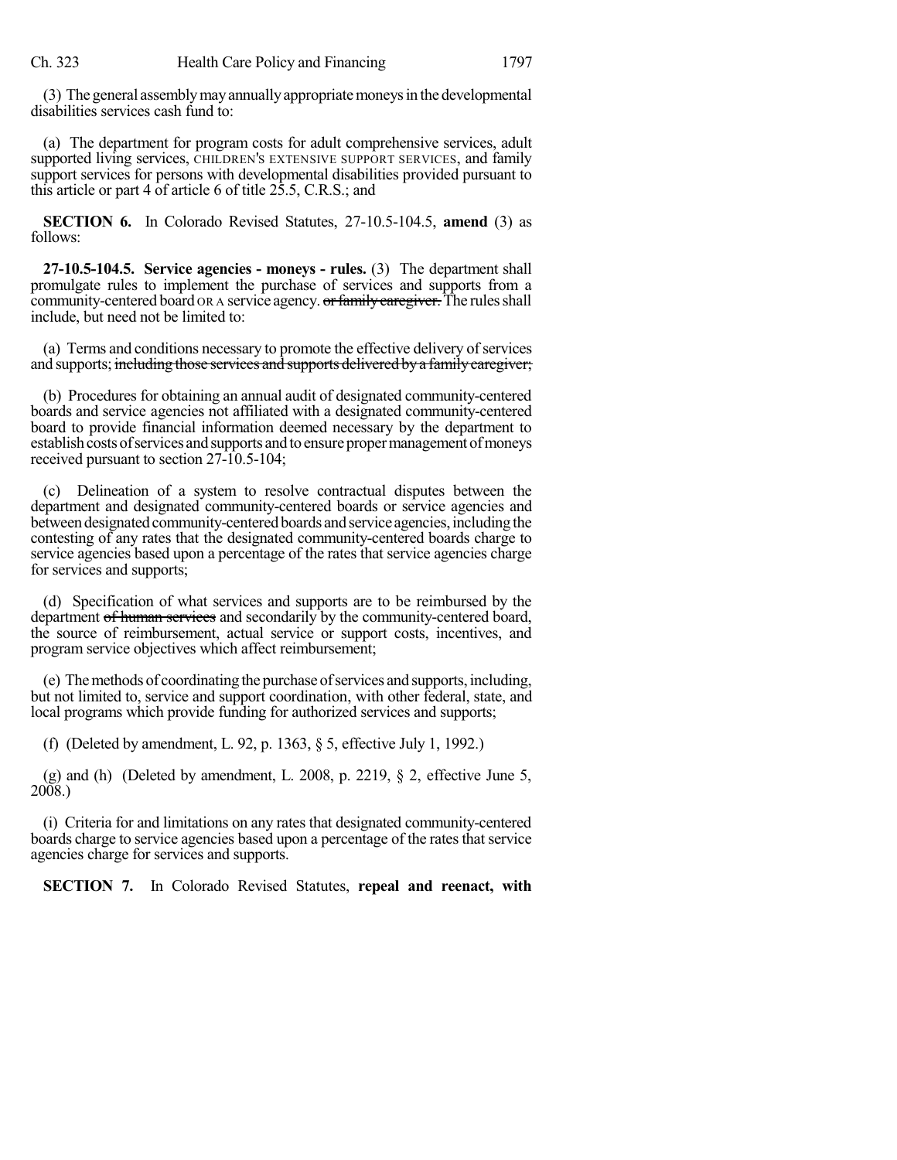(3) The general assemblymayannuallyappropriatemoneysin the developmental disabilities services cash fund to:

(a) The department for program costs for adult comprehensive services, adult supported living services, CHILDREN'S EXTENSIVE SUPPORT SERVICES, and family support services for persons with developmental disabilities provided pursuant to this article or part 4 of article 6 of title 25.5, C.R.S.; and

**SECTION 6.** In Colorado Revised Statutes, 27-10.5-104.5, **amend** (3) as follows:

**27-10.5-104.5. Service agencies - moneys - rules.** (3) The department shall promulgate rules to implement the purchase of services and supports from a community-centered board OR A service agency. or family caregiver. The rules shall include, but need not be limited to:

(a) Terms and conditions necessary to promote the effective delivery of services and supports; including those services and supports delivered by a family caregiver;

(b) Procedures for obtaining an annual audit of designated community-centered boards and service agencies not affiliated with a designated community-centered board to provide financial information deemed necessary by the department to establish costs of services and supports and to ensure proper management of moneys received pursuant to section 27-10.5-104;

Delineation of a system to resolve contractual disputes between the department and designated community-centered boards or service agencies and between designated community-centered boards and service agencies, including the contesting of any rates that the designated community-centered boards charge to service agencies based upon a percentage of the rates that service agencies charge for services and supports;

(d) Specification of what services and supports are to be reimbursed by the department of human services and secondarily by the community-centered board, the source of reimbursement, actual service or support costs, incentives, and program service objectives which affect reimbursement;

(e) Themethods of coordinating the purchaseofservices and supports,including, but not limited to, service and support coordination, with other federal, state, and local programs which provide funding for authorized services and supports;

(f) (Deleted by amendment, L. 92, p. 1363, § 5, effective July 1, 1992.)

(g) and (h) (Deleted by amendment, L. 2008, p. 2219,  $\S$  2, effective June 5, 2008.)

(i) Criteria for and limitations on any rates that designated community-centered boards charge to service agencies based upon a percentage of the rates that service agencies charge for services and supports.

**SECTION 7.** In Colorado Revised Statutes, **repeal and reenact, with**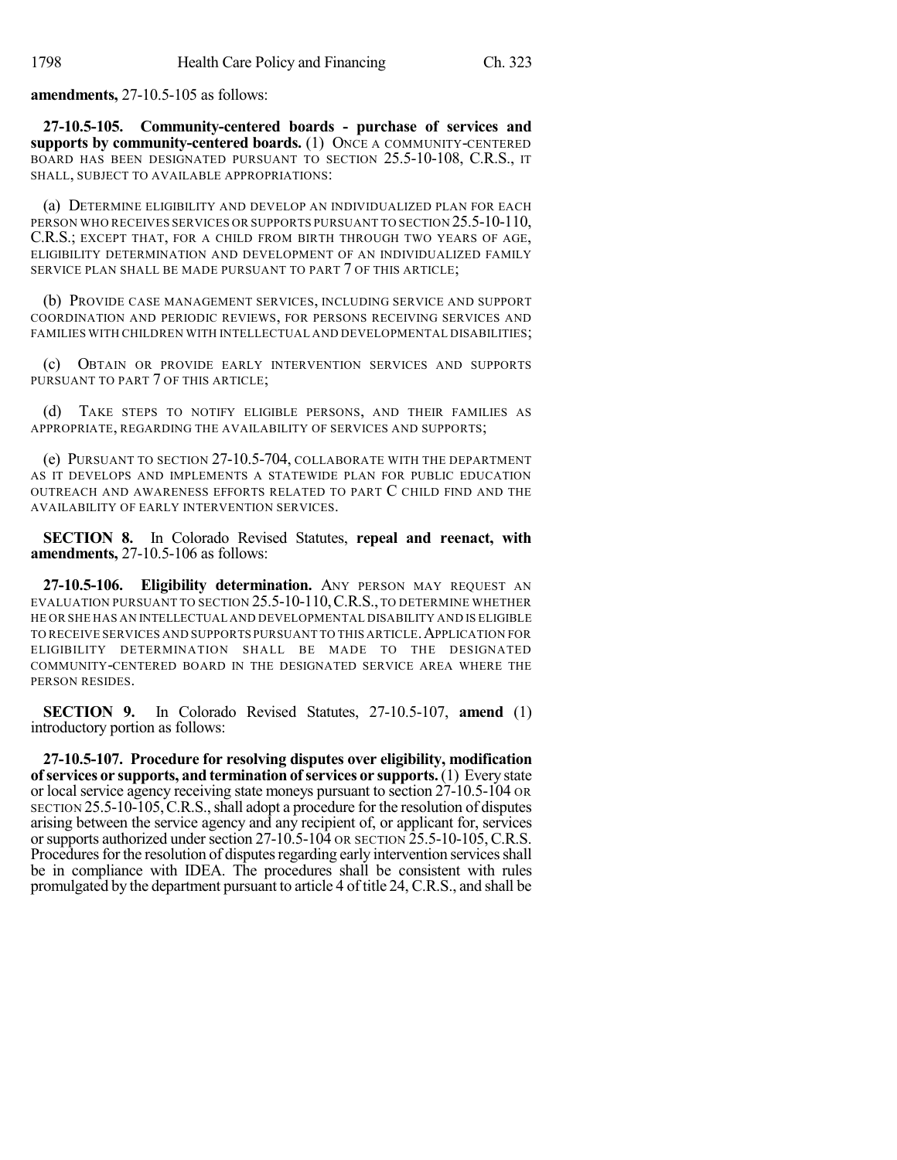**amendments,** 27-10.5-105 as follows:

**27-10.5-105. Community-centered boards - purchase of services and supports by community-centered boards.** (1) ONCE A COMMUNITY-CENTERED BOARD HAS BEEN DESIGNATED PURSUANT TO SECTION 25.5-10-108, C.R.S., IT SHALL, SUBJECT TO AVAILABLE APPROPRIATIONS:

(a) DETERMINE ELIGIBILITY AND DEVELOP AN INDIVIDUALIZED PLAN FOR EACH PERSON WHO RECEIVES SERVICES OR SUPPORTS PURSUANT TO SECTION 25.5-10-110, C.R.S.; EXCEPT THAT, FOR A CHILD FROM BIRTH THROUGH TWO YEARS OF AGE, ELIGIBILITY DETERMINATION AND DEVELOPMENT OF AN INDIVIDUALIZED FAMILY SERVICE PLAN SHALL BE MADE PURSUANT TO PART 7 OF THIS ARTICLE;

(b) PROVIDE CASE MANAGEMENT SERVICES, INCLUDING SERVICE AND SUPPORT COORDINATION AND PERIODIC REVIEWS, FOR PERSONS RECEIVING SERVICES AND FAMILIES WITH CHILDREN WITH INTELLECTUAL AND DEVELOPMENTAL DISABILITIES;

(c) OBTAIN OR PROVIDE EARLY INTERVENTION SERVICES AND SUPPORTS PURSUANT TO PART 7 OF THIS ARTICLE;

(d) TAKE STEPS TO NOTIFY ELIGIBLE PERSONS, AND THEIR FAMILIES AS APPROPRIATE, REGARDING THE AVAILABILITY OF SERVICES AND SUPPORTS;

(e) PURSUANT TO SECTION 27-10.5-704, COLLABORATE WITH THE DEPARTMENT AS IT DEVELOPS AND IMPLEMENTS A STATEWIDE PLAN FOR PUBLIC EDUCATION OUTREACH AND AWARENESS EFFORTS RELATED TO PART C CHILD FIND AND THE AVAILABILITY OF EARLY INTERVENTION SERVICES.

**SECTION 8.** In Colorado Revised Statutes, **repeal and reenact, with amendments,** 27-10.5-106 as follows:

**27-10.5-106. Eligibility determination.** ANY PERSON MAY REQUEST AN EVALUATION PURSUANT TO SECTION 25.5-10-110,C.R.S., TO DETERMINE WHETHER HE OR SHE HAS AN INTELLECTUAL AND DEVELOPMENTAL DISABILITY AND IS ELIGIBLE TO RECEIVE SERVICES AND SUPPORTS PURSUANT TO THIS ARTICLE.APPLICATION FOR ELIGIBILITY DETERMINATION SHALL BE MADE TO THE DESIGNATED COMMUNITY-CENTERED BOARD IN THE DESIGNATED SERVICE AREA WHERE THE PERSON RESIDES.

**SECTION 9.** In Colorado Revised Statutes, 27-10.5-107, **amend** (1) introductory portion as follows:

**27-10.5-107. Procedure for resolving disputes over eligibility, modification of services or supports, and termination of services or supports.**(1) Every state or local service agency receiving state moneys pursuant to section 27-10.5-104 OR SECTION 25.5-10-105,C.R.S.,shall adopt a procedure for the resolution of disputes arising between the service agency and any recipient of, or applicant for, services or supports authorized under section  $27-10.5-104$  OR SECTION  $25.5-10-105$ , C.R.S. Procedures for the resolution of disputes regarding early intervention services shall be in compliance with IDEA. The procedures shall be consistent with rules promulgated by the department pursuant to article 4 of title 24, C.R.S., and shall be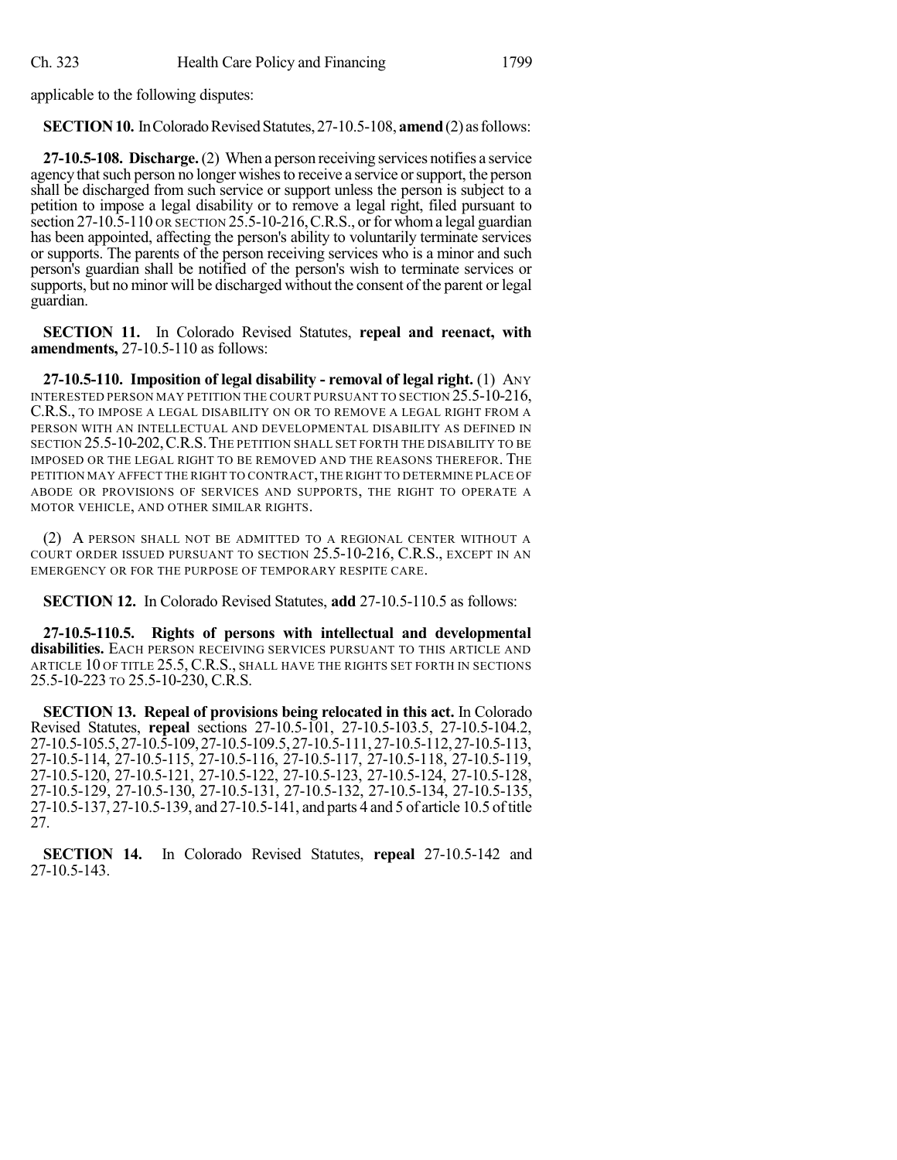applicable to the following disputes:

**SECTION 10.** In Colorado Revised Statutes, 27-10.5-108, **amend** (2) as follows:

**27-10.5-108. Discharge.**(2) When a person receiving services notifies a service agency that such person no longer wishes to receive a service or support, the person shall be discharged from such service or support unless the person is subject to a petition to impose a legal disability or to remove a legal right, filed pursuant to section  $27-10.5-110$  OR SECTION  $25.5-10-216$ , C.R.S., or for whom a legal guardian has been appointed, affecting the person's ability to voluntarily terminate services or supports. The parents of the person receiving services who is a minor and such person's guardian shall be notified of the person's wish to terminate services or supports, but no minor will be discharged without the consent of the parent or legal guardian.

**SECTION 11.** In Colorado Revised Statutes, **repeal and reenact, with amendments,** 27-10.5-110 as follows:

**27-10.5-110. Imposition of legal disability - removal of legal right.** (1) ANY INTERESTED PERSON MAY PETITION THE COURT PURSUANT TO SECTION 25.5-10-216, C.R.S., TO IMPOSE A LEGAL DISABILITY ON OR TO REMOVE A LEGAL RIGHT FROM A PERSON WITH AN INTELLECTUAL AND DEVELOPMENTAL DISABILITY AS DEFINED IN SECTION 25.5-10-202,C.R.S.THE PETITION SHALL SET FORTH THE DISABILITY TO BE IMPOSED OR THE LEGAL RIGHT TO BE REMOVED AND THE REASONS THEREFOR. THE PETITION MAY AFFECT THE RIGHT TO CONTRACT,THE RIGHT TO DETERMINE PLACE OF ABODE OR PROVISIONS OF SERVICES AND SUPPORTS, THE RIGHT TO OPERATE A MOTOR VEHICLE, AND OTHER SIMILAR RIGHTS.

(2) A PERSON SHALL NOT BE ADMITTED TO A REGIONAL CENTER WITHOUT A COURT ORDER ISSUED PURSUANT TO SECTION 25.5-10-216, C.R.S., EXCEPT IN AN EMERGENCY OR FOR THE PURPOSE OF TEMPORARY RESPITE CARE.

**SECTION 12.** In Colorado Revised Statutes, **add** 27-10.5-110.5 as follows:

**27-10.5-110.5. Rights of persons with intellectual and developmental disabilities.** EACH PERSON RECEIVING SERVICES PURSUANT TO THIS ARTICLE AND ARTICLE 10 OF TITLE 25.5, C.R.S., SHALL HAVE THE RIGHTS SET FORTH IN SECTIONS 25.5-10-223 TO 25.5-10-230, C.R.S.

**SECTION 13. Repeal of provisions being relocated in this act.** In Colorado Revised Statutes, **repeal** sections 27-10.5-101, 27-10.5-103.5, 27-10.5-104.2, 27-10.5-105.5,27-10.5-109,27-10.5-109.5, 27-10.5-111, 27-10.5-112,27-10.5-113, 27-10.5-114, 27-10.5-115, 27-10.5-116, 27-10.5-117, 27-10.5-118, 27-10.5-119, 27-10.5-120, 27-10.5-121, 27-10.5-122, 27-10.5-123, 27-10.5-124, 27-10.5-128, 27-10.5-129, 27-10.5-130, 27-10.5-131, 27-10.5-132, 27-10.5-134, 27-10.5-135, 27-10.5-137, 27-10.5-139, and 27-10.5-141, and parts 4 and 5 of article 10.5 oftitle 27.

**SECTION 14.** In Colorado Revised Statutes, **repeal** 27-10.5-142 and 27-10.5-143.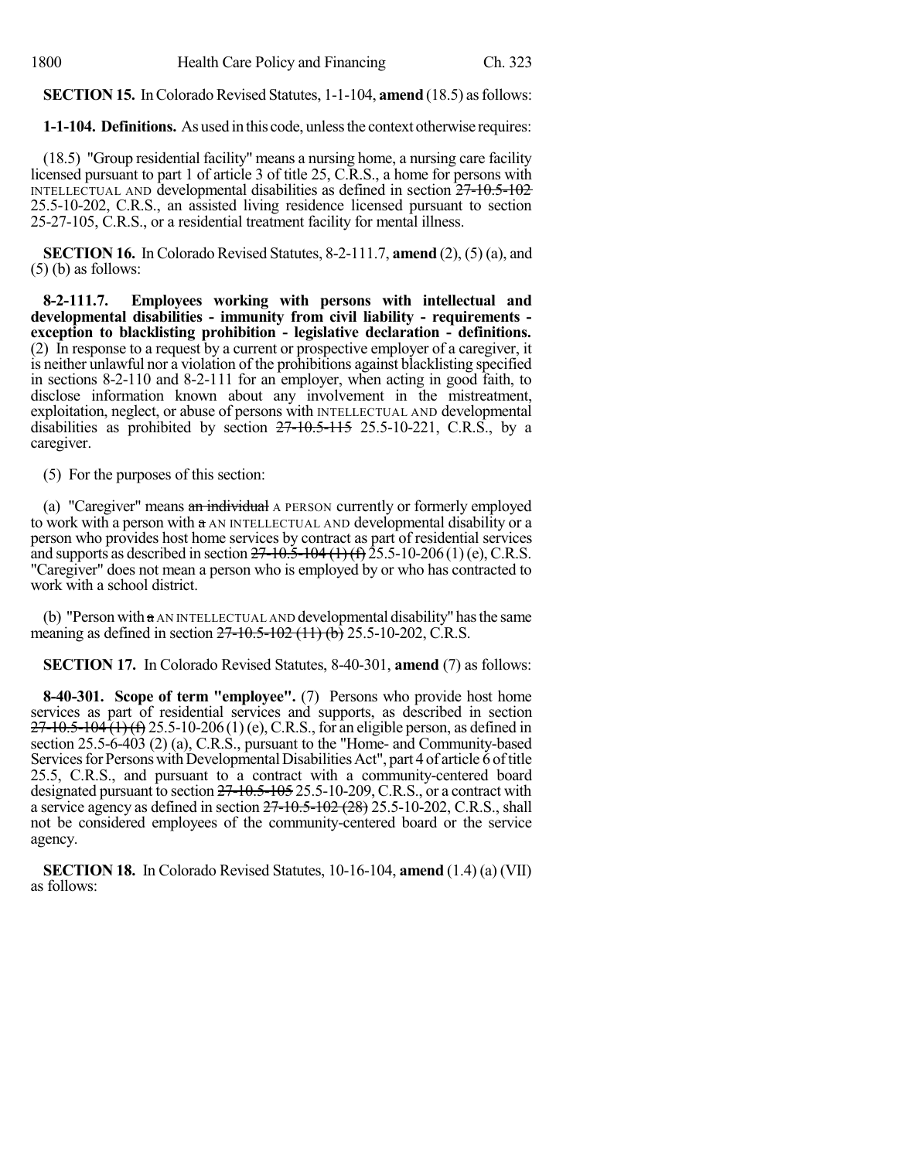**SECTION 15.** In Colorado Revised Statutes, 1-1-104, **amend** (18.5) as follows:

**1-1-104. Definitions.** As used in this code, unlessthe context otherwise requires:

(18.5) "Group residential facility" means a nursing home, a nursing care facility licensed pursuant to part 1 of article 3 of title 25, C.R.S., a home for persons with INTELLECTUAL AND developmental disabilities as defined in section 27-10.5-102 25.5-10-202, C.R.S., an assisted living residence licensed pursuant to section 25-27-105, C.R.S., or a residential treatment facility for mental illness.

**SECTION 16.** In Colorado Revised Statutes, 8-2-111.7, **amend** (2), (5) (a), and (5) (b) as follows:

**8-2-111.7. Employees working with persons with intellectual and developmental disabilities - immunity from civil liability - requirements exception to blacklisting prohibition - legislative declaration - definitions.** (2) In response to a request by a current or prospective employer of a caregiver, it is neither unlawful nor a violation of the prohibitions against blacklisting specified in sections 8-2-110 and 8-2-111 for an employer, when acting in good faith, to disclose information known about any involvement in the mistreatment, exploitation, neglect, or abuse of persons with INTELLECTUAL AND developmental disabilities as prohibited by section  $27-10.5-115$  25.5-10-221, C.R.S., by a caregiver.

(5) For the purposes of this section:

(a) "Caregiver" means an individual A PERSON currently or formerly employed to work with a person with a AN INTELLECTUAL AND developmental disability or a person who provides host home services by contract as part of residential services and supports as described in section  $27-10.5-104$  (1) (f)  $25.5-10-206$  (1) (e), C.R.S. "Caregiver" does not mean a person who is employed by or who has contracted to work with a school district.

(b) "Person with  $a$  AN INTELLECTUAL AND developmental disability" has the same meaning as defined in section 27-10.5-102 (11) (b) 25.5-10-202, C.R.S.

**SECTION 17.** In Colorado Revised Statutes, 8-40-301, **amend** (7) as follows:

**8-40-301. Scope of term "employee".** (7) Persons who provide host home services as part of residential services and supports, as described in section  $27-10.5-104(1)$  (f) 25.5-10-206(1) (e), C.R.S., for an eligible person, as defined in section 25.5-6-403 (2) (a), C.R.S., pursuant to the "Home- and Community-based Services for Persons with Developmental Disabilities Act", part 4 of article 6 of title 25.5, C.R.S., and pursuant to a contract with a community-centered board designated pursuant to section 27-10.5-105 25.5-10-209, C.R.S., or a contract with a service agency as defined in section  $27 - 10.5 - 102 (28) 25.5 - 10 - 202$ , C.R.S., shall not be considered employees of the community-centered board or the service agency.

**SECTION 18.** In Colorado Revised Statutes, 10-16-104, **amend** (1.4) (a) (VII) as follows: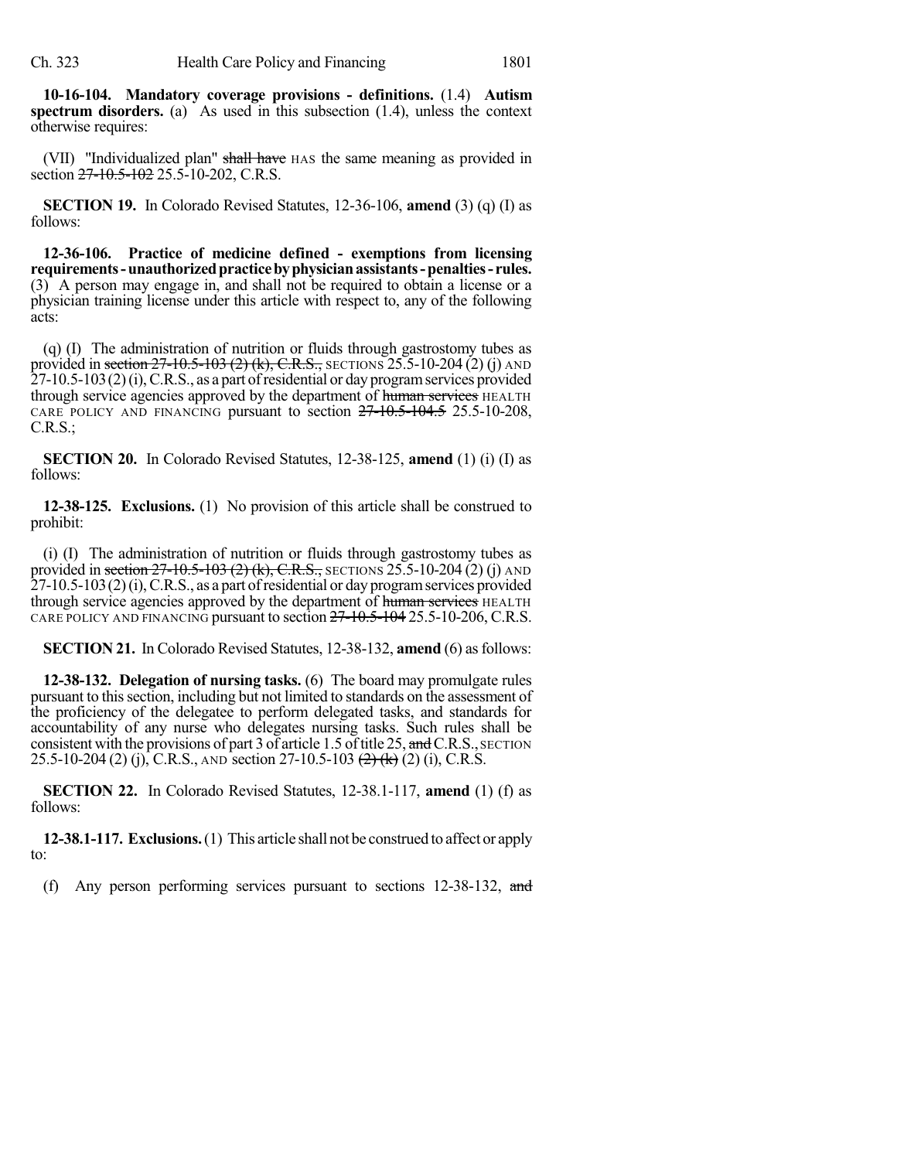**10-16-104. Mandatory coverage provisions - definitions.** (1.4) **Autism spectrum disorders.** (a) As used in this subsection (1.4), unless the context otherwise requires:

(VII) "Individualized plan" shall have HAS the same meaning as provided in section 27-10.5-102 25.5-10-202, C.R.S.

**SECTION 19.** In Colorado Revised Statutes, 12-36-106, **amend** (3) (q) (I) as follows:

**12-36-106. Practice of medicine defined - exemptions from licensing requirements-unauthorizedpracticebyphysicianassistants-penalties- rules.** (3) A person may engage in, and shall not be required to obtain a license or a physician training license under this article with respect to, any of the following acts:

(q) (I) The administration of nutrition or fluids through gastrostomy tubes as provided in section  $27-10.5-103$  (2) (k), C.R.S., SECTIONS 25.5-10-204 (2) (j) AND  $27-10.5-103(2)$  (i), C.R.S., as a part of residential or day program services provided through service agencies approved by the department of human services HEALTH CARE POLICY AND FINANCING pursuant to section  $27-10.5-104.5$  25.5-10-208, C.R.S.;

**SECTION 20.** In Colorado Revised Statutes, 12-38-125, **amend** (1) (i) (I) as follows:

**12-38-125. Exclusions.** (1) No provision of this article shall be construed to prohibit:

(i) (I) The administration of nutrition or fluids through gastrostomy tubes as provided in section  $27-10.5-103$  (2) (k), C.R.S., SECTIONS 25.5-10-204 (2) (j) AND 27-10.5-103(2)(i),C.R.S., as a part ofresidential or day programservices provided through service agencies approved by the department of human services HEALTH CARE POLICY AND FINANCING pursuant to section  $27$ –10.5–104 25.5–10–206, C.R.S.

**SECTION 21.** In Colorado Revised Statutes, 12-38-132, **amend** (6) as follows:

**12-38-132. Delegation of nursing tasks.** (6) The board may promulgate rules pursuant to thissection, including but not limited to standards on the assessment of the proficiency of the delegatee to perform delegated tasks, and standards for accountability of any nurse who delegates nursing tasks. Such rules shall be consistent with the provisions of part 3 of article 1.5 of title 25, and C.R.S., SECTION 25.5-10-204 (2) (j), C.R.S., AND section 27-10.5-103  $\left(\frac{2}{\epsilon}\right)$  (k) (2) (i), C.R.S.

**SECTION 22.** In Colorado Revised Statutes, 12-38.1-117, **amend** (1) (f) as follows:

**12-38.1-117. Exclusions.**(1) This article shall not be construed to affect or apply to:

(f) Any person performing services pursuant to sections 12-38-132, and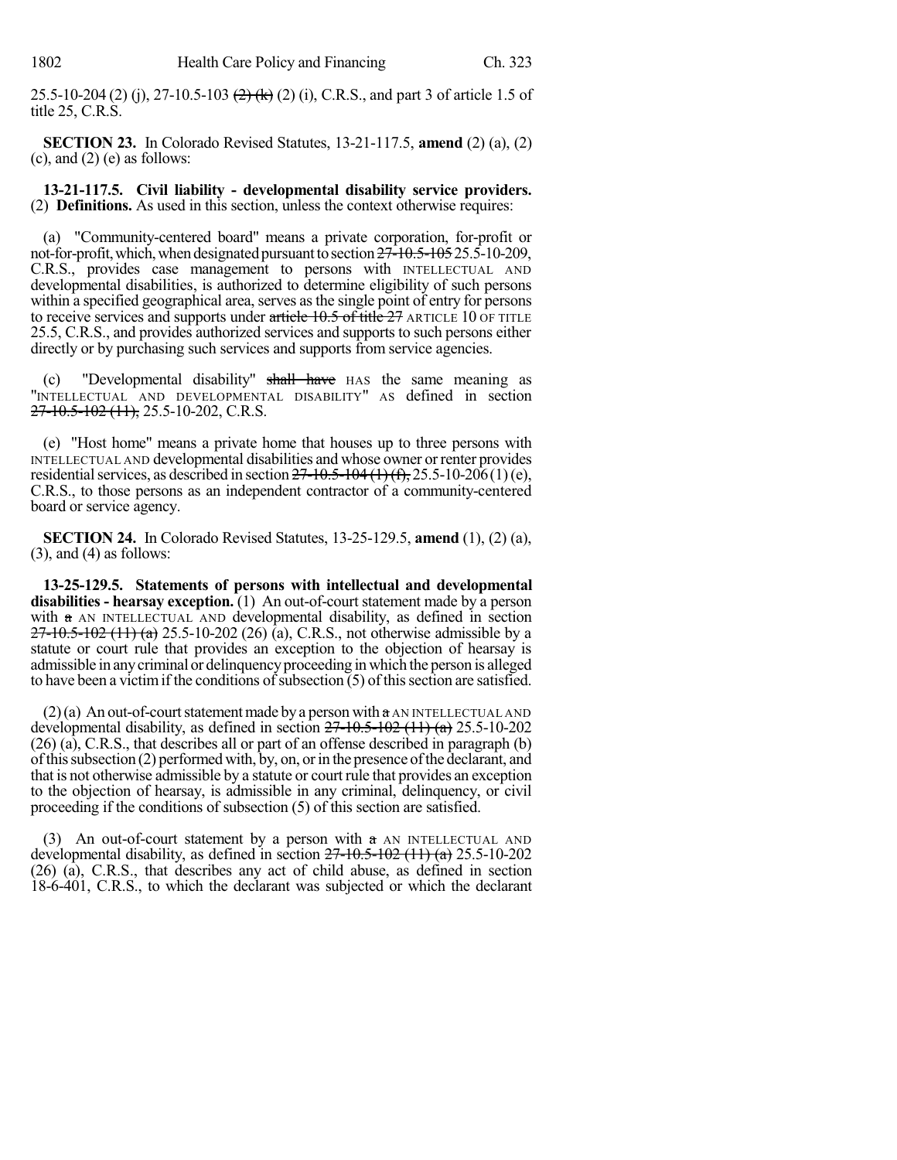25.5-10-204 (2) (j), 27-10.5-103  $\left(\frac{2}{k}\right)$  (k) (2) (i), C.R.S., and part 3 of article 1.5 of title 25, C.R.S.

**SECTION 23.** In Colorado Revised Statutes, 13-21-117.5, **amend** (2) (a), (2)  $(c)$ , and  $(2)$   $(e)$  as follows:

**13-21-117.5. Civil liability - developmental disability service providers.** (2) **Definitions.** As used in this section, unless the context otherwise requires:

(a) "Community-centered board" means a private corporation, for-profit or not-for-profit, which, when designated pursuant to section  $27\text{-}10.5\text{-}10525.5\text{-}10\text{-}209$ , C.R.S., provides case management to persons with INTELLECTUAL AND developmental disabilities, is authorized to determine eligibility of such persons within a specified geographical area, serves asthe single point of entry for persons to receive services and supports under article 10.5 of title 27 ARTICLE 10 OF TITLE 25.5, C.R.S., and provides authorized services and supports to such persons either directly or by purchasing such services and supports from service agencies.

(c) "Developmental disability" shall have HAS the same meaning as "INTELLECTUAL AND DEVELOPMENTAL DISABILITY" AS defined in section  $27-10.5-102$  (11), 25.5-10-202, C.R.S.

(e) "Host home" means a private home that houses up to three persons with INTELLECTUAL AND developmental disabilities and whose owner orrenter provides residential services, as described in section  $27-10.5-104(1)(f)$ ,  $25.5-10-206(1)(e)$ , C.R.S., to those persons as an independent contractor of a community-centered board or service agency.

**SECTION 24.** In Colorado Revised Statutes, 13-25-129.5, **amend** (1), (2) (a),  $(3)$ , and  $(4)$  as follows:

**13-25-129.5. Statements of persons with intellectual and developmental disabilities - hearsay exception.** (1) An out-of-court statement made by a person with a AN INTELLECTUAL AND developmental disability, as defined in section  $27-10.5-102$  (11) (a) 25.5-10-202 (26) (a), C.R.S., not otherwise admissible by a statute or court rule that provides an exception to the objection of hearsay is admissible in anycriminal or delinquencyproceeding in which the person is alleged to have been a victim if the conditions of subsection  $(5)$  of this section are satisfied.

 $(2)(a)$  An out-of-court statement made by a person with  $a$  AN INTELLECTUAL AND developmental disability, as defined in section  $27-10.5-102$  (11) (a) 25.5-10-202 (26) (a), C.R.S., that describes all or part of an offense described in paragraph (b) ofthissubsection (2) performedwith, by, on, orin the presence ofthe declarant, and that is not otherwise admissible by a statute or courtrule that provides an exception to the objection of hearsay, is admissible in any criminal, delinquency, or civil proceeding if the conditions of subsection (5) of this section are satisfied.

(3) An out-of-court statement by a person with  $\alpha$  AN INTELLECTUAL AND developmental disability, as defined in section  $27-10.5-102$  (11) (a) 25.5-10-202 (26) (a), C.R.S., that describes any act of child abuse, as defined in section 18-6-401, C.R.S., to which the declarant was subjected or which the declarant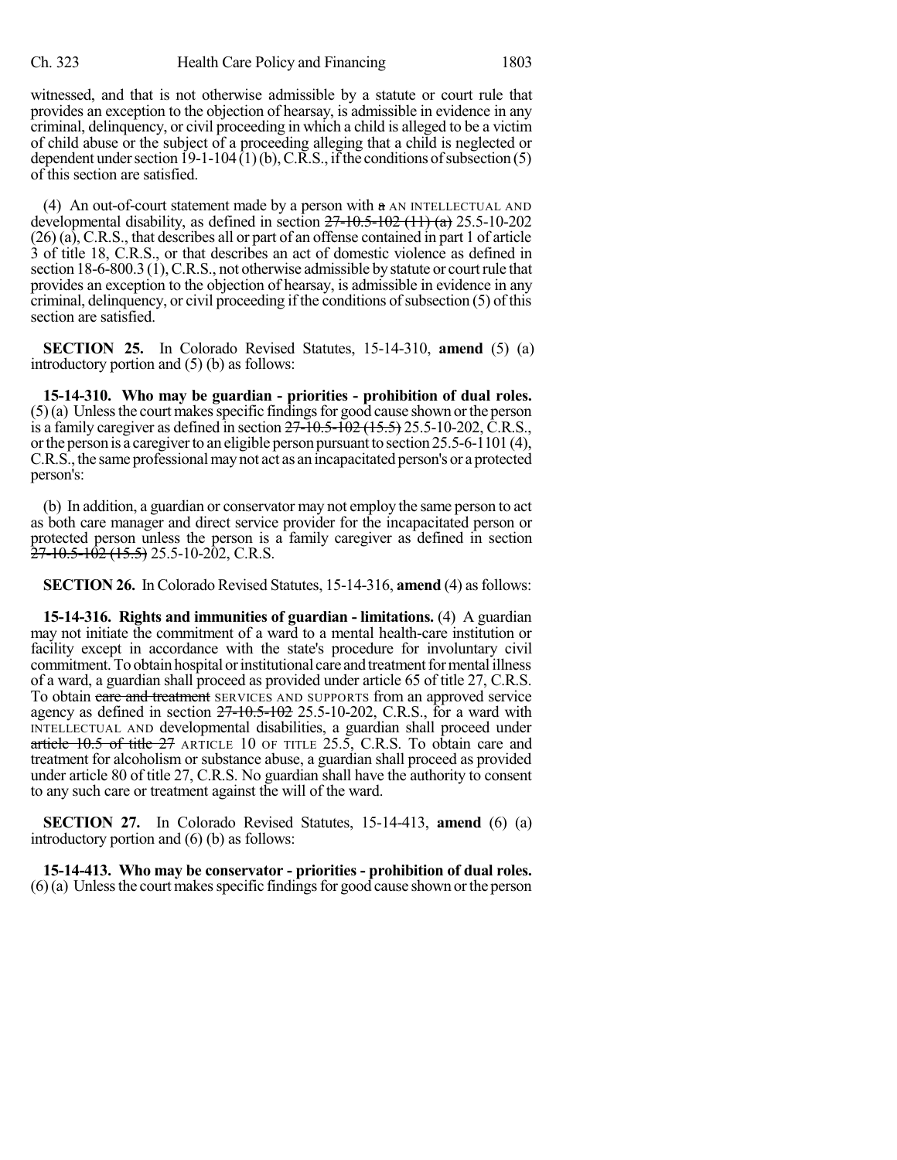witnessed, and that is not otherwise admissible by a statute or court rule that provides an exception to the objection of hearsay, is admissible in evidence in any criminal, delinquency, or civil proceeding in which a child is alleged to be a victim of child abuse or the subject of a proceeding alleging that a child is neglected or dependent under section  $19-1-104(1)(b)$ , C.R.S., if the conditions of subsection (5) of this section are satisfied.

(4) An out-of-court statement made by a person with  $\alpha$  AN INTELLECTUAL AND developmental disability, as defined in section  $27-10.5-102$  (11) (a) 25.5-10-202 (26) (a), C.R.S., that describes all or part of an offense contained in part 1 of article 3 of title 18, C.R.S., or that describes an act of domestic violence as defined in section 18-6-800.3 (1), C.R.S., not otherwise admissible by statute or court rule that provides an exception to the objection of hearsay, is admissible in evidence in any criminal, delinquency, or civil proceeding if the conditions of subsection  $(5)$  of this section are satisfied.

**SECTION 25.** In Colorado Revised Statutes, 15-14-310, **amend** (5) (a) introductory portion and (5) (b) as follows:

**15-14-310. Who may be guardian - priorities - prohibition of dual roles.**  $(5)(a)$  Unless the court makes specific findings for good cause shown or the person is a family caregiver as defined in section  $27 - 10.5 - 102$  (15.5) 25.5-10-202, C.R.S., or the person is a caregiver to an eligible person pursuant to section 25.5-6-1101 (4), C.R.S., the same professional may not act as an incapacitated person's or a protected person's:

(b) In addition, a guardian or conservator may not employ the same person to act as both care manager and direct service provider for the incapacitated person or protected person unless the person is a family caregiver as defined in section  $\frac{27-10.5-102}{27-10.5-102}$  (15.5) 25.5-10-202, C.R.S.

**SECTION 26.** In Colorado Revised Statutes, 15-14-316, **amend** (4) as follows:

**15-14-316. Rights and immunities of guardian - limitations.** (4) A guardian may not initiate the commitment of a ward to a mental health-care institution or facility except in accordance with the state's procedure for involuntary civil commitment. To obtain hospital or institutional care and treatment for mental illness of a ward, a guardian shall proceed as provided under article 65 of title 27, C.R.S. To obtain care and treatment SERVICES AND SUPPORTS from an approved service agency as defined in section  $27-10.5-102$  25.5-10-202, C.R.S., for a ward with INTELLECTUAL AND developmental disabilities, a guardian shall proceed under article  $10.5$  of title  $27$  ARTICLE 10 OF TITLE 25.5, C.R.S. To obtain care and treatment for alcoholism or substance abuse, a guardian shall proceed as provided under article 80 of title 27, C.R.S. No guardian shall have the authority to consent to any such care or treatment against the will of the ward.

**SECTION 27.** In Colorado Revised Statutes, 15-14-413, **amend** (6) (a) introductory portion and (6) (b) as follows:

**15-14-413. Who may be conservator - priorities - prohibition of dual roles.**  $(6)(a)$  Unless the court makes specific findings for good cause shown or the person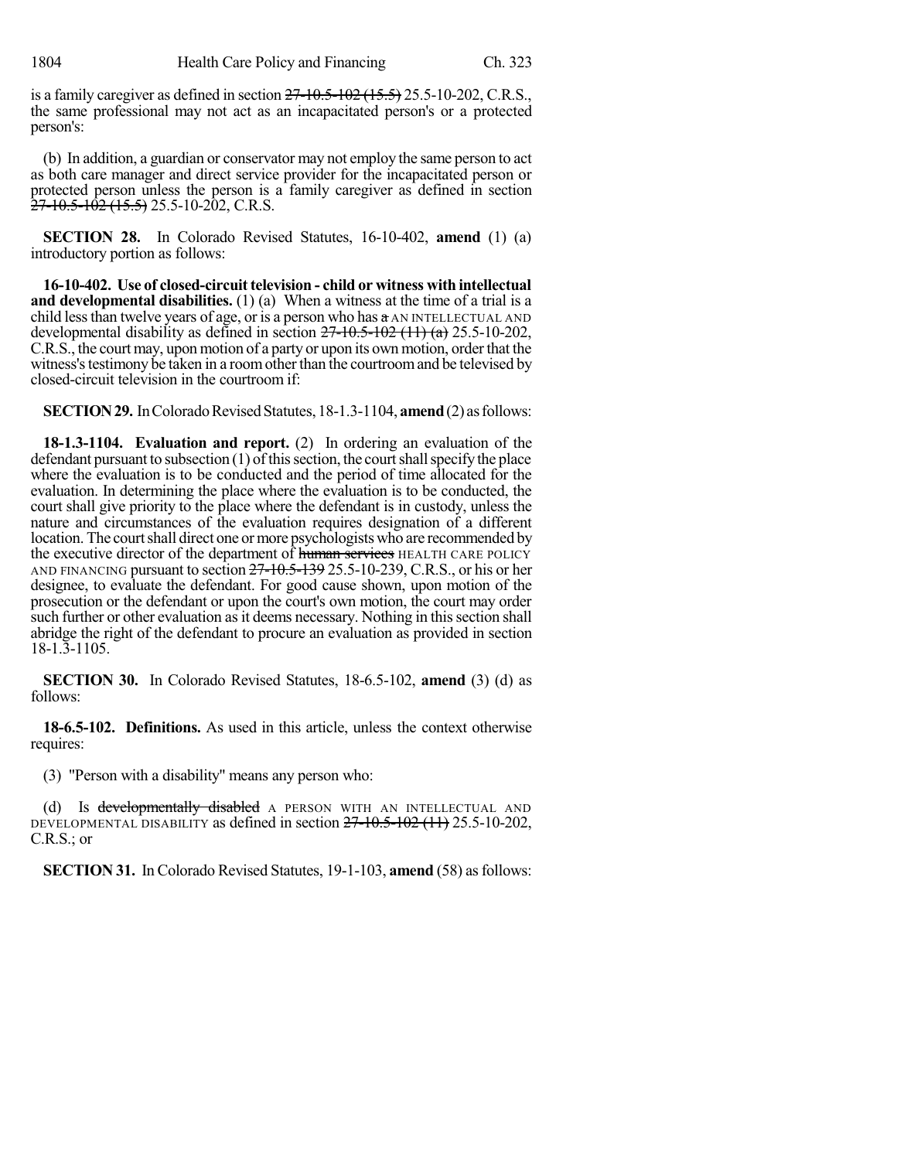is a family caregiver as defined in section  $27 - 10.5 - 102$  ( $15.5$ ) 25.5-10-202, C.R.S., the same professional may not act as an incapacitated person's or a protected person's:

(b) In addition, a guardian or conservator may not employ the same person to act as both care manager and direct service provider for the incapacitated person or protected person unless the person is a family caregiver as defined in section  $\frac{27-10.5-102}{27-10.5}$  (15.5) 25.5-10-202, C.R.S.

**SECTION 28.** In Colorado Revised Statutes, 16-10-402, **amend** (1) (a) introductory portion as follows:

**16-10-402. Use of closed-circuit television - child or witness with intellectual and developmental disabilities.** (1) (a) When a witness at the time of a trial is a child lessthan twelve years of age, or is a person who has a AN INTELLECTUAL AND developmental disability as defined in section  $27-10.5-102$  (11) (a) 25.5-10-202, C.R.S., the court may, upon motion of a party or upon its own motion, order that the witness's testimony be taken in a room other than the courtroom and be televised by closed-circuit television in the courtroom if:

**SECTION 29.** In Colorado Revised Statutes, 18-1.3-1104, **amend** (2) as follows:

**18-1.3-1104. Evaluation and report.** (2) In ordering an evaluation of the defendant pursuant to subsection  $(1)$  of this section, the court shall specify the place where the evaluation is to be conducted and the period of time allocated for the evaluation. In determining the place where the evaluation is to be conducted, the court shall give priority to the place where the defendant is in custody, unless the nature and circumstances of the evaluation requires designation of a different location. The courtshall direct one ormore psychologists who are recommended by the executive director of the department of human services HEALTH CARE POLICY AND FINANCING pursuant to section  $27-10.5-139$  25.5-10-239, C.R.S., or his or her designee, to evaluate the defendant. For good cause shown, upon motion of the prosecution or the defendant or upon the court's own motion, the court may order such further or other evaluation as it deems necessary. Nothing in this section shall abridge the right of the defendant to procure an evaluation as provided in section 18-1.3-1105.

**SECTION 30.** In Colorado Revised Statutes, 18-6.5-102, **amend** (3) (d) as follows:

**18-6.5-102. Definitions.** As used in this article, unless the context otherwise requires:

(3) "Person with a disability" means any person who:

(d) Is developmentally disabled A PERSON WITH AN INTELLECTUAL AND DEVELOPMENTAL DISABILITY as defined in section  $27$ -10.5-102  $(11)$  25.5-10-202, C.R.S.; or

**SECTION 31.** In Colorado Revised Statutes, 19-1-103, **amend** (58) as follows: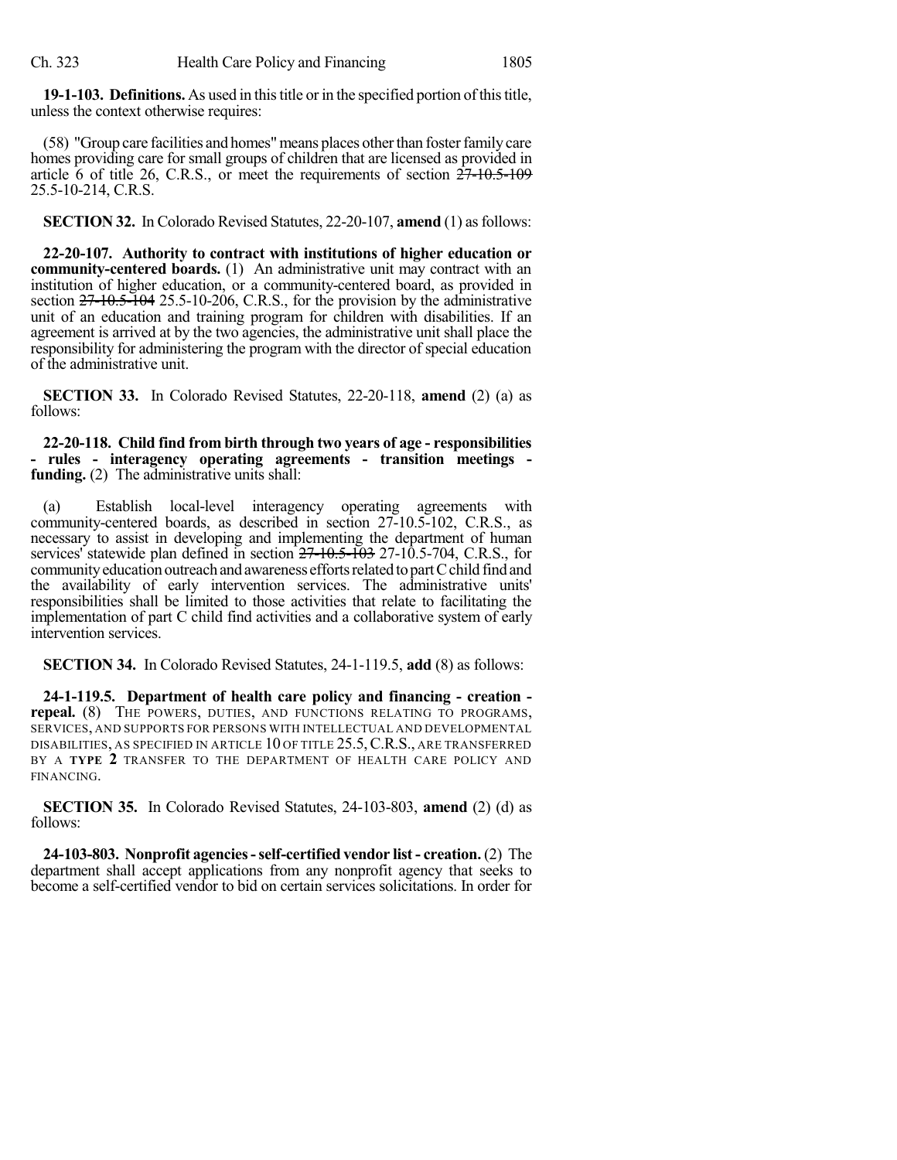19-1-103. Definitions. As used in this title or in the specified portion of this title, unless the context otherwise requires:

(58) "Group care facilities and homes" means places other than foster family care homes providing care for small groups of children that are licensed as provided in article 6 of title 26, C.R.S., or meet the requirements of section  $27-10.5-109$ 25.5-10-214, C.R.S.

**SECTION 32.** In Colorado Revised Statutes, 22-20-107, **amend** (1) as follows:

**22-20-107. Authority to contract with institutions of higher education or community-centered boards.** (1) An administrative unit may contract with an institution of higher education, or a community-centered board, as provided in section  $27-10.5-104$  25.5-10-206, C.R.S., for the provision by the administrative unit of an education and training program for children with disabilities. If an agreement is arrived at by the two agencies, the administrative unit shall place the responsibility for administering the program with the director of special education of the administrative unit.

**SECTION 33.** In Colorado Revised Statutes, 22-20-118, **amend** (2) (a) as follows:

**22-20-118. Child find from birth through two years of age - responsibilities - rules - interagency operating agreements - transition meetings funding.** (2) The administrative units shall:

(a) Establish local-level interagency operating agreements with community-centered boards, as described in section 27-10.5-102, C.R.S., as necessary to assist in developing and implementing the department of human services' statewide plan defined in section  $27-10.5-103$  27-10.5-704, C.R.S., for community education outreach and awareness efforts related to part C child find and the availability of early intervention services. The administrative units' responsibilities shall be limited to those activities that relate to facilitating the implementation of part C child find activities and a collaborative system of early intervention services.

**SECTION 34.** In Colorado Revised Statutes, 24-1-119.5, **add** (8) as follows:

**24-1-119.5. Department of health care policy and financing - creation repeal.** (8) THE POWERS, DUTIES, AND FUNCTIONS RELATING TO PROGRAMS, SERVICES, AND SUPPORTS FOR PERSONS WITH INTELLECTUAL AND DEVELOPMENTAL DISABILITIES, AS SPECIFIED IN ARTICLE 10 OF TITLE 25.5,C.R.S., ARE TRANSFERRED BY A **TYPE 2** TRANSFER TO THE DEPARTMENT OF HEALTH CARE POLICY AND FINANCING.

**SECTION 35.** In Colorado Revised Statutes, 24-103-803, **amend** (2) (d) as follows:

**24-103-803. Nonprofit agencies-self-certified vendor list - creation.** (2) The department shall accept applications from any nonprofit agency that seeks to become a self-certified vendor to bid on certain services solicitations. In order for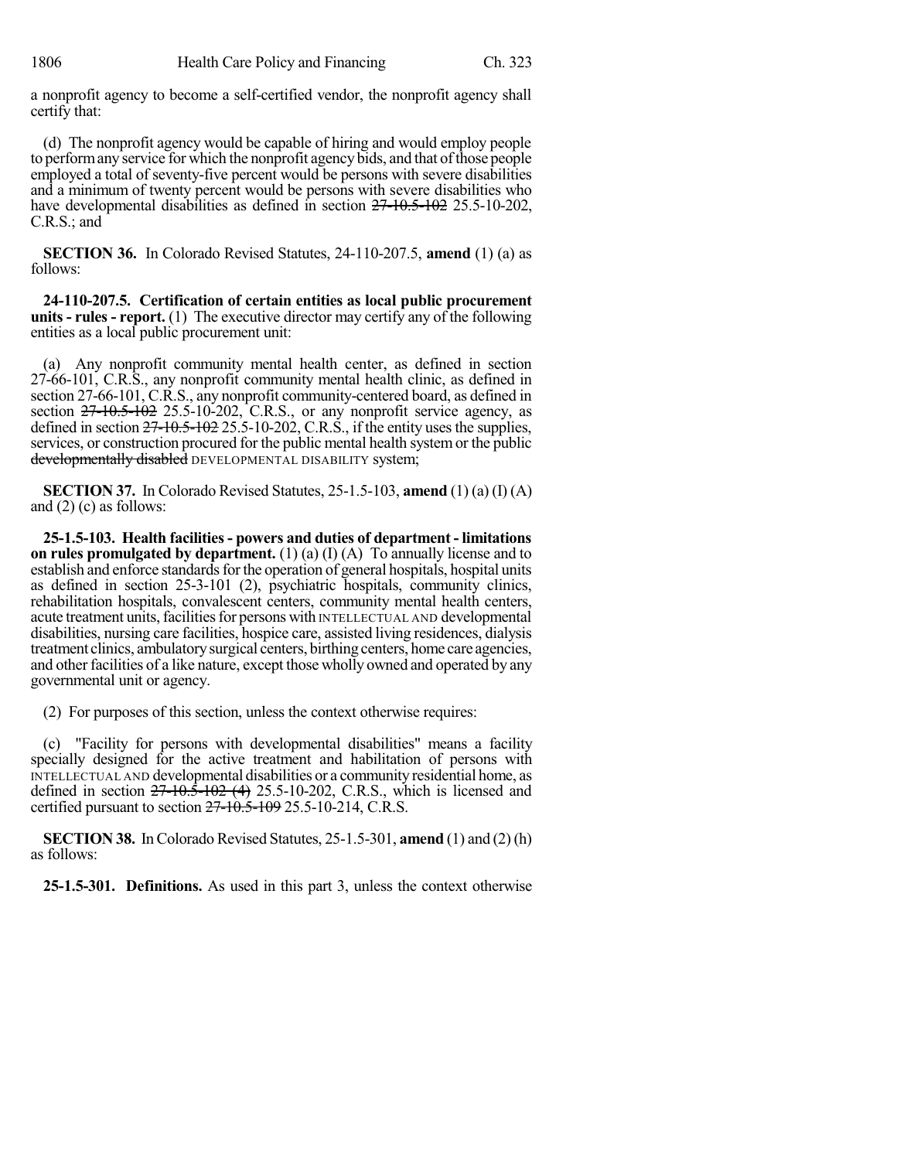a nonprofit agency to become a self-certified vendor, the nonprofit agency shall certify that:

(d) The nonprofit agency would be capable of hiring and would employ people to perform any service for which the nonprofit agency bids, and that of those people employed a total of seventy-five percent would be persons with severe disabilities and a minimum of twenty percent would be persons with severe disabilities who have developmental disabilities as defined in section  $27 - 10.5 - 102$  25.5-10-202, C.R.S.; and

**SECTION 36.** In Colorado Revised Statutes, 24-110-207.5, **amend** (1) (a) as follows:

**24-110-207.5. Certification of certain entities as local public procurement units - rules - report.** (1) The executive director may certify any of the following entities as a local public procurement unit:

(a) Any nonprofit community mental health center, as defined in section 27-66-101, C.R.S., any nonprofit community mental health clinic, as defined in section 27-66-101, C.R.S., any nonprofit community-centered board, as defined in section  $27-10.5-102$  25.5-10-202, C.R.S., or any nonprofit service agency, as defined in section  $27-10.5-102$  25.5-10-202, C.R.S., if the entity uses the supplies, services, or construction procured for the public mental health systemor the public developmentally disabled DEVELOPMENTAL DISABILITY system;

**SECTION 37.** In Colorado Revised Statutes, 25-1.5-103, **amend** (1) (a) (I) (A) and (2) (c) as follows:

**25-1.5-103. Health facilities- powers and duties of department - limitations on rules promulgated by department.** (1) (a) (I) (A) To annually license and to establish and enforce standards for the operation of general hospitals, hospital units as defined in section 25-3-101 (2), psychiatric hospitals, community clinics, rehabilitation hospitals, convalescent centers, community mental health centers, acute treatment units,facilitiesfor persons with INTELLECTUAL AND developmental disabilities, nursing care facilities, hospice care, assisted living residences, dialysis treatment clinics, ambulatorysurgical centers, birthing centers, home care agencies, and other facilities of a like nature, except those wholly owned and operated by any governmental unit or agency.

(2) For purposes of this section, unless the context otherwise requires:

(c) "Facility for persons with developmental disabilities" means a facility specially designed for the active treatment and habilitation of persons with INTELLECTUAL AND developmental disabilities or a community residential home, as defined in section  $27-10.5-102$  (4) 25.5-10-202, C.R.S., which is licensed and certified pursuant to section  $27 - 10.5 - 109$  25.5-10-214, C.R.S.

**SECTION 38.** In Colorado Revised Statutes, 25-1.5-301, **amend** (1) and (2) (h) as follows:

**25-1.5-301. Definitions.** As used in this part 3, unless the context otherwise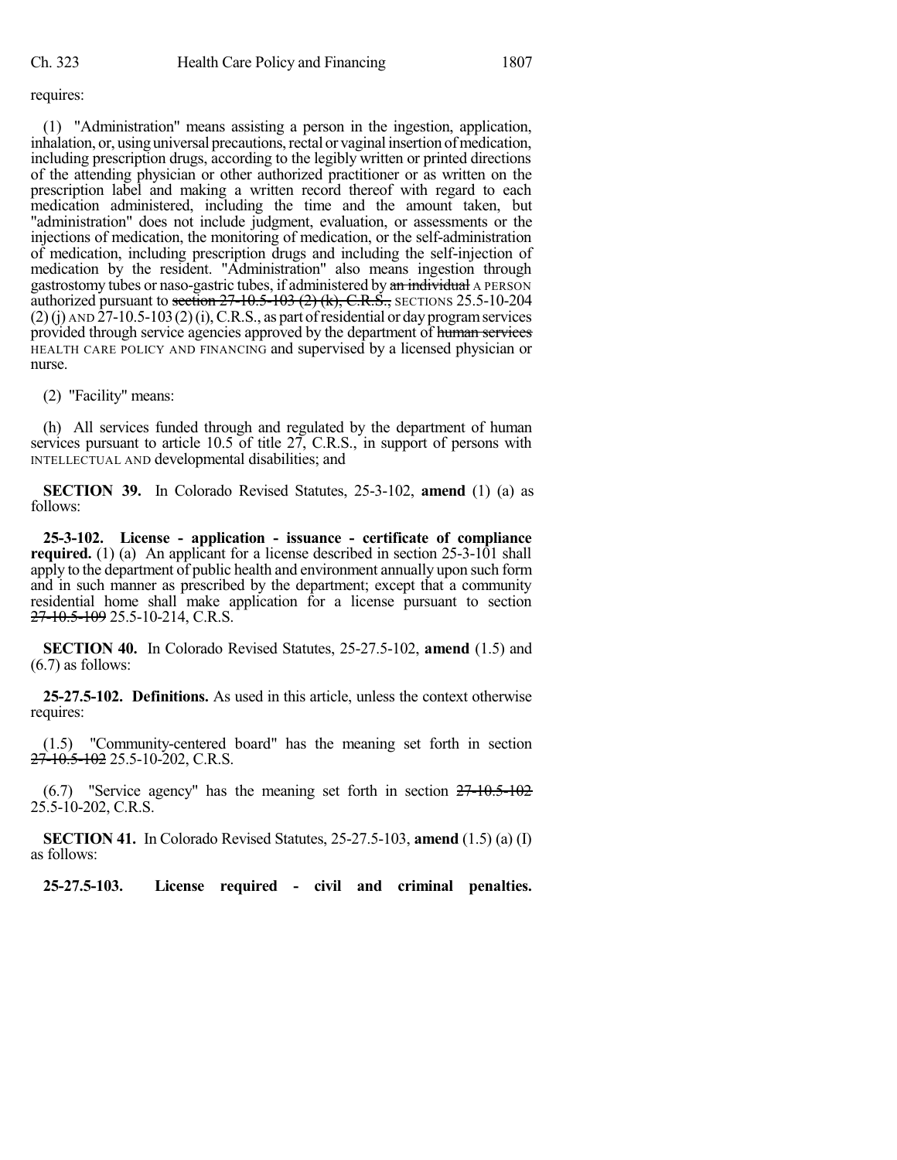requires:

(1) "Administration" means assisting a person in the ingestion, application, inhalation, or, using universal precautions, rectal or vaginal insertion of medication, including prescription drugs, according to the legibly written or printed directions of the attending physician or other authorized practitioner or as written on the prescription label and making a written record thereof with regard to each medication administered, including the time and the amount taken, but "administration" does not include judgment, evaluation, or assessments or the injections of medication, the monitoring of medication, or the self-administration of medication, including prescription drugs and including the self-injection of medication by the resident. "Administration" also means ingestion through gastrostomy tubes or naso-gastric tubes, if administered by an individual A PERSON authorized pursuant to section  $27-10.5-103$  (2) (k), C.R.S., SECTIONS 25.5-10-204  $(2)$ (j) AND  $\tilde{2}7$ -10.5-103(2)(i), C.R.S., as part of residential or day program services provided through service agencies approved by the department of human services HEALTH CARE POLICY AND FINANCING and supervised by a licensed physician or nurse.

(2) "Facility" means:

(h) All services funded through and regulated by the department of human services pursuant to article 10.5 of title 27, C.R.S., in support of persons with INTELLECTUAL AND developmental disabilities; and

**SECTION 39.** In Colorado Revised Statutes, 25-3-102, **amend** (1) (a) as follows:

**25-3-102. License - application - issuance - certificate of compliance required.** (1) (a) An applicant for a license described in section 25-3-101 shall apply to the department of public health and environment annually upon such form and in such manner as prescribed by the department; except that a community residential home shall make application for a license pursuant to section 27-10.5-109 25.5-10-214, C.R.S.

**SECTION 40.** In Colorado Revised Statutes, 25-27.5-102, **amend** (1.5) and (6.7) as follows:

**25-27.5-102. Definitions.** As used in this article, unless the context otherwise requires:

(1.5) "Community-centered board" has the meaning set forth in section  $27-10.5-102$  25.5-10-202, C.R.S.

(6.7) "Service agency" has the meaning set forth in section 27-10.5-102 25.5-10-202, C.R.S.

**SECTION 41.** In Colorado Revised Statutes, 25-27.5-103, **amend** (1.5) (a) (I) as follows:

**25-27.5-103. License required - civil and criminal penalties.**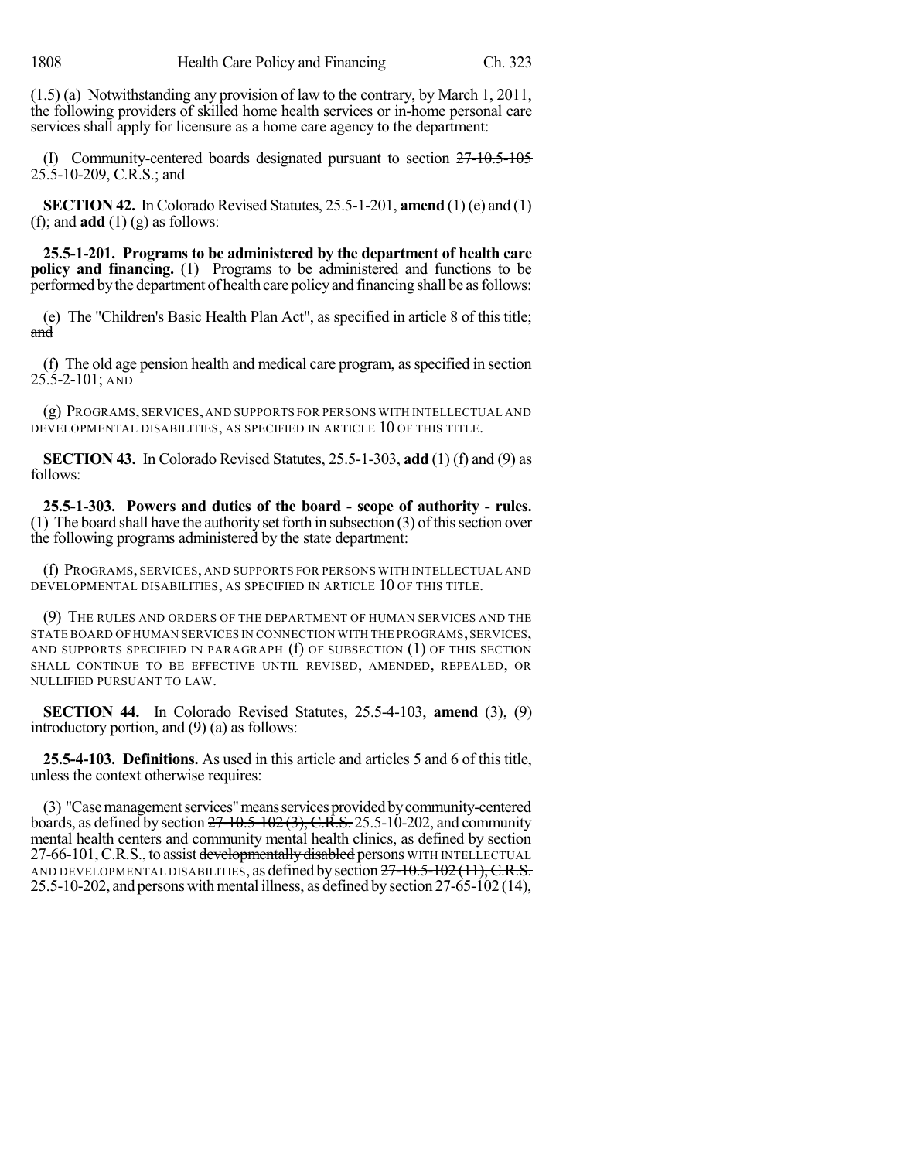(1.5) (a) Notwithstanding any provision of law to the contrary, by March 1, 2011, the following providers of skilled home health services or in-home personal care services shall apply for licensure as a home care agency to the department:

(I) Community-centered boards designated pursuant to section 27-10.5-105 25.5-10-209, C.R.S.; and

**SECTION 42.** In Colorado Revised Statutes, 25.5-1-201, **amend** (1) (e) and (1) (f); and **add** (1) (g) as follows:

**25.5-1-201. Programs to be administered by the department of health care policy and financing.** (1) Programs to be administered and functions to be performed bythe department of health care policyand financing shall be asfollows:

(e) The "Children's Basic Health Plan Act", as specified in article 8 of this title; and

(f) The old age pension health and medical care program, asspecified in section 25.5-2-101; AND

(g) PROGRAMS, SERVICES, AND SUPPORTS FOR PERSONS WITH INTELLECTUAL AND DEVELOPMENTAL DISABILITIES, AS SPECIFIED IN ARTICLE 10 OF THIS TITLE.

**SECTION 43.** In Colorado Revised Statutes, 25.5-1-303, **add** (1) (f) and (9) as follows:

**25.5-1-303. Powers and duties of the board - scope of authority - rules.** (1) The board shall have the authority set forth in subsection  $(3)$  of this section over the following programs administered by the state department:

(f) PROGRAMS, SERVICES, AND SUPPORTS FOR PERSONS WITH INTELLECTUAL AND DEVELOPMENTAL DISABILITIES, AS SPECIFIED IN ARTICLE 10 OF THIS TITLE.

(9) THE RULES AND ORDERS OF THE DEPARTMENT OF HUMAN SERVICES AND THE STATE BOARD OF HUMAN SERVICES IN CONNECTION WITH THE PROGRAMS, SERVICES, AND SUPPORTS SPECIFIED IN PARAGRAPH (f) OF SUBSECTION (1) OF THIS SECTION SHALL CONTINUE TO BE EFFECTIVE UNTIL REVISED, AMENDED, REPEALED, OR NULLIFIED PURSUANT TO LAW.

**SECTION 44.** In Colorado Revised Statutes, 25.5-4-103, **amend** (3), (9) introductory portion, and (9) (a) as follows:

**25.5-4-103. Definitions.** As used in this article and articles 5 and 6 of this title, unless the context otherwise requires:

(3) "Case management services" means services provided by community-centered boards, as defined by section  $27-10.5-102$  (3), C.R.S. 25.5-10-202, and community mental health centers and community mental health clinics, as defined by section 27-66-101, C.R.S., to assist developmentally disabled persons WITH INTELLECTUAL AND DEVELOPMENTAL DISABILITIES, as defined by section  $27-10.5-102(11)$ , C.R.S.  $25.5-10-202$ , and persons with mental illness, as defined by section  $27-65-102$  (14),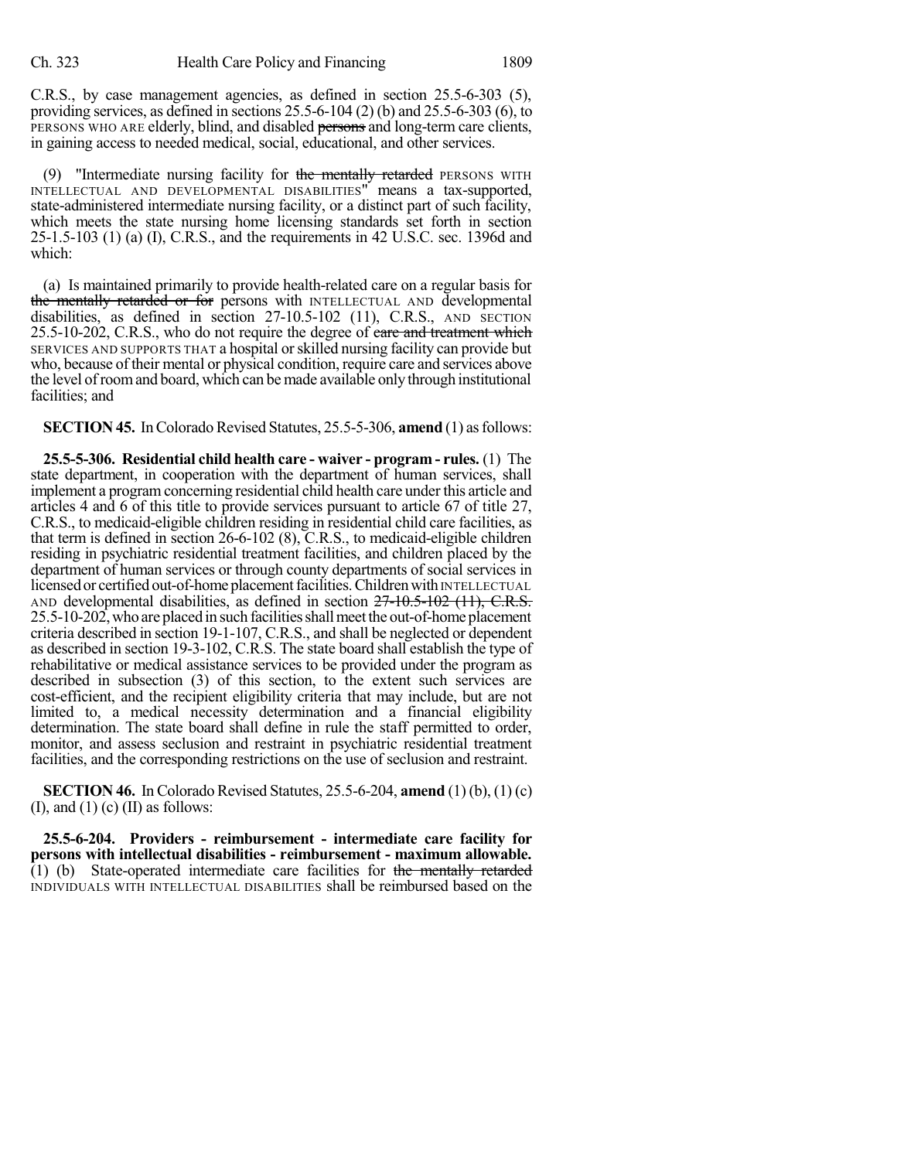C.R.S., by case management agencies, as defined in section 25.5-6-303 (5), providing services, as defined in sections 25.5-6-104 (2) (b) and 25.5-6-303 (6), to PERSONS WHO ARE elderly, blind, and disabled persons and long-term care clients, in gaining access to needed medical, social, educational, and other services.

(9) "Intermediate nursing facility for the mentally retarded PERSONS WITH INTELLECTUAL AND DEVELOPMENTAL DISABILITIES" means a tax-supported, state-administered intermediate nursing facility, or a distinct part of such facility, which meets the state nursing home licensing standards set forth in section 25-1.5-103 (1) (a) (I), C.R.S., and the requirements in 42 U.S.C. sec. 1396d and which:

(a) Is maintained primarily to provide health-related care on a regular basis for the mentally retarded or for persons with INTELLECTUAL AND developmental disabilities, as defined in section 27-10.5-102 (11), C.R.S., AND SECTION 25.5-10-202, C.R.S., who do not require the degree of care and treatment which SERVICES AND SUPPORTS THAT a hospital orskilled nursing facility can provide but who, because of their mental or physical condition, require care and services above the level ofroomand board, which can bemade available only through institutional facilities; and

**SECTION 45.** In Colorado Revised Statutes, 25.5-5-306, **amend** (1) as follows:

**25.5-5-306. Residential child health care - waiver - program - rules.** (1) The state department, in cooperation with the department of human services, shall implement a program concerning residential child health care under this article and articles 4 and 6 of this title to provide services pursuant to article 67 of title 27, C.R.S., to medicaid-eligible children residing in residential child care facilities, as that term is defined in section 26-6-102 (8), C.R.S., to medicaid-eligible children residing in psychiatric residential treatment facilities, and children placed by the department of human services or through county departments of social services in licensed or certified out-of-home placement facilities. Children with INTELLECTUAL AND developmental disabilities, as defined in section 27-10.5-102 (11), C.R.S. 25.5-10-202,who are placed in such facilitiesshallmeetthe out-of-home placement criteria described in section 19-1-107, C.R.S., and shall be neglected or dependent as described in section 19-3-102, C.R.S. The state board shall establish the type of rehabilitative or medical assistance services to be provided under the program as described in subsection (3) of this section, to the extent such services are cost-efficient, and the recipient eligibility criteria that may include, but are not limited to, a medical necessity determination and a financial eligibility determination. The state board shall define in rule the staff permitted to order, monitor, and assess seclusion and restraint in psychiatric residential treatment facilities, and the corresponding restrictions on the use of seclusion and restraint.

**SECTION 46.** In Colorado Revised Statutes, 25.5-6-204, **amend** (1) (b), (1) (c)  $(I)$ , and  $(I)$   $(c)$   $(II)$  as follows:

**25.5-6-204. Providers - reimbursement - intermediate care facility for persons with intellectual disabilities - reimbursement - maximum allowable.**  $(1)$  (b) State-operated intermediate care facilities for the mentally retarded INDIVIDUALS WITH INTELLECTUAL DISABILITIES shall be reimbursed based on the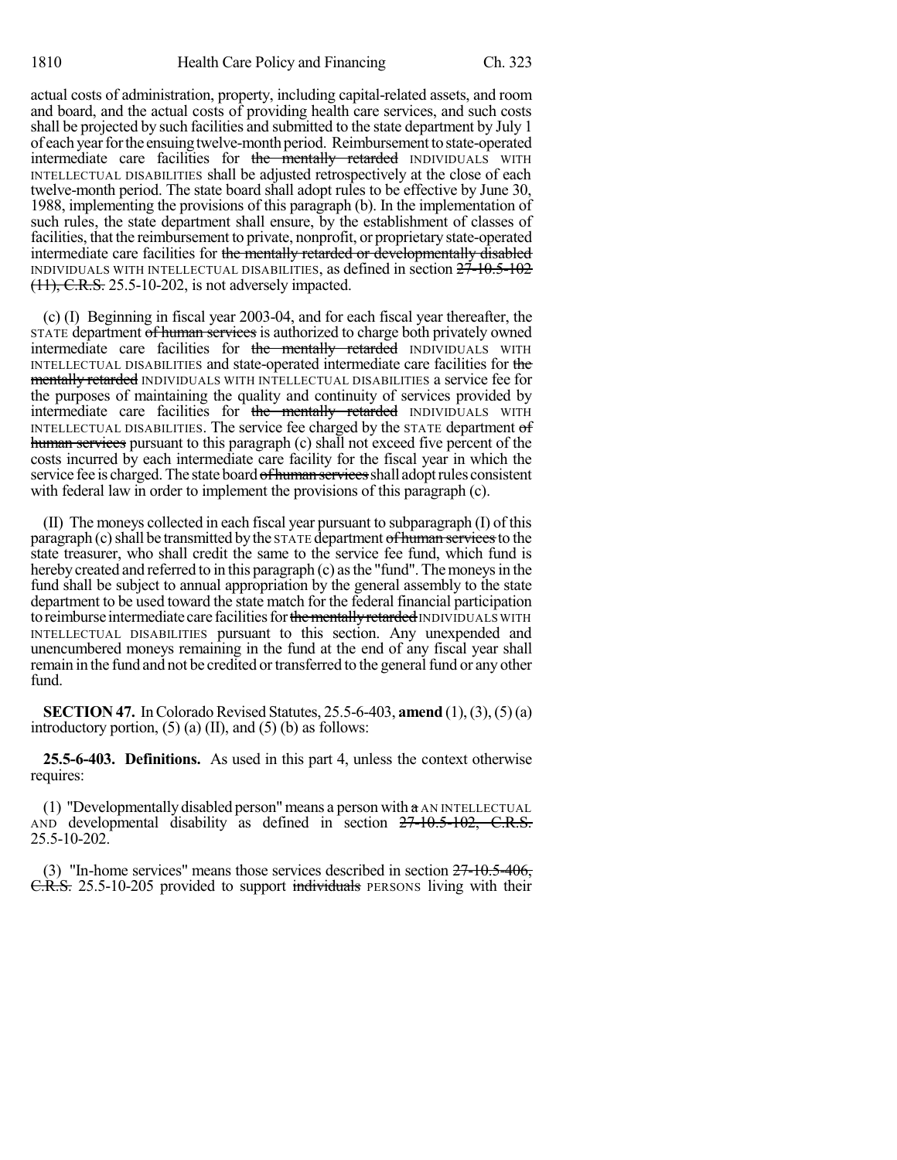actual costs of administration, property, including capital-related assets, and room and board, and the actual costs of providing health care services, and such costs shall be projected by such facilities and submitted to the state department by July 1 of each year for the ensuing twelve-month period. Reimbursement to state-operated intermediate care facilities for the mentally retarded INDIVIDUALS WITH INTELLECTUAL DISABILITIES shall be adjusted retrospectively at the close of each twelve-month period. The state board shall adopt rules to be effective by June 30, 1988, implementing the provisions of this paragraph (b). In the implementation of such rules, the state department shall ensure, by the establishment of classes of facilities, that the reimbursement to private, nonprofit, or proprietary state-operated intermediate care facilities for the mentally retarded or developmentally disabled INDIVIDUALS WITH INTELLECTUAL DISABILITIES, as defined in section 27-10.5-102 (11), C.R.S. 25.5-10-202, is not adversely impacted.

(c) (I) Beginning in fiscal year 2003-04, and for each fiscal year thereafter, the STATE department of human services is authorized to charge both privately owned intermediate care facilities for the mentally retarded INDIVIDUALS WITH INTELLECTUAL DISABILITIES and state-operated intermediate care facilities for the mentally retarded INDIVIDUALS WITH INTELLECTUAL DISABILITIES a service fee for the purposes of maintaining the quality and continuity of services provided by intermediate care facilities for the mentally retarded INDIVIDUALS WITH INTELLECTUAL DISABILITIES. The service fee charged by the STATE department of human services pursuant to this paragraph (c) shall not exceed five percent of the costs incurred by each intermediate care facility for the fiscal year in which the service fee is charged. The state board of human services shall adopt rules consistent with federal law in order to implement the provisions of this paragraph (c).

(II) The moneys collected in each fiscal year pursuant to subparagraph (I) of this paragraph (c) shall be transmitted by the STATE department of human services to the state treasurer, who shall credit the same to the service fee fund, which fund is hereby created and referred to in this paragraph (c) as the "fund". The moneys in the fund shall be subject to annual appropriation by the general assembly to the state department to be used toward the state match for the federal financial participation to reimburse intermediate care facilities for the mentally retarded INDIVIDUALS WITH INTELLECTUAL DISABILITIES pursuant to this section. Any unexpended and unencumbered moneys remaining in the fund at the end of any fiscal year shall remain in the fund and not be credited or transferred to the general fund or any other fund.

**SECTION 47.** In Colorado Revised Statutes, 25.5-6-403, **amend** (1), (3), (5) (a) introductory portion,  $(5)$  (a) (II), and  $(5)$  (b) as follows:

**25.5-6-403. Definitions.** As used in this part 4, unless the context otherwise requires:

(1) "Developmentally disabled person" means a person with  $\alpha$  AN INTELLECTUAL AND developmental disability as defined in section  $27\text{-}10.5\text{-}102$ , C.R.S. 25.5-10-202.

(3) "In-home services" means those services described in section 27-10.5-406, C.R.S. 25.5-10-205 provided to support individuals PERSONS living with their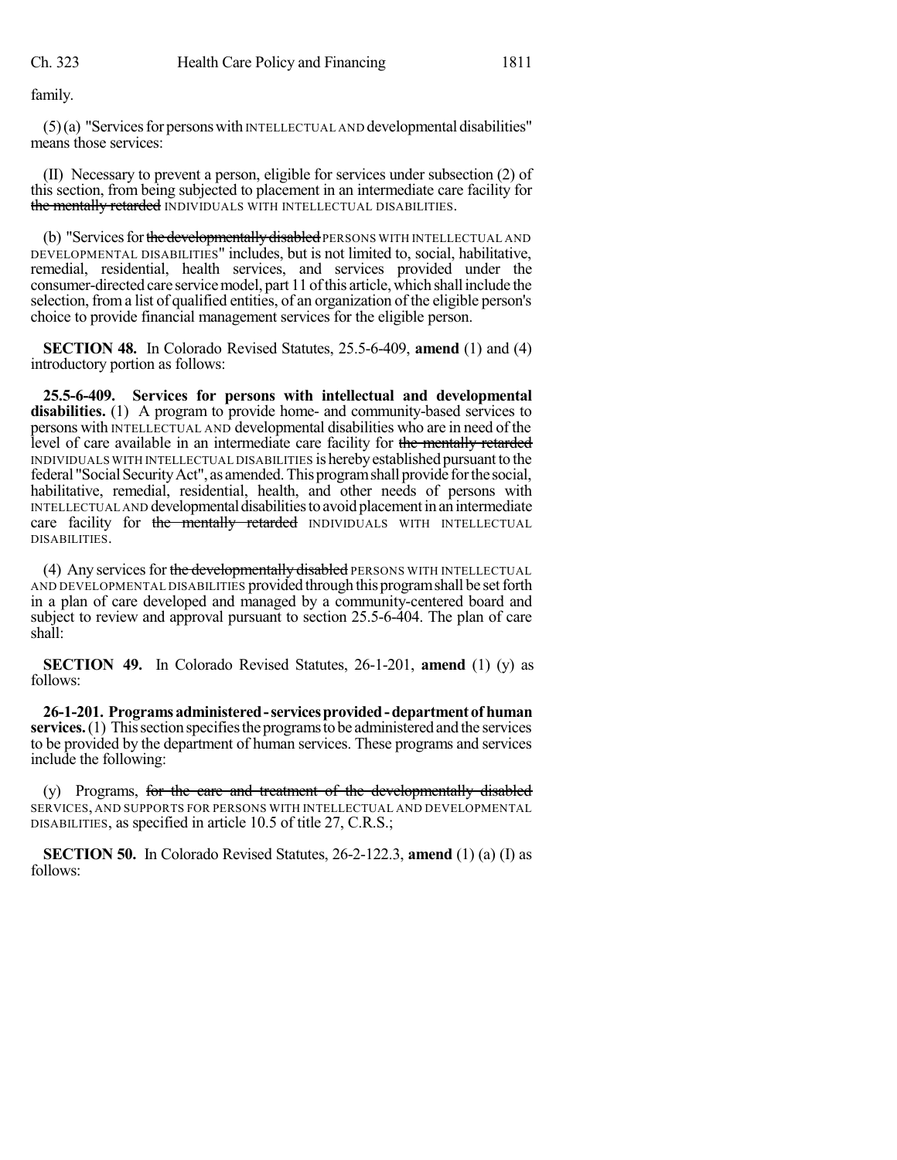family.

 $(5)(a)$  "Services for persons with INTELLECTUAL AND developmental disabilities" means those services:

(II) Necessary to prevent a person, eligible for services under subsection (2) of this section, from being subjected to placement in an intermediate care facility for the mentally retarded INDIVIDUALS WITH INTELLECTUAL DISABILITIES.

(b) "Services for the developmentally disabled PERSONS WITH INTELLECTUAL AND DEVELOPMENTAL DISABILITIES" includes, but is not limited to, social, habilitative, remedial, residential, health services, and services provided under the consumer-directed care service model, part 11 of this article, which shall include the selection, froma list of qualified entities, of an organization of the eligible person's choice to provide financial management services for the eligible person.

**SECTION 48.** In Colorado Revised Statutes, 25.5-6-409, **amend** (1) and (4) introductory portion as follows:

**25.5-6-409. Services for persons with intellectual and developmental** disabilities. (1) A program to provide home- and community-based services to persons with INTELLECTUAL AND developmental disabilities who are in need of the level of care available in an intermediate care facility for the mentally retarded INDIVIDUALS WITH INTELLECTUAL DISABILITIES is herebyestablished pursuantto the federal "Social Security Act", as amended. This program shall provide for the social, habilitative, remedial, residential, health, and other needs of persons with INTELLECTUAL AND developmental disabilities to avoid placement in an intermediate care facility for the mentally retarded INDIVIDUALS WITH INTELLECTUAL DISABILITIES.

(4) Any services for the developmentally disabled PERSONS WITH INTELLECTUAL AND DEVELOPMENTAL DISABILITIES provided through thisprogramshall be setforth in a plan of care developed and managed by a community-centered board and subject to review and approval pursuant to section 25.5-6-404. The plan of care shall:

**SECTION 49.** In Colorado Revised Statutes, 26-1-201, **amend** (1) (y) as follows:

**26-1-201. Programsadministered-servicesprovided-department of human services.** (1) This section specifies the programs to be administered and the services to be provided by the department of human services. These programs and services include the following:

(y) Programs, for the care and treatment of the developmentally disabled SERVICES, AND SUPPORTS FOR PERSONS WITH INTELLECTUAL AND DEVELOPMENTAL DISABILITIES, as specified in article 10.5 of title 27, C.R.S.;

**SECTION 50.** In Colorado Revised Statutes, 26-2-122.3, **amend** (1) (a) (I) as follows: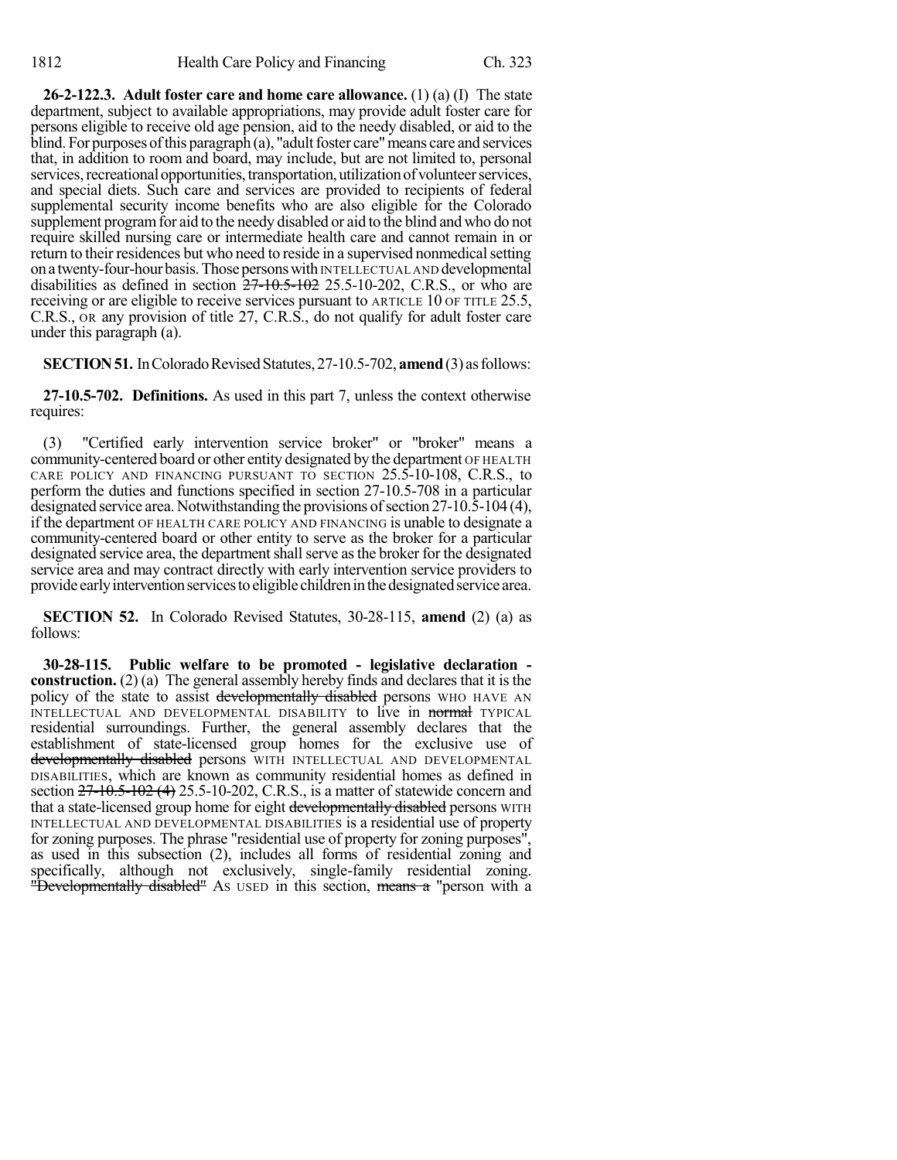**26-2-122.3. Adult foster care and home care allowance.** (1) (a) (I) The state department, subject to available appropriations, may provide adult foster care for persons eligible to receive old age pension, aid to the needy disabled, or aid to the  $\delta$  blind. For purposes of this paragraph (a), "adult foster care" means care and services that, in addition to room and board, may include, but are not limited to, personal services, recreational opportunities, transportation, utilization of volunteer services, and special diets. Such care and services are provided to recipients of federal supplemental security income benefits who are also eligible for the Colorado supplement program for aid to the needy disabled or aid to the blind and who do not require skilled nursing care or intermediate health care and cannot remain in or return to their residences but who need to reside in a supervised nonmedical setting on a twenty-four-hour basis. Those persons with INTELLECTUAL AND developmental disabilities as defined in section  $27-10.5-102$  25.5-10-202, C.R.S., or who are receiving or are eligible to receive services pursuant to ARTICLE 10 OF TITLE 25.5, C.R.S., OR any provision of title 27, C.R.S., do not qualify for adult foster care under this paragraph (a).

**SECTION 51.** In Colorado Revised Statutes, 27-10.5-702, **amend** (3) as follows:

**27-10.5-702. Definitions.** As used in this part 7, unless the context otherwise requires:

(3) "Certified early intervention service broker" or "broker" means a community-centered board or other entity designated by the department OF HEALTH CARE POLICY AND FINANCING PURSUANT TO SECTION 25.5-10-108, C.R.S., to perform the duties and functions specified in section 27-10.5-708 in a particular designated service area. Notwithstanding the provisions of section  $27-10.\overline{5}-104$  (4), if the department OF HEALTH CARE POLICY AND FINANCING is unable to designate a community-centered board or other entity to serve as the broker for a particular designated service area, the department shall serve as the broker for the designated service area and may contract directly with early intervention service providers to provide early intervention services to eligible children in the designated service area.

**SECTION 52.** In Colorado Revised Statutes, 30-28-115, **amend** (2) (a) as follows:

**30-28-115. Public welfare to be promoted - legislative declaration construction.** (2) (a) The general assembly hereby finds and declares that it is the policy of the state to assist developmentally disabled persons WHO HAVE AN INTELLECTUAL AND DEVELOPMENTAL DISABILITY to live in normal TYPICAL residential surroundings. Further, the general assembly declares that the establishment of state-licensed group homes for the exclusive use of developmentally disabled persons WITH INTELLECTUAL AND DEVELOPMENTAL DISABILITIES, which are known as community residential homes as defined in section  $27 - 10.5 - 102$  (4) 25.5-10-202, C.R.S., is a matter of statewide concern and that a state-licensed group home for eight developmentally disabled persons WITH INTELLECTUAL AND DEVELOPMENTAL DISABILITIES is a residential use of property for zoning purposes. The phrase "residential use of property for zoning purposes", as used in this subsection (2), includes all forms of residential zoning and specifically, although not exclusively, single-family residential zoning. "Developmentally disabled" As used in this section, means a "person with a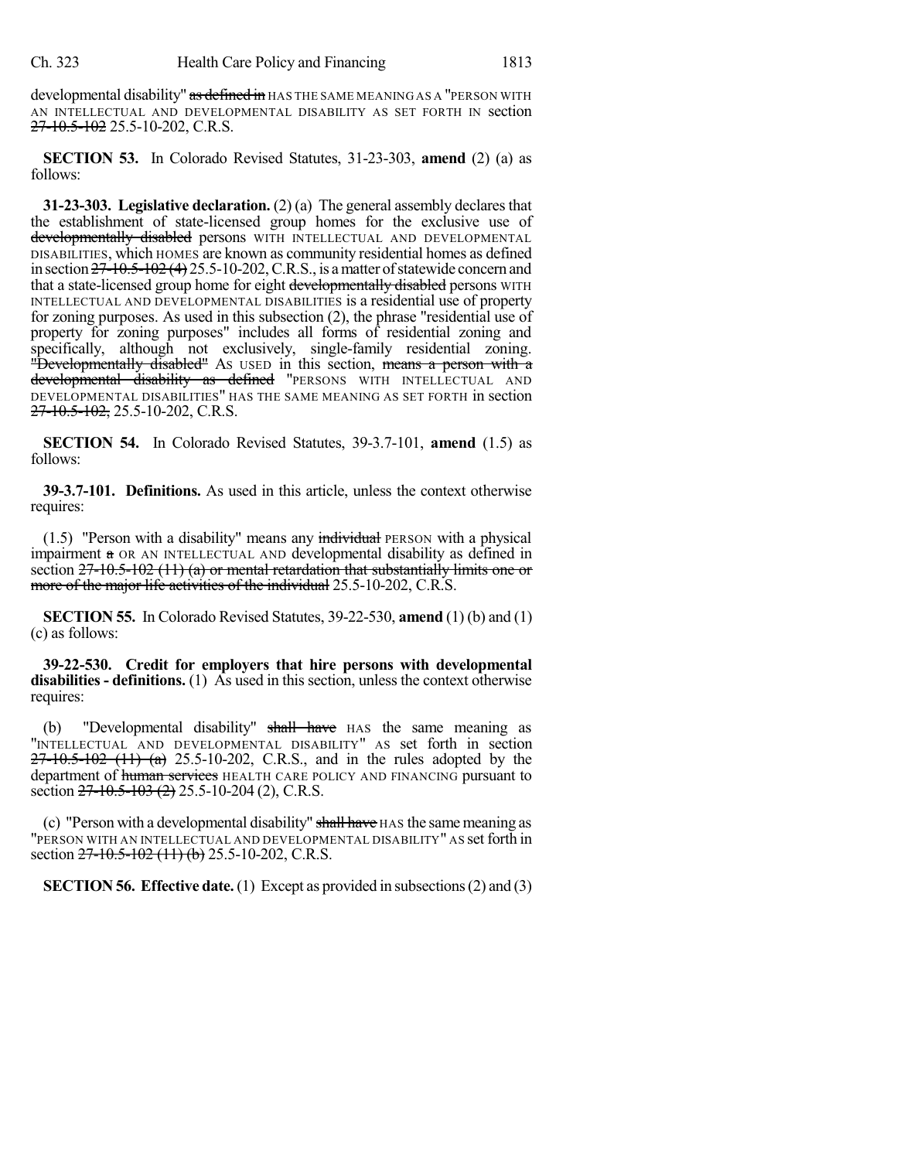developmental disability" as defined in HAS THE SAME MEANING AS A "PERSON WITH AN INTELLECTUAL AND DEVELOPMENTAL DISABILITY AS SET FORTH IN section 27-10.5-102 25.5-10-202, C.R.S.

**SECTION 53.** In Colorado Revised Statutes, 31-23-303, **amend** (2) (a) as follows:

**31-23-303. Legislative declaration.** (2) (a) The general assembly declares that the establishment of state-licensed group homes for the exclusive use of developmentally disabled persons WITH INTELLECTUAL AND DEVELOPMENTAL DISABILITIES, which HOMES are known as community residential homes as defined in section  $27-10.5-102(4)$  25.5-10-202, C.R.S., is a matter of statewide concern and that a state-licensed group home for eight developmentally disabled persons WITH INTELLECTUAL AND DEVELOPMENTAL DISABILITIES is a residential use of property for zoning purposes. As used in this subsection (2), the phrase "residential use of property for zoning purposes" includes all forms of residential zoning and specifically, although not exclusively, single-family residential zoning. "Developmentally disabled" As used in this section, means a person with a developmental disability as defined "PERSONS WITH INTELLECTUAL AND DEVELOPMENTAL DISABILITIES" HAS THE SAME MEANING AS SET FORTH in section 27-10.5-102, 25.5-10-202, C.R.S.

**SECTION 54.** In Colorado Revised Statutes, 39-3.7-101, **amend** (1.5) as follows:

**39-3.7-101. Definitions.** As used in this article, unless the context otherwise requires:

 $(1.5)$  "Person with a disability" means any individual PERSON with a physical impairment a OR AN INTELLECTUAL AND developmental disability as defined in section  $27-10.5-102$  (11) (a) or mental retardation that substantially limits one or more of the major life activities of the individual 25.5-10-202, C.R.S.

**SECTION 55.** In Colorado Revised Statutes, 39-22-530, **amend** (1) (b) and (1) (c) as follows:

**39-22-530. Credit for employers that hire persons with developmental disabilities - definitions.** (1) As used in this section, unless the context otherwise requires:

(b) "Developmental disability" shall have HAS the same meaning as "INTELLECTUAL AND DEVELOPMENTAL DISABILITY" AS set forth in section  $27-10.5-102$  (11) (a) 25.5-10-202, C.R.S., and in the rules adopted by the department of human services HEALTH CARE POLICY AND FINANCING pursuant to section 27-10.5-103 (2) 25.5-10-204 (2), C.R.S.

(c) "Person with a developmental disability" shall have HAS the same meaning as "PERSON WITH AN INTELLECTUAL AND DEVELOPMENTAL DISABILITY" AS set forth in section 27-10.5-102 (11) (b) 25.5-10-202, C.R.S.

**SECTION 56. Effective date.**(1) Except as provided in subsections(2) and (3)